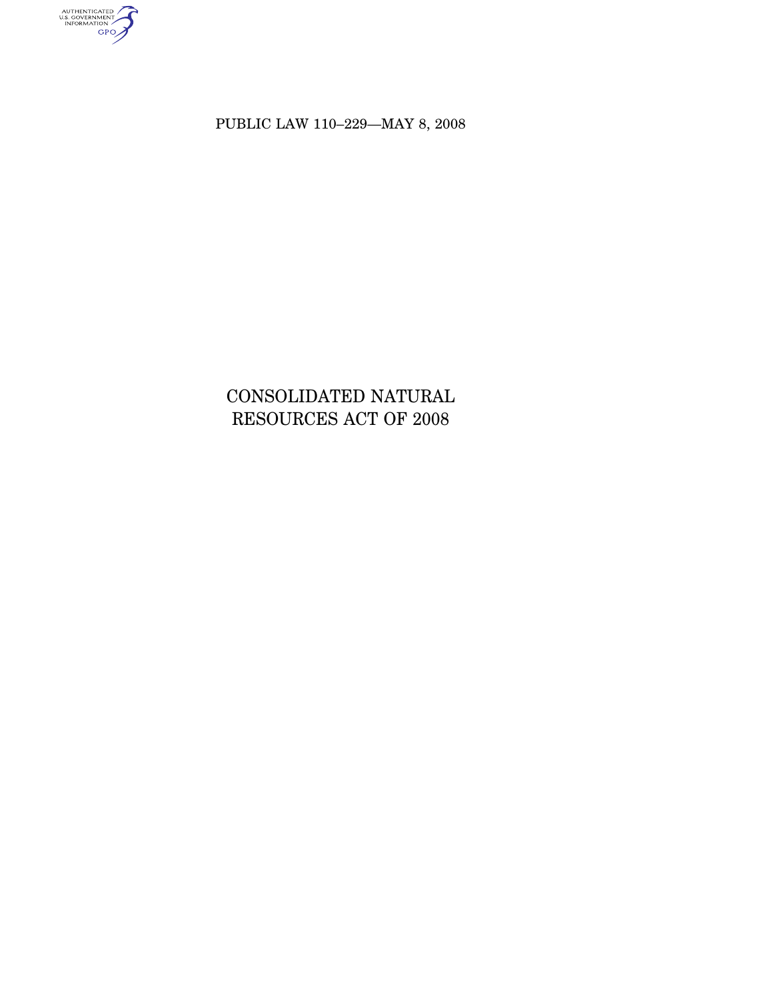AUTHENTICATED

PUBLIC LAW 110–229—MAY 8, 2008

CONSOLIDATED NATURAL RESOURCES ACT OF 2008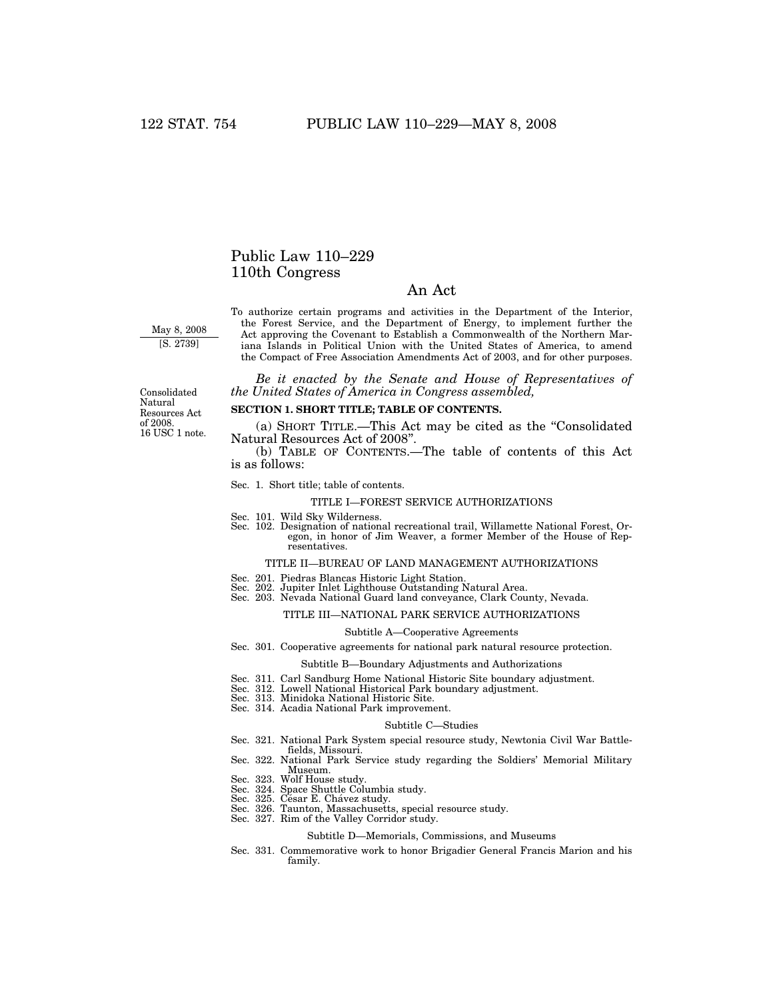# Public Law 110–229 110th Congress

# An Act

May 8, 2008 [S. 2739]

To authorize certain programs and activities in the Department of the Interior, the Forest Service, and the Department of Energy, to implement further the Act approving the Covenant to Establish a Commonwealth of the Northern Mariana Islands in Political Union with the United States of America, to amend the Compact of Free Association Amendments Act of 2003, and for other purposes.

*Be it enacted by the Senate and House of Representatives of the United States of America in Congress assembled,* 

# **SECTION 1. SHORT TITLE; TABLE OF CONTENTS.**

(a) SHORT TITLE.—This Act may be cited as the ''Consolidated Natural Resources Act of 2008''.

(b) TABLE OF CONTENTS.—The table of contents of this Act is as follows:

Sec. 1. Short title; table of contents.

### TITLE I—FOREST SERVICE AUTHORIZATIONS

Sec. 101. Wild Sky Wilderness.

Sec. 102. Designation of national recreational trail, Willamette National Forest, Oregon, in honor of Jim Weaver, a former Member of the House of Representatives.

### TITLE II—BUREAU OF LAND MANAGEMENT AUTHORIZATIONS

- 
- Sec. 201. Piedras Blancas Historic Light Station. Sec. 202. Jupiter Inlet Lighthouse Outstanding Natural Area. Sec. 203. Nevada National Guard land conveyance, Clark County, Nevada.
	-

#### TITLE III—NATIONAL PARK SERVICE AUTHORIZATIONS

### Subtitle A—Cooperative Agreements

- Sec. 301. Cooperative agreements for national park natural resource protection.
	- Subtitle B—Boundary Adjustments and Authorizations
- Sec. 311. Carl Sandburg Home National Historic Site boundary adjustment.
- Sec. 312. Lowell National Historical Park boundary adjustment.
- Sec. 313. Minidoka National Historic Site.
- Sec. 314. Acadia National Park improvement.

#### Subtitle C—Studies

- Sec. 321. National Park System special resource study, Newtonia Civil War Battlefields, Missouri.
- Sec. 322. National Park Service study regarding the Soldiers' Memorial Military Museum.
- Sec. 323. Wolf House study.
- Sec. 324. Space Shuttle Columbia study.<br>Sec. 325. César E. Chávez study.
- 
- Sec. 326. Taunton, Massachusetts, special resource study. Sec. 327. Rim of the Valley Corridor study.

### Subtitle D—Memorials, Commissions, and Museums

Sec. 331. Commemorative work to honor Brigadier General Francis Marion and his family.

Consolidated Natural Resources Act of 2008. 16 USC 1 note.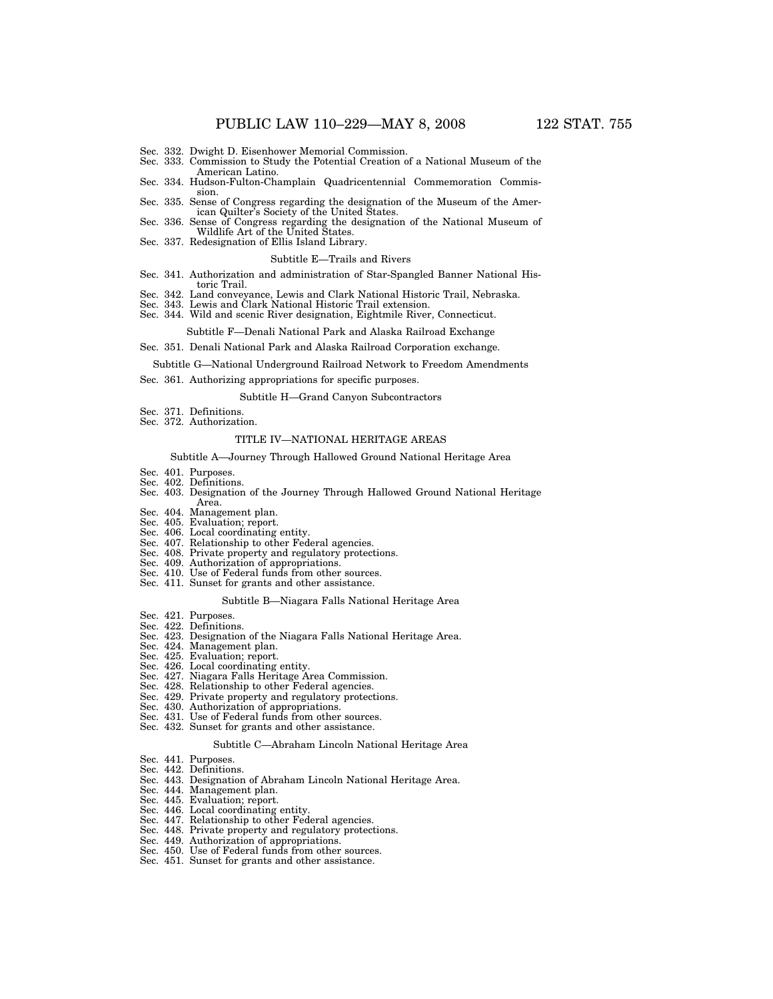- Sec. 332. Dwight D. Eisenhower Memorial Commission.
- Sec. 333. Commission to Study the Potential Creation of a National Museum of the
- American Latino. Sec. 334. Hudson-Fulton-Champlain Quadricentennial Commemoration Commission.
- Sec. 335. Sense of Congress regarding the designation of the Museum of the American Quilter's Society of the United States.
- Sec. 336. Sense of Congress regarding the designation of the National Museum of Wildlife Art of the United States.
- Sec. 337. Redesignation of Ellis Island Library.

#### Subtitle E—Trails and Rivers

- Sec. 341. Authorization and administration of Star-Spangled Banner National Historic Trail.
- Sec. 342. Land conveyance, Lewis and Clark National Historic Trail, Nebraska. Sec. 343. Lewis and Clark National Historic Trail extension.
- 
- Sec. 344. Wild and scenic River designation, Eightmile River, Connecticut.

### Subtitle F—Denali National Park and Alaska Railroad Exchange

Sec. 351. Denali National Park and Alaska Railroad Corporation exchange.

#### Subtitle G—National Underground Railroad Network to Freedom Amendments

Sec. 361. Authorizing appropriations for specific purposes.

### Subtitle H—Grand Canyon Subcontractors

- Sec. 371. Definitions.
- Sec. 372. Authorization.

#### TITLE IV—NATIONAL HERITAGE AREAS

### Subtitle A—Journey Through Hallowed Ground National Heritage Area

- Sec. 401. Purposes. Sec. 402. Definitions.
- Sec. 403. Designation of the Journey Through Hallowed Ground National Heritage Area.
- Sec. 404. Management plan.
- Sec. 405. Evaluation; report.
- Sec. 406. Local coordinating entity.
- Sec. 407. Relationship to other Federal agencies.
- Sec. 408. Private property and regulatory protections.
- Sec. 409. Authorization of appropriations.
- Sec. 410. Use of Federal funds from other sources.
- Sec. 411. Sunset for grants and other assistance.

### Subtitle B—Niagara Falls National Heritage Area

- Sec. 421. Purposes.
- Sec. 422. Definitions.
- Sec. 423. Designation of the Niagara Falls National Heritage Area.
- Sec. 424. Management plan.
- Sec. 425. Evaluation; report.
- Sec. 426. Local coordinating entity.
- Sec. 427. Niagara Falls Heritage Area Commission.
- Sec. 428. Relationship to other Federal agencies.
- Sec. 429. Private property and regulatory protections.<br>Sec. 430. Authorization of appropriations.
- Sec. 430. Authorization of appropriations.
- Sec. 431. Use of Federal funds from other sources.
- Sec. 432. Sunset for grants and other assistance.

#### Subtitle C—Abraham Lincoln National Heritage Area

- Sec. 441. Purposes. Sec. 442. Definitions.
- 
- Sec. 443. Designation of Abraham Lincoln National Heritage Area.
- Sec. 444. Management plan.
- Sec. 445. Evaluation; report.
- Sec. 446. Local coordinating entity.
- Sec. 447. Relationship to other Federal agencies.
- Sec. 448. Private property and regulatory protections.
- Sec. 449. Authorization of appropriations.
- Sec. 450. Use of Federal funds from other sources. Sec. 451. Sunset for grants and other assistance.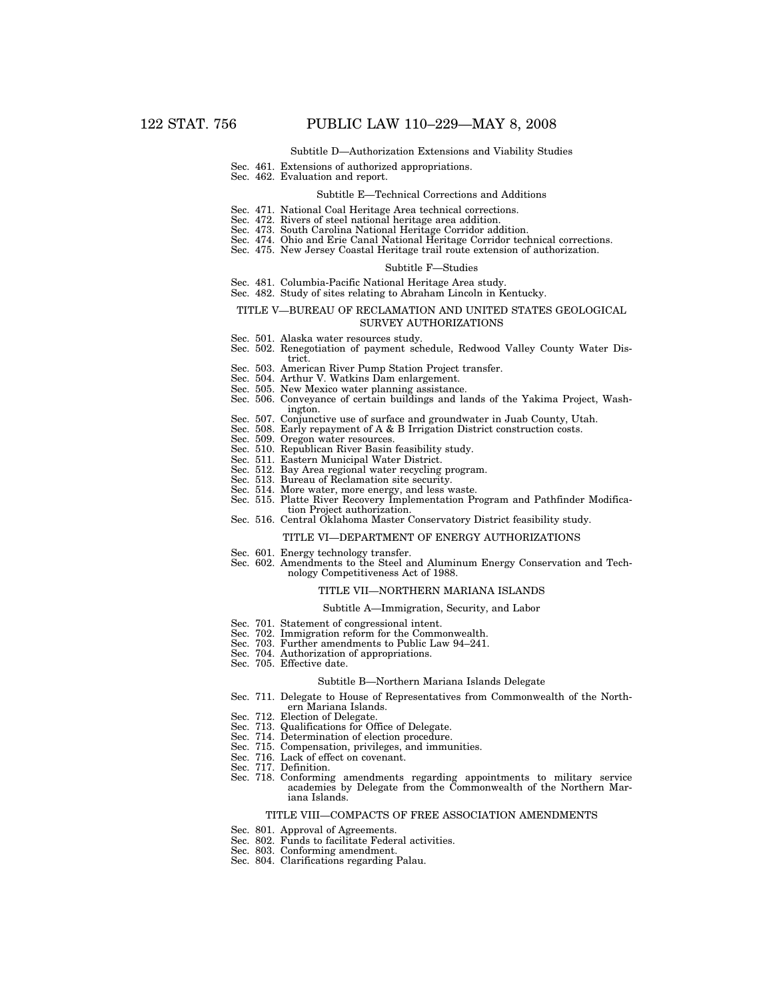### Subtitle D—Authorization Extensions and Viability Studies

- Sec. 461. Extensions of authorized appropriations.
- Sec. 462. Evaluation and report.

#### Subtitle E—Technical Corrections and Additions

- Sec. 471. National Coal Heritage Area technical corrections.
- Sec. 472. Rivers of steel national heritage area addition.
- Sec. 473. South Carolina National Heritage Corridor addition.
- Sec. 474. Ohio and Erie Canal National Heritage Corridor technical corrections.
- Sec. 475. New Jersey Coastal Heritage trail route extension of authorization.

### Subtitle F—Studies

- Sec. 481. Columbia-Pacific National Heritage Area study.
- Sec. 482. Study of sites relating to Abraham Lincoln in Kentucky.

### TITLE V—BUREAU OF RECLAMATION AND UNITED STATES GEOLOGICAL SURVEY AUTHORIZATIONS

- Sec. 501. Alaska water resources study.
- Sec. 502. Renegotiation of payment schedule, Redwood Valley County Water District.
- Sec. 503. American River Pump Station Project transfer.
- Sec. 504. Arthur V. Watkins Dam enlargement.
- Sec. 505. New Mexico water planning assistance.
- Sec. 506. Conveyance of certain buildings and lands of the Yakima Project, Washington.
- Sec. 507. Conjunctive use of surface and groundwater in Juab County, Utah.
- Sec. 508. Early repayment of A & B Irrigation District construction costs.
- Sec. 509. Oregon water resources.
- Sec. 510. Republican River Basin feasibility study.
- Sec. 511. Eastern Municipal Water District.
- Sec. 512. Bay Area regional water recycling program.
- Sec. 513. Bureau of Reclamation site security.
- Sec. 514. More water, more energy, and less waste.
- Sec. 515. Platte River Recovery Implementation Program and Pathfinder Modification Project authorization. Sec. 516. Central Oklahoma Master Conservatory District feasibility study.
	-

### TITLE VI—DEPARTMENT OF ENERGY AUTHORIZATIONS

- Sec. 601. Energy technology transfer.
- Sec. 602. Amendments to the Steel and Aluminum Energy Conservation and Technology Competitiveness Act of 1988.

## TITLE VII—NORTHERN MARIANA ISLANDS

### Subtitle A—Immigration, Security, and Labor

- Sec. 701. Statement of congressional intent.
- Sec. 702. Immigration reform for the Commonwealth.
- Sec. 703. Further amendments to Public Law 94–241.
- Sec. 704. Authorization of appropriations.
- Sec. 705. Effective date.

#### Subtitle B—Northern Mariana Islands Delegate

- Sec. 711. Delegate to House of Representatives from Commonwealth of the Northern Mariana Islands.
	- Sec. 712. Election of Delegate.
- Sec. 713. Qualifications for Office of Delegate.
- Sec. 714. Determination of election procedure.
- Sec. 715. Compensation, privileges, and immunities.
- Sec. 716. Lack of effect on covenant.
- Sec. 717. Definition.
- Sec. 718. Conforming amendments regarding appointments to military service academies by Delegate from the Commonwealth of the Northern Mariana Islands.

# TITLE VIII—COMPACTS OF FREE ASSOCIATION AMENDMENTS

- Sec. 801. Approval of Agreements.
- Sec. 802. Funds to facilitate Federal activities.
- Sec. 803. Conforming amendment.
- Sec. 804. Clarifications regarding Palau.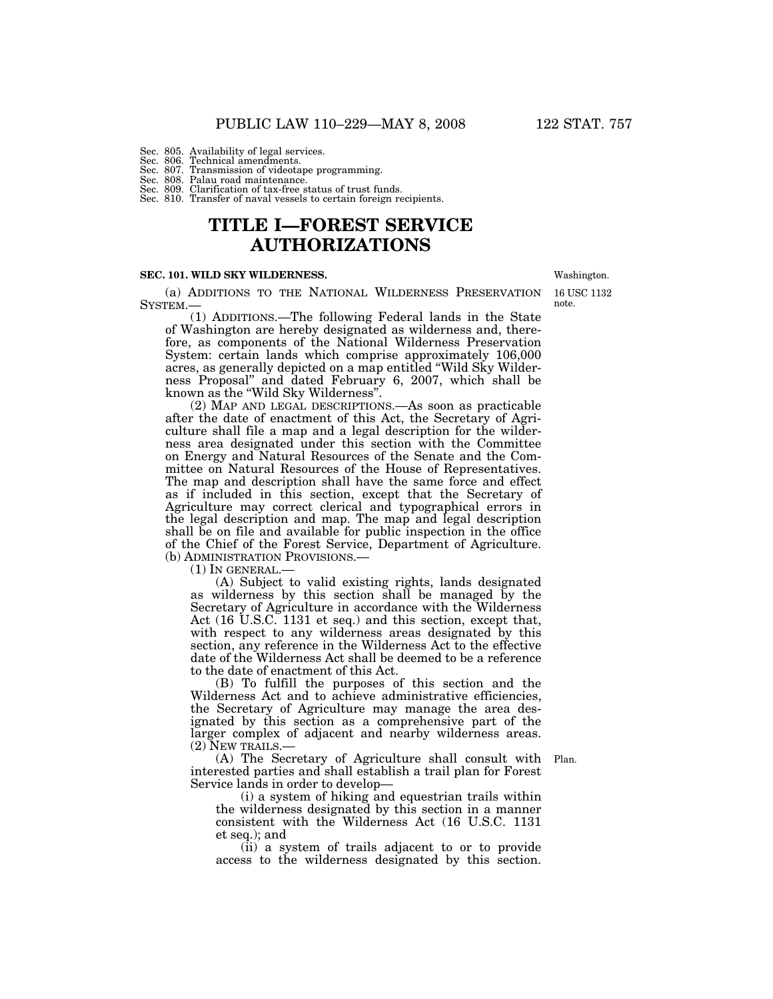# Sec. 805. Availability of legal services. Sec. 806. Technical amendments. Sec. 807. Transmission of videotape programming. Sec. 808. Palau road maintenance. Sec. 809. Clarification of tax-free status of trust funds.

Sec. 810. Transfer of naval vessels to certain foreign recipients.

# **TITLE I—FOREST SERVICE AUTHORIZATIONS**

### **SEC. 101. WILD SKY WILDERNESS.**

(a) ADDITIONS TO THE NATIONAL WILDERNESS PRESERVATION SYSTEM.—

(1) ADDITIONS.—The following Federal lands in the State of Washington are hereby designated as wilderness and, therefore, as components of the National Wilderness Preservation System: certain lands which comprise approximately 106,000 acres, as generally depicted on a map entitled ''Wild Sky Wilderness Proposal'' and dated February 6, 2007, which shall be known as the ''Wild Sky Wilderness''.

(2) MAP AND LEGAL DESCRIPTIONS.—As soon as practicable after the date of enactment of this Act, the Secretary of Agriculture shall file a map and a legal description for the wilderness area designated under this section with the Committee on Energy and Natural Resources of the Senate and the Committee on Natural Resources of the House of Representatives. The map and description shall have the same force and effect as if included in this section, except that the Secretary of Agriculture may correct clerical and typographical errors in the legal description and map. The map and legal description shall be on file and available for public inspection in the office of the Chief of the Forest Service, Department of Agriculture. (b) ADMINISTRATION PROVISIONS.—

 $(1)$  In GENERAL.-

(A) Subject to valid existing rights, lands designated as wilderness by this section shall be managed by the Secretary of Agriculture in accordance with the Wilderness Act (16 U.S.C. 1131 et seq.) and this section, except that, with respect to any wilderness areas designated by this section, any reference in the Wilderness Act to the effective date of the Wilderness Act shall be deemed to be a reference to the date of enactment of this Act.

(B) To fulfill the purposes of this section and the Wilderness Act and to achieve administrative efficiencies, the Secretary of Agriculture may manage the area designated by this section as a comprehensive part of the larger complex of adjacent and nearby wilderness areas. (2) NEW TRAILS.—

Plan.

(A) The Secretary of Agriculture shall consult with interested parties and shall establish a trail plan for Forest Service lands in order to develop—

(i) a system of hiking and equestrian trails within the wilderness designated by this section in a manner consistent with the Wilderness Act (16 U.S.C. 1131 et seq.); and

(ii) a system of trails adjacent to or to provide access to the wilderness designated by this section.

16 USC 1132 Washington.

note.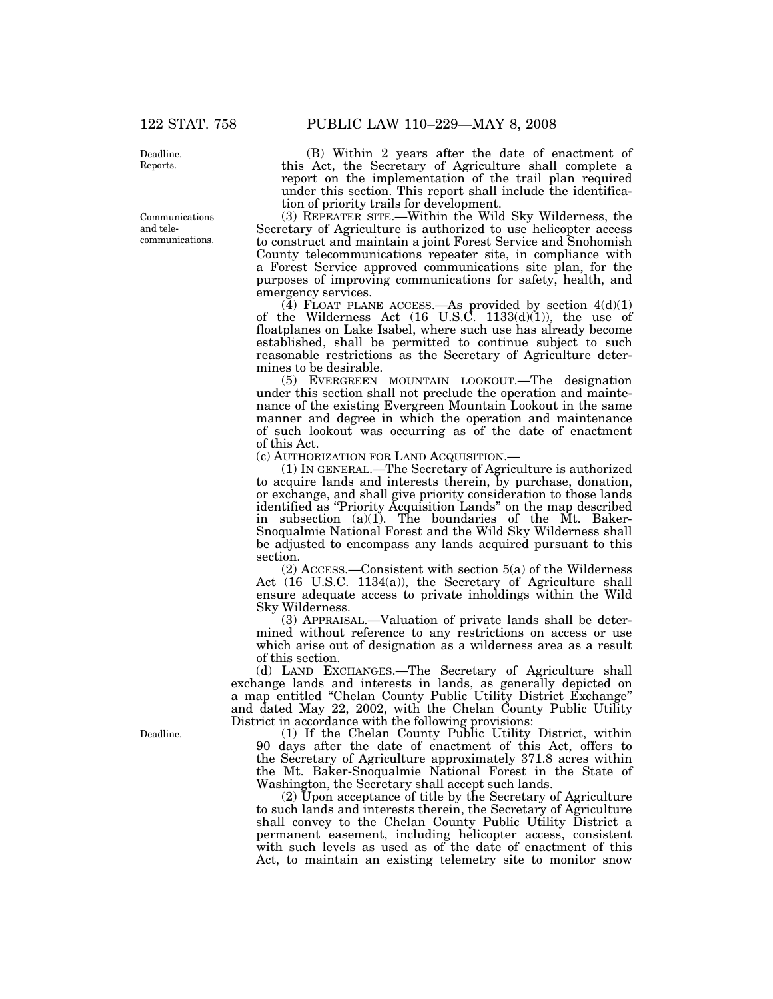Deadline. Reports.

Communications and telecommunications.

(B) Within 2 years after the date of enactment of this Act, the Secretary of Agriculture shall complete a report on the implementation of the trail plan required under this section. This report shall include the identification of priority trails for development.

(3) REPEATER SITE.—Within the Wild Sky Wilderness, the Secretary of Agriculture is authorized to use helicopter access to construct and maintain a joint Forest Service and Snohomish County telecommunications repeater site, in compliance with a Forest Service approved communications site plan, for the purposes of improving communications for safety, health, and emergency services.

(4) FLOAT PLANE ACCESS.—As provided by section  $4(d)(1)$ of the Wilderness Act  $(16 \text{ U.S.C. } 1133(d)(1))$ , the use of floatplanes on Lake Isabel, where such use has already become established, shall be permitted to continue subject to such reasonable restrictions as the Secretary of Agriculture determines to be desirable.

(5) EVERGREEN MOUNTAIN LOOKOUT.—The designation under this section shall not preclude the operation and maintenance of the existing Evergreen Mountain Lookout in the same manner and degree in which the operation and maintenance of such lookout was occurring as of the date of enactment of this Act.

(c) AUTHORIZATION FOR LAND ACQUISITION.—

(1) IN GENERAL.—The Secretary of Agriculture is authorized to acquire lands and interests therein, by purchase, donation, or exchange, and shall give priority consideration to those lands identified as ''Priority Acquisition Lands'' on the map described in subsection (a)(1). The boundaries of the Mt. Baker-Snoqualmie National Forest and the Wild Sky Wilderness shall be adjusted to encompass any lands acquired pursuant to this section.

(2) ACCESS.—Consistent with section 5(a) of the Wilderness Act (16 U.S.C. 1134(a)), the Secretary of Agriculture shall ensure adequate access to private inholdings within the Wild Sky Wilderness.

(3) APPRAISAL.—Valuation of private lands shall be determined without reference to any restrictions on access or use which arise out of designation as a wilderness area as a result of this section.

(d) LAND EXCHANGES.—The Secretary of Agriculture shall exchange lands and interests in lands, as generally depicted on a map entitled ''Chelan County Public Utility District Exchange'' and dated May 22, 2002, with the Chelan County Public Utility District in accordance with the following provisions:

(1) If the Chelan County Public Utility District, within 90 days after the date of enactment of this Act, offers to the Secretary of Agriculture approximately 371.8 acres within the Mt. Baker-Snoqualmie National Forest in the State of Washington, the Secretary shall accept such lands.

(2) Upon acceptance of title by the Secretary of Agriculture to such lands and interests therein, the Secretary of Agriculture shall convey to the Chelan County Public Utility District a permanent easement, including helicopter access, consistent with such levels as used as of the date of enactment of this Act, to maintain an existing telemetry site to monitor snow

Deadline.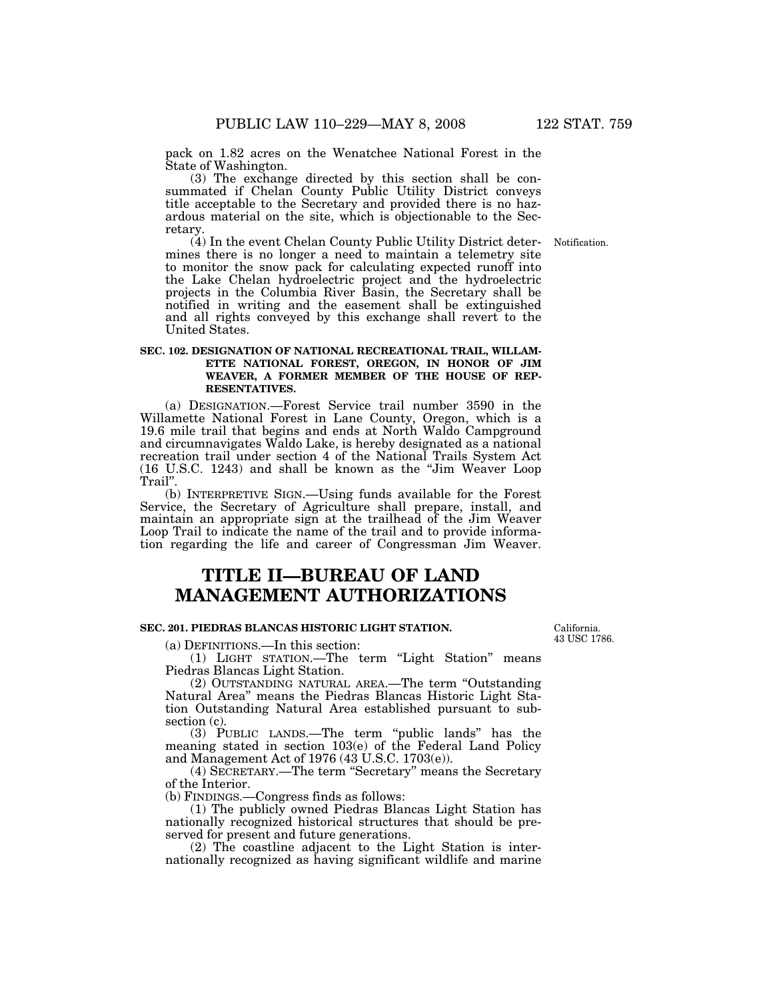pack on 1.82 acres on the Wenatchee National Forest in the State of Washington.

(3) The exchange directed by this section shall be consummated if Chelan County Public Utility District conveys title acceptable to the Secretary and provided there is no hazardous material on the site, which is objectionable to the Secretary.

Notification.

(4) In the event Chelan County Public Utility District determines there is no longer a need to maintain a telemetry site to monitor the snow pack for calculating expected runoff into the Lake Chelan hydroelectric project and the hydroelectric projects in the Columbia River Basin, the Secretary shall be notified in writing and the easement shall be extinguished and all rights conveyed by this exchange shall revert to the United States.

# **SEC. 102. DESIGNATION OF NATIONAL RECREATIONAL TRAIL, WILLAM-ETTE NATIONAL FOREST, OREGON, IN HONOR OF JIM WEAVER, A FORMER MEMBER OF THE HOUSE OF REP-RESENTATIVES.**

(a) DESIGNATION.—Forest Service trail number 3590 in the Willamette National Forest in Lane County, Oregon, which is a 19.6 mile trail that begins and ends at North Waldo Campground and circumnavigates Waldo Lake, is hereby designated as a national recreation trail under section 4 of the National Trails System Act (16 U.S.C. 1243) and shall be known as the ''Jim Weaver Loop Trail''.

(b) INTERPRETIVE SIGN.—Using funds available for the Forest Service, the Secretary of Agriculture shall prepare, install, and maintain an appropriate sign at the trailhead of the Jim Weaver Loop Trail to indicate the name of the trail and to provide information regarding the life and career of Congressman Jim Weaver.

# **TITLE II—BUREAU OF LAND MANAGEMENT AUTHORIZATIONS**

# **SEC. 201. PIEDRAS BLANCAS HISTORIC LIGHT STATION.**

California. 43 USC 1786.

(a) DEFINITIONS.—In this section:

(1) LIGHT STATION.—The term ''Light Station'' means Piedras Blancas Light Station.

(2) OUTSTANDING NATURAL AREA.—The term ''Outstanding Natural Area'' means the Piedras Blancas Historic Light Station Outstanding Natural Area established pursuant to subsection (c).

(3) PUBLIC LANDS.—The term ''public lands'' has the meaning stated in section 103(e) of the Federal Land Policy and Management Act of 1976 (43 U.S.C. 1703(e)).

(4) SECRETARY.—The term ''Secretary'' means the Secretary of the Interior.

(b) FINDINGS.—Congress finds as follows:

(1) The publicly owned Piedras Blancas Light Station has nationally recognized historical structures that should be preserved for present and future generations.

(2) The coastline adjacent to the Light Station is internationally recognized as having significant wildlife and marine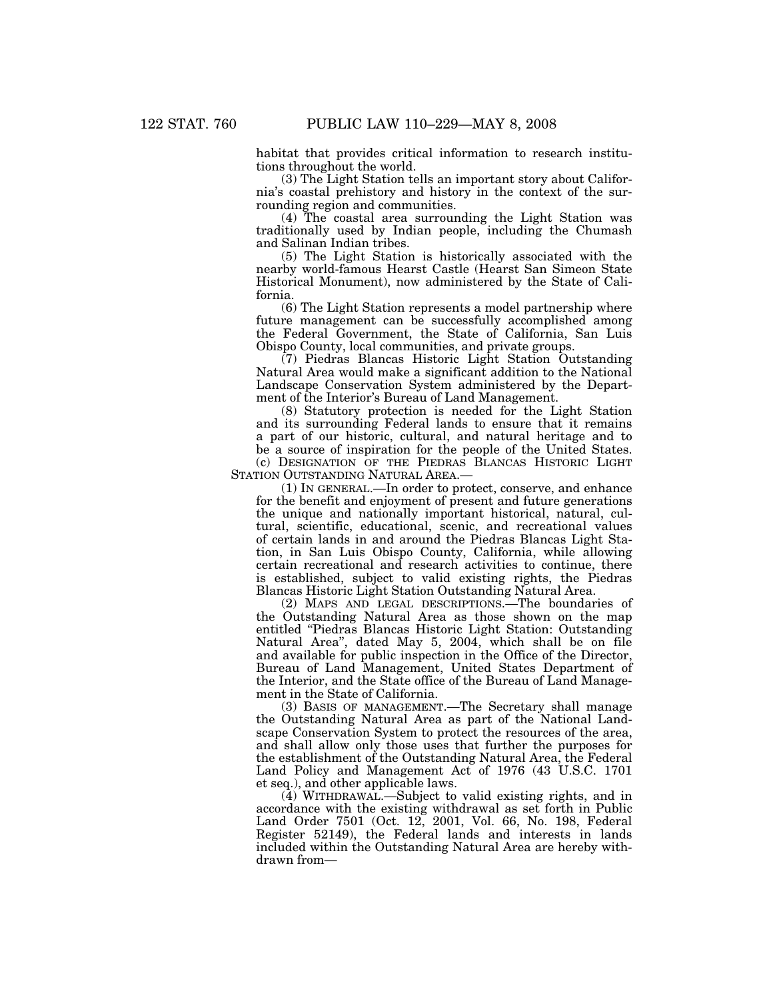habitat that provides critical information to research institutions throughout the world.

(3) The Light Station tells an important story about California's coastal prehistory and history in the context of the surrounding region and communities.

(4) The coastal area surrounding the Light Station was traditionally used by Indian people, including the Chumash and Salinan Indian tribes.

(5) The Light Station is historically associated with the nearby world-famous Hearst Castle (Hearst San Simeon State Historical Monument), now administered by the State of California.

(6) The Light Station represents a model partnership where future management can be successfully accomplished among the Federal Government, the State of California, San Luis Obispo County, local communities, and private groups.

(7) Piedras Blancas Historic Light Station Outstanding Natural Area would make a significant addition to the National Landscape Conservation System administered by the Department of the Interior's Bureau of Land Management.

(8) Statutory protection is needed for the Light Station and its surrounding Federal lands to ensure that it remains a part of our historic, cultural, and natural heritage and to be a source of inspiration for the people of the United States.

(c) DESIGNATION OF THE PIEDRAS BLANCAS HISTORIC LIGHT STATION OUTSTANDING NATURAL AREA.—

(1) IN GENERAL.—In order to protect, conserve, and enhance for the benefit and enjoyment of present and future generations the unique and nationally important historical, natural, cultural, scientific, educational, scenic, and recreational values of certain lands in and around the Piedras Blancas Light Station, in San Luis Obispo County, California, while allowing certain recreational and research activities to continue, there is established, subject to valid existing rights, the Piedras Blancas Historic Light Station Outstanding Natural Area.

(2) MAPS AND LEGAL DESCRIPTIONS.—The boundaries of the Outstanding Natural Area as those shown on the map entitled "Piedras Blancas Historic Light Station: Outstanding Natural Area", dated May 5, 2004, which shall be on file and available for public inspection in the Office of the Director, Bureau of Land Management, United States Department of the Interior, and the State office of the Bureau of Land Management in the State of California.

(3) BASIS OF MANAGEMENT.—The Secretary shall manage the Outstanding Natural Area as part of the National Landscape Conservation System to protect the resources of the area, and shall allow only those uses that further the purposes for the establishment of the Outstanding Natural Area, the Federal Land Policy and Management Act of 1976 (43 U.S.C. 1701 et seq.), and other applicable laws.

(4) WITHDRAWAL.—Subject to valid existing rights, and in accordance with the existing withdrawal as set forth in Public Land Order 7501 (Oct. 12, 2001, Vol. 66, No. 198, Federal Register 52149), the Federal lands and interests in lands included within the Outstanding Natural Area are hereby withdrawn from—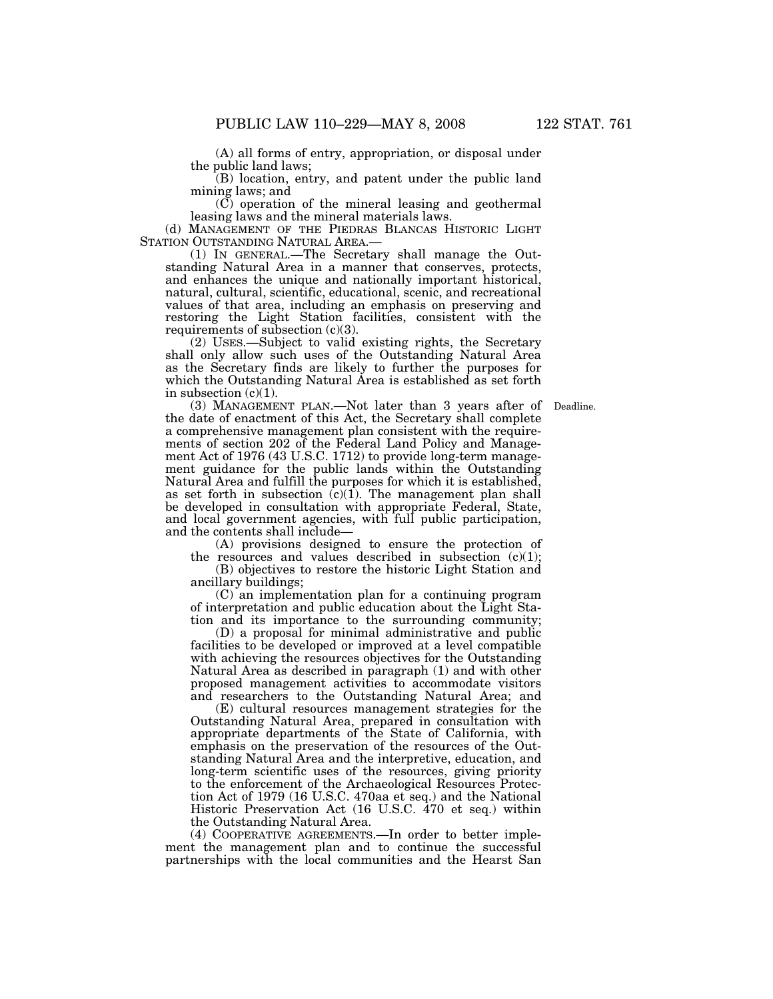(A) all forms of entry, appropriation, or disposal under the public land laws;

(B) location, entry, and patent under the public land mining laws; and

(C) operation of the mineral leasing and geothermal leasing laws and the mineral materials laws.

(d) MANAGEMENT OF THE PIEDRAS BLANCAS HISTORIC LIGHT STATION OUTSTANDING NATURAL AREA.—

(1) IN GENERAL.—The Secretary shall manage the Outstanding Natural Area in a manner that conserves, protects, and enhances the unique and nationally important historical, natural, cultural, scientific, educational, scenic, and recreational values of that area, including an emphasis on preserving and restoring the Light Station facilities, consistent with the requirements of subsection (c)(3).

(2) USES.—Subject to valid existing rights, the Secretary shall only allow such uses of the Outstanding Natural Area as the Secretary finds are likely to further the purposes for which the Outstanding Natural Area is established as set forth in subsection  $(c)(1)$ .

(3) MANAGEMENT PLAN.—Not later than 3 years after of Deadline. the date of enactment of this Act, the Secretary shall complete a comprehensive management plan consistent with the requirements of section 202 of the Federal Land Policy and Management Act of 1976 (43 U.S.C. 1712) to provide long-term management guidance for the public lands within the Outstanding Natural Area and fulfill the purposes for which it is established, as set forth in subsection  $(c)(1)$ . The management plan shall be developed in consultation with appropriate Federal, State, and local government agencies, with full public participation, and the contents shall include—

(A) provisions designed to ensure the protection of the resources and values described in subsection  $(c)(1)$ ;

(B) objectives to restore the historic Light Station and ancillary buildings;

(C) an implementation plan for a continuing program of interpretation and public education about the Light Station and its importance to the surrounding community;

(D) a proposal for minimal administrative and public facilities to be developed or improved at a level compatible with achieving the resources objectives for the Outstanding Natural Area as described in paragraph (1) and with other proposed management activities to accommodate visitors and researchers to the Outstanding Natural Area; and

(E) cultural resources management strategies for the Outstanding Natural Area, prepared in consultation with appropriate departments of the State of California, with emphasis on the preservation of the resources of the Outstanding Natural Area and the interpretive, education, and long-term scientific uses of the resources, giving priority to the enforcement of the Archaeological Resources Protection Act of 1979 (16 U.S.C. 470aa et seq.) and the National Historic Preservation Act (16 U.S.C. 470 et seq.) within the Outstanding Natural Area.

(4) COOPERATIVE AGREEMENTS.—In order to better implement the management plan and to continue the successful partnerships with the local communities and the Hearst San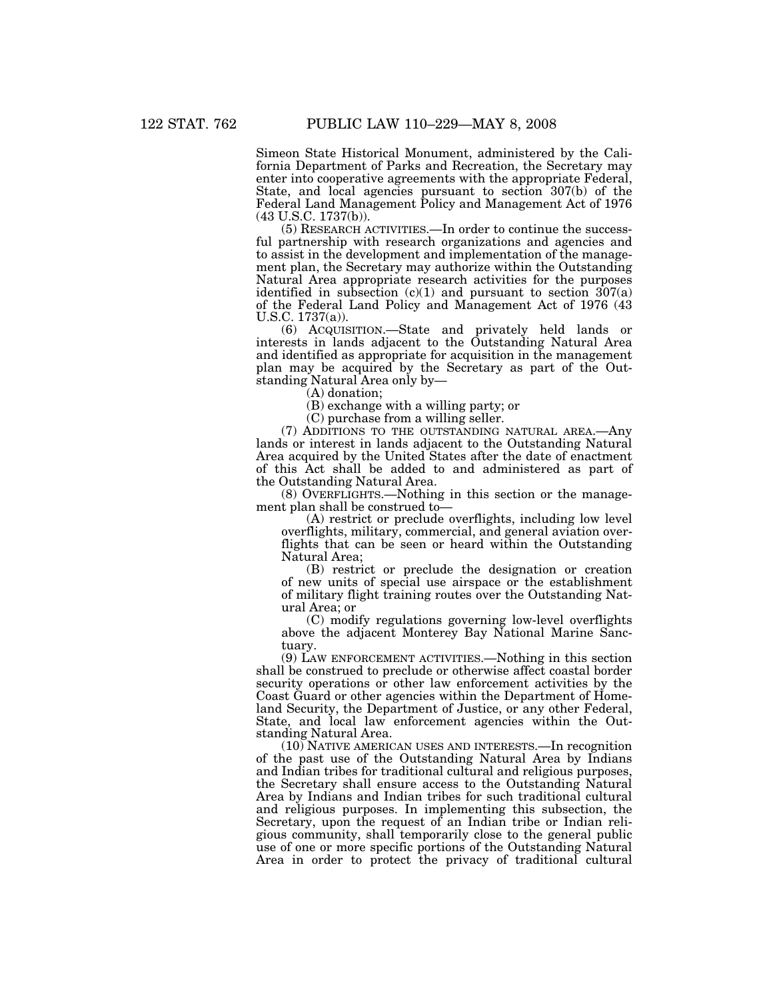Simeon State Historical Monument, administered by the California Department of Parks and Recreation, the Secretary may enter into cooperative agreements with the appropriate Federal, State, and local agencies pursuant to section 307(b) of the Federal Land Management Policy and Management Act of 1976 (43 U.S.C. 1737(b)).

(5) RESEARCH ACTIVITIES.—In order to continue the successful partnership with research organizations and agencies and to assist in the development and implementation of the management plan, the Secretary may authorize within the Outstanding Natural Area appropriate research activities for the purposes identified in subsection  $(c)(1)$  and pursuant to section  $307(a)$ of the Federal Land Policy and Management Act of 1976 (43 U.S.C. 1737(a)).

(6) ACQUISITION.—State and privately held lands or interests in lands adjacent to the Outstanding Natural Area and identified as appropriate for acquisition in the management plan may be acquired by the Secretary as part of the Outstanding Natural Area only by—

(A) donation;

(B) exchange with a willing party; or

(C) purchase from a willing seller.

(7) ADDITIONS TO THE OUTSTANDING NATURAL AREA.—Any lands or interest in lands adjacent to the Outstanding Natural Area acquired by the United States after the date of enactment of this Act shall be added to and administered as part of the Outstanding Natural Area.

(8) OVERFLIGHTS.—Nothing in this section or the management plan shall be construed to—

(A) restrict or preclude overflights, including low level overflights, military, commercial, and general aviation overflights that can be seen or heard within the Outstanding Natural Area;

(B) restrict or preclude the designation or creation of new units of special use airspace or the establishment of military flight training routes over the Outstanding Natural Area; or

(C) modify regulations governing low-level overflights above the adjacent Monterey Bay National Marine Sanctuary.

(9) LAW ENFORCEMENT ACTIVITIES.—Nothing in this section shall be construed to preclude or otherwise affect coastal border security operations or other law enforcement activities by the Coast Guard or other agencies within the Department of Homeland Security, the Department of Justice, or any other Federal, State, and local law enforcement agencies within the Outstanding Natural Area.

(10) NATIVE AMERICAN USES AND INTERESTS.—In recognition of the past use of the Outstanding Natural Area by Indians and Indian tribes for traditional cultural and religious purposes, the Secretary shall ensure access to the Outstanding Natural Area by Indians and Indian tribes for such traditional cultural and religious purposes. In implementing this subsection, the Secretary, upon the request of an Indian tribe or Indian religious community, shall temporarily close to the general public use of one or more specific portions of the Outstanding Natural Area in order to protect the privacy of traditional cultural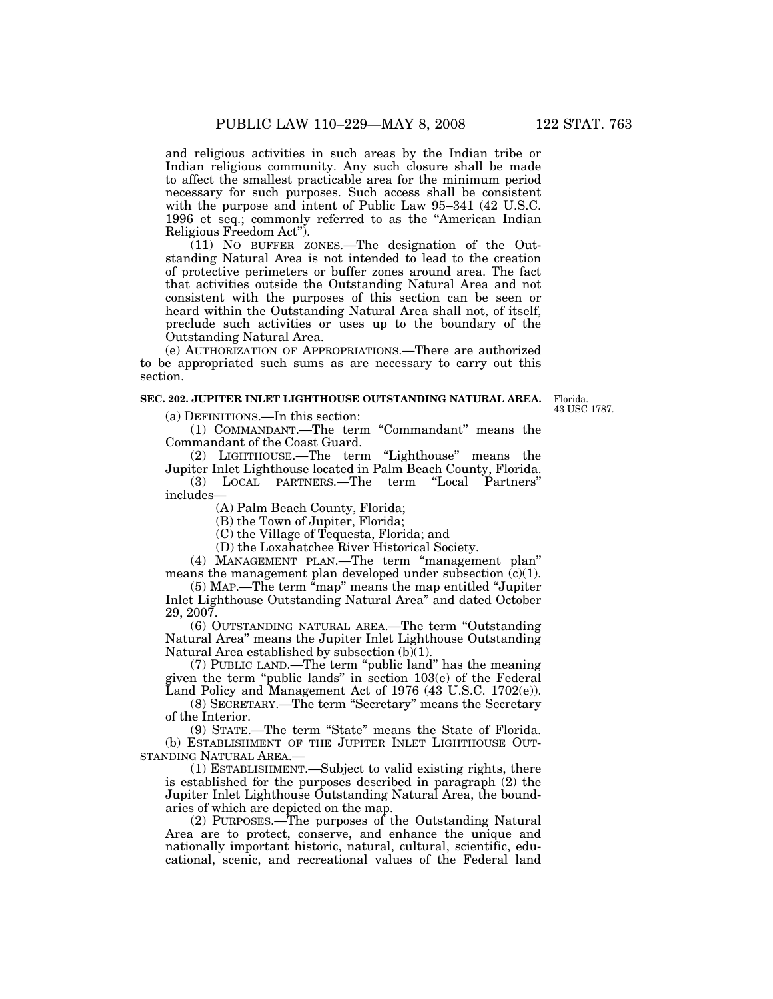and religious activities in such areas by the Indian tribe or Indian religious community. Any such closure shall be made to affect the smallest practicable area for the minimum period necessary for such purposes. Such access shall be consistent with the purpose and intent of Public Law 95–341 (42 U.S.C. 1996 et seq.; commonly referred to as the ''American Indian Religious Freedom Act'').

(11) NO BUFFER ZONES.—The designation of the Outstanding Natural Area is not intended to lead to the creation of protective perimeters or buffer zones around area. The fact that activities outside the Outstanding Natural Area and not consistent with the purposes of this section can be seen or heard within the Outstanding Natural Area shall not, of itself, preclude such activities or uses up to the boundary of the Outstanding Natural Area.

(e) AUTHORIZATION OF APPROPRIATIONS.—There are authorized to be appropriated such sums as are necessary to carry out this section.

# **SEC. 202. JUPITER INLET LIGHTHOUSE OUTSTANDING NATURAL AREA.**

Florida. 43 USC 1787.

(a) DEFINITIONS.—In this section:

(1) COMMANDANT.—The term ''Commandant'' means the Commandant of the Coast Guard.

(2) LIGHTHOUSE.—The term ''Lighthouse'' means the Jupiter Inlet Lighthouse located in Palm Beach County, Florida.

(3) LOCAL PARTNERS.—The term ''Local Partners'' includes—

(A) Palm Beach County, Florida;

(B) the Town of Jupiter, Florida;

(C) the Village of Tequesta, Florida; and

(D) the Loxahatchee River Historical Society.

(4) MANAGEMENT PLAN.—The term ''management plan'' means the management plan developed under subsection  $(c)(1)$ .

(5) MAP.—The term ''map'' means the map entitled ''Jupiter Inlet Lighthouse Outstanding Natural Area'' and dated October 29, 2007.

(6) OUTSTANDING NATURAL AREA.—The term ''Outstanding Natural Area'' means the Jupiter Inlet Lighthouse Outstanding Natural Area established by subsection (b)(1).

(7) PUBLIC LAND.—The term ''public land'' has the meaning given the term ''public lands'' in section 103(e) of the Federal Land Policy and Management Act of 1976 (43 U.S.C. 1702(e)).

(8) SECRETARY.—The term ''Secretary'' means the Secretary of the Interior.

(9) STATE.—The term ''State'' means the State of Florida. (b) ESTABLISHMENT OF THE JUPITER INLET LIGHTHOUSE OUT-STANDING NATURAL AREA.—

(1) ESTABLISHMENT.—Subject to valid existing rights, there is established for the purposes described in paragraph (2) the Jupiter Inlet Lighthouse Outstanding Natural Area, the boundaries of which are depicted on the map.

(2) PURPOSES.—The purposes of the Outstanding Natural Area are to protect, conserve, and enhance the unique and nationally important historic, natural, cultural, scientific, educational, scenic, and recreational values of the Federal land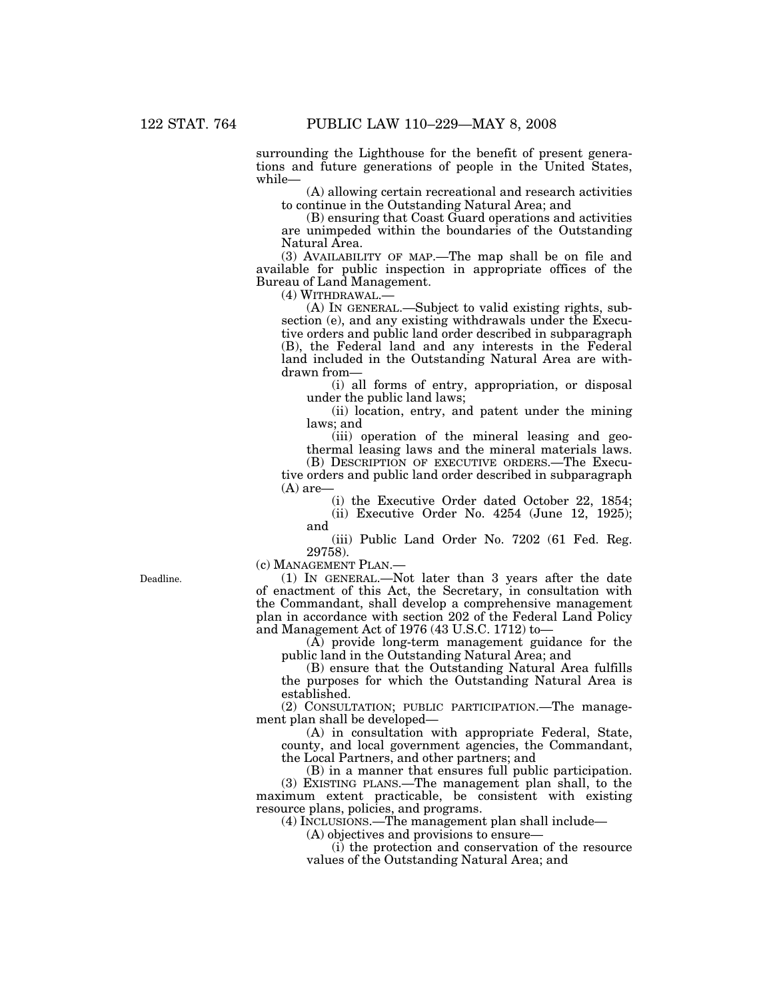surrounding the Lighthouse for the benefit of present generations and future generations of people in the United States, while—

(A) allowing certain recreational and research activities to continue in the Outstanding Natural Area; and

(B) ensuring that Coast Guard operations and activities are unimpeded within the boundaries of the Outstanding Natural Area.

(3) AVAILABILITY OF MAP.—The map shall be on file and available for public inspection in appropriate offices of the Bureau of Land Management.

(4) WITHDRAWAL.—

(A) IN GENERAL.—Subject to valid existing rights, subsection (e), and any existing withdrawals under the Executive orders and public land order described in subparagraph (B), the Federal land and any interests in the Federal land included in the Outstanding Natural Area are withdrawn from—

(i) all forms of entry, appropriation, or disposal under the public land laws;

(ii) location, entry, and patent under the mining laws; and

(iii) operation of the mineral leasing and geothermal leasing laws and the mineral materials laws.

(B) DESCRIPTION OF EXECUTIVE ORDERS.—The Executive orders and public land order described in subparagraph (A) are—

(i) the Executive Order dated October 22, 1854;

(ii) Executive Order No. 4254 (June 12, 1925); and

(iii) Public Land Order No. 7202 (61 Fed. Reg. 29758).

(c) MANAGEMENT PLAN.—

(1) IN GENERAL.—Not later than 3 years after the date of enactment of this Act, the Secretary, in consultation with the Commandant, shall develop a comprehensive management plan in accordance with section 202 of the Federal Land Policy and Management Act of 1976 (43 U.S.C. 1712) to—

 $(\overline{A})$  provide long-term management guidance for the public land in the Outstanding Natural Area; and

(B) ensure that the Outstanding Natural Area fulfills the purposes for which the Outstanding Natural Area is established.

(2) CONSULTATION; PUBLIC PARTICIPATION.—The management plan shall be developed—

(A) in consultation with appropriate Federal, State, county, and local government agencies, the Commandant, the Local Partners, and other partners; and

(B) in a manner that ensures full public participation. (3) EXISTING PLANS.—The management plan shall, to the maximum extent practicable, be consistent with existing resource plans, policies, and programs.

(4) INCLUSIONS.—The management plan shall include—

(A) objectives and provisions to ensure—

(i) the protection and conservation of the resource values of the Outstanding Natural Area; and

Deadline.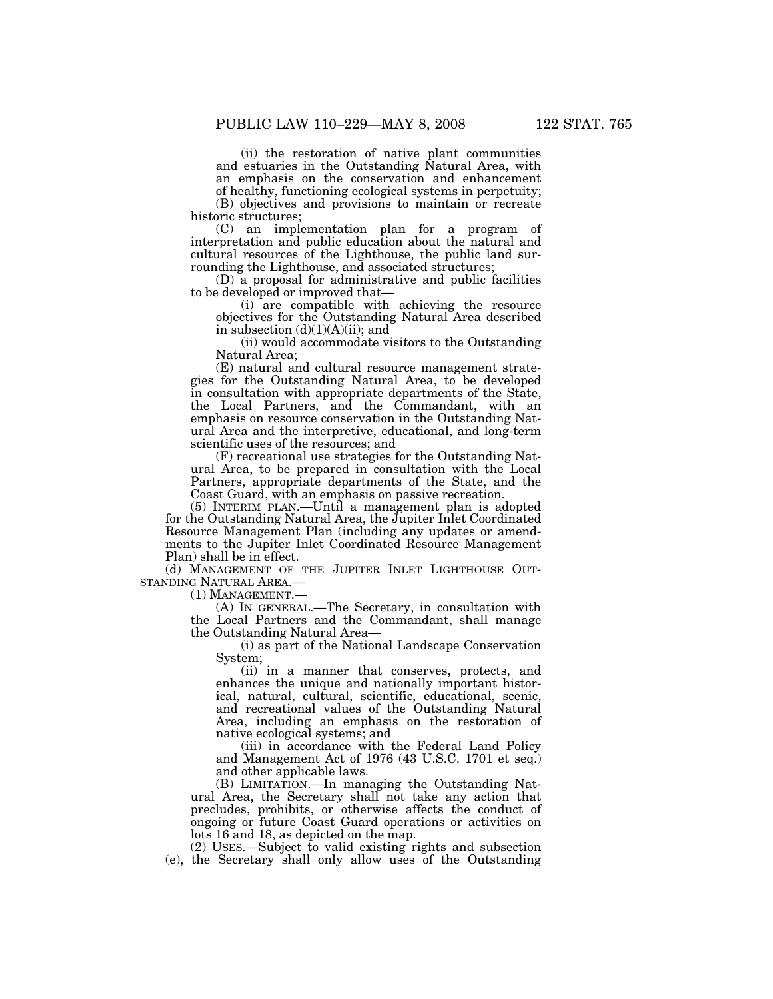(ii) the restoration of native plant communities and estuaries in the Outstanding Natural Area, with an emphasis on the conservation and enhancement

of healthy, functioning ecological systems in perpetuity; (B) objectives and provisions to maintain or recreate historic structures;

(C) an implementation plan for a program of interpretation and public education about the natural and cultural resources of the Lighthouse, the public land surrounding the Lighthouse, and associated structures;

(D) a proposal for administrative and public facilities to be developed or improved that—

(i) are compatible with achieving the resource objectives for the Outstanding Natural Area described in subsection  $(d)(1)(A)(ii)$ ; and

(ii) would accommodate visitors to the Outstanding Natural Area;

(E) natural and cultural resource management strategies for the Outstanding Natural Area, to be developed in consultation with appropriate departments of the State, the Local Partners, and the Commandant, with an emphasis on resource conservation in the Outstanding Natural Area and the interpretive, educational, and long-term scientific uses of the resources; and

(F) recreational use strategies for the Outstanding Natural Area, to be prepared in consultation with the Local Partners, appropriate departments of the State, and the Coast Guard, with an emphasis on passive recreation.

(5) INTERIM PLAN.—Until a management plan is adopted for the Outstanding Natural Area, the Jupiter Inlet Coordinated Resource Management Plan (including any updates or amendments to the Jupiter Inlet Coordinated Resource Management Plan) shall be in effect.

(d) MANAGEMENT OF THE JUPITER INLET LIGHTHOUSE OUT-STANDING NATURAL AREA.— (1) MANAGEMENT.—

(A) IN GENERAL.—The Secretary, in consultation with the Local Partners and the Commandant, shall manage the Outstanding Natural Area—

(i) as part of the National Landscape Conservation System;

(ii) in a manner that conserves, protects, and enhances the unique and nationally important historical, natural, cultural, scientific, educational, scenic, and recreational values of the Outstanding Natural Area, including an emphasis on the restoration of native ecological systems; and

(iii) in accordance with the Federal Land Policy and Management Act of 1976 (43 U.S.C. 1701 et seq.) and other applicable laws.

(B) LIMITATION.—In managing the Outstanding Natural Area, the Secretary shall not take any action that precludes, prohibits, or otherwise affects the conduct of ongoing or future Coast Guard operations or activities on lots 16 and 18, as depicted on the map.

(2) USES.—Subject to valid existing rights and subsection (e), the Secretary shall only allow uses of the Outstanding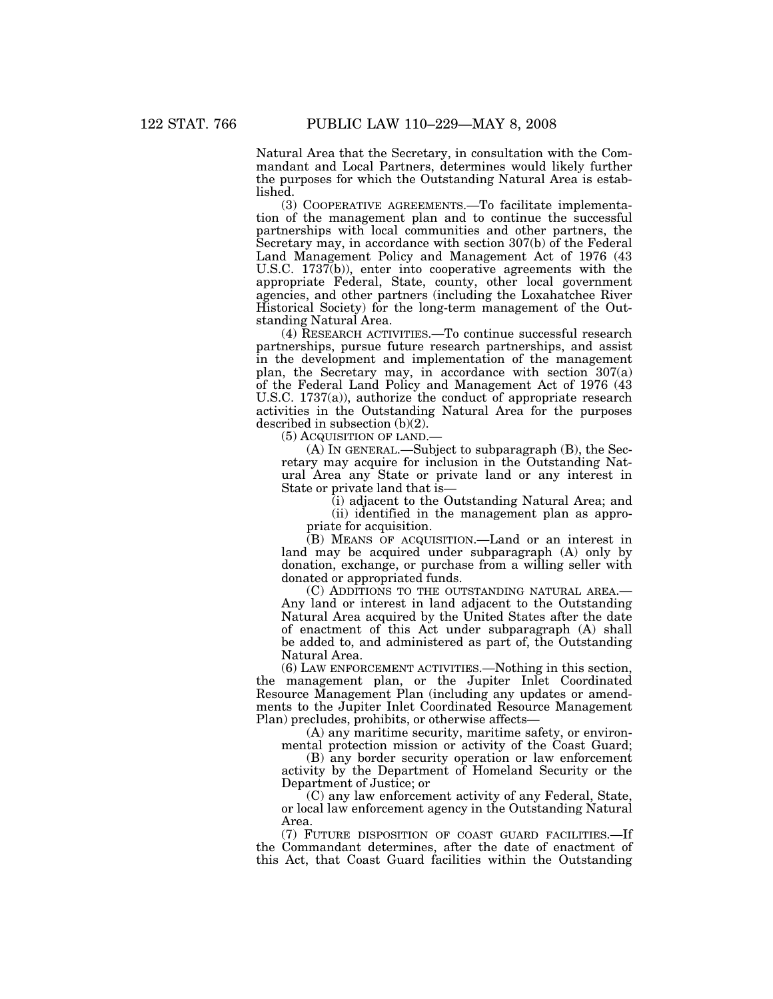Natural Area that the Secretary, in consultation with the Commandant and Local Partners, determines would likely further the purposes for which the Outstanding Natural Area is established.

(3) COOPERATIVE AGREEMENTS.—To facilitate implementation of the management plan and to continue the successful partnerships with local communities and other partners, the Secretary may, in accordance with section 307(b) of the Federal Land Management Policy and Management Act of 1976 (43 U.S.C. 1737(b)), enter into cooperative agreements with the appropriate Federal, State, county, other local government agencies, and other partners (including the Loxahatchee River Historical Society) for the long-term management of the Outstanding Natural Area.

(4) RESEARCH ACTIVITIES.—To continue successful research partnerships, pursue future research partnerships, and assist in the development and implementation of the management plan, the Secretary may, in accordance with section 307(a) of the Federal Land Policy and Management Act of 1976 (43 U.S.C. 1737(a)), authorize the conduct of appropriate research activities in the Outstanding Natural Area for the purposes described in subsection (b)(2).

(5) ACQUISITION OF LAND.—

(A) IN GENERAL.—Subject to subparagraph (B), the Secretary may acquire for inclusion in the Outstanding Natural Area any State or private land or any interest in State or private land that is—

(i) adjacent to the Outstanding Natural Area; and (ii) identified in the management plan as appropriate for acquisition.

(B) MEANS OF ACQUISITION.—Land or an interest in land may be acquired under subparagraph (A) only by donation, exchange, or purchase from a willing seller with donated or appropriated funds.

(C) ADDITIONS TO THE OUTSTANDING NATURAL AREA.— Any land or interest in land adjacent to the Outstanding Natural Area acquired by the United States after the date of enactment of this Act under subparagraph (A) shall be added to, and administered as part of, the Outstanding Natural Area.

(6) LAW ENFORCEMENT ACTIVITIES.—Nothing in this section, the management plan, or the Jupiter Inlet Coordinated Resource Management Plan (including any updates or amendments to the Jupiter Inlet Coordinated Resource Management Plan) precludes, prohibits, or otherwise affects—

(A) any maritime security, maritime safety, or environmental protection mission or activity of the Coast Guard;

(B) any border security operation or law enforcement activity by the Department of Homeland Security or the Department of Justice; or

(C) any law enforcement activity of any Federal, State, or local law enforcement agency in the Outstanding Natural Area.

(7) FUTURE DISPOSITION OF COAST GUARD FACILITIES.—If the Commandant determines, after the date of enactment of this Act, that Coast Guard facilities within the Outstanding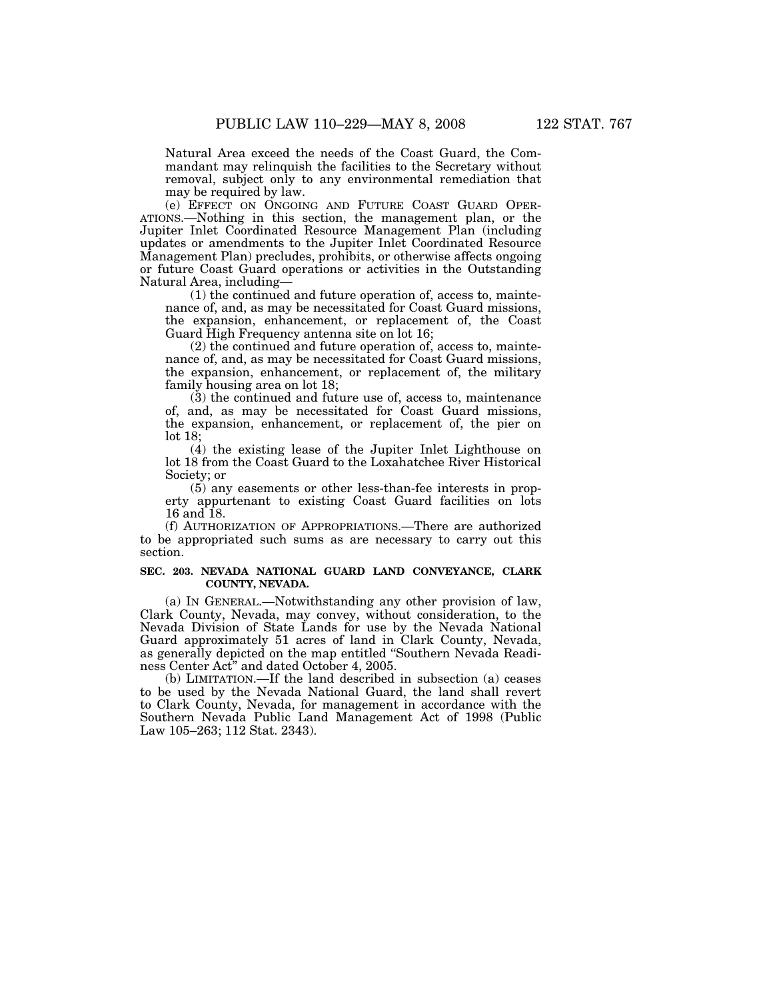Natural Area exceed the needs of the Coast Guard, the Commandant may relinquish the facilities to the Secretary without removal, subject only to any environmental remediation that may be required by law.

(e) EFFECT ON ONGOING AND FUTURE COAST GUARD OPER-ATIONS.—Nothing in this section, the management plan, or the Jupiter Inlet Coordinated Resource Management Plan (including updates or amendments to the Jupiter Inlet Coordinated Resource Management Plan) precludes, prohibits, or otherwise affects ongoing or future Coast Guard operations or activities in the Outstanding Natural Area, including—

(1) the continued and future operation of, access to, maintenance of, and, as may be necessitated for Coast Guard missions, the expansion, enhancement, or replacement of, the Coast Guard High Frequency antenna site on lot 16;

(2) the continued and future operation of, access to, maintenance of, and, as may be necessitated for Coast Guard missions, the expansion, enhancement, or replacement of, the military family housing area on lot 18;

(3) the continued and future use of, access to, maintenance of, and, as may be necessitated for Coast Guard missions, the expansion, enhancement, or replacement of, the pier on lot 18;

(4) the existing lease of the Jupiter Inlet Lighthouse on lot 18 from the Coast Guard to the Loxahatchee River Historical Society; or

(5) any easements or other less-than-fee interests in property appurtenant to existing Coast Guard facilities on lots 16 and 18.

(f) AUTHORIZATION OF APPROPRIATIONS.—There are authorized to be appropriated such sums as are necessary to carry out this section.

# **SEC. 203. NEVADA NATIONAL GUARD LAND CONVEYANCE, CLARK COUNTY, NEVADA.**

(a) IN GENERAL.—Notwithstanding any other provision of law, Clark County, Nevada, may convey, without consideration, to the Nevada Division of State Lands for use by the Nevada National Guard approximately 51 acres of land in Clark County, Nevada, as generally depicted on the map entitled ''Southern Nevada Readiness Center Act'' and dated October 4, 2005.

(b) LIMITATION.—If the land described in subsection (a) ceases to be used by the Nevada National Guard, the land shall revert to Clark County, Nevada, for management in accordance with the Southern Nevada Public Land Management Act of 1998 (Public Law 105–263; 112 Stat. 2343).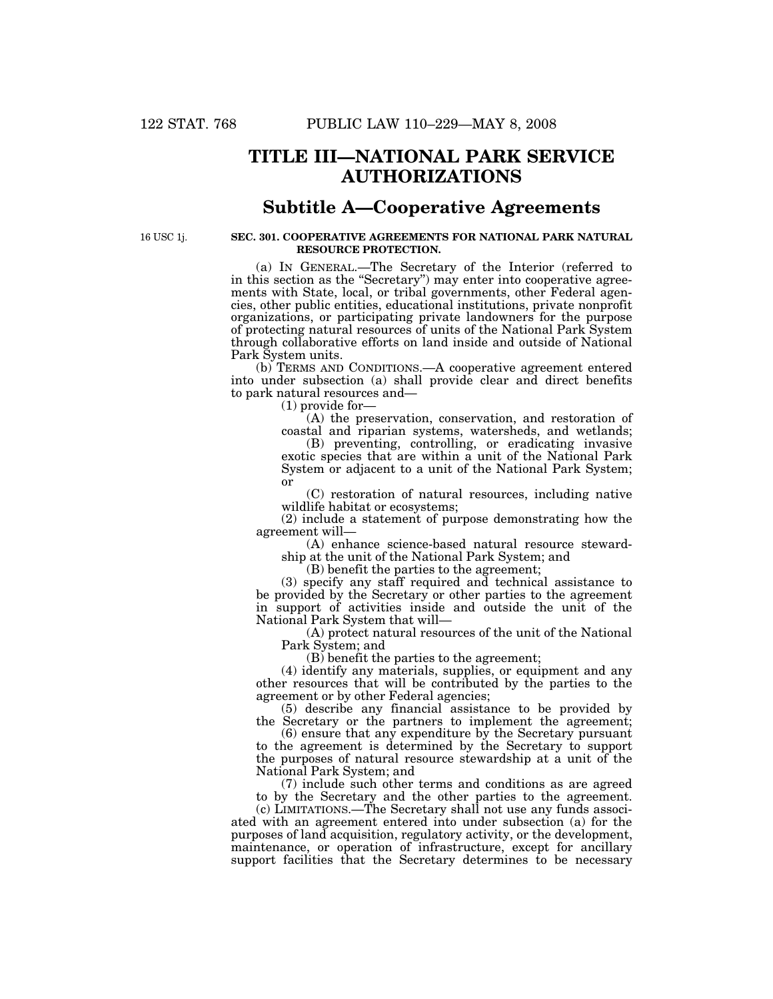# **TITLE III—NATIONAL PARK SERVICE AUTHORIZATIONS**

# **Subtitle A—Cooperative Agreements**

16 USC 1j.

# **SEC. 301. COOPERATIVE AGREEMENTS FOR NATIONAL PARK NATURAL RESOURCE PROTECTION.**

(a) IN GENERAL.—The Secretary of the Interior (referred to in this section as the ''Secretary'') may enter into cooperative agreements with State, local, or tribal governments, other Federal agencies, other public entities, educational institutions, private nonprofit organizations, or participating private landowners for the purpose of protecting natural resources of units of the National Park System through collaborative efforts on land inside and outside of National Park System units.

(b) TERMS AND CONDITIONS.—A cooperative agreement entered into under subsection (a) shall provide clear and direct benefits to park natural resources and—

(1) provide for—

(A) the preservation, conservation, and restoration of coastal and riparian systems, watersheds, and wetlands;

(B) preventing, controlling, or eradicating invasive exotic species that are within a unit of the National Park System or adjacent to a unit of the National Park System; or

(C) restoration of natural resources, including native wildlife habitat or ecosystems;

(2) include a statement of purpose demonstrating how the agreement will—

(A) enhance science-based natural resource stewardship at the unit of the National Park System; and

(B) benefit the parties to the agreement;

(3) specify any staff required and technical assistance to be provided by the Secretary or other parties to the agreement in support of activities inside and outside the unit of the National Park System that will—

(A) protect natural resources of the unit of the National Park System; and

(B) benefit the parties to the agreement;

(4) identify any materials, supplies, or equipment and any other resources that will be contributed by the parties to the agreement or by other Federal agencies;

(5) describe any financial assistance to be provided by the Secretary or the partners to implement the agreement;

(6) ensure that any expenditure by the Secretary pursuant to the agreement is determined by the Secretary to support the purposes of natural resource stewardship at a unit of the National Park System; and

(7) include such other terms and conditions as are agreed to by the Secretary and the other parties to the agreement.

(c) LIMITATIONS.—The Secretary shall not use any funds associated with an agreement entered into under subsection (a) for the purposes of land acquisition, regulatory activity, or the development, maintenance, or operation of infrastructure, except for ancillary support facilities that the Secretary determines to be necessary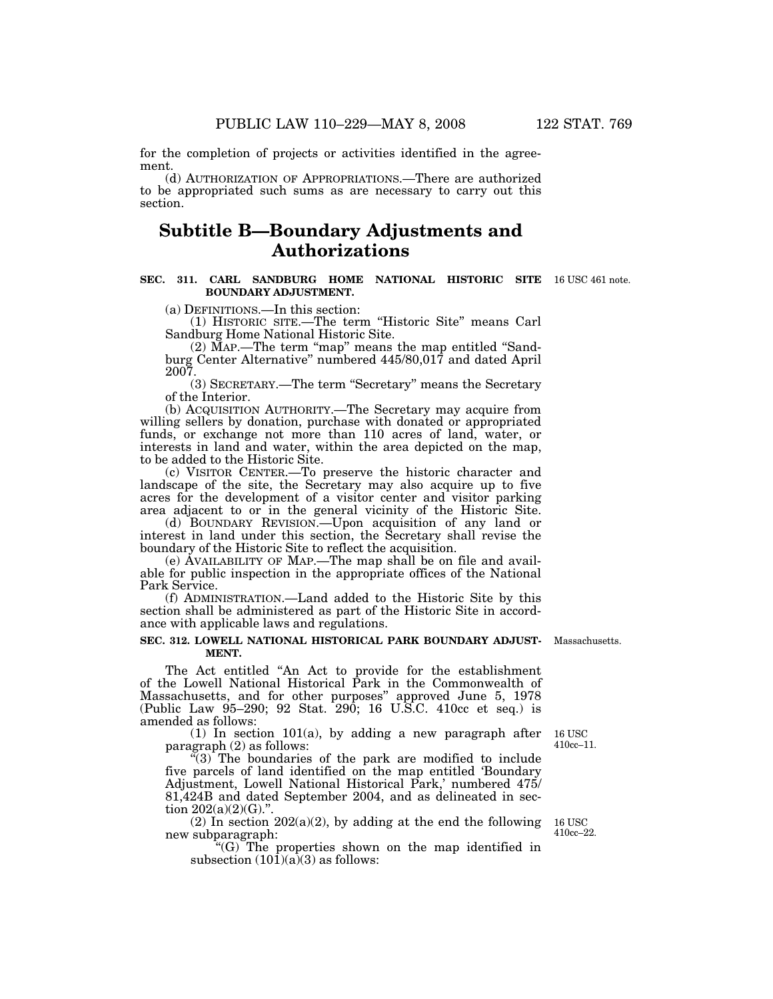for the completion of projects or activities identified in the agreement.

(d) AUTHORIZATION OF APPROPRIATIONS.—There are authorized to be appropriated such sums as are necessary to carry out this section.

# **Subtitle B—Boundary Adjustments and Authorizations**

### **SEC. 311. CARL SANDBURG HOME NATIONAL HISTORIC SITE**  16 USC 461 note. **BOUNDARY ADJUSTMENT.**

(a) DEFINITIONS.—In this section:

(1) HISTORIC SITE.—The term ''Historic Site'' means Carl Sandburg Home National Historic Site.

(2) MAP.—The term ''map'' means the map entitled ''Sandburg Center Alternative'' numbered 445/80,017 and dated April 2007.

(3) SECRETARY.—The term ''Secretary'' means the Secretary of the Interior.

(b) ACQUISITION AUTHORITY.—The Secretary may acquire from willing sellers by donation, purchase with donated or appropriated funds, or exchange not more than 110 acres of land, water, or interests in land and water, within the area depicted on the map, to be added to the Historic Site.

(c) VISITOR CENTER.—To preserve the historic character and landscape of the site, the Secretary may also acquire up to five acres for the development of a visitor center and visitor parking area adjacent to or in the general vicinity of the Historic Site.

(d) BOUNDARY REVISION.—Upon acquisition of any land or interest in land under this section, the Secretary shall revise the boundary of the Historic Site to reflect the acquisition.

(e) AVAILABILITY OF MAP.—The map shall be on file and available for public inspection in the appropriate offices of the National Park Service.

(f) ADMINISTRATION.—Land added to the Historic Site by this section shall be administered as part of the Historic Site in accordance with applicable laws and regulations.

### **SEC. 312. LOWELL NATIONAL HISTORICAL PARK BOUNDARY ADJUST-**Massachusetts. **MENT.**

The Act entitled ''An Act to provide for the establishment of the Lowell National Historical Park in the Commonwealth of Massachusetts, and for other purposes'' approved June 5, 1978 (Public Law 95–290; 92 Stat. 290; 16 U.S.C. 410cc et seq.) is amended as follows:

(1) In section 101(a), by adding a new paragraph after paragraph (2) as follows:

 $(3)$  The boundaries of the park are modified to include five parcels of land identified on the map entitled 'Boundary Adjustment, Lowell National Historical Park,' numbered 475/ 81,424B and dated September 2004, and as delineated in section  $202(a)(2)(G)$ .".

 $(2)$  In section  $202(a)(2)$ , by adding at the end the following new subparagraph:

 $(G)$  The properties shown on the map identified in subsection  $(101)(a)(3)$  as follows:

16 USC 410cc–11.

16 USC 410cc–22.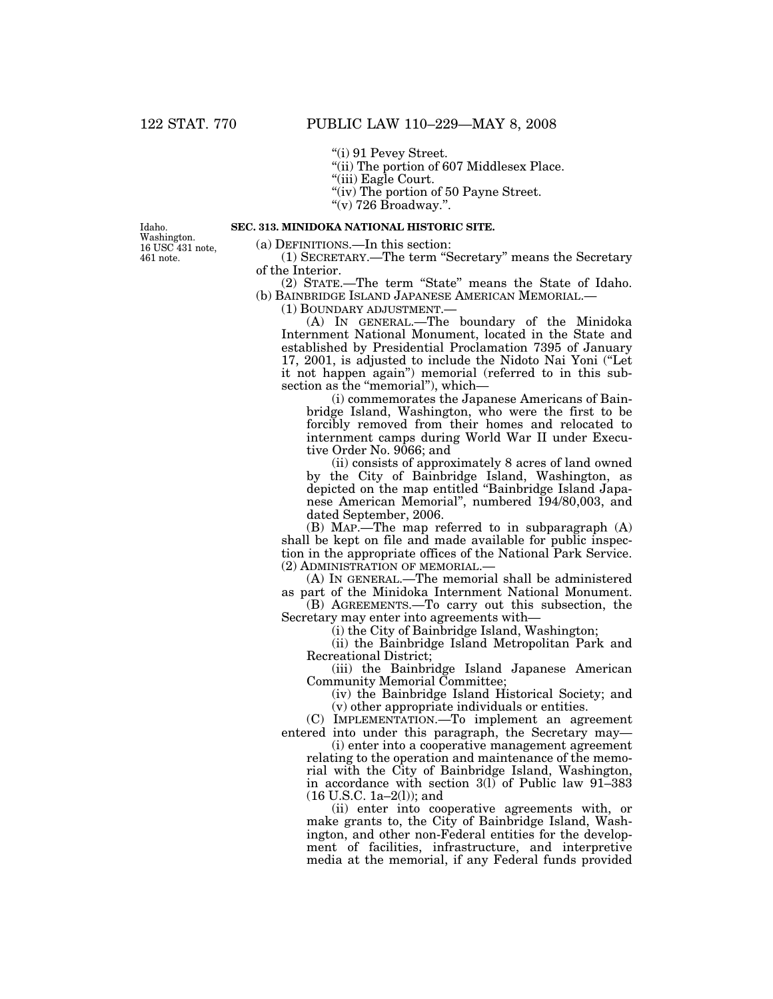"(i) 91 Pevey Street.

"(ii) The portion of 607 Middlesex Place.

''(iii) Eagle Court.

"(iv) The portion of 50 Payne Street.

" $(v)$  726 Broadway.".

Idaho. Washington. 16 USC 431 note, 461 note.

# **SEC. 313. MINIDOKA NATIONAL HISTORIC SITE.**

(a) DEFINITIONS.—In this section:

(1) SECRETARY.—The term ''Secretary'' means the Secretary of the Interior.

(2) STATE.—The term ''State'' means the State of Idaho. (b) BAINBRIDGE ISLAND JAPANESE AMERICAN MEMORIAL.—

(1) BOUNDARY ADJUSTMENT.—

(A) IN GENERAL.—The boundary of the Minidoka Internment National Monument, located in the State and established by Presidential Proclamation 7395 of January 17, 2001, is adjusted to include the Nidoto Nai Yoni (''Let it not happen again'') memorial (referred to in this subsection as the "memorial"), which—

(i) commemorates the Japanese Americans of Bainbridge Island, Washington, who were the first to be forcibly removed from their homes and relocated to internment camps during World War II under Executive Order No. 9066; and

(ii) consists of approximately 8 acres of land owned by the City of Bainbridge Island, Washington, as depicted on the map entitled ''Bainbridge Island Japanese American Memorial'', numbered 194/80,003, and dated September, 2006.

(B) MAP.—The map referred to in subparagraph (A) shall be kept on file and made available for public inspection in the appropriate offices of the National Park Service. (2) ADMINISTRATION OF MEMORIAL.—

(A) IN GENERAL.—The memorial shall be administered as part of the Minidoka Internment National Monument.

(B) AGREEMENTS.—To carry out this subsection, the Secretary may enter into agreements with—

(i) the City of Bainbridge Island, Washington;

(ii) the Bainbridge Island Metropolitan Park and Recreational District;

(iii) the Bainbridge Island Japanese American Community Memorial Committee;

(iv) the Bainbridge Island Historical Society; and (v) other appropriate individuals or entities.

(C) IMPLEMENTATION.—To implement an agreement entered into under this paragraph, the Secretary may—

(i) enter into a cooperative management agreement relating to the operation and maintenance of the memorial with the City of Bainbridge Island, Washington, in accordance with section 3(l) of Public law 91–383 (16 U.S.C. 1a–2(l)); and

(ii) enter into cooperative agreements with, or make grants to, the City of Bainbridge Island, Washington, and other non-Federal entities for the development of facilities, infrastructure, and interpretive media at the memorial, if any Federal funds provided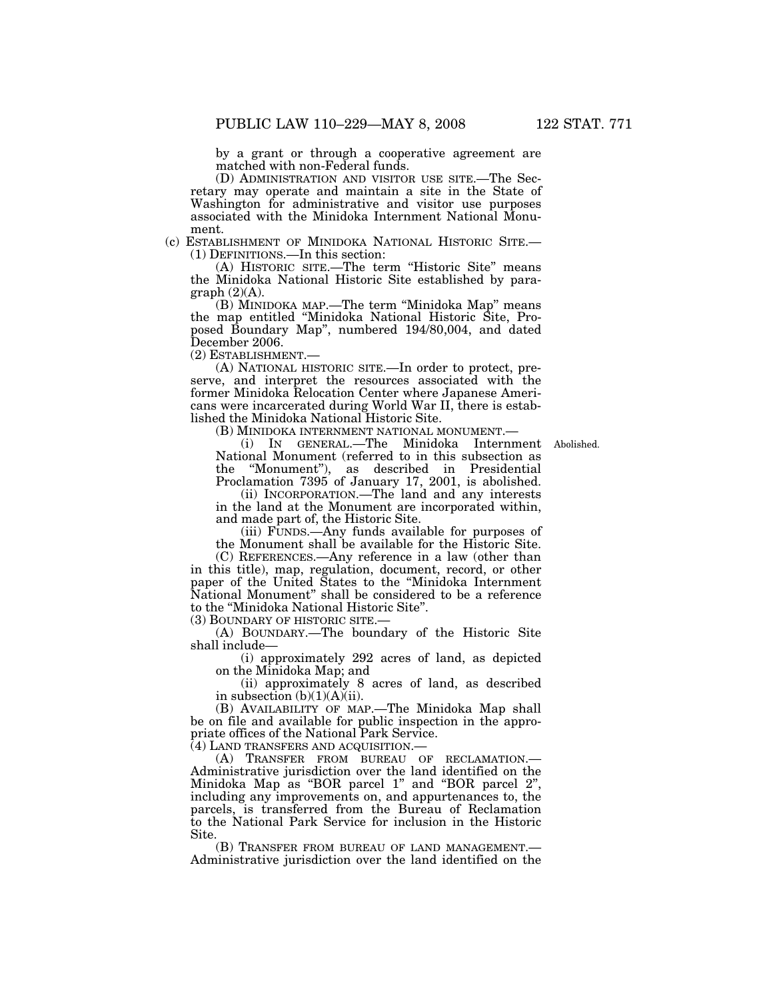by a grant or through a cooperative agreement are matched with non-Federal funds.

(D) ADMINISTRATION AND VISITOR USE SITE.—The Secretary may operate and maintain a site in the State of Washington for administrative and visitor use purposes associated with the Minidoka Internment National Monument.

(c) ESTABLISHMENT OF MINIDOKA NATIONAL HISTORIC SITE.— (1) DEFINITIONS.—In this section:

(A) HISTORIC SITE.—The term ''Historic Site'' means the Minidoka National Historic Site established by para $graph (2)(A).$ 

(B) MINIDOKA MAP.—The term ''Minidoka Map'' means the map entitled ''Minidoka National Historic Site, Proposed Boundary Map'', numbered 194/80,004, and dated December 2006.

(2) ESTABLISHMENT.—

(A) NATIONAL HISTORIC SITE.—In order to protect, preserve, and interpret the resources associated with the former Minidoka Relocation Center where Japanese Americans were incarcerated during World War II, there is established the Minidoka National Historic Site.

(B) MINIDOKA INTERNMENT NATIONAL MONUMENT.—

(i) IN GENERAL.—The Minidoka Internment Abolished. National Monument (referred to in this subsection as the ''Monument''), as described in Presidential Proclamation 7395 of January 17, 2001, is abolished.

(ii) INCORPORATION.—The land and any interests in the land at the Monument are incorporated within, and made part of, the Historic Site.

(iii) FUNDS.—Any funds available for purposes of the Monument shall be available for the Historic Site.

(C) REFERENCES.—Any reference in a law (other than in this title), map, regulation, document, record, or other paper of the United States to the ''Minidoka Internment National Monument'' shall be considered to be a reference to the ''Minidoka National Historic Site''.

(3) BOUNDARY OF HISTORIC SITE.—

(A) BOUNDARY.—The boundary of the Historic Site shall include—

(i) approximately 292 acres of land, as depicted on the Minidoka Map; and

(ii) approximately 8 acres of land, as described in subsection  $(b)(1)(A)(ii)$ .

(B) AVAILABILITY OF MAP.—The Minidoka Map shall be on file and available for public inspection in the appropriate offices of the National Park Service.

(4) LAND TRANSFERS AND ACQUISITION.—

(A) TRANSFER FROM BUREAU OF RECLAMATION.— Administrative jurisdiction over the land identified on the Minidoka Map as ''BOR parcel 1'' and ''BOR parcel 2'', including any improvements on, and appurtenances to, the parcels, is transferred from the Bureau of Reclamation to the National Park Service for inclusion in the Historic Site.<br>(B) TRANSFER FROM BUREAU OF LAND MANAGEMENT.—

Administrative jurisdiction over the land identified on the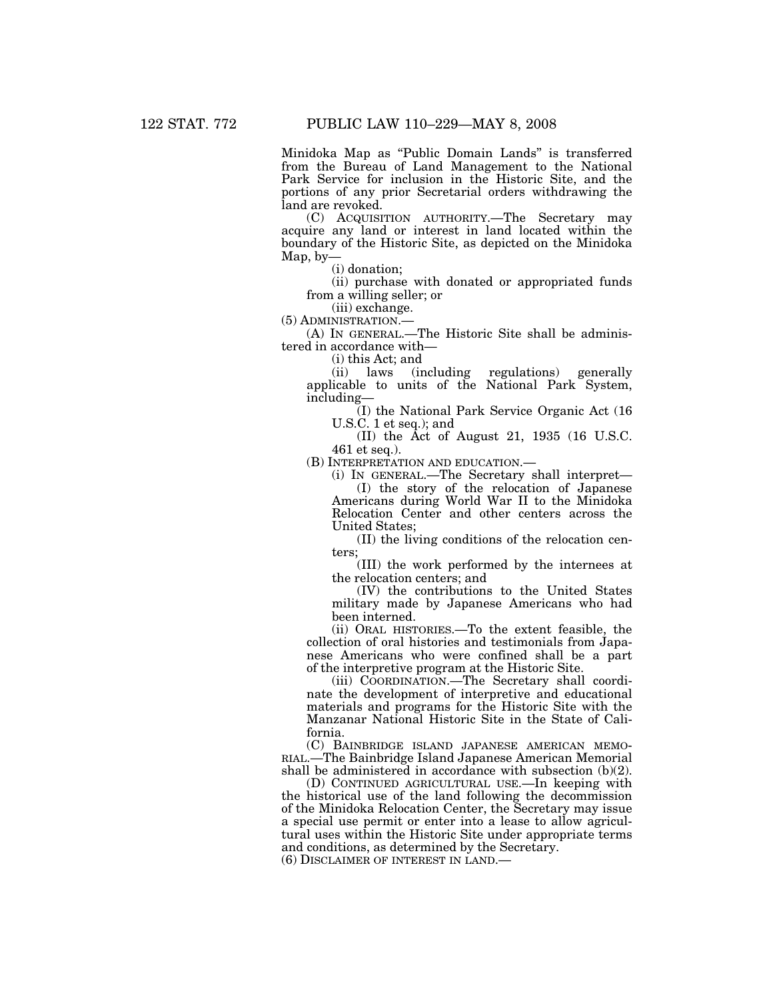Minidoka Map as ''Public Domain Lands'' is transferred from the Bureau of Land Management to the National Park Service for inclusion in the Historic Site, and the portions of any prior Secretarial orders withdrawing the land are revoked.

(C) ACQUISITION AUTHORITY.—The Secretary may acquire any land or interest in land located within the boundary of the Historic Site, as depicted on the Minidoka Map, by—

(i) donation;

(ii) purchase with donated or appropriated funds from a willing seller; or

(iii) exchange.

(5) ADMINISTRATION.—

(A) IN GENERAL.—The Historic Site shall be administered in accordance with—

(i) this Act; and

(ii) laws (including regulations) generally applicable to units of the National Park System, including—

(I) the National Park Service Organic Act (16 U.S.C. 1 et seq.); and

(II) the Act of August 21, 1935 (16 U.S.C. 461 et seq.).

(B) INTERPRETATION AND EDUCATION.—

(i) IN GENERAL.—The Secretary shall interpret— (I) the story of the relocation of Japanese Americans during World War II to the Minidoka Relocation Center and other centers across the United States;

(II) the living conditions of the relocation centers;

(III) the work performed by the internees at the relocation centers; and

(IV) the contributions to the United States military made by Japanese Americans who had been interned.

(ii) ORAL HISTORIES.—To the extent feasible, the collection of oral histories and testimonials from Japanese Americans who were confined shall be a part of the interpretive program at the Historic Site.

(iii) COORDINATION.—The Secretary shall coordinate the development of interpretive and educational materials and programs for the Historic Site with the Manzanar National Historic Site in the State of California.

(C) BAINBRIDGE ISLAND JAPANESE AMERICAN MEMO-RIAL.—The Bainbridge Island Japanese American Memorial shall be administered in accordance with subsection (b)(2).

(D) CONTINUED AGRICULTURAL USE.—In keeping with the historical use of the land following the decommission of the Minidoka Relocation Center, the Secretary may issue a special use permit or enter into a lease to allow agricultural uses within the Historic Site under appropriate terms and conditions, as determined by the Secretary.

(6) DISCLAIMER OF INTEREST IN LAND.—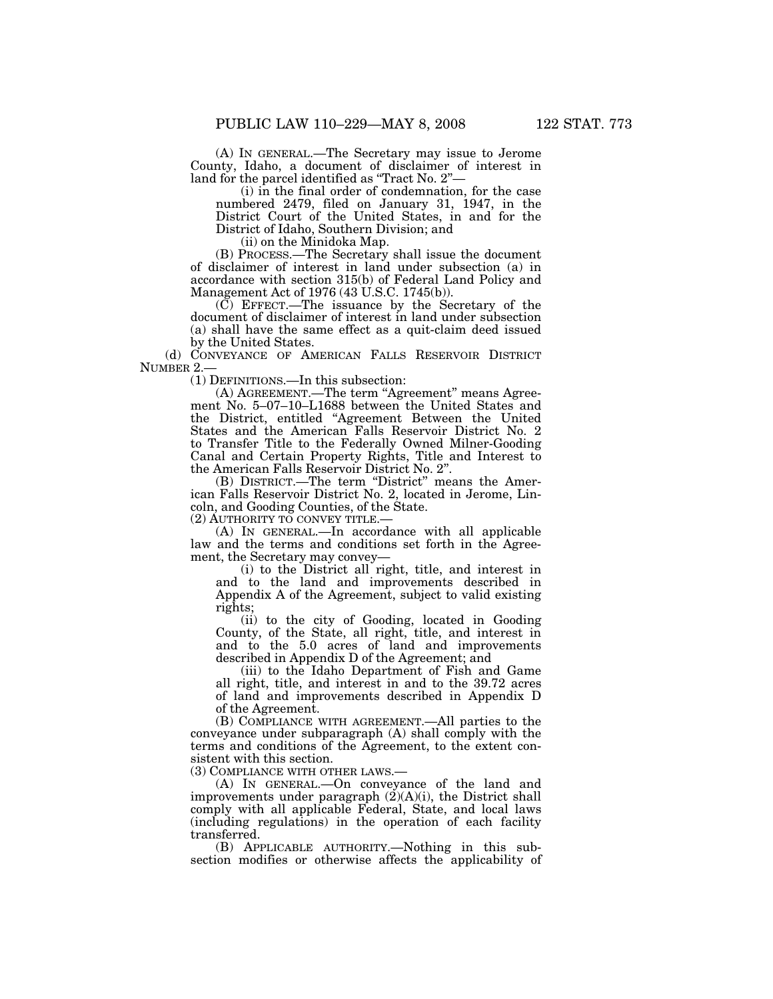(A) IN GENERAL.—The Secretary may issue to Jerome County, Idaho, a document of disclaimer of interest in land for the parcel identified as "Tract No. 2"-

(i) in the final order of condemnation, for the case numbered 2479, filed on January 31, 1947, in the District Court of the United States, in and for the District of Idaho, Southern Division; and

(ii) on the Minidoka Map.

(B) PROCESS.—The Secretary shall issue the document of disclaimer of interest in land under subsection (a) in accordance with section 315(b) of Federal Land Policy and Management Act of 1976 (43 U.S.C. 1745(b)).

(C) EFFECT.—The issuance by the Secretary of the document of disclaimer of interest in land under subsection (a) shall have the same effect as a quit-claim deed issued by the United States.

(d) CONVEYANCE OF AMERICAN FALLS RESERVOIR DISTRICT NUMBER 2.—

(1) DEFINITIONS.—In this subsection:

(A) AGREEMENT.—The term "Agreement" means Agreement No. 5–07–10–L1688 between the United States and the District, entitled ''Agreement Between the United States and the American Falls Reservoir District No. 2 to Transfer Title to the Federally Owned Milner-Gooding Canal and Certain Property Rights, Title and Interest to the American Falls Reservoir District No. 2''.

(B) DISTRICT.-The term "District" means the American Falls Reservoir District No. 2, located in Jerome, Lincoln, and Gooding Counties, of the State.

(2) AUTHORITY TO CONVEY TITLE.—

(A) IN GENERAL.—In accordance with all applicable law and the terms and conditions set forth in the Agreement, the Secretary may convey—

(i) to the District all right, title, and interest in and to the land and improvements described in Appendix A of the Agreement, subject to valid existing rights;

(ii) to the city of Gooding, located in Gooding County, of the State, all right, title, and interest in and to the 5.0 acres of land and improvements described in Appendix D of the Agreement; and

(iii) to the Idaho Department of Fish and Game all right, title, and interest in and to the 39.72 acres of land and improvements described in Appendix D of the Agreement.

(B) COMPLIANCE WITH AGREEMENT.—All parties to the conveyance under subparagraph (A) shall comply with the terms and conditions of the Agreement, to the extent consistent with this section.

(3) COMPLIANCE WITH OTHER LAWS.—

(A) IN GENERAL.—On conveyance of the land and improvements under paragraph  $(\tilde{2})(A)(i)$ , the District shall comply with all applicable Federal, State, and local laws (including regulations) in the operation of each facility transferred.

(B) APPLICABLE AUTHORITY.—Nothing in this subsection modifies or otherwise affects the applicability of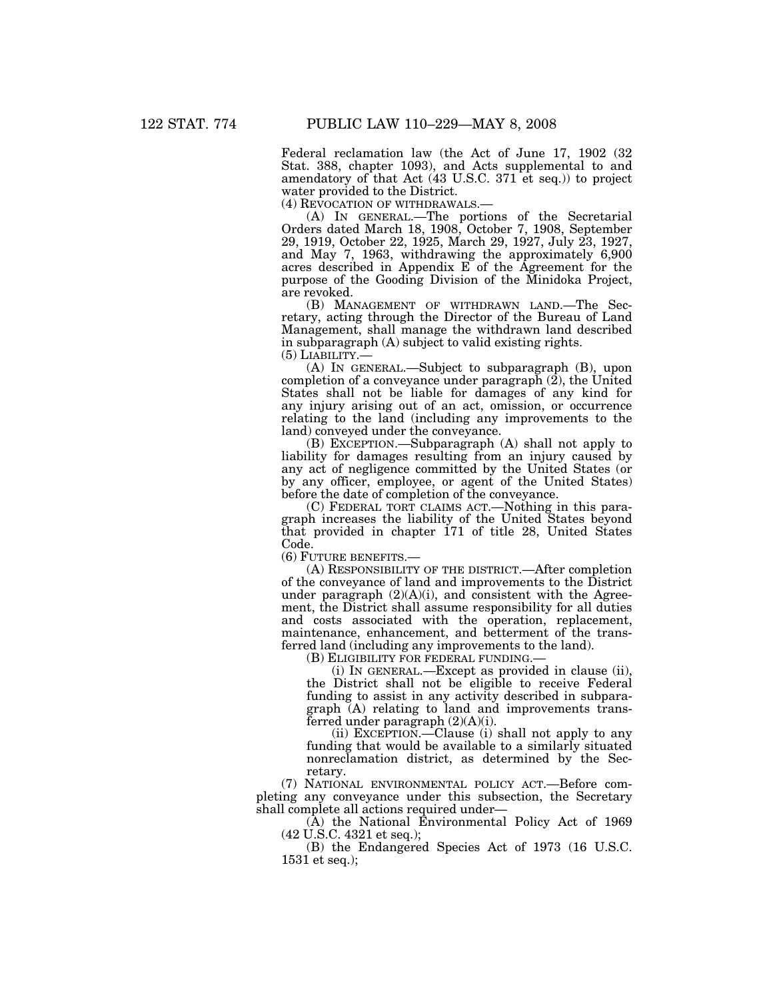Federal reclamation law (the Act of June 17, 1902 (32 Stat. 388, chapter 1093), and Acts supplemental to and amendatory of that Act (43 U.S.C. 371 et seq.)) to project water provided to the District.<br>(4) REVOCATION OF WITHDRAWALS.—

 $(A)$  In GENERAL.—The portions of the Secretarial Orders dated March 18, 1908, October 7, 1908, September 29, 1919, October 22, 1925, March 29, 1927, July 23, 1927, and May 7, 1963, withdrawing the approximately 6,900 acres described in Appendix E of the Agreement for the purpose of the Gooding Division of the Minidoka Project, are revoked.

(B) MANAGEMENT OF WITHDRAWN LAND.—The Secretary, acting through the Director of the Bureau of Land Management, shall manage the withdrawn land described in subparagraph (A) subject to valid existing rights.

(5) LIABILITY.—

(A) IN GENERAL.—Subject to subparagraph (B), upon completion of a conveyance under paragraph  $(2)$ , the United States shall not be liable for damages of any kind for any injury arising out of an act, omission, or occurrence relating to the land (including any improvements to the land) conveyed under the conveyance.

(B) EXCEPTION.—Subparagraph (A) shall not apply to liability for damages resulting from an injury caused by any act of negligence committed by the United States (or by any officer, employee, or agent of the United States) before the date of completion of the conveyance.

(C) FEDERAL TORT CLAIMS ACT.—Nothing in this paragraph increases the liability of the United States beyond that provided in chapter 171 of title 28, United States Code.

(6) FUTURE BENEFITS.—

(A) RESPONSIBILITY OF THE DISTRICT.—After completion of the conveyance of land and improvements to the District under paragraph  $(2)(A)(i)$ , and consistent with the Agreement, the District shall assume responsibility for all duties and costs associated with the operation, replacement, maintenance, enhancement, and betterment of the transferred land (including any improvements to the land).

(B) ELIGIBILITY FOR FEDERAL FUNDING.—

(i) IN GENERAL.—Except as provided in clause (ii), the District shall not be eligible to receive Federal funding to assist in any activity described in subparagraph (A) relating to land and improvements transferred under paragraph (2)(A)(i).

(ii) EXCEPTION.—Clause (i) shall not apply to any funding that would be available to a similarly situated nonreclamation district, as determined by the Secretary.

(7) NATIONAL ENVIRONMENTAL POLICY ACT.—Before completing any conveyance under this subsection, the Secretary shall complete all actions required under—

(A) the National Environmental Policy Act of 1969 (42 U.S.C. 4321 et seq.);

(B) the Endangered Species Act of 1973 (16 U.S.C. 1531 et seq.);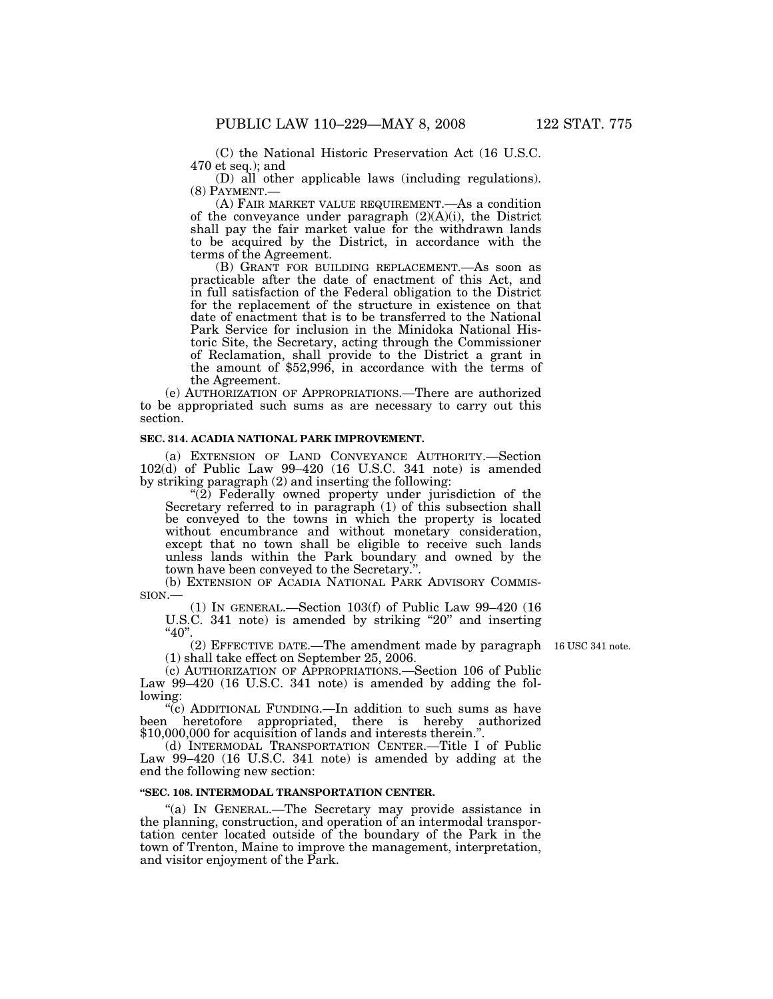(C) the National Historic Preservation Act (16 U.S.C. 470 et seq.); and

(D) all other applicable laws (including regulations). (8) PAYMENT.— (A) FAIR MARKET VALUE REQUIREMENT.—As a condition

of the conveyance under paragraph  $(2)(A)(i)$ , the District shall pay the fair market value for the withdrawn lands to be acquired by the District, in accordance with the terms of the Agreement.

(B) GRANT FOR BUILDING REPLACEMENT.—As soon as practicable after the date of enactment of this Act, and in full satisfaction of the Federal obligation to the District for the replacement of the structure in existence on that date of enactment that is to be transferred to the National Park Service for inclusion in the Minidoka National Historic Site, the Secretary, acting through the Commissioner of Reclamation, shall provide to the District a grant in the amount of \$52,996, in accordance with the terms of the Agreement.

(e) AUTHORIZATION OF APPROPRIATIONS.—There are authorized to be appropriated such sums as are necessary to carry out this section.

### **SEC. 314. ACADIA NATIONAL PARK IMPROVEMENT.**

(a) EXTENSION OF LAND CONVEYANCE AUTHORITY.—Section 102(d) of Public Law 99–420 (16 U.S.C. 341 note) is amended by striking paragraph (2) and inserting the following:

 $\sqrt{\left(2\right)}$  Federally owned property under jurisdiction of the Secretary referred to in paragraph (1) of this subsection shall be conveyed to the towns in which the property is located without encumbrance and without monetary consideration, except that no town shall be eligible to receive such lands unless lands within the Park boundary and owned by the town have been conveyed to the Secretary.'

(b) EXTENSION OF ACADIA NATIONAL PARK ADVISORY COMMISSION.—

(1) IN GENERAL.—Section 103(f) of Public Law 99–420 (16 U.S.C. 341 note) is amended by striking "20" and inserting  $40"$ .

(2) EFFECTIVE DATE.—The amendment made by paragraph 16 USC 341 note. (1) shall take effect on September 25, 2006.

(c) AUTHORIZATION OF APPROPRIATIONS.—Section 106 of Public Law 99–420 (16 U.S.C. 341 note) is amended by adding the following:

''(c) ADDITIONAL FUNDING.—In addition to such sums as have been heretofore appropriated, there is hereby authorized \$10,000,000 for acquisition of lands and interests therein.''.

(d) INTERMODAL TRANSPORTATION CENTER.—Title I of Public Law 99–420 (16 U.S.C. 341 note) is amended by adding at the end the following new section:

# **''SEC. 108. INTERMODAL TRANSPORTATION CENTER.**

''(a) IN GENERAL.—The Secretary may provide assistance in the planning, construction, and operation of an intermodal transportation center located outside of the boundary of the Park in the town of Trenton, Maine to improve the management, interpretation, and visitor enjoyment of the Park.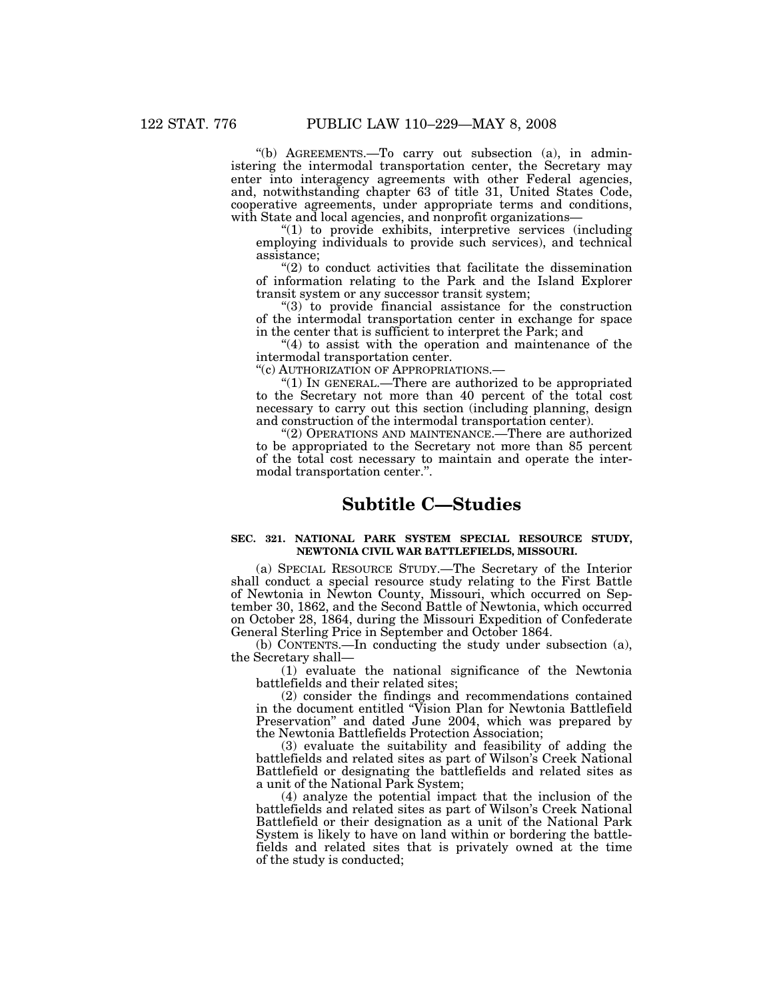''(b) AGREEMENTS.—To carry out subsection (a), in administering the intermodal transportation center, the Secretary may enter into interagency agreements with other Federal agencies, and, notwithstanding chapter 63 of title 31, United States Code, cooperative agreements, under appropriate terms and conditions, with State and local agencies, and nonprofit organizations—

''(1) to provide exhibits, interpretive services (including employing individuals to provide such services), and technical assistance;

 $''(2)$  to conduct activities that facilitate the dissemination of information relating to the Park and the Island Explorer transit system or any successor transit system;

 $(3)$  to provide financial assistance for the construction of the intermodal transportation center in exchange for space in the center that is sufficient to interpret the Park; and

 $(4)$  to assist with the operation and maintenance of the intermodal transportation center.

''(c) AUTHORIZATION OF APPROPRIATIONS.—

''(1) IN GENERAL.—There are authorized to be appropriated to the Secretary not more than 40 percent of the total cost necessary to carry out this section (including planning, design and construction of the intermodal transportation center).

"(2) OPERATIONS AND MAINTENANCE.—There are authorized to be appropriated to the Secretary not more than 85 percent of the total cost necessary to maintain and operate the intermodal transportation center.''.

# **Subtitle C—Studies**

# **SEC. 321. NATIONAL PARK SYSTEM SPECIAL RESOURCE STUDY, NEWTONIA CIVIL WAR BATTLEFIELDS, MISSOURI.**

(a) SPECIAL RESOURCE STUDY.—The Secretary of the Interior shall conduct a special resource study relating to the First Battle of Newtonia in Newton County, Missouri, which occurred on September 30, 1862, and the Second Battle of Newtonia, which occurred on October 28, 1864, during the Missouri Expedition of Confederate General Sterling Price in September and October 1864.

(b) CONTENTS.—In conducting the study under subsection (a), the Secretary shall—

(1) evaluate the national significance of the Newtonia battlefields and their related sites;

(2) consider the findings and recommendations contained in the document entitled ''Vision Plan for Newtonia Battlefield Preservation'' and dated June 2004, which was prepared by the Newtonia Battlefields Protection Association;

(3) evaluate the suitability and feasibility of adding the battlefields and related sites as part of Wilson's Creek National Battlefield or designating the battlefields and related sites as a unit of the National Park System;

(4) analyze the potential impact that the inclusion of the battlefields and related sites as part of Wilson's Creek National Battlefield or their designation as a unit of the National Park System is likely to have on land within or bordering the battlefields and related sites that is privately owned at the time of the study is conducted;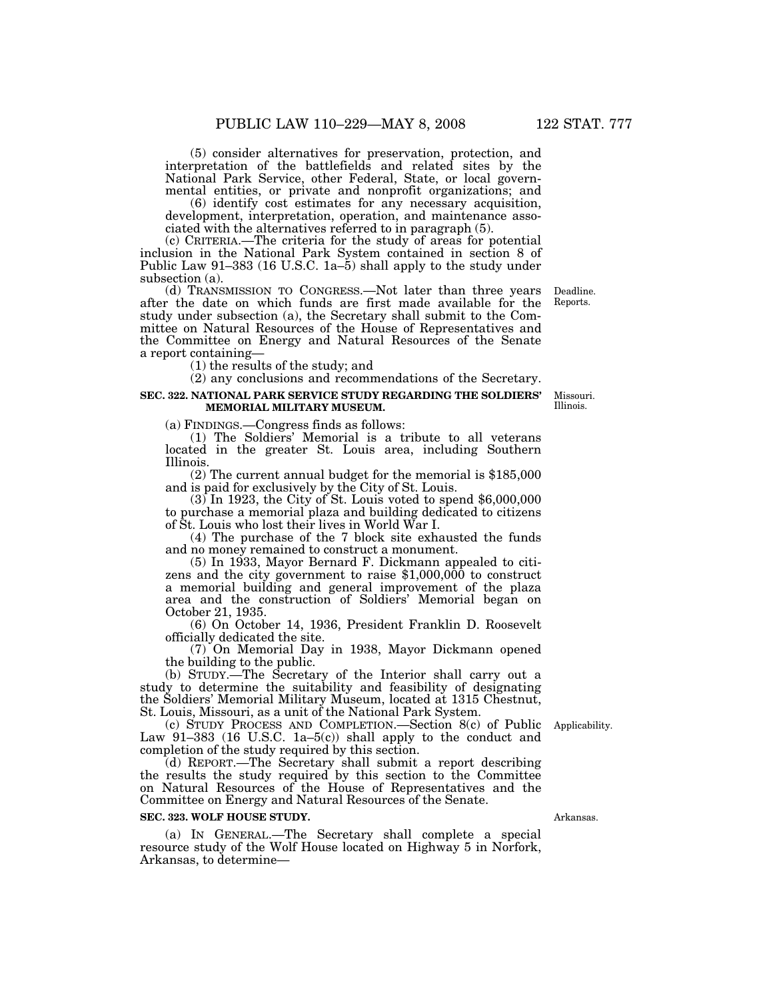(5) consider alternatives for preservation, protection, and interpretation of the battlefields and related sites by the National Park Service, other Federal, State, or local governmental entities, or private and nonprofit organizations; and

(6) identify cost estimates for any necessary acquisition, development, interpretation, operation, and maintenance associated with the alternatives referred to in paragraph (5).

(c) CRITERIA.—The criteria for the study of areas for potential inclusion in the National Park System contained in section 8 of Public Law 91–383 (16 U.S.C. 1a–5) shall apply to the study under subsection (a).

(d) TRANSMISSION TO CONGRESS.—Not later than three years after the date on which funds are first made available for the study under subsection (a), the Secretary shall submit to the Committee on Natural Resources of the House of Representatives and the Committee on Energy and Natural Resources of the Senate a report containing—

(1) the results of the study; and

(2) any conclusions and recommendations of the Secretary.

### **SEC. 322. NATIONAL PARK SERVICE STUDY REGARDING THE SOLDIERS' MEMORIAL MILITARY MUSEUM.**

(a) FINDINGS.—Congress finds as follows:

(1) The Soldiers' Memorial is a tribute to all veterans located in the greater St. Louis area, including Southern Illinois.

(2) The current annual budget for the memorial is \$185,000

 $(3)$  In 1923, the City of St. Louis voted to spend \$6,000,000 to purchase a memorial plaza and building dedicated to citizens of St. Louis who lost their lives in World War I.

(4) The purchase of the 7 block site exhausted the funds and no money remained to construct a monument.<br>
(5) In 1933, Mayor Bernard F. Dickmann appealed to citi-

zens and the city government to raise  $$1,000,000$  to construct a memorial building and general improvement of the plaza area and the construction of Soldiers' Memorial began on October 21, 1935.

(6) On October 14, 1936, President Franklin D. Roosevelt officially dedicated the site.

(7) On Memorial Day in 1938, Mayor Dickmann opened the building to the public.

(b) STUDY.—The Secretary of the Interior shall carry out a study to determine the suitability and feasibility of designating the Soldiers' Memorial Military Museum, located at 1315 Chestnut, St. Louis, Missouri, as a unit of the National Park System.

(c) STUDY PROCESS AND COMPLETION.—Section 8(c) of Public Applicability. Law  $91-383$  (16 U.S.C. 1a-5(c)) shall apply to the conduct and completion of the study required by this section.

(d) REPORT.—The Secretary shall submit a report describing the results the study required by this section to the Committee on Natural Resources of the House of Representatives and the Committee on Energy and Natural Resources of the Senate.

# **SEC. 323. WOLF HOUSE STUDY.**

(a) IN GENERAL.—The Secretary shall complete a special resource study of the Wolf House located on Highway 5 in Norfork, Arkansas, to determine—

Arkansas.

Missouri. Illinois.

Deadline. Reports.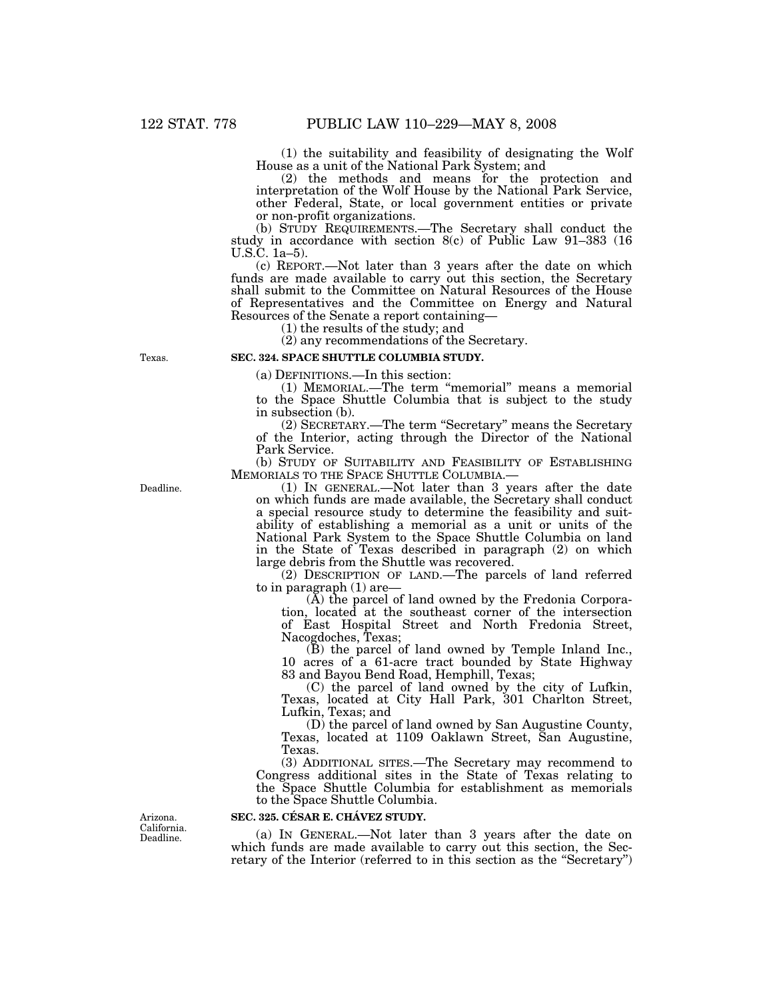(1) the suitability and feasibility of designating the Wolf House as a unit of the National Park System; and

(2) the methods and means for the protection and interpretation of the Wolf House by the National Park Service, other Federal, State, or local government entities or private or non-profit organizations.

(b) STUDY REQUIREMENTS.—The Secretary shall conduct the study in accordance with section 8(c) of Public Law 91–383 (16 U.S.C. 1a–5).

(c) REPORT.—Not later than 3 years after the date on which funds are made available to carry out this section, the Secretary shall submit to the Committee on Natural Resources of the House of Representatives and the Committee on Energy and Natural Resources of the Senate a report containing—

(1) the results of the study; and

(2) any recommendations of the Secretary.

Texas.

Deadline.

# **SEC. 324. SPACE SHUTTLE COLUMBIA STUDY.**

(a) DEFINITIONS.—In this section:

(1) MEMORIAL.—The term ''memorial'' means a memorial to the Space Shuttle Columbia that is subject to the study in subsection (b).

(2) SECRETARY.—The term ''Secretary'' means the Secretary of the Interior, acting through the Director of the National Park Service.

(b) STUDY OF SUITABILITY AND FEASIBILITY OF ESTABLISHING MEMORIALS TO THE SPACE SHUTTLE COLUMBIA.—

 $(1)$  In GENERAL.—Not later than 3 years after the date on which funds are made available, the Secretary shall conduct a special resource study to determine the feasibility and suitability of establishing a memorial as a unit or units of the National Park System to the Space Shuttle Columbia on land in the State of Texas described in paragraph (2) on which large debris from the Shuttle was recovered.

(2) DESCRIPTION OF LAND.—The parcels of land referred to in paragraph (1) are—

 $(\bar{A})$  the parcel of land owned by the Fredonia Corporation, located at the southeast corner of the intersection of East Hospital Street and North Fredonia Street, Nacogdoches, Texas;

(B) the parcel of land owned by Temple Inland Inc., 10 acres of a 61-acre tract bounded by State Highway 83 and Bayou Bend Road, Hemphill, Texas;

(C) the parcel of land owned by the city of Lufkin, Texas, located at City Hall Park, 301 Charlton Street, Lufkin, Texas; and

(D) the parcel of land owned by San Augustine County, Texas, located at 1109 Oaklawn Street, San Augustine, Texas.

(3) ADDITIONAL SITES.—The Secretary may recommend to Congress additional sites in the State of Texas relating to the Space Shuttle Columbia for establishment as memorials to the Space Shuttle Columbia.

Arizona. California. Deadline.

### **SEC. 325. CÉSAR E. CHÁVEZ STUDY.**

(a) IN GENERAL.—Not later than 3 years after the date on which funds are made available to carry out this section, the Secretary of the Interior (referred to in this section as the "Secretary")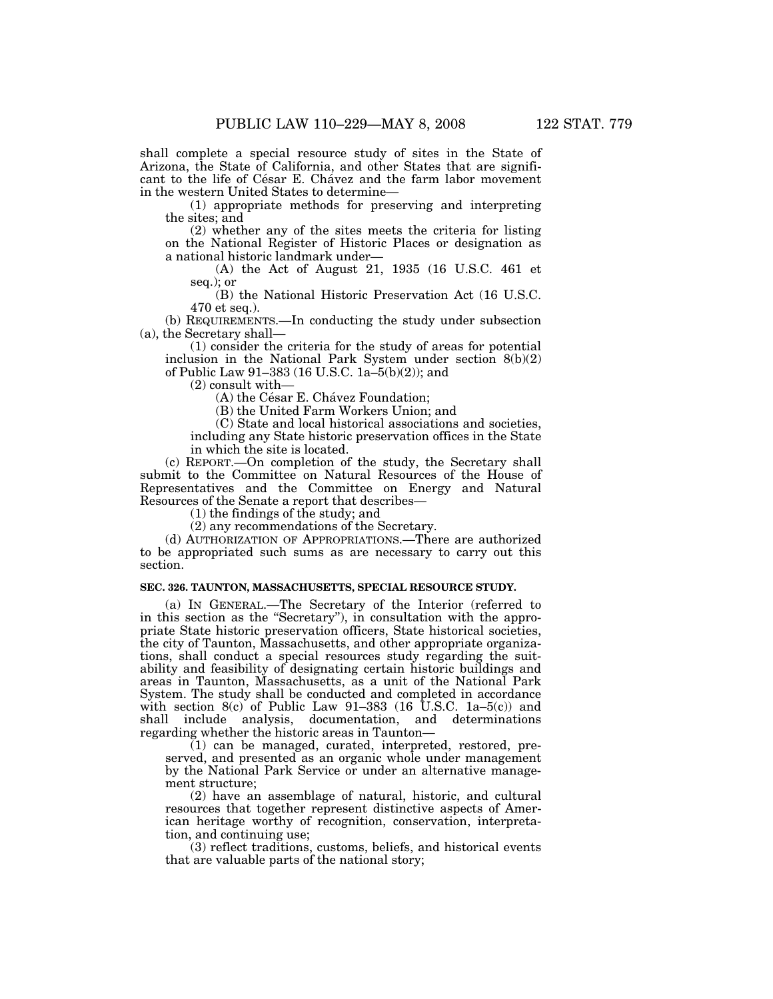shall complete a special resource study of sites in the State of Arizona, the State of California, and other States that are significant to the life of César E. Chávez and the farm labor movement in the western United States to determine—

(1) appropriate methods for preserving and interpreting the sites; and

(2) whether any of the sites meets the criteria for listing on the National Register of Historic Places or designation as a national historic landmark under—

(A) the Act of August 21, 1935 (16 U.S.C. 461 et seq.); or

(B) the National Historic Preservation Act (16 U.S.C. 470 et seq.).

(b) REQUIREMENTS.—In conducting the study under subsection (a), the Secretary shall—

(1) consider the criteria for the study of areas for potential inclusion in the National Park System under section 8(b)(2) of Public Law 91–383 (16 U.S.C. 1a–5(b)(2)); and

 $(2)$  consult with-

 $(A)$  the César E. Chávez Foundation;

(B) the United Farm Workers Union; and

(C) State and local historical associations and societies, including any State historic preservation offices in the State in which the site is located.

(c) REPORT.—On completion of the study, the Secretary shall submit to the Committee on Natural Resources of the House of Representatives and the Committee on Energy and Natural Resources of the Senate a report that describes—

(1) the findings of the study; and

(2) any recommendations of the Secretary.

(d) AUTHORIZATION OF APPROPRIATIONS.—There are authorized to be appropriated such sums as are necessary to carry out this section.

### **SEC. 326. TAUNTON, MASSACHUSETTS, SPECIAL RESOURCE STUDY.**

(a) IN GENERAL.—The Secretary of the Interior (referred to in this section as the ''Secretary''), in consultation with the appropriate State historic preservation officers, State historical societies, the city of Taunton, Massachusetts, and other appropriate organizations, shall conduct a special resources study regarding the suitability and feasibility of designating certain historic buildings and areas in Taunton, Massachusetts, as a unit of the National Park System. The study shall be conducted and completed in accordance with section  $8(c)$  of Public Law 91-383 (16 U.S.C. 1a-5(c)) and shall include analysis, documentation, and determinations regarding whether the historic areas in Taunton—

(1) can be managed, curated, interpreted, restored, preserved, and presented as an organic whole under management by the National Park Service or under an alternative management structure;

(2) have an assemblage of natural, historic, and cultural resources that together represent distinctive aspects of American heritage worthy of recognition, conservation, interpretation, and continuing use;

(3) reflect traditions, customs, beliefs, and historical events that are valuable parts of the national story;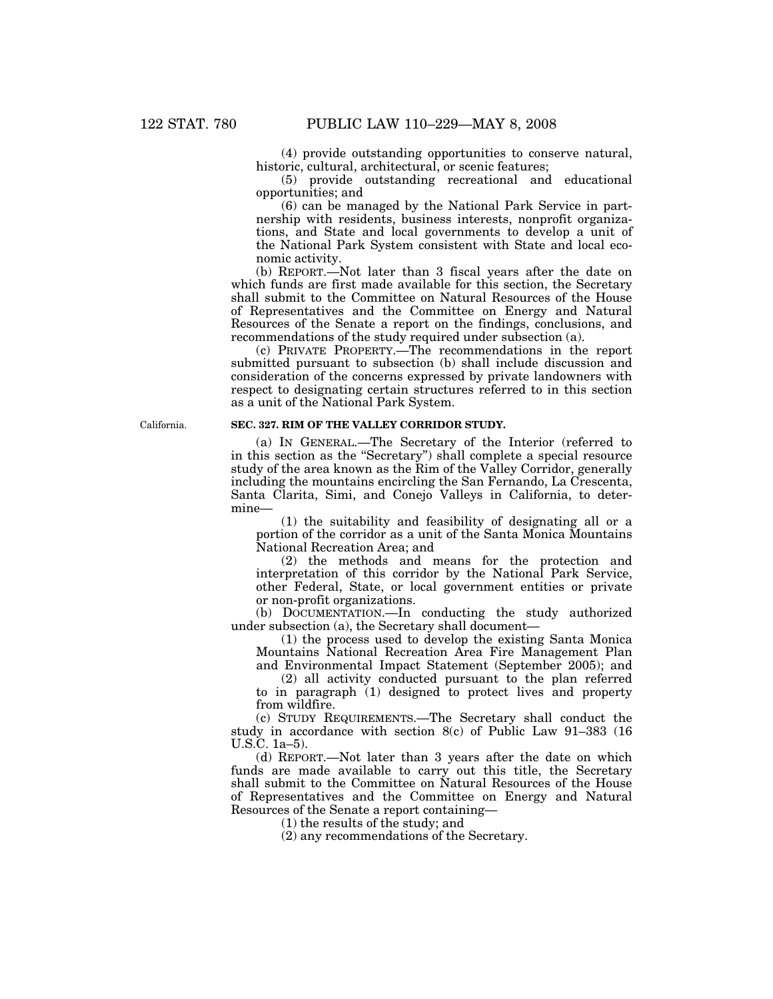(4) provide outstanding opportunities to conserve natural, historic, cultural, architectural, or scenic features;

(5) provide outstanding recreational and educational opportunities; and

(6) can be managed by the National Park Service in partnership with residents, business interests, nonprofit organizations, and State and local governments to develop a unit of the National Park System consistent with State and local economic activity.

(b) REPORT.—Not later than 3 fiscal years after the date on which funds are first made available for this section, the Secretary shall submit to the Committee on Natural Resources of the House of Representatives and the Committee on Energy and Natural Resources of the Senate a report on the findings, conclusions, and recommendations of the study required under subsection (a).

(c) PRIVATE PROPERTY.—The recommendations in the report submitted pursuant to subsection (b) shall include discussion and consideration of the concerns expressed by private landowners with respect to designating certain structures referred to in this section as a unit of the National Park System.

# **SEC. 327. RIM OF THE VALLEY CORRIDOR STUDY.**

(a) IN GENERAL.—The Secretary of the Interior (referred to in this section as the ''Secretary'') shall complete a special resource study of the area known as the Rim of the Valley Corridor, generally including the mountains encircling the San Fernando, La Crescenta, Santa Clarita, Simi, and Conejo Valleys in California, to determine—

(1) the suitability and feasibility of designating all or a portion of the corridor as a unit of the Santa Monica Mountains National Recreation Area; and

(2) the methods and means for the protection and interpretation of this corridor by the National Park Service, other Federal, State, or local government entities or private or non-profit organizations.

(b) DOCUMENTATION.—In conducting the study authorized under subsection (a), the Secretary shall document—

(1) the process used to develop the existing Santa Monica Mountains National Recreation Area Fire Management Plan and Environmental Impact Statement (September 2005); and

(2) all activity conducted pursuant to the plan referred to in paragraph (1) designed to protect lives and property from wildfire.

(c) STUDY REQUIREMENTS.—The Secretary shall conduct the study in accordance with section 8(c) of Public Law 91–383 (16 U.S.C. 1a–5).

(d) REPORT.—Not later than 3 years after the date on which funds are made available to carry out this title, the Secretary shall submit to the Committee on Natural Resources of the House of Representatives and the Committee on Energy and Natural Resources of the Senate a report containing—

(1) the results of the study; and

(2) any recommendations of the Secretary.

California.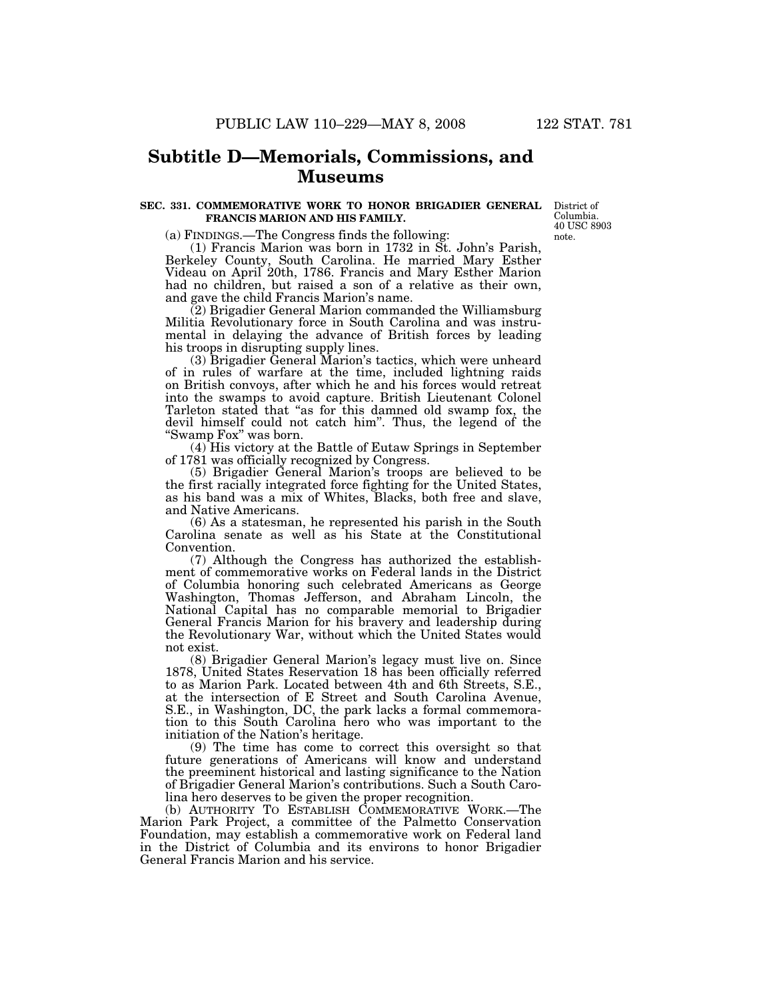# **Subtitle D—Memorials, Commissions, and Museums**

# **SEC. 331. COMMEMORATIVE WORK TO HONOR BRIGADIER GENERAL FRANCIS MARION AND HIS FAMILY.**

District of Columbia. 40 USC 8903 note.

(a) FINDINGS.—The Congress finds the following:

(1) Francis Marion was born in 1732 in St. John's Parish, Berkeley County, South Carolina. He married Mary Esther Videau on April 20th, 1786. Francis and Mary Esther Marion had no children, but raised a son of a relative as their own, and gave the child Francis Marion's name.

(2) Brigadier General Marion commanded the Williamsburg Militia Revolutionary force in South Carolina and was instrumental in delaying the advance of British forces by leading his troops in disrupting supply lines.

(3) Brigadier General Marion's tactics, which were unheard of in rules of warfare at the time, included lightning raids on British convoys, after which he and his forces would retreat into the swamps to avoid capture. British Lieutenant Colonel Tarleton stated that "as for this damned old swamp fox, the devil himself could not catch him''. Thus, the legend of the ''Swamp Fox'' was born.

(4) His victory at the Battle of Eutaw Springs in September of 1781 was officially recognized by Congress.

(5) Brigadier General Marion's troops are believed to be the first racially integrated force fighting for the United States, as his band was a mix of Whites, Blacks, both free and slave, and Native Americans.

(6) As a statesman, he represented his parish in the South Carolina senate as well as his State at the Constitutional Convention.

(7) Although the Congress has authorized the establishment of commemorative works on Federal lands in the District of Columbia honoring such celebrated Americans as George Washington, Thomas Jefferson, and Abraham Lincoln, the National Capital has no comparable memorial to Brigadier General Francis Marion for his bravery and leadership during the Revolutionary War, without which the United States would not exist.

(8) Brigadier General Marion's legacy must live on. Since 1878, United States Reservation 18 has been officially referred to as Marion Park. Located between 4th and 6th Streets, S.E., at the intersection of E Street and South Carolina Avenue, S.E., in Washington, DC, the park lacks a formal commemoration to this South Carolina hero who was important to the initiation of the Nation's heritage.

(9) The time has come to correct this oversight so that future generations of Americans will know and understand the preeminent historical and lasting significance to the Nation of Brigadier General Marion's contributions. Such a South Carolina hero deserves to be given the proper recognition.

(b) AUTHORITY TO ESTABLISH COMMEMORATIVE WORK.—The Marion Park Project, a committee of the Palmetto Conservation Foundation, may establish a commemorative work on Federal land in the District of Columbia and its environs to honor Brigadier General Francis Marion and his service.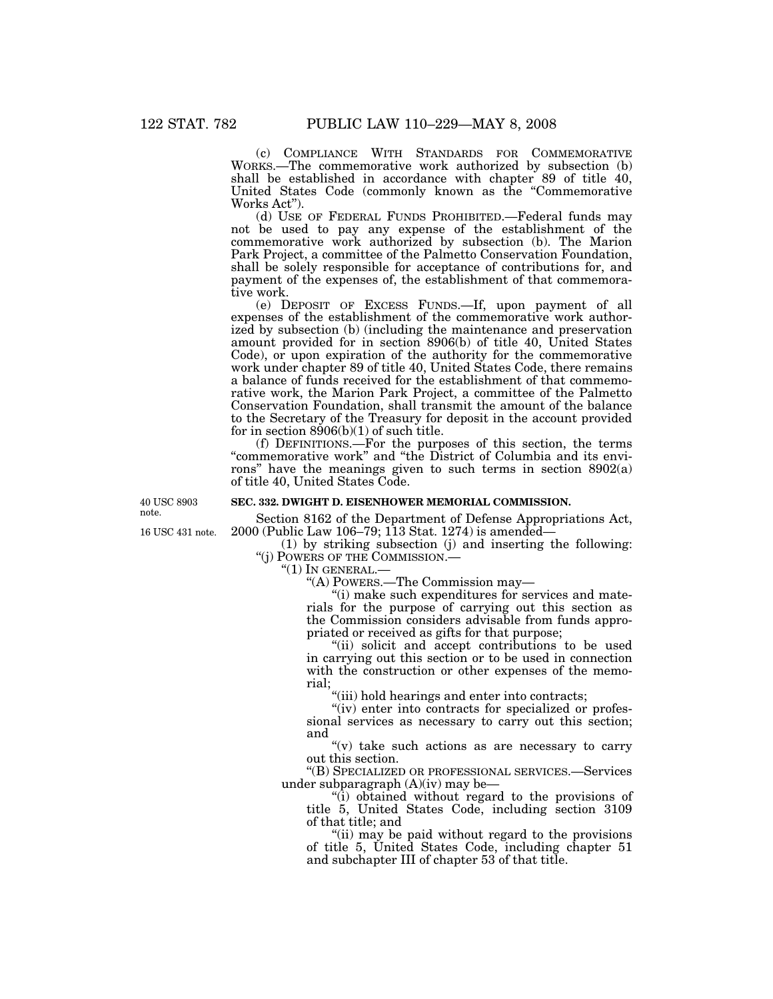(c) COMPLIANCE WITH STANDARDS FOR COMMEMORATIVE WORKS.—The commemorative work authorized by subsection (b) shall be established in accordance with chapter 89 of title 40, United States Code (commonly known as the ''Commemorative Works Act'').

(d) USE OF FEDERAL FUNDS PROHIBITED.—Federal funds may not be used to pay any expense of the establishment of the commemorative work authorized by subsection (b). The Marion Park Project, a committee of the Palmetto Conservation Foundation, shall be solely responsible for acceptance of contributions for, and payment of the expenses of, the establishment of that commemorative work.

(e) DEPOSIT OF EXCESS FUNDS.—If, upon payment of all expenses of the establishment of the commemorative work authorized by subsection (b) (including the maintenance and preservation amount provided for in section 8906(b) of title 40, United States Code), or upon expiration of the authority for the commemorative work under chapter 89 of title 40, United States Code, there remains a balance of funds received for the establishment of that commemorative work, the Marion Park Project, a committee of the Palmetto Conservation Foundation, shall transmit the amount of the balance to the Secretary of the Treasury for deposit in the account provided for in section  $8906(b)(1)$  of such title.

(f) DEFINITIONS.—For the purposes of this section, the terms ''commemorative work'' and ''the District of Columbia and its environs" have the meanings given to such terms in section  $8902(a)$ of title 40, United States Code.

40 USC 8903 note.

16 USC 431 note.

# **SEC. 332. DWIGHT D. EISENHOWER MEMORIAL COMMISSION.**

Section 8162 of the Department of Defense Appropriations Act, 2000 (Public Law 106–79; 113 Stat. 1274) is amended—

(1) by striking subsection (j) and inserting the following: ''(j) POWERS OF THE COMMISSION.—

 $"(1)$  In GENERAL.

''(A) POWERS.—The Commission may—

''(i) make such expenditures for services and materials for the purpose of carrying out this section as the Commission considers advisable from funds appropriated or received as gifts for that purpose;

''(ii) solicit and accept contributions to be used in carrying out this section or to be used in connection with the construction or other expenses of the memorial;

''(iii) hold hearings and enter into contracts;

"(iv) enter into contracts for specialized or professional services as necessary to carry out this section; and

" $(v)$  take such actions as are necessary to carry out this section.

''(B) SPECIALIZED OR PROFESSIONAL SERVICES.—Services under subparagraph (A)(iv) may be—

"(i) obtained without regard to the provisions of title 5, United States Code, including section 3109 of that title; and

''(ii) may be paid without regard to the provisions of title 5, United States Code, including chapter 51 and subchapter III of chapter 53 of that title.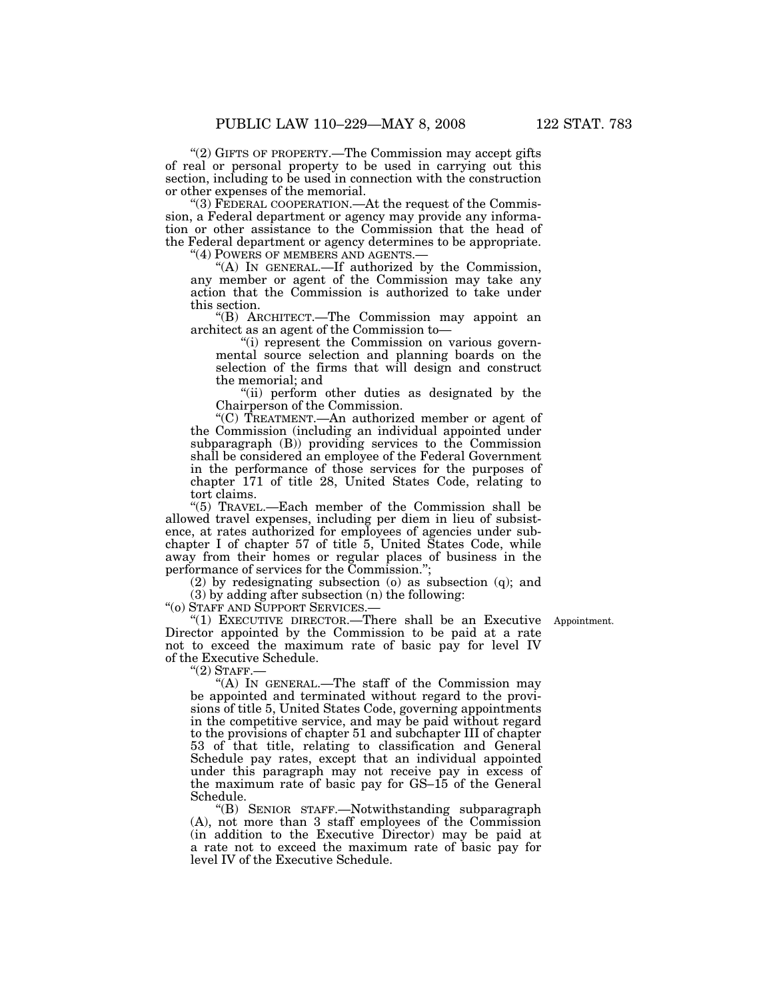"(2) GIFTS OF PROPERTY.—The Commission may accept gifts of real or personal property to be used in carrying out this section, including to be used in connection with the construction or other expenses of the memorial.

''(3) FEDERAL COOPERATION.—At the request of the Commission, a Federal department or agency may provide any information or other assistance to the Commission that the head of the Federal department or agency determines to be appropriate.<br>"(4) POWERS OF MEMBERS AND AGENTS.—

''(4) POWERS OF MEMBERS AND AGENTS.— ''(A) IN GENERAL.—If authorized by the Commission, any member or agent of the Commission may take any action that the Commission is authorized to take under this section.

''(B) ARCHITECT.—The Commission may appoint an architect as an agent of the Commission to—

''(i) represent the Commission on various governmental source selection and planning boards on the selection of the firms that will design and construct the memorial; and

''(ii) perform other duties as designated by the Chairperson of the Commission.

''(C) TREATMENT.—An authorized member or agent of the Commission (including an individual appointed under subparagraph (B)) providing services to the Commission shall be considered an employee of the Federal Government in the performance of those services for the purposes of chapter 171 of title 28, United States Code, relating to tort claims.

''(5) TRAVEL.—Each member of the Commission shall be allowed travel expenses, including per diem in lieu of subsistence, at rates authorized for employees of agencies under subchapter I of chapter 57 of title 5, United States Code, while away from their homes or regular places of business in the performance of services for the Commission.'';

(2) by redesignating subsection (o) as subsection (q); and (3) by adding after subsection (n) the following:

''(o) STAFF AND SUPPORT SERVICES.—

"(1) EXECUTIVE DIRECTOR.—There shall be an Executive Director appointed by the Commission to be paid at a rate not to exceed the maximum rate of basic pay for level IV of the Executive Schedule.

 $"(2)$  STAFF.-

''(A) IN GENERAL.—The staff of the Commission may be appointed and terminated without regard to the provisions of title 5, United States Code, governing appointments in the competitive service, and may be paid without regard to the provisions of chapter 51 and subchapter III of chapter 53 of that title, relating to classification and General Schedule pay rates, except that an individual appointed under this paragraph may not receive pay in excess of the maximum rate of basic pay for GS–15 of the General Schedule.

''(B) SENIOR STAFF.—Notwithstanding subparagraph (A), not more than 3 staff employees of the Commission (in addition to the Executive Director) may be paid at a rate not to exceed the maximum rate of basic pay for level IV of the Executive Schedule.

Appointment.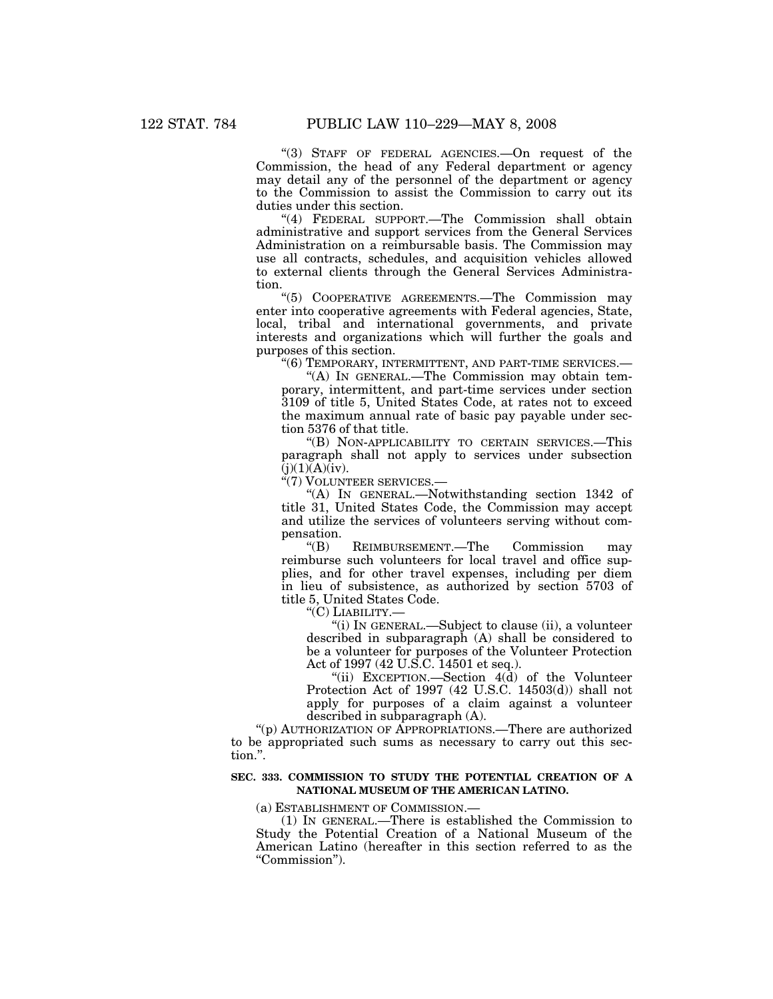"(3) STAFF OF FEDERAL AGENCIES.—On request of the Commission, the head of any Federal department or agency may detail any of the personnel of the department or agency to the Commission to assist the Commission to carry out its duties under this section.

''(4) FEDERAL SUPPORT.—The Commission shall obtain administrative and support services from the General Services Administration on a reimbursable basis. The Commission may use all contracts, schedules, and acquisition vehicles allowed to external clients through the General Services Administration.

''(5) COOPERATIVE AGREEMENTS.—The Commission may enter into cooperative agreements with Federal agencies, State, local, tribal and international governments, and private interests and organizations which will further the goals and purposes of this section.

"(6) TEMPORARY, INTERMITTENT, AND PART-TIME SERVICES.—

''(A) IN GENERAL.—The Commission may obtain temporary, intermittent, and part-time services under section 3109 of title 5, United States Code, at rates not to exceed the maximum annual rate of basic pay payable under section 5376 of that title.

''(B) NON-APPLICABILITY TO CERTAIN SERVICES.—This paragraph shall not apply to services under subsection  $(j)(1)(A)(iv).$ 

"(7) VOLUNTEER SERVICES.—

''(A) IN GENERAL.—Notwithstanding section 1342 of title 31, United States Code, the Commission may accept and utilize the services of volunteers serving without compensation.<br>" $(B)$ 

REIMBURSEMENT.—The Commission may reimburse such volunteers for local travel and office supplies, and for other travel expenses, including per diem in lieu of subsistence, as authorized by section 5703 of title 5, United States Code.

''(C) LIABILITY.—

''(i) IN GENERAL.—Subject to clause (ii), a volunteer described in subparagraph (A) shall be considered to be a volunteer for purposes of the Volunteer Protection Act of 1997 (42 U.S.C. 14501 et seq.).

''(ii) EXCEPTION.—Section 4(d) of the Volunteer Protection Act of 1997 (42 U.S.C. 14503(d)) shall not apply for purposes of a claim against a volunteer described in subparagraph (A).

''(p) AUTHORIZATION OF APPROPRIATIONS.—There are authorized to be appropriated such sums as necessary to carry out this section.''.

# **SEC. 333. COMMISSION TO STUDY THE POTENTIAL CREATION OF A NATIONAL MUSEUM OF THE AMERICAN LATINO.**

(a) ESTABLISHMENT OF COMMISSION.—

(1) IN GENERAL.—There is established the Commission to Study the Potential Creation of a National Museum of the American Latino (hereafter in this section referred to as the "Commission").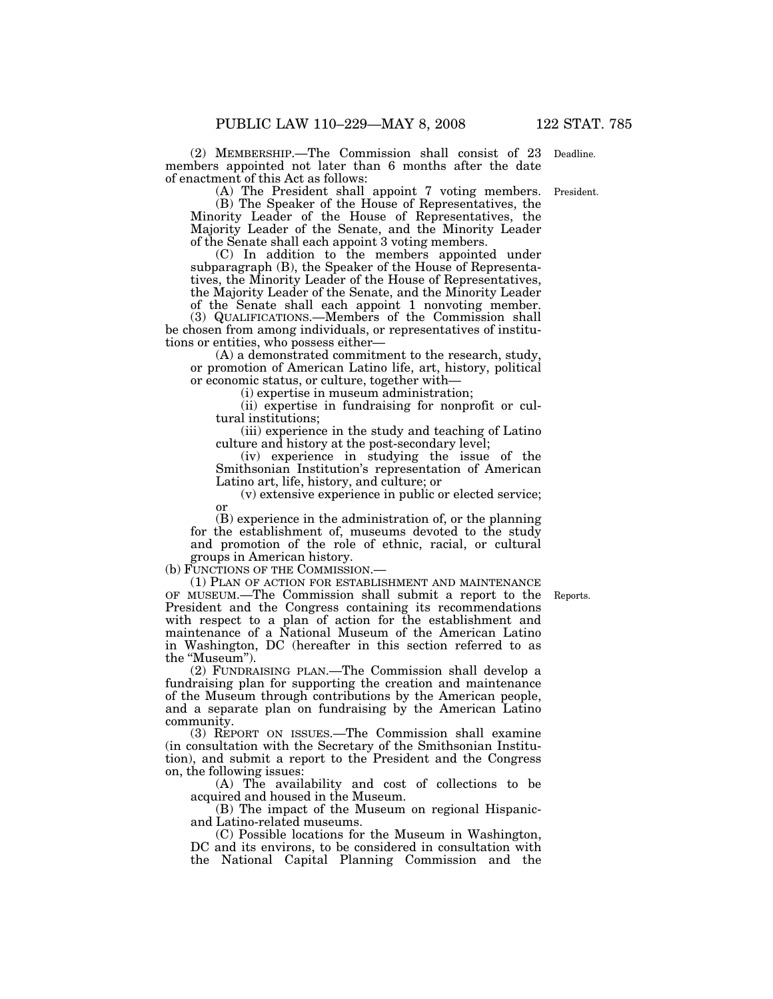(2) MEMBERSHIP.—The Commission shall consist of 23 Deadline. members appointed not later than 6 months after the date of enactment of this Act as follows:

> (A) The President shall appoint 7 voting members. President.

(B) The Speaker of the House of Representatives, the Minority Leader of the House of Representatives, the Majority Leader of the Senate, and the Minority Leader of the Senate shall each appoint 3 voting members.

(C) In addition to the members appointed under subparagraph (B), the Speaker of the House of Representatives, the Minority Leader of the House of Representatives, the Majority Leader of the Senate, and the Minority Leader of the Senate shall each appoint 1 nonvoting member.

(3) QUALIFICATIONS.—Members of the Commission shall be chosen from among individuals, or representatives of institutions or entities, who possess either—

(A) a demonstrated commitment to the research, study, or promotion of American Latino life, art, history, political or economic status, or culture, together with—

(i) expertise in museum administration;

(ii) expertise in fundraising for nonprofit or cultural institutions;

(iii) experience in the study and teaching of Latino culture and history at the post-secondary level;

(iv) experience in studying the issue of the Smithsonian Institution's representation of American Latino art, life, history, and culture; or

(v) extensive experience in public or elected service; or

(B) experience in the administration of, or the planning for the establishment of, museums devoted to the study and promotion of the role of ethnic, racial, or cultural groups in American history.

(b) FUNCTIONS OF THE COMMISSION.—

(1) PLAN OF ACTION FOR ESTABLISHMENT AND MAINTENANCE OF MUSEUM.—The Commission shall submit a report to the Reports. President and the Congress containing its recommendations with respect to a plan of action for the establishment and maintenance of a National Museum of the American Latino in Washington, DC (hereafter in this section referred to as the ''Museum'').

(2) FUNDRAISING PLAN.—The Commission shall develop a fundraising plan for supporting the creation and maintenance of the Museum through contributions by the American people, and a separate plan on fundraising by the American Latino community.

(3) REPORT ON ISSUES.—The Commission shall examine (in consultation with the Secretary of the Smithsonian Institution), and submit a report to the President and the Congress on, the following issues:

(A) The availability and cost of collections to be acquired and housed in the Museum.

(B) The impact of the Museum on regional Hispanicand Latino-related museums.

(C) Possible locations for the Museum in Washington, DC and its environs, to be considered in consultation with the National Capital Planning Commission and the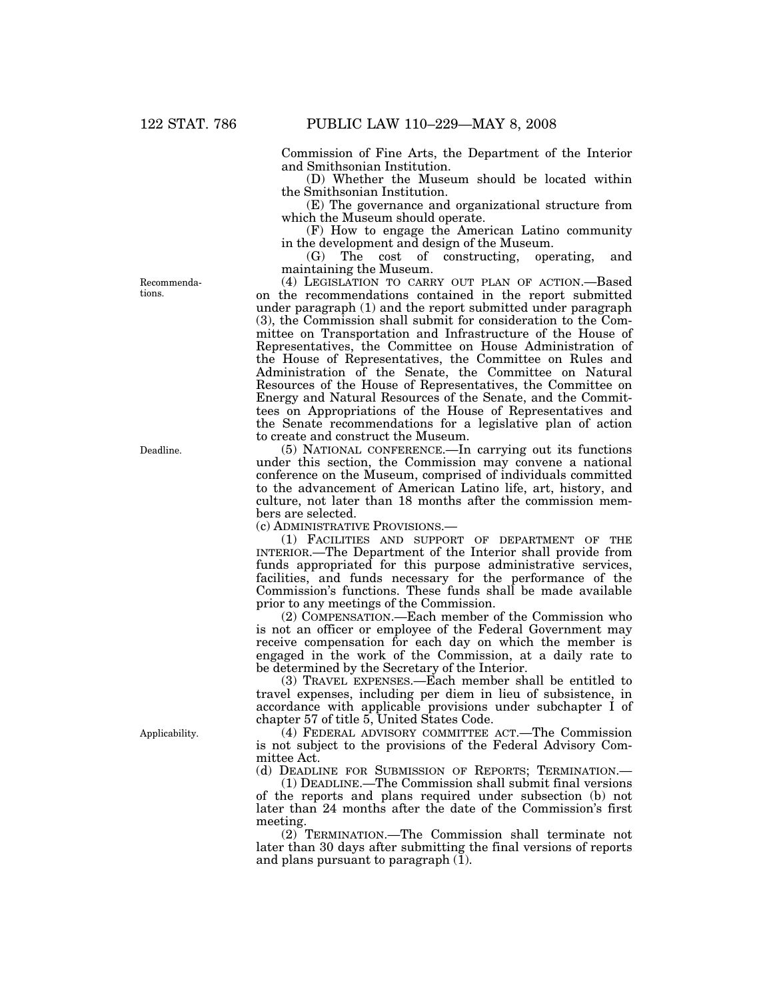Commission of Fine Arts, the Department of the Interior and Smithsonian Institution.

(D) Whether the Museum should be located within the Smithsonian Institution.

(E) The governance and organizational structure from which the Museum should operate.

(F) How to engage the American Latino community in the development and design of the Museum.<br>(G) The cost of constructing, operating.

(G) The cost of constructing, operating, and maintaining the Museum.

(4) LEGISLATION TO CARRY OUT PLAN OF ACTION.—Based on the recommendations contained in the report submitted under paragraph (1) and the report submitted under paragraph (3), the Commission shall submit for consideration to the Committee on Transportation and Infrastructure of the House of Representatives, the Committee on House Administration of the House of Representatives, the Committee on Rules and Administration of the Senate, the Committee on Natural Resources of the House of Representatives, the Committee on Energy and Natural Resources of the Senate, and the Committees on Appropriations of the House of Representatives and the Senate recommendations for a legislative plan of action to create and construct the Museum.

(5) NATIONAL CONFERENCE.—In carrying out its functions under this section, the Commission may convene a national conference on the Museum, comprised of individuals committed to the advancement of American Latino life, art, history, and culture, not later than 18 months after the commission members are selected.

(c) ADMINISTRATIVE PROVISIONS.—

(1) FACILITIES AND SUPPORT OF DEPARTMENT OF THE INTERIOR.—The Department of the Interior shall provide from funds appropriated for this purpose administrative services, facilities, and funds necessary for the performance of the Commission's functions. These funds shall be made available prior to any meetings of the Commission.

(2) COMPENSATION.—Each member of the Commission who is not an officer or employee of the Federal Government may receive compensation for each day on which the member is engaged in the work of the Commission, at a daily rate to be determined by the Secretary of the Interior.

(3) TRAVEL EXPENSES.—Each member shall be entitled to travel expenses, including per diem in lieu of subsistence, in accordance with applicable provisions under subchapter I of chapter 57 of title 5, United States Code.

(4) FEDERAL ADVISORY COMMITTEE ACT.—The Commission is not subject to the provisions of the Federal Advisory Committee Act.

(d) DEADLINE FOR SUBMISSION OF REPORTS; TERMINATION.—

(1) DEADLINE.—The Commission shall submit final versions of the reports and plans required under subsection (b) not later than 24 months after the date of the Commission's first meeting.

(2) TERMINATION.—The Commission shall terminate not later than 30 days after submitting the final versions of reports and plans pursuant to paragraph  $(\bar{1})$ .

Recommendations.

Deadline.

Applicability.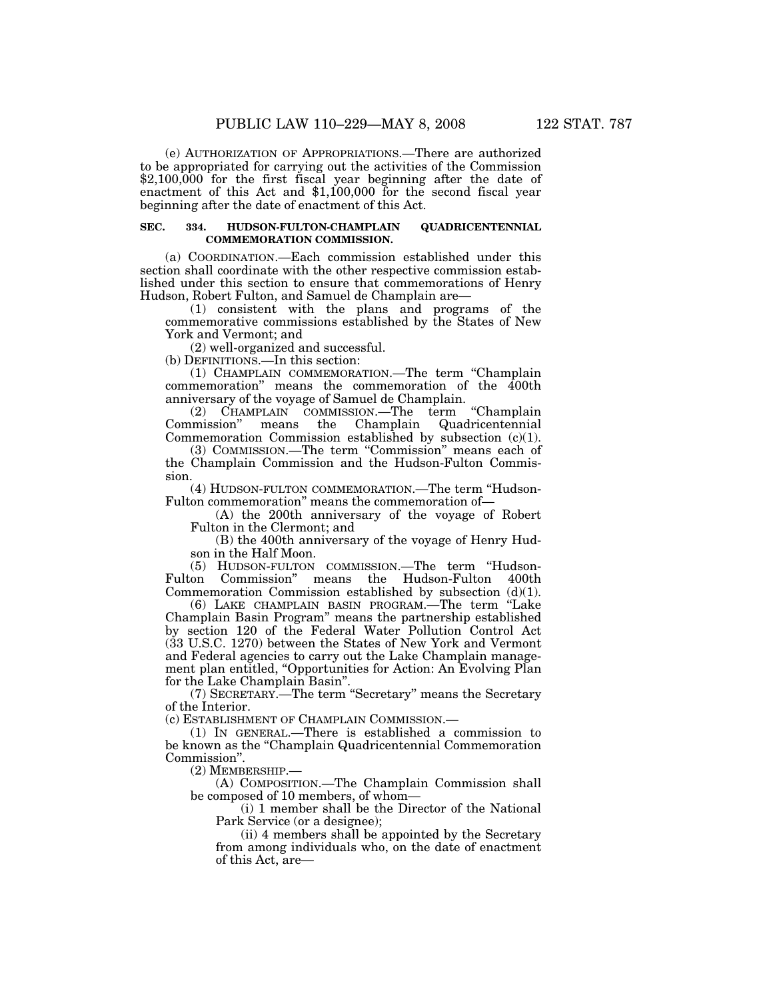(e) AUTHORIZATION OF APPROPRIATIONS.—There are authorized to be appropriated for carrying out the activities of the Commission \$2,100,000 for the first fiscal year beginning after the date of enactment of this Act and \$1,100,000 for the second fiscal year beginning after the date of enactment of this Act.

# **SEC. 334. HUDSON-FULTON-CHAMPLAIN QUADRICENTENNIAL COMMEMORATION COMMISSION.**

(a) COORDINATION.—Each commission established under this section shall coordinate with the other respective commission established under this section to ensure that commemorations of Henry Hudson, Robert Fulton, and Samuel de Champlain are—

(1) consistent with the plans and programs of the commemorative commissions established by the States of New York and Vermont; and

(2) well-organized and successful.

(b) DEFINITIONS.—In this section:

(1) CHAMPLAIN COMMEMORATION.—The term ''Champlain commemoration'' means the commemoration of the 400th

anniversary of the voyage of Samuel de Champlain.<br>(2) CHAMPLAIN COMMISSION.—The term "Champlain (2) CHAMPLAIN COMMISSION.—The term ''Champlain Commission'' means the Champlain Quadricentennial Commemoration Commission established by subsection (c)(1).

(3) COMMISSION.—The term ''Commission'' means each of the Champlain Commission and the Hudson-Fulton Commission.

(4) HUDSON-FULTON COMMEMORATION.—The term ''Hudson-Fulton commemoration'' means the commemoration of—

(A) the 200th anniversary of the voyage of Robert Fulton in the Clermont; and

(B) the 400th anniversary of the voyage of Henry Hudson in the Half Moon.

(5) HUDSON-FULTON COMMISSION.—The term ''Hudson-Fulton Commission'' means the Hudson-Fulton 400th Commemoration Commission established by subsection (d)(1).

(6) LAKE CHAMPLAIN BASIN PROGRAM.—The term ''Lake Champlain Basin Program'' means the partnership established by section 120 of the Federal Water Pollution Control Act (33 U.S.C. 1270) between the States of New York and Vermont and Federal agencies to carry out the Lake Champlain management plan entitled, "Opportunities for Action: An Evolving Plan for the Lake Champlain Basin''.

(7) SECRETARY.—The term ''Secretary'' means the Secretary of the Interior.

(c) ESTABLISHMENT OF CHAMPLAIN COMMISSION.—

(1) IN GENERAL.—There is established a commission to be known as the "Champlain Quadricentennial Commemoration" Commission''.

(2) MEMBERSHIP.—

(A) COMPOSITION.—The Champlain Commission shall be composed of 10 members, of whom—

(i) 1 member shall be the Director of the National Park Service (or a designee);

(ii) 4 members shall be appointed by the Secretary from among individuals who, on the date of enactment of this Act, are—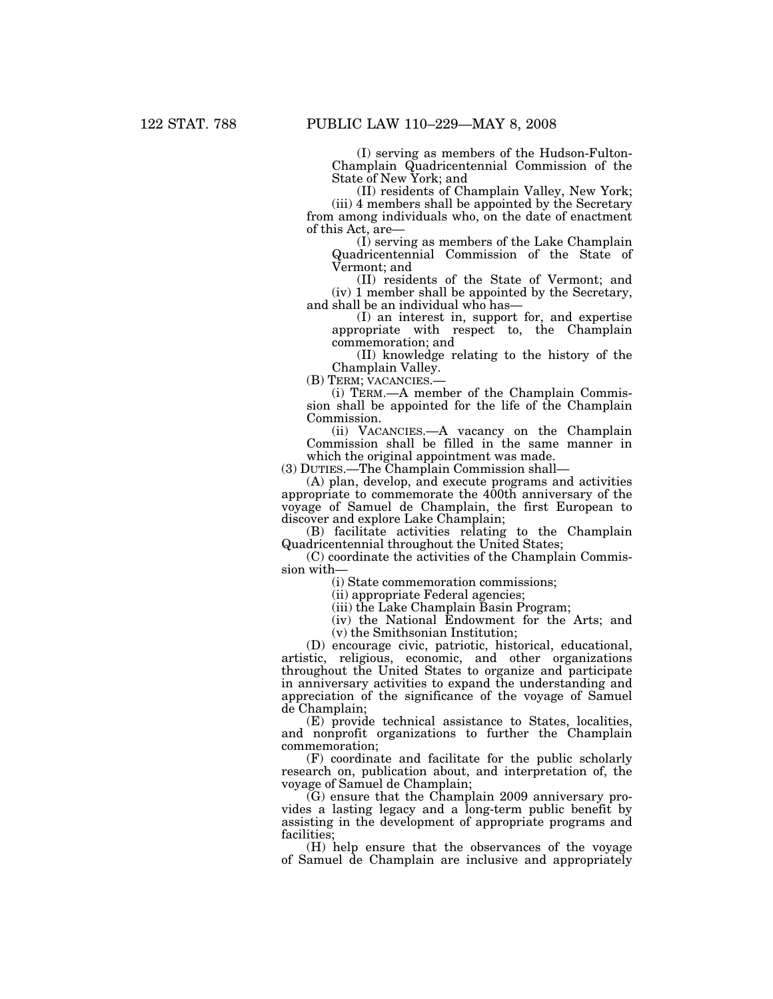(I) serving as members of the Hudson-Fulton-Champlain Quadricentennial Commission of the State of New York; and

(II) residents of Champlain Valley, New York; (iii) 4 members shall be appointed by the Secretary from among individuals who, on the date of enactment of this Act, are—

(I) serving as members of the Lake Champlain Quadricentennial Commission of the State of Vermont; and

(II) residents of the State of Vermont; and (iv) 1 member shall be appointed by the Secretary, and shall be an individual who has—

(I) an interest in, support for, and expertise appropriate with respect to, the Champlain commemoration; and

(II) knowledge relating to the history of the Champlain Valley.

(B) TERM; VACANCIES.—

(i) TERM.—A member of the Champlain Commission shall be appointed for the life of the Champlain Commission.

(ii) VACANCIES.—A vacancy on the Champlain Commission shall be filled in the same manner in which the original appointment was made.

(3) DUTIES.—The Champlain Commission shall—

(A) plan, develop, and execute programs and activities appropriate to commemorate the 400th anniversary of the voyage of Samuel de Champlain, the first European to discover and explore Lake Champlain;

(B) facilitate activities relating to the Champlain Quadricentennial throughout the United States;

(C) coordinate the activities of the Champlain Commission with—

(i) State commemoration commissions;

(ii) appropriate Federal agencies;

(iii) the Lake Champlain Basin Program;

(iv) the National Endowment for the Arts; and (v) the Smithsonian Institution;

(D) encourage civic, patriotic, historical, educational, artistic, religious, economic, and other organizations throughout the United States to organize and participate in anniversary activities to expand the understanding and appreciation of the significance of the voyage of Samuel de Champlain;

(E) provide technical assistance to States, localities, and nonprofit organizations to further the Champlain commemoration;

(F) coordinate and facilitate for the public scholarly research on, publication about, and interpretation of, the voyage of Samuel de Champlain;

(G) ensure that the Champlain 2009 anniversary provides a lasting legacy and a long-term public benefit by assisting in the development of appropriate programs and facilities;

(H) help ensure that the observances of the voyage of Samuel de Champlain are inclusive and appropriately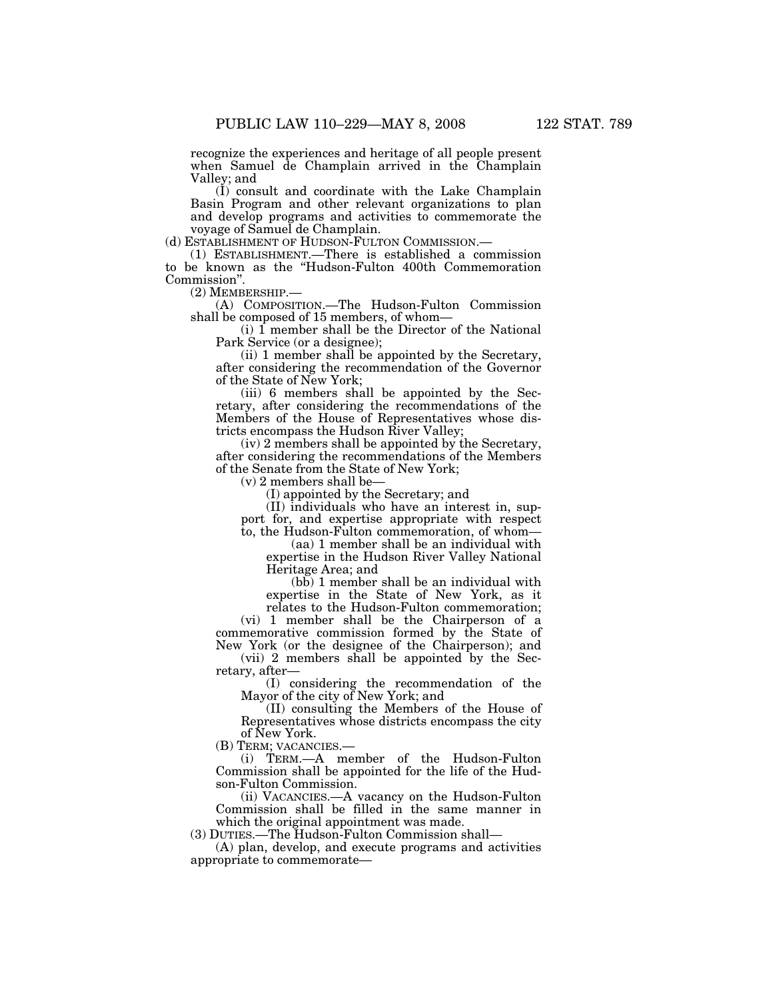recognize the experiences and heritage of all people present when Samuel de Champlain arrived in the Champlain Valley; and

(I) consult and coordinate with the Lake Champlain Basin Program and other relevant organizations to plan and develop programs and activities to commemorate the voyage of Samuel de Champlain.

(1) ESTABLISHMENT.—There is established a commission to be known as the ''Hudson-Fulton 400th Commemoration Commission''.

(2) MEMBERSHIP.— (A) COMPOSITION.—The Hudson-Fulton Commission shall be composed of 15 members, of whom—

 $(i)$  I member shall be the Director of the National Park Service (or a designee);

(ii) 1 member shall be appointed by the Secretary, after considering the recommendation of the Governor of the State of New York;

(iii) 6 members shall be appointed by the Secretary, after considering the recommendations of the Members of the House of Representatives whose districts encompass the Hudson River Valley;

(iv) 2 members shall be appointed by the Secretary, after considering the recommendations of the Members of the Senate from the State of New York;

(v) 2 members shall be—

(I) appointed by the Secretary; and

(II) individuals who have an interest in, support for, and expertise appropriate with respect to, the Hudson-Fulton commemoration, of whom—

(aa) 1 member shall be an individual with expertise in the Hudson River Valley National Heritage Area; and

(bb) 1 member shall be an individual with expertise in the State of New York, as it

relates to the Hudson-Fulton commemoration; (vi) 1 member shall be the Chairperson of a commemorative commission formed by the State of New York (or the designee of the Chairperson); and

(vii) 2 members shall be appointed by the Secretary, after—

(I) considering the recommendation of the Mayor of the city of New York; and

(II) consulting the Members of the House of Representatives whose districts encompass the city of New York.

(B) TERM; VACANCIES.—

(i) TERM.—A member of the Hudson-Fulton Commission shall be appointed for the life of the Hudson-Fulton Commission.

(ii) VACANCIES.—A vacancy on the Hudson-Fulton Commission shall be filled in the same manner in which the original appointment was made.

(3) DUTIES.—The Hudson-Fulton Commission shall—

(A) plan, develop, and execute programs and activities appropriate to commemorate—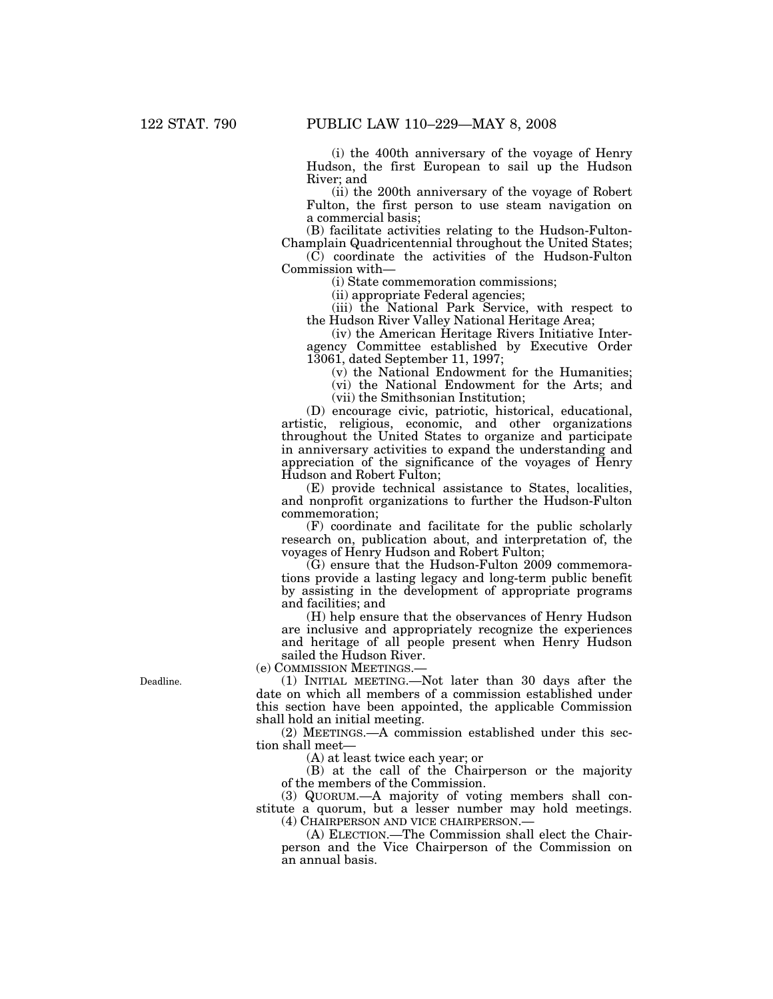(i) the 400th anniversary of the voyage of Henry Hudson, the first European to sail up the Hudson River; and

(ii) the 200th anniversary of the voyage of Robert Fulton, the first person to use steam navigation on a commercial basis;

(B) facilitate activities relating to the Hudson-Fulton-Champlain Quadricentennial throughout the United States;

(C) coordinate the activities of the Hudson-Fulton Commission with—

(i) State commemoration commissions;

(ii) appropriate Federal agencies;

(iii) the National Park Service, with respect to the Hudson River Valley National Heritage Area;

(iv) the American Heritage Rivers Initiative Interagency Committee established by Executive Order 13061, dated September 11, 1997;

(v) the National Endowment for the Humanities; (vi) the National Endowment for the Arts; and (vii) the Smithsonian Institution;

(D) encourage civic, patriotic, historical, educational, artistic, religious, economic, and other organizations throughout the United States to organize and participate in anniversary activities to expand the understanding and appreciation of the significance of the voyages of Henry Hudson and Robert Fulton;

(E) provide technical assistance to States, localities, and nonprofit organizations to further the Hudson-Fulton commemoration;

(F) coordinate and facilitate for the public scholarly research on, publication about, and interpretation of, the voyages of Henry Hudson and Robert Fulton;

(G) ensure that the Hudson-Fulton 2009 commemorations provide a lasting legacy and long-term public benefit by assisting in the development of appropriate programs and facilities; and

(H) help ensure that the observances of Henry Hudson are inclusive and appropriately recognize the experiences and heritage of all people present when Henry Hudson sailed the Hudson River.

(e) COMMISSION MEETINGS.—

(1) INITIAL MEETING.—Not later than 30 days after the date on which all members of a commission established under this section have been appointed, the applicable Commission shall hold an initial meeting.

(2) MEETINGS.—A commission established under this section shall meet—

(A) at least twice each year; or

(B) at the call of the Chairperson or the majority of the members of the Commission.

(3) QUORUM.—A majority of voting members shall constitute a quorum, but a lesser number may hold meetings. (4) CHAIRPERSON AND VICE CHAIRPERSON.—

(A) ELECTION.—The Commission shall elect the Chairperson and the Vice Chairperson of the Commission on an annual basis.

Deadline.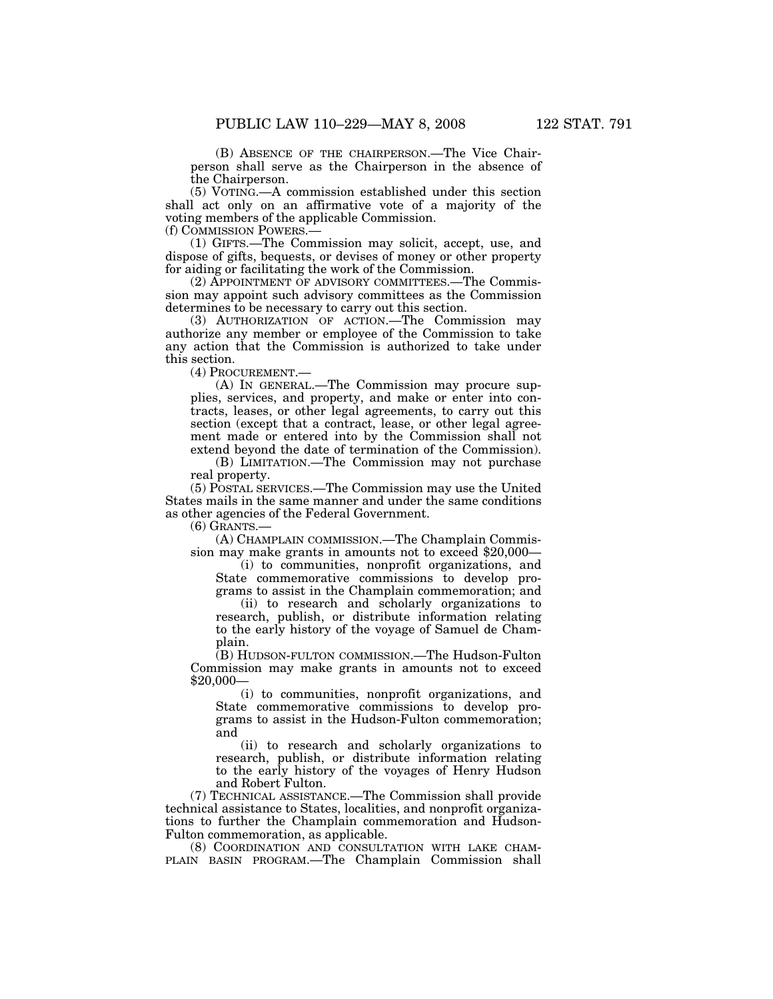(B) ABSENCE OF THE CHAIRPERSON.—The Vice Chairperson shall serve as the Chairperson in the absence of the Chairperson.

(5) VOTING.—A commission established under this section shall act only on an affirmative vote of a majority of the voting members of the applicable Commission. (f) COMMISSION POWERS.—

(1) GIFTS.—The Commission may solicit, accept, use, and dispose of gifts, bequests, or devises of money or other property for aiding or facilitating the work of the Commission.

(2) APPOINTMENT OF ADVISORY COMMITTEES.—The Commission may appoint such advisory committees as the Commission determines to be necessary to carry out this section.

(3) AUTHORIZATION OF ACTION.—The Commission may authorize any member or employee of the Commission to take any action that the Commission is authorized to take under this section.

(4) PROCUREMENT.—

(A) IN GENERAL.—The Commission may procure supplies, services, and property, and make or enter into contracts, leases, or other legal agreements, to carry out this section (except that a contract, lease, or other legal agreement made or entered into by the Commission shall not extend beyond the date of termination of the Commission).

(B) LIMITATION.—The Commission may not purchase real property.

(5) POSTAL SERVICES.—The Commission may use the United States mails in the same manner and under the same conditions as other agencies of the Federal Government.

(6) GRANTS.—

(A) CHAMPLAIN COMMISSION.—The Champlain Commission may make grants in amounts not to exceed \$20,000—

(i) to communities, nonprofit organizations, and State commemorative commissions to develop programs to assist in the Champlain commemoration; and

(ii) to research and scholarly organizations to research, publish, or distribute information relating to the early history of the voyage of Samuel de Champlain.

(B) HUDSON-FULTON COMMISSION.—The Hudson-Fulton Commission may make grants in amounts not to exceed \$20,000—

(i) to communities, nonprofit organizations, and State commemorative commissions to develop programs to assist in the Hudson-Fulton commemoration; and

(ii) to research and scholarly organizations to research, publish, or distribute information relating to the early history of the voyages of Henry Hudson and Robert Fulton.

(7) TECHNICAL ASSISTANCE.—The Commission shall provide technical assistance to States, localities, and nonprofit organizations to further the Champlain commemoration and Hudson-Fulton commemoration, as applicable.

(8) COORDINATION AND CONSULTATION WITH LAKE CHAM-PLAIN BASIN PROGRAM.—The Champlain Commission shall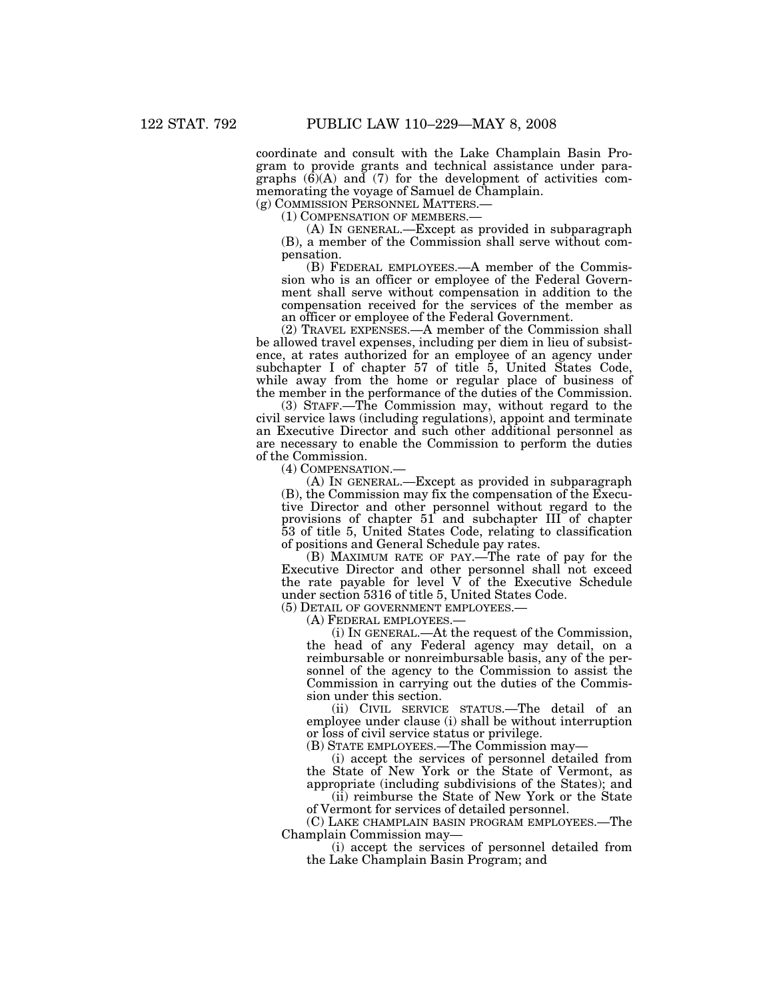coordinate and consult with the Lake Champlain Basin Program to provide grants and technical assistance under paragraphs  $(6)(A)$  and  $(7)$  for the development of activities commemorating the voyage of Samuel de Champlain.<br>(g) COMMISSION PERSONNEL MATTERS.—

(1) COMPENSATION OF MEMBERS.—<br>(A) IN GENERAL.—Except as provided in subparagraph (B), a member of the Commission shall serve without compensation.

(B) FEDERAL EMPLOYEES.—A member of the Commission who is an officer or employee of the Federal Government shall serve without compensation in addition to the compensation received for the services of the member as an officer or employee of the Federal Government.

(2) TRAVEL EXPENSES.—A member of the Commission shall be allowed travel expenses, including per diem in lieu of subsistence, at rates authorized for an employee of an agency under subchapter I of chapter 57 of title 5, United States Code, while away from the home or regular place of business of the member in the performance of the duties of the Commission.

(3) STAFF.—The Commission may, without regard to the civil service laws (including regulations), appoint and terminate an Executive Director and such other additional personnel as are necessary to enable the Commission to perform the duties of the Commission.

(4) COMPENSATION.—

(A) IN GENERAL.—Except as provided in subparagraph (B), the Commission may fix the compensation of the Executive Director and other personnel without regard to the provisions of chapter 51 and subchapter III of chapter 53 of title 5, United States Code, relating to classification of positions and General Schedule pay rates.

(B) MAXIMUM RATE OF PAY.—The rate of pay for the Executive Director and other personnel shall not exceed the rate payable for level V of the Executive Schedule under section 5316 of title 5, United States Code.

(5) DETAIL OF GOVERNMENT EMPLOYEES.—

(A) FEDERAL EMPLOYEES.—

(i) IN GENERAL.—At the request of the Commission, the head of any Federal agency may detail, on a reimbursable or nonreimbursable basis, any of the personnel of the agency to the Commission to assist the Commission in carrying out the duties of the Commission under this section.

(ii) CIVIL SERVICE STATUS.—The detail of an employee under clause (i) shall be without interruption or loss of civil service status or privilege.

(B) STATE EMPLOYEES.—The Commission may—

(i) accept the services of personnel detailed from the State of New York or the State of Vermont, as appropriate (including subdivisions of the States); and

(ii) reimburse the State of New York or the State of Vermont for services of detailed personnel.

(C) LAKE CHAMPLAIN BASIN PROGRAM EMPLOYEES.—The Champlain Commission may—

(i) accept the services of personnel detailed from the Lake Champlain Basin Program; and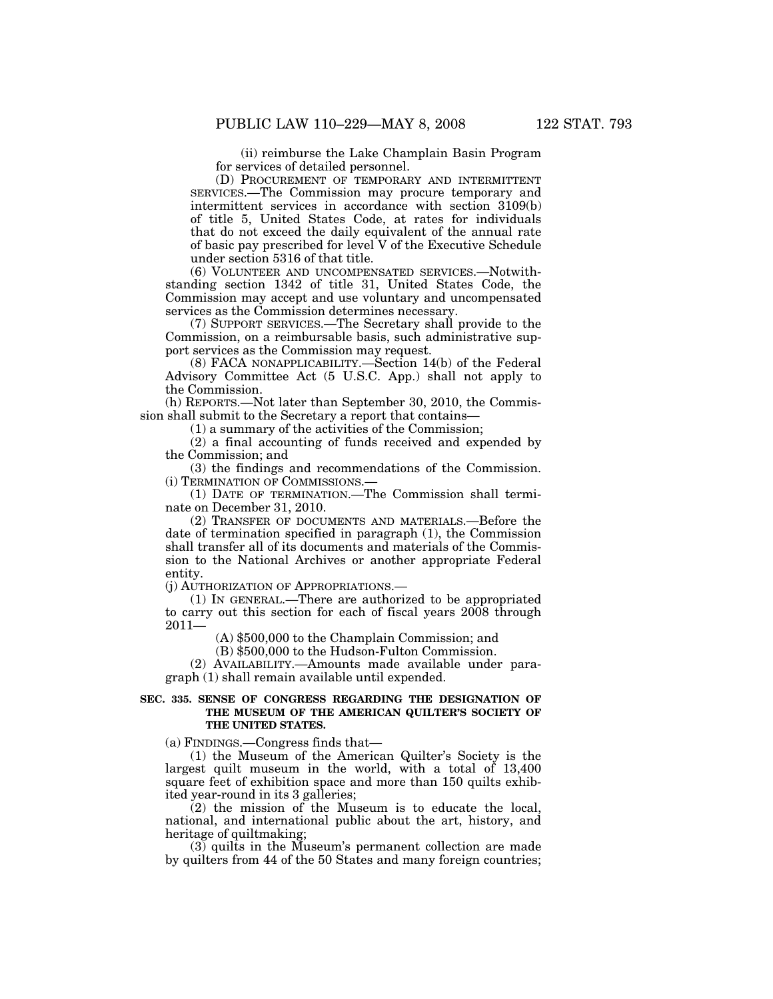(ii) reimburse the Lake Champlain Basin Program for services of detailed personnel.

(D) PROCUREMENT OF TEMPORARY AND INTERMITTENT SERVICES.—The Commission may procure temporary and intermittent services in accordance with section 3109(b) of title 5, United States Code, at rates for individuals that do not exceed the daily equivalent of the annual rate of basic pay prescribed for level V of the Executive Schedule under section 5316 of that title.

(6) VOLUNTEER AND UNCOMPENSATED SERVICES.—Notwithstanding section 1342 of title 31, United States Code, the Commission may accept and use voluntary and uncompensated services as the Commission determines necessary.

(7) SUPPORT SERVICES.—The Secretary shall provide to the Commission, on a reimbursable basis, such administrative support services as the Commission may request.

(8) FACA NONAPPLICABILITY.—Section 14(b) of the Federal Advisory Committee Act (5 U.S.C. App.) shall not apply to the Commission.

(h) REPORTS.—Not later than September 30, 2010, the Commission shall submit to the Secretary a report that contains—

(1) a summary of the activities of the Commission;

(2) a final accounting of funds received and expended by the Commission; and

(3) the findings and recommendations of the Commission. (i) TERMINATION OF COMMISSIONS.—

(1) DATE OF TERMINATION.—The Commission shall terminate on December 31, 2010.

(2) TRANSFER OF DOCUMENTS AND MATERIALS.—Before the date of termination specified in paragraph (1), the Commission shall transfer all of its documents and materials of the Commission to the National Archives or another appropriate Federal entity.

(j) AUTHORIZATION OF APPROPRIATIONS.—

(1) IN GENERAL.—There are authorized to be appropriated to carry out this section for each of fiscal years 2008 through 2011—

(A) \$500,000 to the Champlain Commission; and

(B) \$500,000 to the Hudson-Fulton Commission.

(2) AVAILABILITY.—Amounts made available under paragraph (1) shall remain available until expended.

## **SEC. 335. SENSE OF CONGRESS REGARDING THE DESIGNATION OF THE MUSEUM OF THE AMERICAN QUILTER'S SOCIETY OF THE UNITED STATES.**

(a) FINDINGS.—Congress finds that—

(1) the Museum of the American Quilter's Society is the largest quilt museum in the world, with a total of 13,400 square feet of exhibition space and more than 150 quilts exhibited year-round in its 3 galleries;

 $(2)$  the mission of the Museum is to educate the local, national, and international public about the art, history, and heritage of quiltmaking;

(3) quilts in the Museum's permanent collection are made by quilters from 44 of the 50 States and many foreign countries;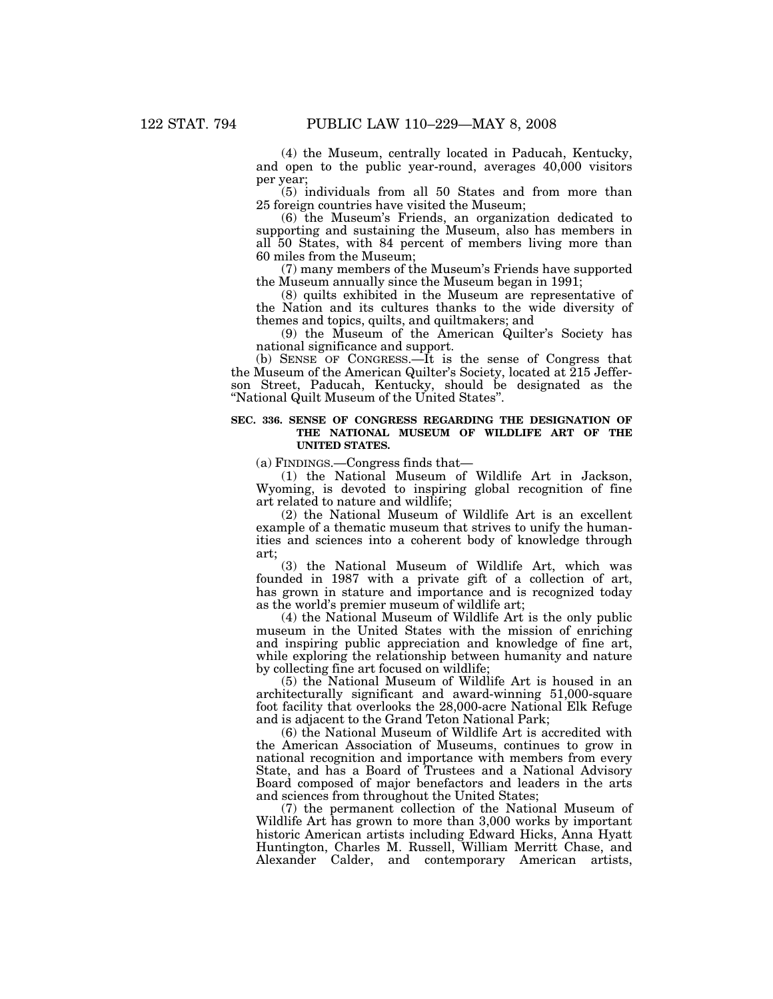(4) the Museum, centrally located in Paducah, Kentucky, and open to the public year-round, averages 40,000 visitors per year;

(5) individuals from all 50 States and from more than 25 foreign countries have visited the Museum;

(6) the Museum's Friends, an organization dedicated to supporting and sustaining the Museum, also has members in all 50 States, with 84 percent of members living more than 60 miles from the Museum;

(7) many members of the Museum's Friends have supported the Museum annually since the Museum began in 1991;

(8) quilts exhibited in the Museum are representative of the Nation and its cultures thanks to the wide diversity of themes and topics, quilts, and quiltmakers; and

(9) the Museum of the American Quilter's Society has national significance and support.

(b) SENSE OF CONGRESS.—It is the sense of Congress that the Museum of the American Quilter's Society, located at 215 Jefferson Street, Paducah, Kentucky, should be designated as the ''National Quilt Museum of the United States''.

#### **SEC. 336. SENSE OF CONGRESS REGARDING THE DESIGNATION OF THE NATIONAL MUSEUM OF WILDLIFE ART OF THE UNITED STATES.**

(a) FINDINGS.—Congress finds that—

(1) the National Museum of Wildlife Art in Jackson, Wyoming, is devoted to inspiring global recognition of fine art related to nature and wildlife;

(2) the National Museum of Wildlife Art is an excellent example of a thematic museum that strives to unify the humanities and sciences into a coherent body of knowledge through art;

(3) the National Museum of Wildlife Art, which was founded in 1987 with a private gift of a collection of art, has grown in stature and importance and is recognized today as the world's premier museum of wildlife art;

(4) the National Museum of Wildlife Art is the only public museum in the United States with the mission of enriching and inspiring public appreciation and knowledge of fine art, while exploring the relationship between humanity and nature by collecting fine art focused on wildlife;

(5) the National Museum of Wildlife Art is housed in an architecturally significant and award-winning 51,000-square foot facility that overlooks the 28,000-acre National Elk Refuge and is adjacent to the Grand Teton National Park;

(6) the National Museum of Wildlife Art is accredited with the American Association of Museums, continues to grow in national recognition and importance with members from every State, and has a Board of Trustees and a National Advisory Board composed of major benefactors and leaders in the arts and sciences from throughout the United States;

(7) the permanent collection of the National Museum of Wildlife Art has grown to more than 3,000 works by important historic American artists including Edward Hicks, Anna Hyatt Huntington, Charles M. Russell, William Merritt Chase, and Alexander Calder, and contemporary American artists,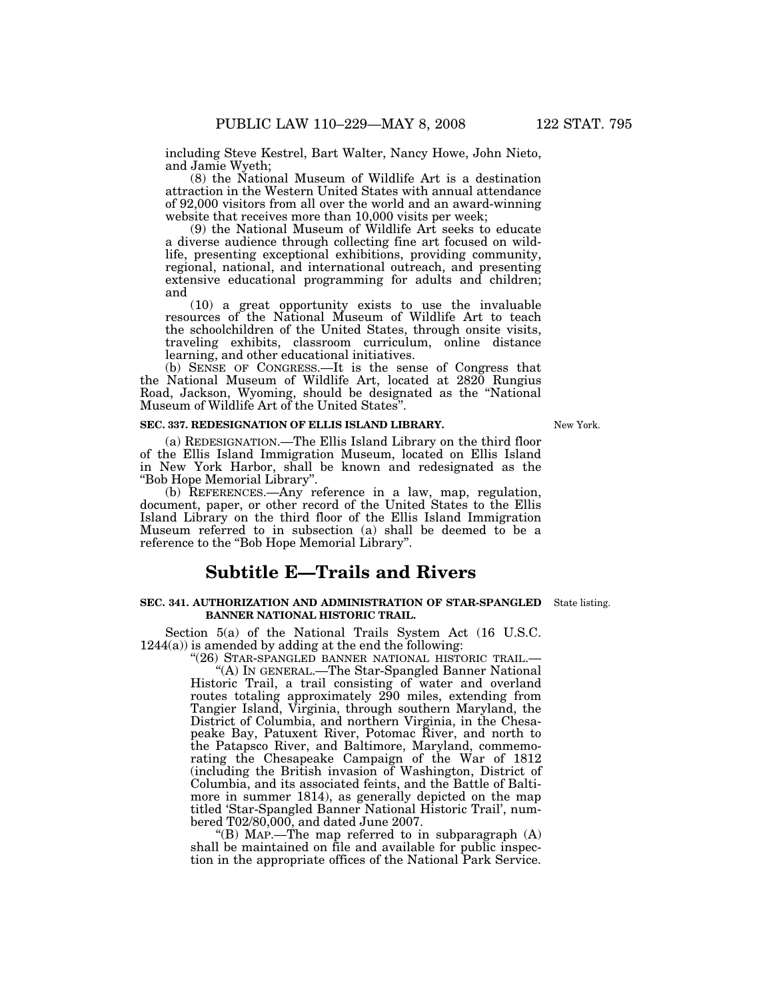including Steve Kestrel, Bart Walter, Nancy Howe, John Nieto, and Jamie Wyeth;

(8) the National Museum of Wildlife Art is a destination attraction in the Western United States with annual attendance of 92,000 visitors from all over the world and an award-winning website that receives more than 10,000 visits per week;

(9) the National Museum of Wildlife Art seeks to educate a diverse audience through collecting fine art focused on wildlife, presenting exceptional exhibitions, providing community, regional, national, and international outreach, and presenting extensive educational programming for adults and children; and

(10) a great opportunity exists to use the invaluable resources of the National Museum of Wildlife Art to teach the schoolchildren of the United States, through onsite visits, traveling exhibits, classroom curriculum, online distance learning, and other educational initiatives.

(b) SENSE OF CONGRESS.—It is the sense of Congress that the National Museum of Wildlife Art, located at 2820 Rungius Road, Jackson, Wyoming, should be designated as the ''National Museum of Wildlife Art of the United States''.

#### **SEC. 337. REDESIGNATION OF ELLIS ISLAND LIBRARY.**

New York.

(a) REDESIGNATION.—The Ellis Island Library on the third floor of the Ellis Island Immigration Museum, located on Ellis Island in New York Harbor, shall be known and redesignated as the ''Bob Hope Memorial Library''.

(b) REFERENCES.—Any reference in a law, map, regulation, document, paper, or other record of the United States to the Ellis Island Library on the third floor of the Ellis Island Immigration Museum referred to in subsection (a) shall be deemed to be a reference to the ''Bob Hope Memorial Library''.

# **Subtitle E—Trails and Rivers**

#### **SEC. 341. AUTHORIZATION AND ADMINISTRATION OF STAR-SPANGLED** State listing. **BANNER NATIONAL HISTORIC TRAIL.**

Section 5(a) of the National Trails System Act (16 U.S.C.  $1244(a)$ ) is amended by adding at the end the following:

"(26) STAR-SPANGLED BANNER NATIONAL HISTORIC TRAIL.-''(A) IN GENERAL.—The Star-Spangled Banner National Historic Trail, a trail consisting of water and overland routes totaling approximately 290 miles, extending from Tangier Island, Virginia, through southern Maryland, the District of Columbia, and northern Virginia, in the Chesapeake Bay, Patuxent River, Potomac River, and north to the Patapsco River, and Baltimore, Maryland, commemorating the Chesapeake Campaign of the War of 1812 (including the British invasion of Washington, District of Columbia, and its associated feints, and the Battle of Baltimore in summer 1814), as generally depicted on the map titled 'Star-Spangled Banner National Historic Trail', numbered T02/80,000, and dated June 2007.

"(B) MAP.—The map referred to in subparagraph  $(A)$ shall be maintained on file and available for public inspection in the appropriate offices of the National Park Service.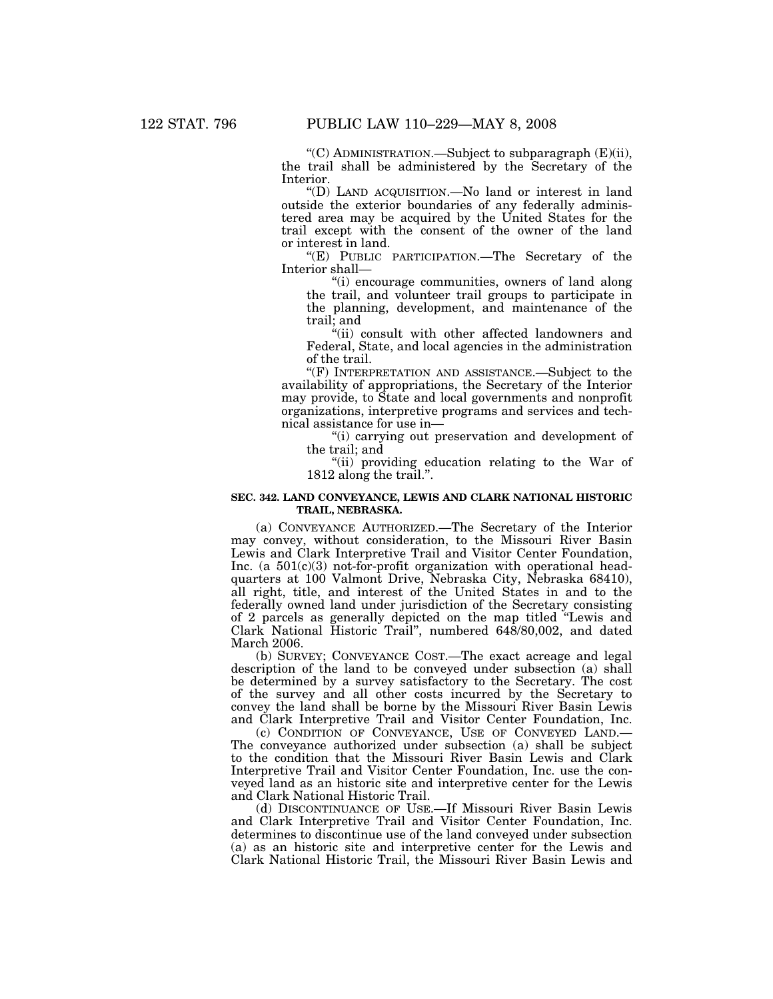''(C) ADMINISTRATION.—Subject to subparagraph (E)(ii), the trail shall be administered by the Secretary of the Interior.

''(D) LAND ACQUISITION.—No land or interest in land outside the exterior boundaries of any federally administered area may be acquired by the United States for the trail except with the consent of the owner of the land or interest in land.

''(E) PUBLIC PARTICIPATION.—The Secretary of the Interior shall—

''(i) encourage communities, owners of land along the trail, and volunteer trail groups to participate in the planning, development, and maintenance of the trail; and

''(ii) consult with other affected landowners and Federal, State, and local agencies in the administration of the trail.

"(F) INTERPRETATION AND ASSISTANCE.—Subject to the availability of appropriations, the Secretary of the Interior may provide, to State and local governments and nonprofit organizations, interpretive programs and services and technical assistance for use in—

''(i) carrying out preservation and development of the trail; and

"(ii) providing education relating to the War of 1812 along the trail.''.

#### **SEC. 342. LAND CONVEYANCE, LEWIS AND CLARK NATIONAL HISTORIC TRAIL, NEBRASKA.**

(a) CONVEYANCE AUTHORIZED.—The Secretary of the Interior may convey, without consideration, to the Missouri River Basin Lewis and Clark Interpretive Trail and Visitor Center Foundation, Inc. (a 501(c)(3) not-for-profit organization with operational headquarters at 100 Valmont Drive, Nebraska City, Nebraska 68410), all right, title, and interest of the United States in and to the federally owned land under jurisdiction of the Secretary consisting of 2 parcels as generally depicted on the map titled ''Lewis and Clark National Historic Trail'', numbered 648/80,002, and dated March 2006.

(b) SURVEY; CONVEYANCE COST.—The exact acreage and legal description of the land to be conveyed under subsection (a) shall be determined by a survey satisfactory to the Secretary. The cost of the survey and all other costs incurred by the Secretary to convey the land shall be borne by the Missouri River Basin Lewis and Clark Interpretive Trail and Visitor Center Foundation, Inc.

(c) CONDITION OF CONVEYANCE, USE OF CONVEYED LAND.— The conveyance authorized under subsection (a) shall be subject to the condition that the Missouri River Basin Lewis and Clark Interpretive Trail and Visitor Center Foundation, Inc. use the conveyed land as an historic site and interpretive center for the Lewis and Clark National Historic Trail.

(d) DISCONTINUANCE OF USE.—If Missouri River Basin Lewis and Clark Interpretive Trail and Visitor Center Foundation, Inc. determines to discontinue use of the land conveyed under subsection (a) as an historic site and interpretive center for the Lewis and Clark National Historic Trail, the Missouri River Basin Lewis and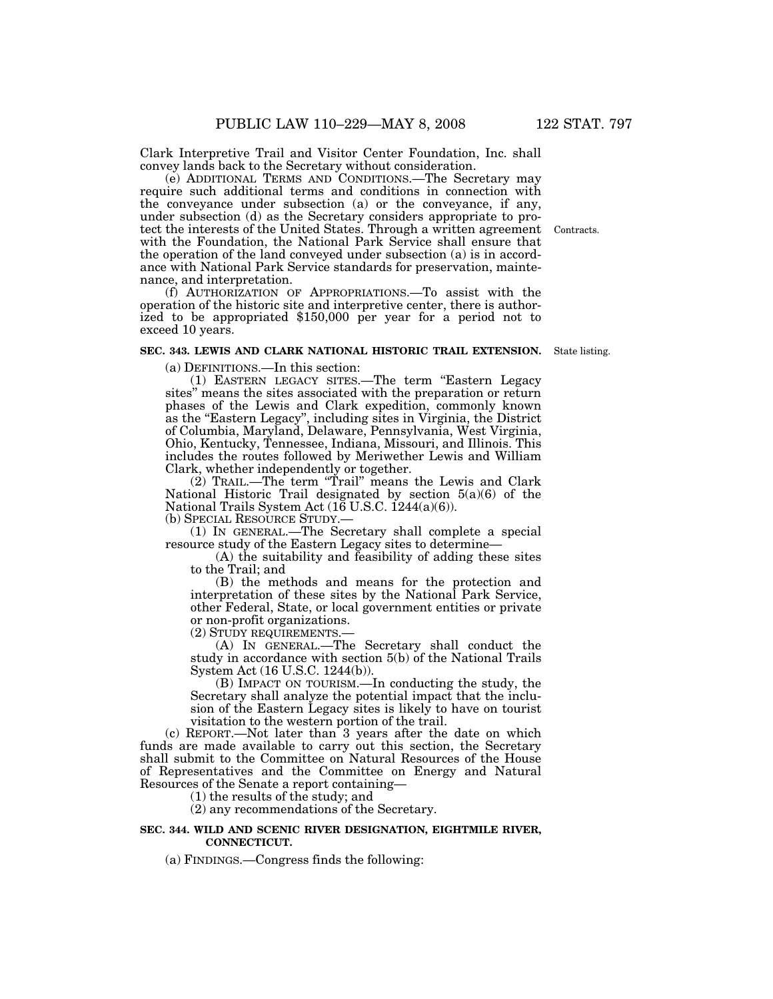Clark Interpretive Trail and Visitor Center Foundation, Inc. shall convey lands back to the Secretary without consideration.

(e) ADDITIONAL TERMS AND CONDITIONS.—The Secretary may require such additional terms and conditions in connection with the conveyance under subsection (a) or the conveyance, if any, under subsection (d) as the Secretary considers appropriate to protect the interests of the United States. Through a written agreement Contracts. with the Foundation, the National Park Service shall ensure that the operation of the land conveyed under subsection (a) is in accordance with National Park Service standards for preservation, maintenance, and interpretation.

(f) AUTHORIZATION OF APPROPRIATIONS.—To assist with the operation of the historic site and interpretive center, there is authorized to be appropriated \$150,000 per year for a period not to exceed 10 years.

#### **SEC. 343. LEWIS AND CLARK NATIONAL HISTORIC TRAIL EXTENSION.** State listing.

(a) DEFINITIONS.—In this section:

(1) EASTERN LEGACY SITES.—The term ''Eastern Legacy sites'' means the sites associated with the preparation or return phases of the Lewis and Clark expedition, commonly known as the ''Eastern Legacy'', including sites in Virginia, the District of Columbia, Maryland, Delaware, Pennsylvania, West Virginia, Ohio, Kentucky, Tennessee, Indiana, Missouri, and Illinois. This includes the routes followed by Meriwether Lewis and William Clark, whether independently or together.

 $(2)$  TRAIL.—The term "Trail" means the Lewis and Clark National Historic Trail designated by section 5(a)(6) of the National Trails System Act  $(16 \text{ U.S.C. } 1244(a)(6)).$ 

(b) SPECIAL RESOURCE STUDY.—

(1) IN GENERAL.—The Secretary shall complete a special resource study of the Eastern Legacy sites to determine—

(A) the suitability and feasibility of adding these sites to the Trail; and

(B) the methods and means for the protection and interpretation of these sites by the National Park Service, other Federal, State, or local government entities or private or non-profit organizations.

(2) STUDY REQUIREMENTS.—

(A) IN GENERAL.—The Secretary shall conduct the study in accordance with section 5(b) of the National Trails System Act (16 U.S.C. 1244(b)).

(B) IMPACT ON TOURISM.—In conducting the study, the Secretary shall analyze the potential impact that the inclusion of the Eastern Legacy sites is likely to have on tourist visitation to the western portion of the trail.

(c) REPORT.—Not later than 3 years after the date on which funds are made available to carry out this section, the Secretary shall submit to the Committee on Natural Resources of the House of Representatives and the Committee on Energy and Natural Resources of the Senate a report containing—

(1) the results of the study; and

(2) any recommendations of the Secretary.

## **SEC. 344. WILD AND SCENIC RIVER DESIGNATION, EIGHTMILE RIVER, CONNECTICUT.**

(a) FINDINGS.—Congress finds the following: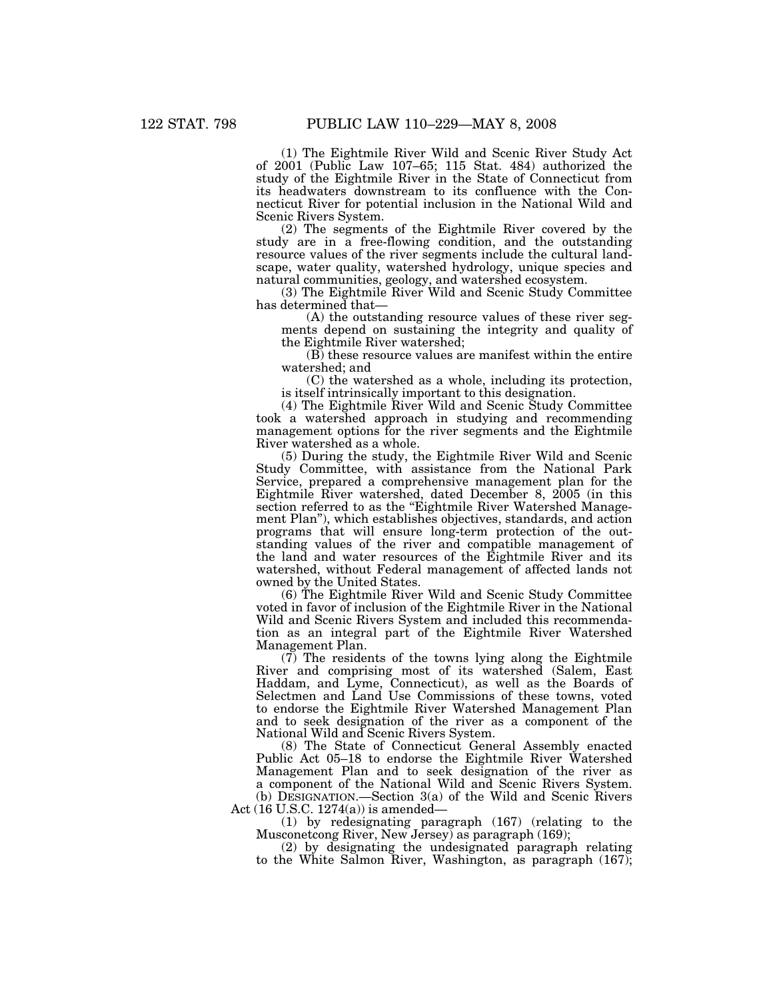(1) The Eightmile River Wild and Scenic River Study Act of 2001 (Public Law 107–65; 115 Stat. 484) authorized the study of the Eightmile River in the State of Connecticut from its headwaters downstream to its confluence with the Connecticut River for potential inclusion in the National Wild and Scenic Rivers System.

(2) The segments of the Eightmile River covered by the study are in a free-flowing condition, and the outstanding resource values of the river segments include the cultural landscape, water quality, watershed hydrology, unique species and natural communities, geology, and watershed ecosystem.

(3) The Eightmile River Wild and Scenic Study Committee has determined that—

(A) the outstanding resource values of these river segments depend on sustaining the integrity and quality of the Eightmile River watershed;

(B) these resource values are manifest within the entire watershed; and

(C) the watershed as a whole, including its protection, is itself intrinsically important to this designation.

(4) The Eightmile River Wild and Scenic Study Committee took a watershed approach in studying and recommending management options for the river segments and the Eightmile River watershed as a whole.

(5) During the study, the Eightmile River Wild and Scenic Study Committee, with assistance from the National Park Service, prepared a comprehensive management plan for the Eightmile River watershed, dated December 8, 2005 (in this section referred to as the "Eightmile River Watershed Management Plan''), which establishes objectives, standards, and action programs that will ensure long-term protection of the outstanding values of the river and compatible management of the land and water resources of the Eightmile River and its watershed, without Federal management of affected lands not owned by the United States.

(6) The Eightmile River Wild and Scenic Study Committee voted in favor of inclusion of the Eightmile River in the National Wild and Scenic Rivers System and included this recommendation as an integral part of the Eightmile River Watershed Management Plan.

(7) The residents of the towns lying along the Eightmile River and comprising most of its watershed (Salem, East Haddam, and Lyme, Connecticut), as well as the Boards of Selectmen and Land Use Commissions of these towns, voted to endorse the Eightmile River Watershed Management Plan and to seek designation of the river as a component of the National Wild and Scenic Rivers System.

(8) The State of Connecticut General Assembly enacted Public Act 05–18 to endorse the Eightmile River Watershed Management Plan and to seek designation of the river as a component of the National Wild and Scenic Rivers System. (b) DESIGNATION.—Section 3(a) of the Wild and Scenic Rivers

Act (16 U.S.C. 1274(a)) is amended—

(1) by redesignating paragraph (167) (relating to the Musconetcong River, New Jersey) as paragraph (169);

(2) by designating the undesignated paragraph relating to the White Salmon River, Washington, as paragraph (167);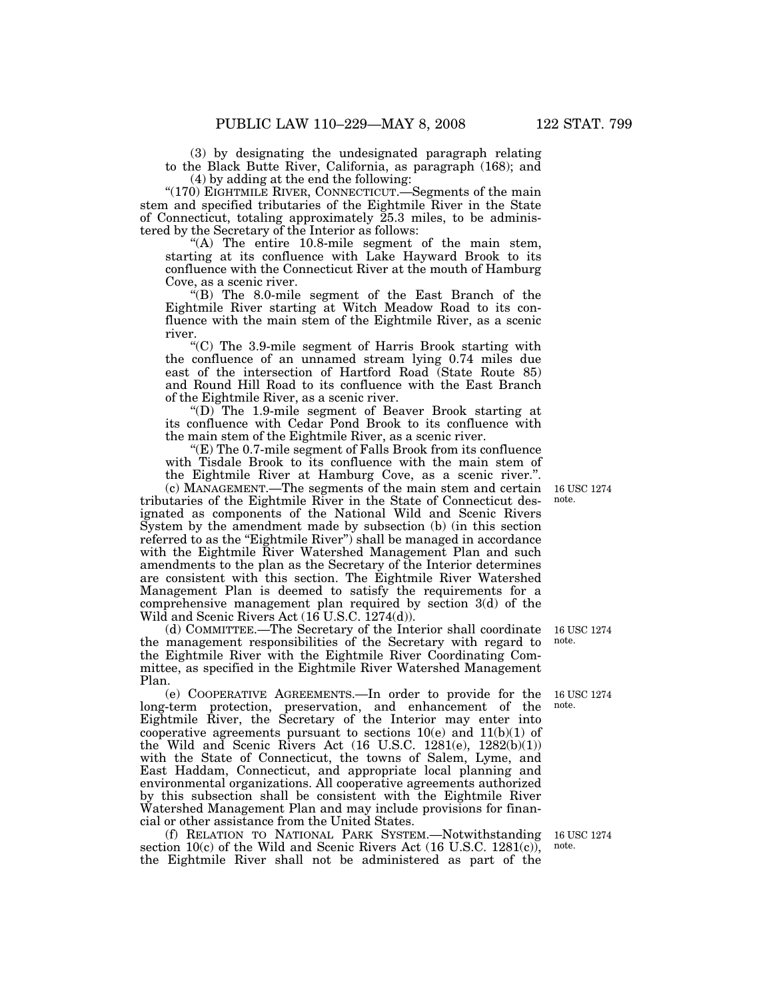(3) by designating the undesignated paragraph relating to the Black Butte River, California, as paragraph (168); and

(4) by adding at the end the following:

"(170) EIGHTMILE RIVER, CONNECTICUT.—Segments of the main stem and specified tributaries of the Eightmile River in the State of Connecticut, totaling approximately 25.3 miles, to be administered by the Secretary of the Interior as follows:

''(A) The entire 10.8-mile segment of the main stem, starting at its confluence with Lake Hayward Brook to its confluence with the Connecticut River at the mouth of Hamburg Cove, as a scenic river.

''(B) The 8.0-mile segment of the East Branch of the Eightmile River starting at Witch Meadow Road to its confluence with the main stem of the Eightmile River, as a scenic river.

"(C) The 3.9-mile segment of Harris Brook starting with the confluence of an unnamed stream lying 0.74 miles due east of the intersection of Hartford Road (State Route 85) and Round Hill Road to its confluence with the East Branch of the Eightmile River, as a scenic river.

 $'(D)$  The 1.9-mile segment of Beaver Brook starting at its confluence with Cedar Pond Brook to its confluence with the main stem of the Eightmile River, as a scenic river.

 $E(E)$  The 0.7-mile segment of Falls Brook from its confluence with Tisdale Brook to its confluence with the main stem of the Eightmile River at Hamburg Cove, as a scenic river.''.

(c) MANAGEMENT.—The segments of the main stem and certain tributaries of the Eightmile River in the State of Connecticut designated as components of the National Wild and Scenic Rivers System by the amendment made by subsection (b) (in this section referred to as the "Eightmile River") shall be managed in accordance with the Eightmile River Watershed Management Plan and such amendments to the plan as the Secretary of the Interior determines are consistent with this section. The Eightmile River Watershed Management Plan is deemed to satisfy the requirements for a comprehensive management plan required by section 3(d) of the Wild and Scenic Rivers Act (16 U.S.C. 1274(d)).

(d) COMMITTEE.—The Secretary of the Interior shall coordinate the management responsibilities of the Secretary with regard to the Eightmile River with the Eightmile River Coordinating Committee, as specified in the Eightmile River Watershed Management Plan.

(e) COOPERATIVE AGREEMENTS.—In order to provide for the long-term protection, preservation, and enhancement of the Eightmile River, the Secretary of the Interior may enter into cooperative agreements pursuant to sections  $10(e)$  and  $11(b)(1)$  of the Wild and Scenic Rivers Act (16 U.S.C. 1281(e), 1282(b)(1)) with the State of Connecticut, the towns of Salem, Lyme, and East Haddam, Connecticut, and appropriate local planning and environmental organizations. All cooperative agreements authorized by this subsection shall be consistent with the Eightmile River Watershed Management Plan and may include provisions for financial or other assistance from the United States.

(f) RELATION TO NATIONAL PARK SYSTEM.—Notwithstanding section  $10(c)$  of the Wild and Scenic Rivers Act (16 U.S.C. 1281 $(c)$ ), the Eightmile River shall not be administered as part of the

16 USC 1274 note.

16 USC 1274 note.

16 USC 1274 note.

16 USC 1274 note.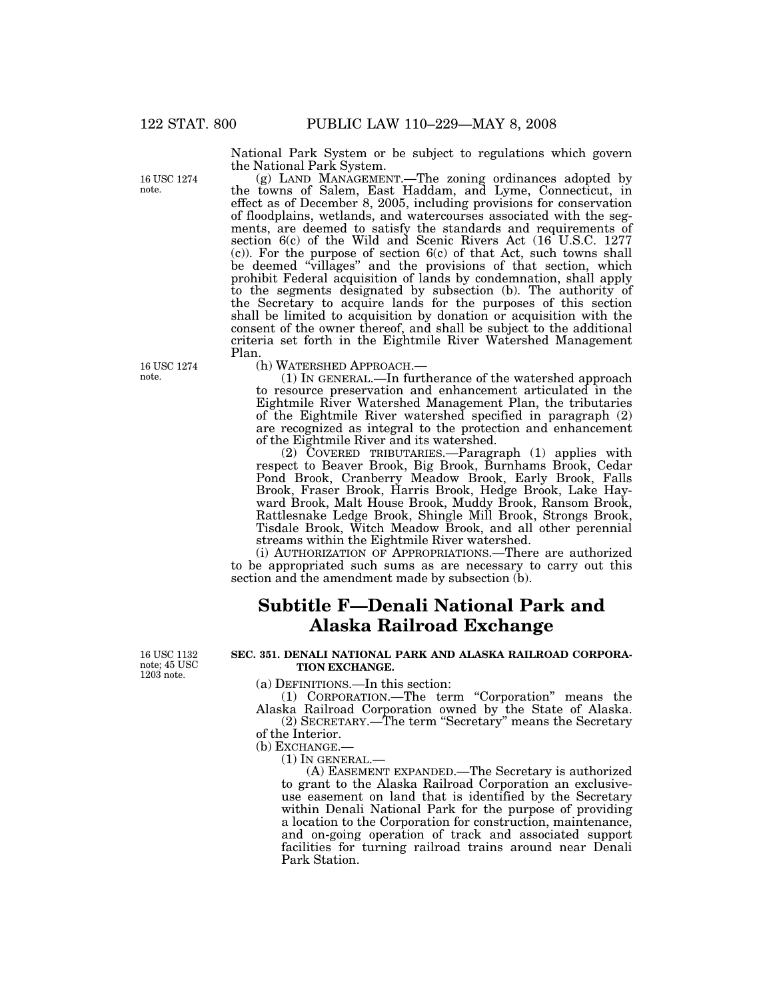National Park System or be subject to regulations which govern the National Park System.

(g) LAND MANAGEMENT.—The zoning ordinances adopted by the towns of Salem, East Haddam, and Lyme, Connecticut, in effect as of December 8, 2005, including provisions for conservation of floodplains, wetlands, and watercourses associated with the segments, are deemed to satisfy the standards and requirements of section 6(c) of the Wild and Scenic Rivers Act (16 U.S.C. 1277 (c)). For the purpose of section 6(c) of that Act, such towns shall be deemed ''villages'' and the provisions of that section, which prohibit Federal acquisition of lands by condemnation, shall apply to the segments designated by subsection (b). The authority of the Secretary to acquire lands for the purposes of this section shall be limited to acquisition by donation or acquisition with the consent of the owner thereof, and shall be subject to the additional criteria set forth in the Eightmile River Watershed Management Plan.<br>(h) WATERSHED APPROACH.-

 $(1)$  In GENERAL.—In furtherance of the watershed approach to resource preservation and enhancement articulated in the Eightmile River Watershed Management Plan, the tributaries of the Eightmile River watershed specified in paragraph (2) are recognized as integral to the protection and enhancement of the Eightmile River and its watershed.

(2) COVERED TRIBUTARIES.—Paragraph (1) applies with respect to Beaver Brook, Big Brook, Burnhams Brook, Cedar Pond Brook, Cranberry Meadow Brook, Early Brook, Falls Brook, Fraser Brook, Harris Brook, Hedge Brook, Lake Hayward Brook, Malt House Brook, Muddy Brook, Ransom Brook, Rattlesnake Ledge Brook, Shingle Mill Brook, Strongs Brook, Tisdale Brook, Witch Meadow Brook, and all other perennial streams within the Eightmile River watershed.

(i) AUTHORIZATION OF APPROPRIATIONS.—There are authorized to be appropriated such sums as are necessary to carry out this section and the amendment made by subsection (b).

# **Subtitle F—Denali National Park and Alaska Railroad Exchange**

16 USC 1132 note; 45 USC 1203 note.

#### **SEC. 351. DENALI NATIONAL PARK AND ALASKA RAILROAD CORPORA-TION EXCHANGE.**

(a) DEFINITIONS.—In this section:

(1) CORPORATION.—The term ''Corporation'' means the Alaska Railroad Corporation owned by the State of Alaska.

(2) SECRETARY.—The term ''Secretary'' means the Secretary of the Interior.<br>(b) EXCHANGE.-

 $(1)$  In GENERAL.—<br>(A) EASEMENT EXPANDED.—The Secretary is authorized to grant to the Alaska Railroad Corporation an exclusiveuse easement on land that is identified by the Secretary within Denali National Park for the purpose of providing a location to the Corporation for construction, maintenance, and on-going operation of track and associated support facilities for turning railroad trains around near Denali Park Station.

16 USC 1274 note.

16 USC 1274

note.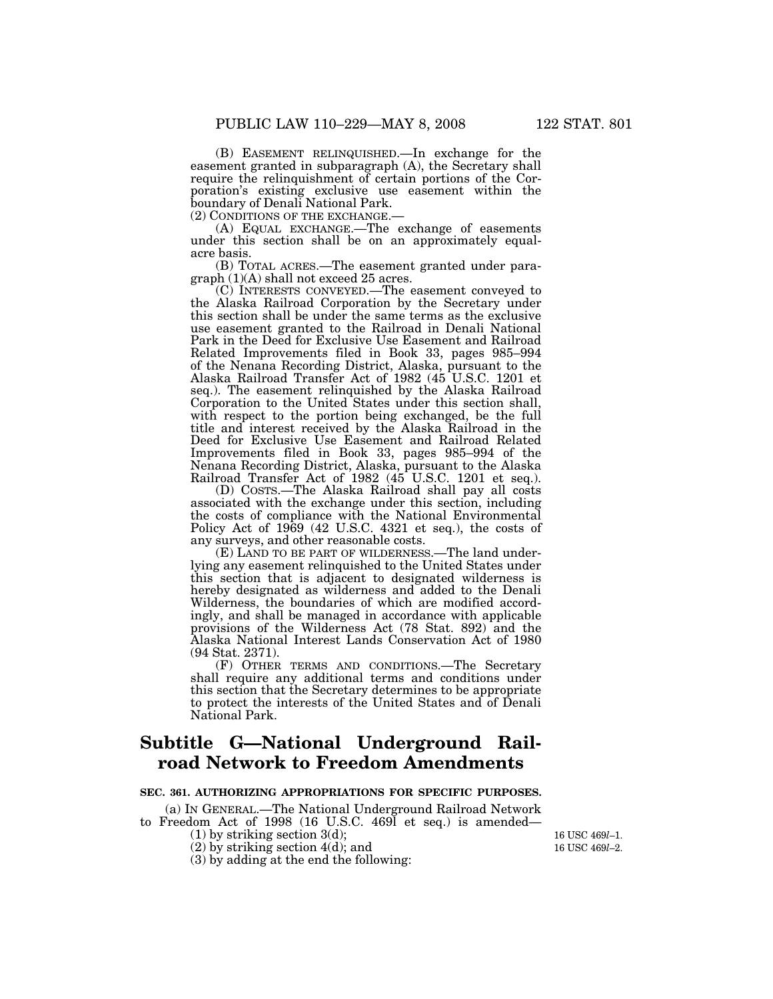(B) EASEMENT RELINQUISHED.—In exchange for the easement granted in subparagraph (A), the Secretary shall require the relinquishment of certain portions of the Corporation's existing exclusive use easement within the boundary of Denali National Park.

(2) CONDITIONS OF THE EXCHANGE.— (A) EQUAL EXCHANGE.—The exchange of easements under this section shall be on an approximately equalacre basis.

(B) TOTAL ACRES.—The easement granted under paragraph (1)(A) shall not exceed 25 acres.

(C) INTERESTS CONVEYED.—The easement conveyed to the Alaska Railroad Corporation by the Secretary under this section shall be under the same terms as the exclusive use easement granted to the Railroad in Denali National Park in the Deed for Exclusive Use Easement and Railroad Related Improvements filed in Book 33, pages 985–994 of the Nenana Recording District, Alaska, pursuant to the Alaska Railroad Transfer Act of 1982 (45 U.S.C. 1201 et seq.). The easement relinquished by the Alaska Railroad Corporation to the United States under this section shall, with respect to the portion being exchanged, be the full title and interest received by the Alaska Railroad in the Deed for Exclusive Use Easement and Railroad Related Improvements filed in Book 33, pages 985–994 of the Nenana Recording District, Alaska, pursuant to the Alaska Railroad Transfer Act of 1982 (45 U.S.C. 1201 et seq.).

(D) COSTS.—The Alaska Railroad shall pay all costs associated with the exchange under this section, including the costs of compliance with the National Environmental Policy Act of 1969 (42 U.S.C. 4321 et seq.), the costs of any surveys, and other reasonable costs.

(E) LAND TO BE PART OF WILDERNESS.—The land underlying any easement relinquished to the United States under this section that is adjacent to designated wilderness is hereby designated as wilderness and added to the Denali Wilderness, the boundaries of which are modified accordingly, and shall be managed in accordance with applicable provisions of the Wilderness Act (78 Stat. 892) and the Alaska National Interest Lands Conservation Act of 1980 (94 Stat. 2371).

(F) OTHER TERMS AND CONDITIONS.—The Secretary shall require any additional terms and conditions under this section that the Secretary determines to be appropriate to protect the interests of the United States and of Denali National Park.

# **Subtitle G—National Underground Railroad Network to Freedom Amendments**

### **SEC. 361. AUTHORIZING APPROPRIATIONS FOR SPECIFIC PURPOSES.**

(a) IN GENERAL.—The National Underground Railroad Network to Freedom Act of 1998 (16 U.S.C. 469l et seq.) is amended—

(1) by striking section 3(d);

(2) by striking section 4(d); and

(3) by adding at the end the following:

16 USC 469*l*–2. 16 USC 469*l*–1.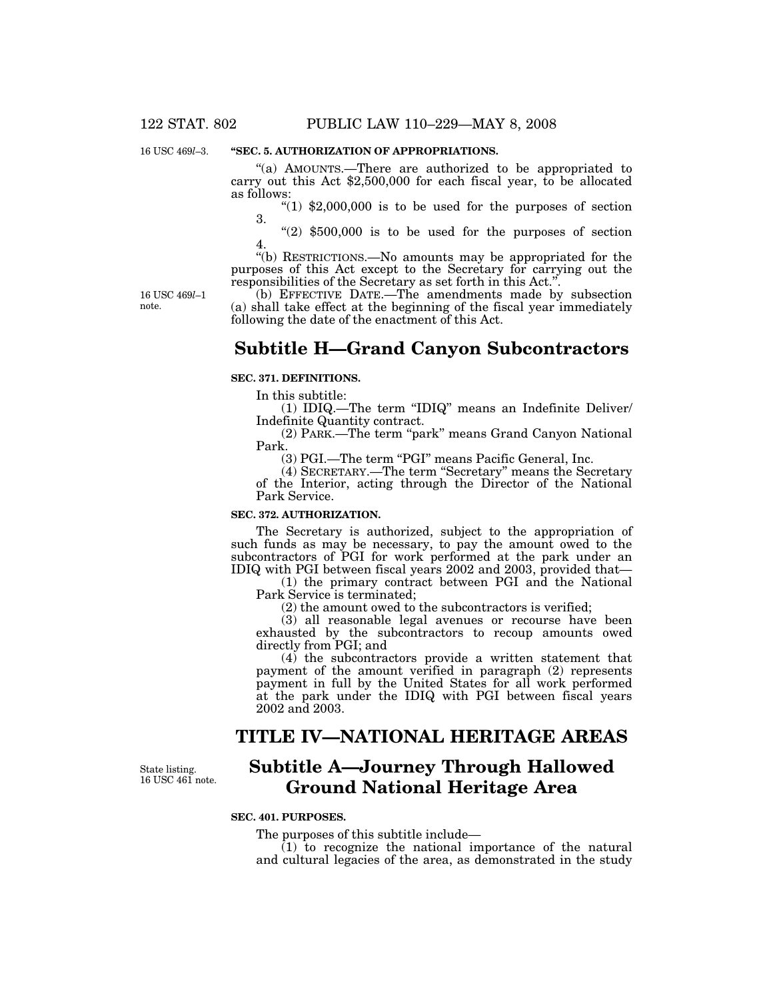16 USC 469*l*–3.

### **''SEC. 5. AUTHORIZATION OF APPROPRIATIONS.**

"(a) AMOUNTS.—There are authorized to be appropriated to carry out this Act \$2,500,000 for each fiscal year, to be allocated as follows:

" $(1)$  \$2,000,000 is to be used for the purposes of section 3.

" $(2)$  \$500,000 is to be used for the purposes of section 4.

''(b) RESTRICTIONS.—No amounts may be appropriated for the purposes of this Act except to the Secretary for carrying out the responsibilities of the Secretary as set forth in this Act.''.

16 USC 469*l*–1 note.

(b) EFFECTIVE DATE.—The amendments made by subsection (a) shall take effect at the beginning of the fiscal year immediately following the date of the enactment of this Act.

# **Subtitle H—Grand Canyon Subcontractors**

#### **SEC. 371. DEFINITIONS.**

In this subtitle:

(1) IDIQ.—The term ''IDIQ'' means an Indefinite Deliver/ Indefinite Quantity contract.

(2) PARK.—The term ''park'' means Grand Canyon National Park.

(3) PGI.—The term ''PGI'' means Pacific General, Inc.

(4) SECRETARY.—The term ''Secretary'' means the Secretary of the Interior, acting through the Director of the National Park Service.

# **SEC. 372. AUTHORIZATION.**

The Secretary is authorized, subject to the appropriation of such funds as may be necessary, to pay the amount owed to the subcontractors of PGI for work performed at the park under an IDIQ with PGI between fiscal years 2002 and 2003, provided that—

(1) the primary contract between PGI and the National Park Service is terminated;

(2) the amount owed to the subcontractors is verified;

(3) all reasonable legal avenues or recourse have been exhausted by the subcontractors to recoup amounts owed directly from PGI; and

(4) the subcontractors provide a written statement that payment of the amount verified in paragraph (2) represents payment in full by the United States for all work performed at the park under the IDIQ with PGI between fiscal years 2002 and 2003.

# **TITLE IV—NATIONAL HERITAGE AREAS**

State listing. 16 USC 461 note.

# **Subtitle A—Journey Through Hallowed Ground National Heritage Area**

#### **SEC. 401. PURPOSES.**

The purposes of this subtitle include—

 $(1)$  to recognize the national importance of the natural and cultural legacies of the area, as demonstrated in the study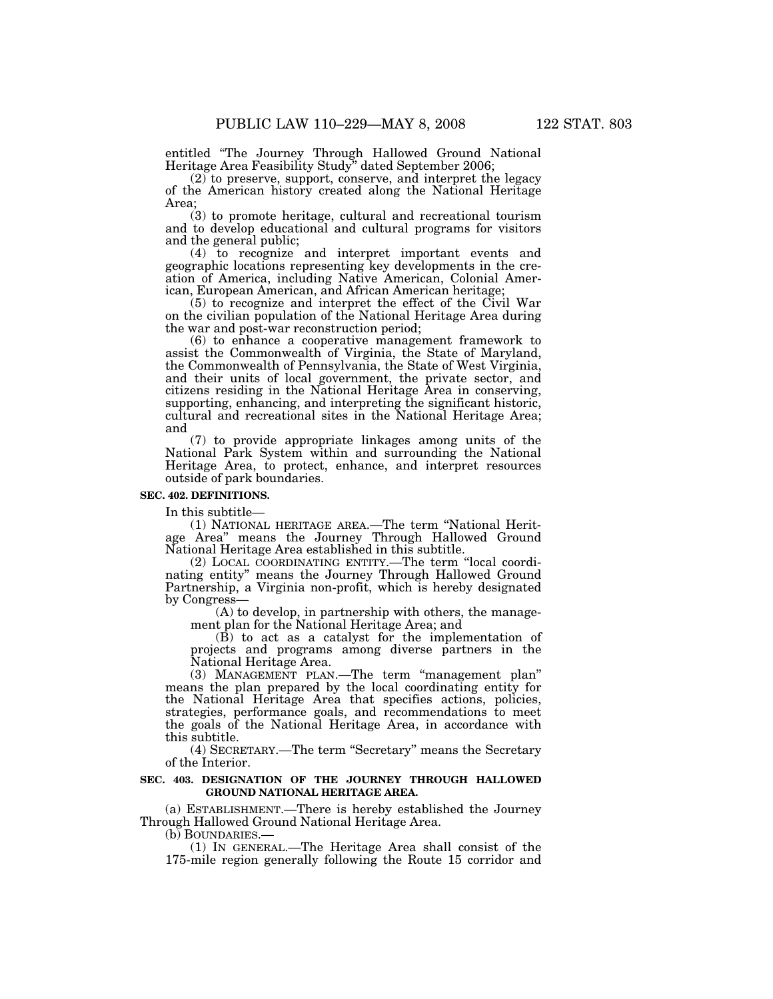entitled ''The Journey Through Hallowed Ground National Heritage Area Feasibility Study'' dated September 2006;

(2) to preserve, support, conserve, and interpret the legacy of the American history created along the National Heritage Area;

(3) to promote heritage, cultural and recreational tourism and to develop educational and cultural programs for visitors and the general public;

(4) to recognize and interpret important events and geographic locations representing key developments in the creation of America, including Native American, Colonial American, European American, and African American heritage;

(5) to recognize and interpret the effect of the Civil War on the civilian population of the National Heritage Area during the war and post-war reconstruction period;

(6) to enhance a cooperative management framework to assist the Commonwealth of Virginia, the State of Maryland, the Commonwealth of Pennsylvania, the State of West Virginia, and their units of local government, the private sector, and citizens residing in the National Heritage Area in conserving, supporting, enhancing, and interpreting the significant historic, cultural and recreational sites in the National Heritage Area; and

(7) to provide appropriate linkages among units of the National Park System within and surrounding the National Heritage Area, to protect, enhance, and interpret resources outside of park boundaries.

#### **SEC. 402. DEFINITIONS.**

In this subtitle—

(1) NATIONAL HERITAGE AREA.—The term ''National Heritage Area'' means the Journey Through Hallowed Ground National Heritage Area established in this subtitle.

(2) LOCAL COORDINATING ENTITY.—The term ''local coordinating entity'' means the Journey Through Hallowed Ground Partnership, a Virginia non-profit, which is hereby designated by Congress—

(A) to develop, in partnership with others, the management plan for the National Heritage Area; and

(B) to act as a catalyst for the implementation of projects and programs among diverse partners in the National Heritage Area.

(3) MANAGEMENT PLAN.—The term ''management plan'' means the plan prepared by the local coordinating entity for the National Heritage Area that specifies actions, policies, strategies, performance goals, and recommendations to meet the goals of the National Heritage Area, in accordance with this subtitle.

(4) SECRETARY.—The term ''Secretary'' means the Secretary of the Interior.

#### **SEC. 403. DESIGNATION OF THE JOURNEY THROUGH HALLOWED GROUND NATIONAL HERITAGE AREA.**

(a) ESTABLISHMENT.—There is hereby established the Journey Through Hallowed Ground National Heritage Area.

(b) BOUNDARIES.—

(1) IN GENERAL.—The Heritage Area shall consist of the 175-mile region generally following the Route 15 corridor and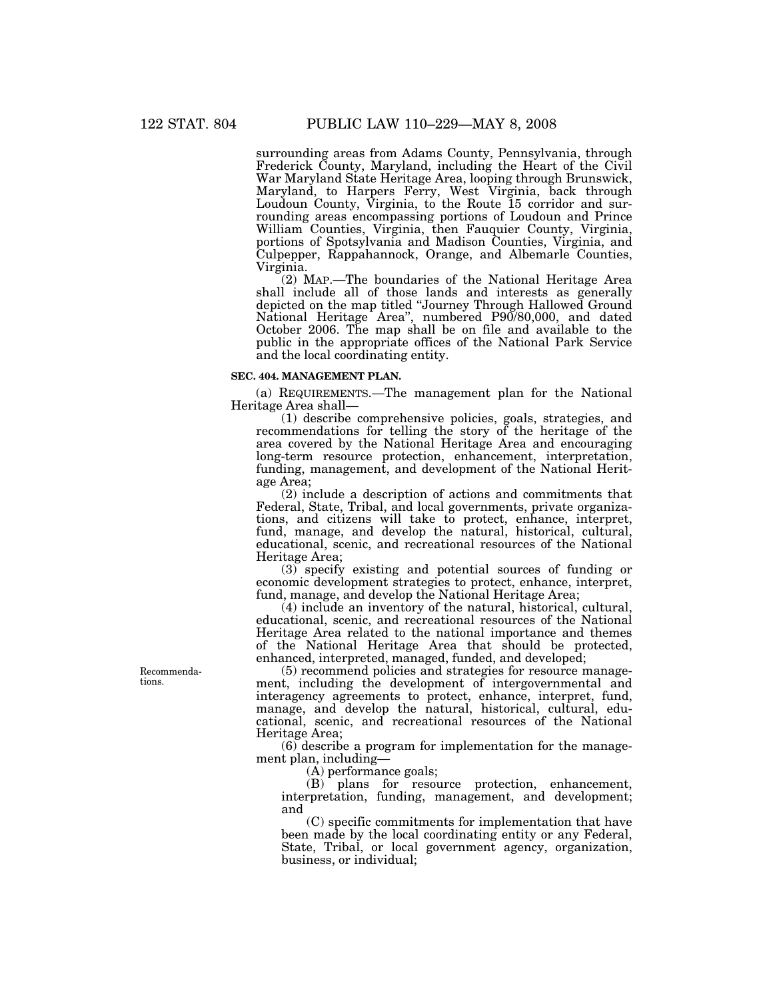surrounding areas from Adams County, Pennsylvania, through Frederick County, Maryland, including the Heart of the Civil War Maryland State Heritage Area, looping through Brunswick, Maryland, to Harpers Ferry, West Virginia, back through Loudoun County, Virginia, to the Route 15 corridor and surrounding areas encompassing portions of Loudoun and Prince William Counties, Virginia, then Fauquier County, Virginia, portions of Spotsylvania and Madison Counties, Virginia, and Culpepper, Rappahannock, Orange, and Albemarle Counties, Virginia.

(2) MAP.—The boundaries of the National Heritage Area shall include all of those lands and interests as generally depicted on the map titled ''Journey Through Hallowed Ground National Heritage Area'', numbered P90/80,000, and dated October 2006. The map shall be on file and available to the public in the appropriate offices of the National Park Service and the local coordinating entity.

#### **SEC. 404. MANAGEMENT PLAN.**

(a) REQUIREMENTS.—The management plan for the National Heritage Area shall—

(1) describe comprehensive policies, goals, strategies, and recommendations for telling the story of the heritage of the area covered by the National Heritage Area and encouraging long-term resource protection, enhancement, interpretation, funding, management, and development of the National Heritage Area;

(2) include a description of actions and commitments that Federal, State, Tribal, and local governments, private organizations, and citizens will take to protect, enhance, interpret, fund, manage, and develop the natural, historical, cultural, educational, scenic, and recreational resources of the National Heritage Area;

(3) specify existing and potential sources of funding or economic development strategies to protect, enhance, interpret, fund, manage, and develop the National Heritage Area;

(4) include an inventory of the natural, historical, cultural, educational, scenic, and recreational resources of the National Heritage Area related to the national importance and themes of the National Heritage Area that should be protected, enhanced, interpreted, managed, funded, and developed;

(5) recommend policies and strategies for resource management, including the development of intergovernmental and interagency agreements to protect, enhance, interpret, fund, manage, and develop the natural, historical, cultural, educational, scenic, and recreational resources of the National Heritage Area;

(6) describe a program for implementation for the management plan, including—

(A) performance goals;

(B) plans for resource protection, enhancement, interpretation, funding, management, and development; and

(C) specific commitments for implementation that have been made by the local coordinating entity or any Federal, State, Tribal, or local government agency, organization, business, or individual;

Recommendations.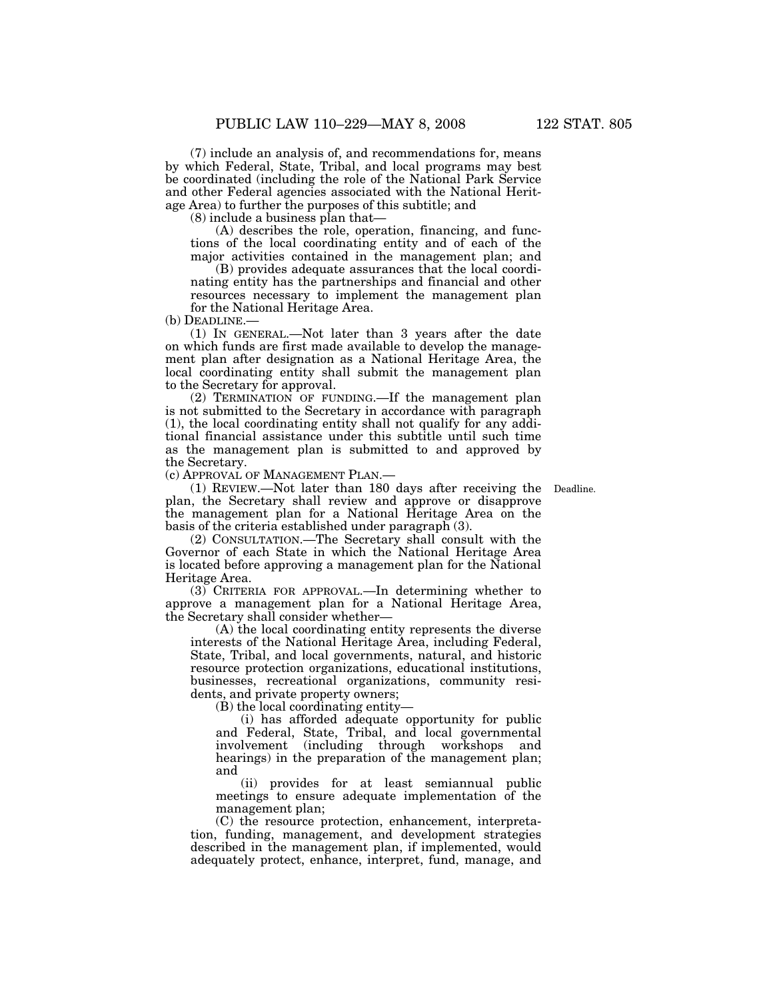(7) include an analysis of, and recommendations for, means by which Federal, State, Tribal, and local programs may best be coordinated (including the role of the National Park Service and other Federal agencies associated with the National Heritage Area) to further the purposes of this subtitle; and

(8) include a business plan that—

(A) describes the role, operation, financing, and functions of the local coordinating entity and of each of the major activities contained in the management plan; and

(B) provides adequate assurances that the local coordinating entity has the partnerships and financial and other resources necessary to implement the management plan for the National Heritage Area.

(b) DEADLINE.—

(1) IN GENERAL.—Not later than 3 years after the date on which funds are first made available to develop the management plan after designation as a National Heritage Area, the local coordinating entity shall submit the management plan to the Secretary for approval.

(2) TERMINATION OF FUNDING.—If the management plan is not submitted to the Secretary in accordance with paragraph (1), the local coordinating entity shall not qualify for any additional financial assistance under this subtitle until such time as the management plan is submitted to and approved by the Secretary.

(c) APPROVAL OF MANAGEMENT PLAN.—

(1) REVIEW.—Not later than 180 days after receiving the Deadline. plan, the Secretary shall review and approve or disapprove the management plan for a National Heritage Area on the basis of the criteria established under paragraph (3).

(2) CONSULTATION.—The Secretary shall consult with the Governor of each State in which the National Heritage Area is located before approving a management plan for the National Heritage Area.

(3) CRITERIA FOR APPROVAL.—In determining whether to approve a management plan for a National Heritage Area, the Secretary shall consider whether—

(A) the local coordinating entity represents the diverse interests of the National Heritage Area, including Federal, State, Tribal, and local governments, natural, and historic resource protection organizations, educational institutions, businesses, recreational organizations, community residents, and private property owners;

(B) the local coordinating entity—

(i) has afforded adequate opportunity for public and Federal, State, Tribal, and local governmental involvement (including through workshops and hearings) in the preparation of the management plan; and

(ii) provides for at least semiannual public meetings to ensure adequate implementation of the management plan;

(C) the resource protection, enhancement, interpretation, funding, management, and development strategies described in the management plan, if implemented, would adequately protect, enhance, interpret, fund, manage, and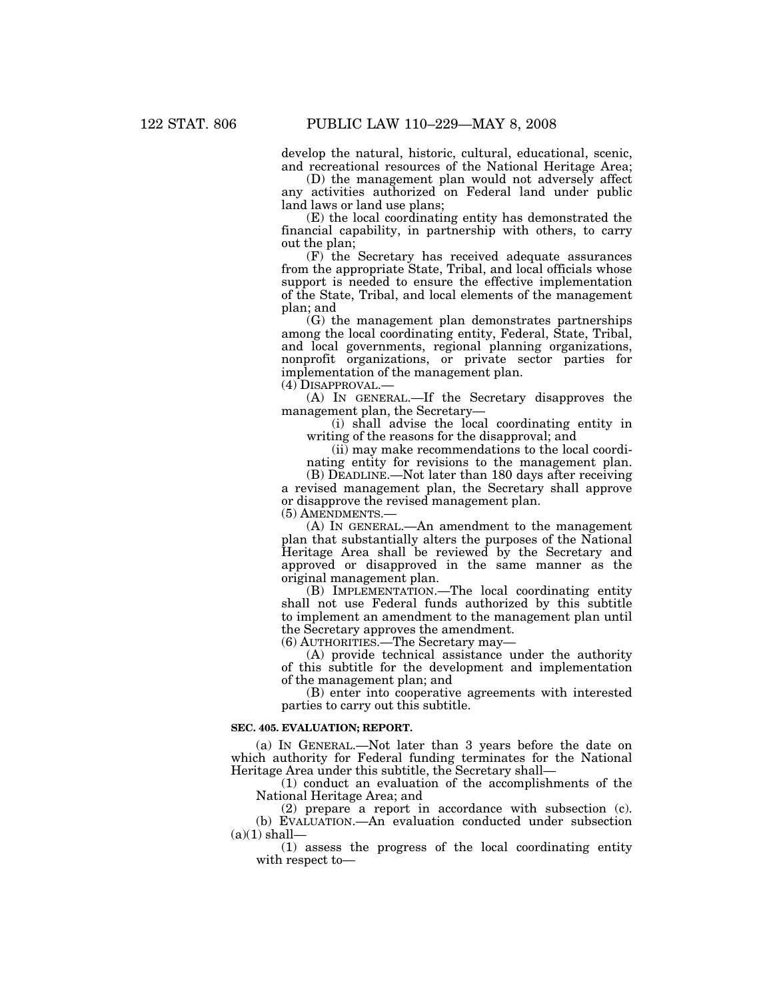develop the natural, historic, cultural, educational, scenic, and recreational resources of the National Heritage Area;

(D) the management plan would not adversely affect any activities authorized on Federal land under public land laws or land use plans;

(E) the local coordinating entity has demonstrated the financial capability, in partnership with others, to carry out the plan;

(F) the Secretary has received adequate assurances from the appropriate State, Tribal, and local officials whose support is needed to ensure the effective implementation of the State, Tribal, and local elements of the management plan; and

(G) the management plan demonstrates partnerships among the local coordinating entity, Federal, State, Tribal, and local governments, regional planning organizations, nonprofit organizations, or private sector parties for implementation of the management plan.

(4) DISAPPROVAL.—

(A) IN GENERAL.—If the Secretary disapproves the management plan, the Secretary—

(i) shall advise the local coordinating entity in writing of the reasons for the disapproval; and

(ii) may make recommendations to the local coordinating entity for revisions to the management plan.

(B) DEADLINE.—Not later than 180 days after receiving a revised management plan, the Secretary shall approve or disapprove the revised management plan.

(5) AMENDMENTS.—

(A) IN GENERAL.—An amendment to the management plan that substantially alters the purposes of the National Heritage Area shall be reviewed by the Secretary and approved or disapproved in the same manner as the original management plan.

(B) IMPLEMENTATION.—The local coordinating entity shall not use Federal funds authorized by this subtitle to implement an amendment to the management plan until the Secretary approves the amendment.

(6) AUTHORITIES.—The Secretary may—

(A) provide technical assistance under the authority of this subtitle for the development and implementation of the management plan; and

(B) enter into cooperative agreements with interested parties to carry out this subtitle.

#### **SEC. 405. EVALUATION; REPORT.**

(a) IN GENERAL.—Not later than 3 years before the date on which authority for Federal funding terminates for the National Heritage Area under this subtitle, the Secretary shall-

(1) conduct an evaluation of the accomplishments of the National Heritage Area; and

(2) prepare a report in accordance with subsection (c). (b) EVALUATION.—An evaluation conducted under subsection  $(a)(1)$  shall-

(1) assess the progress of the local coordinating entity with respect to—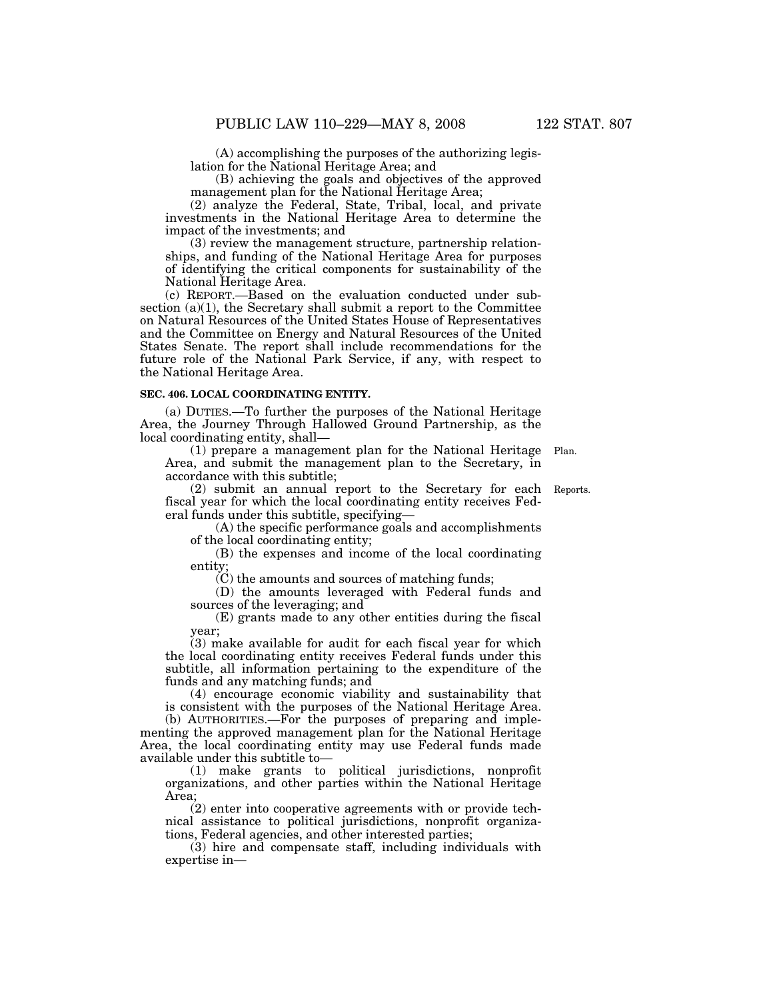(A) accomplishing the purposes of the authorizing legislation for the National Heritage Area; and

(B) achieving the goals and objectives of the approved management plan for the National Heritage Area;

(2) analyze the Federal, State, Tribal, local, and private investments in the National Heritage Area to determine the impact of the investments; and

(3) review the management structure, partnership relationships, and funding of the National Heritage Area for purposes of identifying the critical components for sustainability of the National Heritage Area.

(c) REPORT.—Based on the evaluation conducted under subsection (a)(1), the Secretary shall submit a report to the Committee on Natural Resources of the United States House of Representatives and the Committee on Energy and Natural Resources of the United States Senate. The report shall include recommendations for the future role of the National Park Service, if any, with respect to the National Heritage Area.

### **SEC. 406. LOCAL COORDINATING ENTITY.**

(a) DUTIES.—To further the purposes of the National Heritage Area, the Journey Through Hallowed Ground Partnership, as the local coordinating entity, shall—

(1) prepare a management plan for the National Heritage Area, and submit the management plan to the Secretary, in accordance with this subtitle; Plan.

(2) submit an annual report to the Secretary for each Reports. fiscal year for which the local coordinating entity receives Federal funds under this subtitle, specifying—

(A) the specific performance goals and accomplishments of the local coordinating entity;

(B) the expenses and income of the local coordinating entity;

(C) the amounts and sources of matching funds;

(D) the amounts leveraged with Federal funds and sources of the leveraging; and

(E) grants made to any other entities during the fiscal year;

(3) make available for audit for each fiscal year for which the local coordinating entity receives Federal funds under this subtitle, all information pertaining to the expenditure of the funds and any matching funds; and

(4) encourage economic viability and sustainability that is consistent with the purposes of the National Heritage Area.

(b) AUTHORITIES.—For the purposes of preparing and implementing the approved management plan for the National Heritage Area, the local coordinating entity may use Federal funds made available under this subtitle to—

(1) make grants to political jurisdictions, nonprofit organizations, and other parties within the National Heritage Area;

(2) enter into cooperative agreements with or provide technical assistance to political jurisdictions, nonprofit organizations, Federal agencies, and other interested parties;

(3) hire and compensate staff, including individuals with expertise in—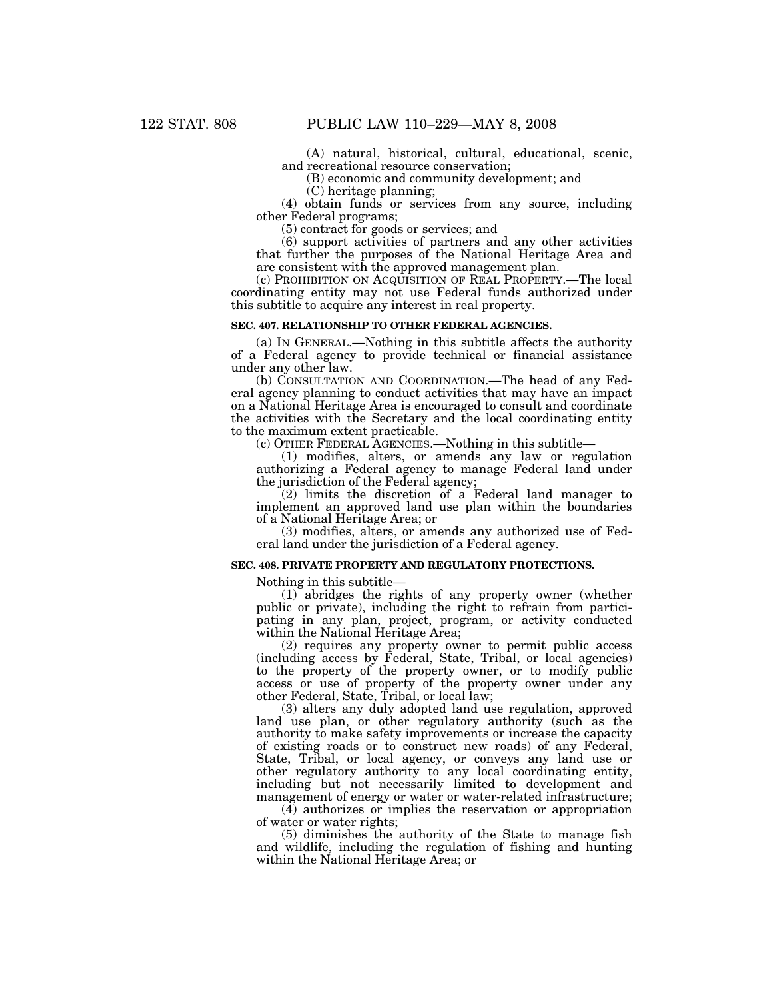(A) natural, historical, cultural, educational, scenic, and recreational resource conservation;

(B) economic and community development; and

(C) heritage planning;

(4) obtain funds or services from any source, including other Federal programs;

(5) contract for goods or services; and

(6) support activities of partners and any other activities that further the purposes of the National Heritage Area and are consistent with the approved management plan.

(c) PROHIBITION ON ACQUISITION OF REAL PROPERTY.—The local coordinating entity may not use Federal funds authorized under this subtitle to acquire any interest in real property.

# **SEC. 407. RELATIONSHIP TO OTHER FEDERAL AGENCIES.**

(a) IN GENERAL.—Nothing in this subtitle affects the authority of a Federal agency to provide technical or financial assistance under any other law.

(b) CONSULTATION AND COORDINATION.—The head of any Federal agency planning to conduct activities that may have an impact on a National Heritage Area is encouraged to consult and coordinate the activities with the Secretary and the local coordinating entity to the maximum extent practicable.

(c) OTHER FEDERAL AGENCIES.—Nothing in this subtitle—

(1) modifies, alters, or amends any law or regulation authorizing a Federal agency to manage Federal land under the jurisdiction of the Federal agency;

(2) limits the discretion of a Federal land manager to implement an approved land use plan within the boundaries of a National Heritage Area; or

(3) modifies, alters, or amends any authorized use of Federal land under the jurisdiction of a Federal agency.

#### **SEC. 408. PRIVATE PROPERTY AND REGULATORY PROTECTIONS.**

Nothing in this subtitle—

(1) abridges the rights of any property owner (whether public or private), including the right to refrain from participating in any plan, project, program, or activity conducted within the National Heritage Area;

(2) requires any property owner to permit public access (including access by Federal, State, Tribal, or local agencies) to the property of the property owner, or to modify public access or use of property of the property owner under any other Federal, State, Tribal, or local law;

(3) alters any duly adopted land use regulation, approved land use plan, or other regulatory authority (such as the authority to make safety improvements or increase the capacity of existing roads or to construct new roads) of any Federal, State, Tribal, or local agency, or conveys any land use or other regulatory authority to any local coordinating entity, including but not necessarily limited to development and management of energy or water or water-related infrastructure;

(4) authorizes or implies the reservation or appropriation of water or water rights;

(5) diminishes the authority of the State to manage fish and wildlife, including the regulation of fishing and hunting within the National Heritage Area; or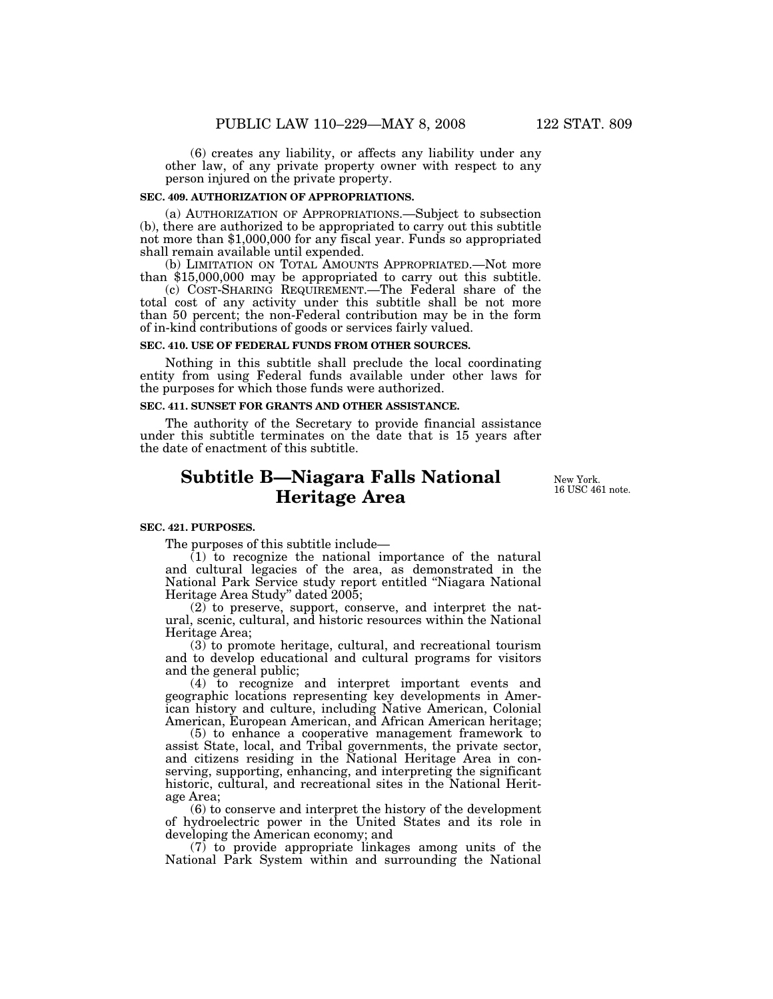(6) creates any liability, or affects any liability under any other law, of any private property owner with respect to any person injured on the private property.

#### **SEC. 409. AUTHORIZATION OF APPROPRIATIONS.**

(a) AUTHORIZATION OF APPROPRIATIONS.—Subject to subsection (b), there are authorized to be appropriated to carry out this subtitle not more than \$1,000,000 for any fiscal year. Funds so appropriated shall remain available until expended.

(b) LIMITATION ON TOTAL AMOUNTS APPROPRIATED.—Not more than \$15,000,000 may be appropriated to carry out this subtitle.

(c) COST-SHARING REQUIREMENT.—The Federal share of the total cost of any activity under this subtitle shall be not more than 50 percent; the non-Federal contribution may be in the form of in-kind contributions of goods or services fairly valued.

#### **SEC. 410. USE OF FEDERAL FUNDS FROM OTHER SOURCES.**

Nothing in this subtitle shall preclude the local coordinating entity from using Federal funds available under other laws for the purposes for which those funds were authorized.

#### **SEC. 411. SUNSET FOR GRANTS AND OTHER ASSISTANCE.**

The authority of the Secretary to provide financial assistance under this subtitle terminates on the date that is 15 years after the date of enactment of this subtitle.

# **Subtitle B—Niagara Falls National Heritage Area**

New York. 16 USC 461 note.

#### **SEC. 421. PURPOSES.**

The purposes of this subtitle include—

 $(1)$  to recognize the national importance of the natural and cultural legacies of the area, as demonstrated in the National Park Service study report entitled ''Niagara National Heritage Area Study'' dated 2005;

(2) to preserve, support, conserve, and interpret the natural, scenic, cultural, and historic resources within the National Heritage Area;

(3) to promote heritage, cultural, and recreational tourism and to develop educational and cultural programs for visitors and the general public;

(4) to recognize and interpret important events and geographic locations representing key developments in American history and culture, including Native American, Colonial American, European American, and African American heritage;

(5) to enhance a cooperative management framework to assist State, local, and Tribal governments, the private sector, and citizens residing in the National Heritage Area in conserving, supporting, enhancing, and interpreting the significant historic, cultural, and recreational sites in the National Heritage Area;

(6) to conserve and interpret the history of the development of hydroelectric power in the United States and its role in developing the American economy; and

(7) to provide appropriate linkages among units of the National Park System within and surrounding the National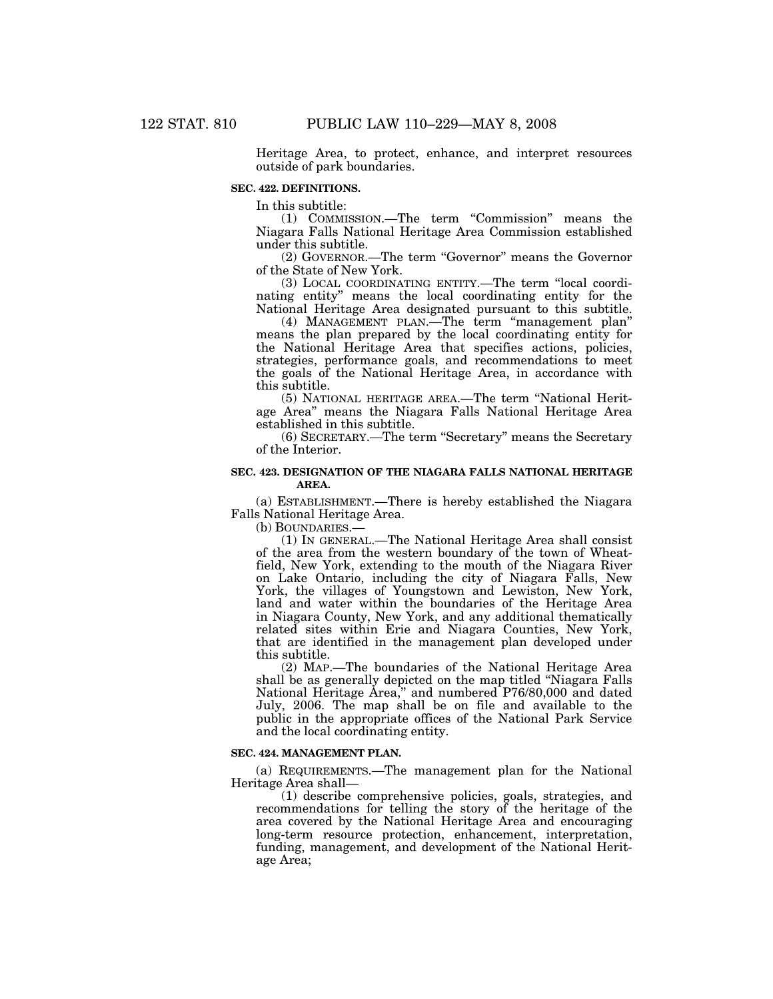Heritage Area, to protect, enhance, and interpret resources outside of park boundaries.

# **SEC. 422. DEFINITIONS.**

In this subtitle:

(1) COMMISSION.—The term ''Commission'' means the Niagara Falls National Heritage Area Commission established under this subtitle.

(2) GOVERNOR.—The term "Governor" means the Governor of the State of New York.

(3) LOCAL COORDINATING ENTITY.—The term ''local coordinating entity'' means the local coordinating entity for the National Heritage Area designated pursuant to this subtitle.

(4) MANAGEMENT PLAN.—The term ''management plan'' means the plan prepared by the local coordinating entity for the National Heritage Area that specifies actions, policies, strategies, performance goals, and recommendations to meet the goals of the National Heritage Area, in accordance with this subtitle.

(5) NATIONAL HERITAGE AREA.—The term ''National Heritage Area'' means the Niagara Falls National Heritage Area established in this subtitle.

(6) SECRETARY.—The term ''Secretary'' means the Secretary of the Interior.

#### **SEC. 423. DESIGNATION OF THE NIAGARA FALLS NATIONAL HERITAGE AREA.**

(a) ESTABLISHMENT.—There is hereby established the Niagara Falls National Heritage Area.

(b) BOUNDARIES.—

(1) IN GENERAL.—The National Heritage Area shall consist of the area from the western boundary of the town of Wheatfield, New York, extending to the mouth of the Niagara River on Lake Ontario, including the city of Niagara Falls, New York, the villages of Youngstown and Lewiston, New York, land and water within the boundaries of the Heritage Area in Niagara County, New York, and any additional thematically related sites within Erie and Niagara Counties, New York, that are identified in the management plan developed under this subtitle.

(2) MAP.—The boundaries of the National Heritage Area shall be as generally depicted on the map titled ''Niagara Falls National Heritage Area,'' and numbered P76/80,000 and dated July, 2006. The map shall be on file and available to the public in the appropriate offices of the National Park Service and the local coordinating entity.

#### **SEC. 424. MANAGEMENT PLAN.**

(a) REQUIREMENTS.—The management plan for the National Heritage Area shall—

(1) describe comprehensive policies, goals, strategies, and recommendations for telling the story of the heritage of the area covered by the National Heritage Area and encouraging long-term resource protection, enhancement, interpretation, funding, management, and development of the National Heritage Area;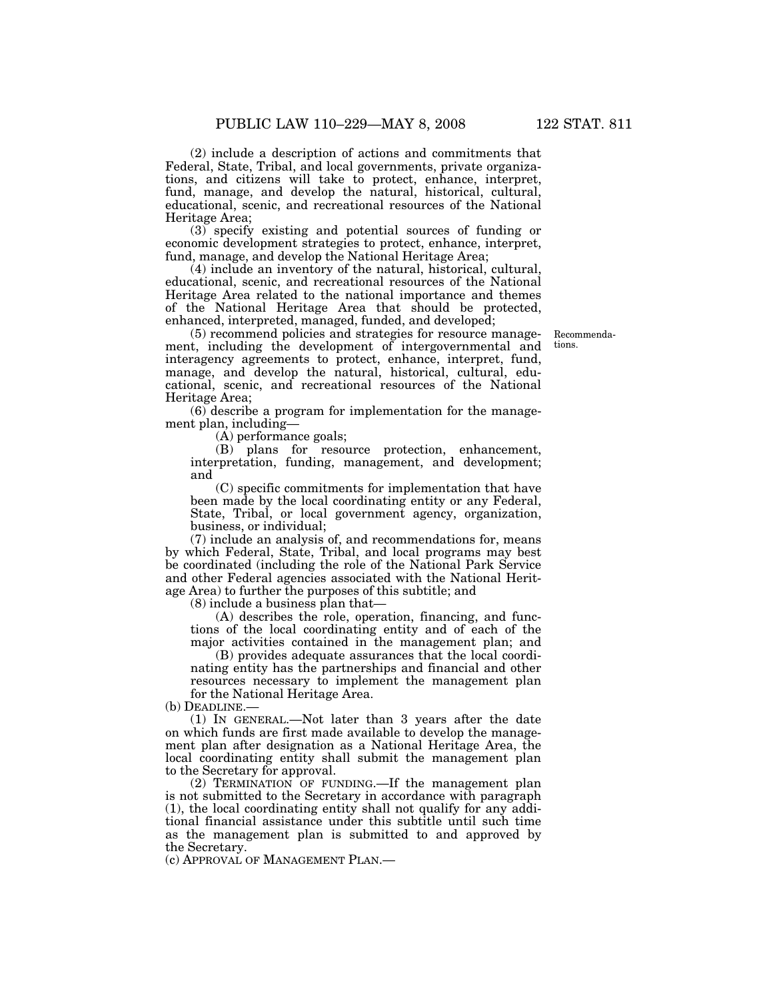(2) include a description of actions and commitments that Federal, State, Tribal, and local governments, private organizations, and citizens will take to protect, enhance, interpret, fund, manage, and develop the natural, historical, cultural, educational, scenic, and recreational resources of the National Heritage Area;

(3) specify existing and potential sources of funding or economic development strategies to protect, enhance, interpret, fund, manage, and develop the National Heritage Area;

(4) include an inventory of the natural, historical, cultural, educational, scenic, and recreational resources of the National Heritage Area related to the national importance and themes of the National Heritage Area that should be protected, enhanced, interpreted, managed, funded, and developed;

> Recommendations.

(5) recommend policies and strategies for resource management, including the development of intergovernmental and interagency agreements to protect, enhance, interpret, fund, manage, and develop the natural, historical, cultural, educational, scenic, and recreational resources of the National Heritage Area;

(6) describe a program for implementation for the management plan, including—

(A) performance goals;

(B) plans for resource protection, enhancement, interpretation, funding, management, and development; and

(C) specific commitments for implementation that have been made by the local coordinating entity or any Federal, State, Tribal, or local government agency, organization, business, or individual;

(7) include an analysis of, and recommendations for, means by which Federal, State, Tribal, and local programs may best be coordinated (including the role of the National Park Service and other Federal agencies associated with the National Heritage Area) to further the purposes of this subtitle; and

(8) include a business plan that—

(A) describes the role, operation, financing, and functions of the local coordinating entity and of each of the major activities contained in the management plan; and

(B) provides adequate assurances that the local coordinating entity has the partnerships and financial and other resources necessary to implement the management plan for the National Heritage Area.

(b) DEADLINE.—

(1) IN GENERAL.—Not later than 3 years after the date on which funds are first made available to develop the management plan after designation as a National Heritage Area, the local coordinating entity shall submit the management plan to the Secretary for approval.

(2) TERMINATION OF FUNDING.—If the management plan is not submitted to the Secretary in accordance with paragraph (1), the local coordinating entity shall not qualify for any additional financial assistance under this subtitle until such time as the management plan is submitted to and approved by the Secretary.

(c) APPROVAL OF MANAGEMENT PLAN.—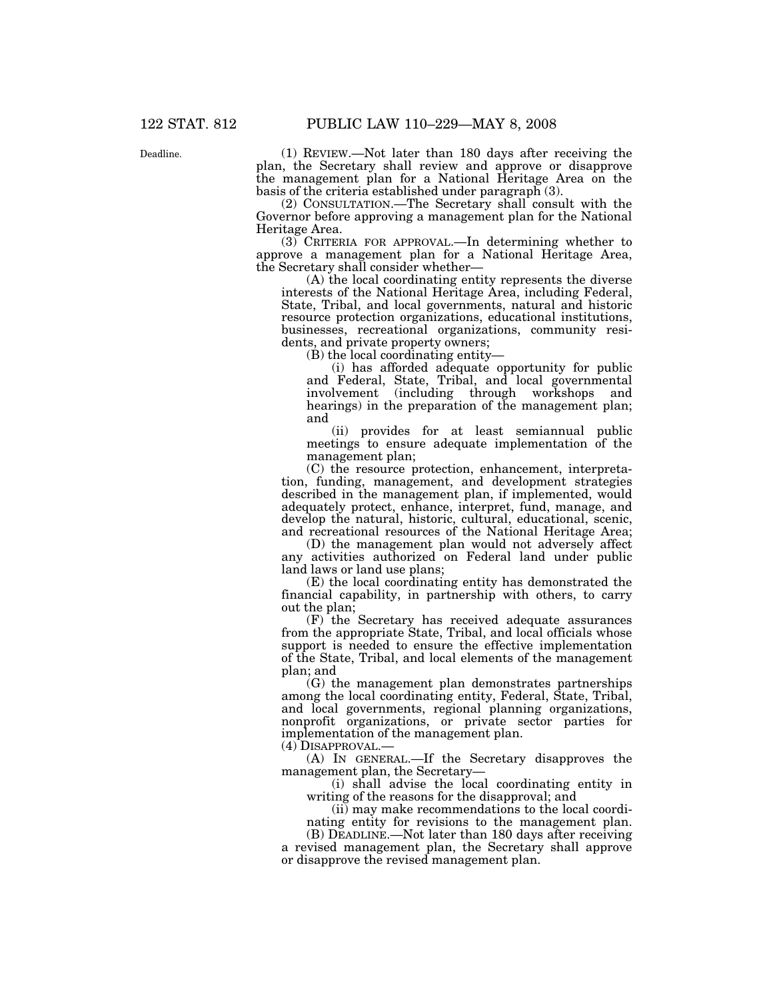Deadline.

(1) REVIEW.—Not later than 180 days after receiving the plan, the Secretary shall review and approve or disapprove the management plan for a National Heritage Area on the basis of the criteria established under paragraph (3).

(2) CONSULTATION.—The Secretary shall consult with the Governor before approving a management plan for the National Heritage Area.

(3) CRITERIA FOR APPROVAL.—In determining whether to approve a management plan for a National Heritage Area, the Secretary shall consider whether—

(A) the local coordinating entity represents the diverse interests of the National Heritage Area, including Federal, State, Tribal, and local governments, natural and historic resource protection organizations, educational institutions, businesses, recreational organizations, community residents, and private property owners;

(B) the local coordinating entity—

(i) has afforded adequate opportunity for public and Federal, State, Tribal, and local governmental involvement (including through workshops and hearings) in the preparation of the management plan; and

(ii) provides for at least semiannual public meetings to ensure adequate implementation of the management plan;

(C) the resource protection, enhancement, interpretation, funding, management, and development strategies described in the management plan, if implemented, would adequately protect, enhance, interpret, fund, manage, and develop the natural, historic, cultural, educational, scenic, and recreational resources of the National Heritage Area;

(D) the management plan would not adversely affect any activities authorized on Federal land under public land laws or land use plans;

(E) the local coordinating entity has demonstrated the financial capability, in partnership with others, to carry out the plan;

(F) the Secretary has received adequate assurances from the appropriate State, Tribal, and local officials whose support is needed to ensure the effective implementation of the State, Tribal, and local elements of the management plan; and

(G) the management plan demonstrates partnerships among the local coordinating entity, Federal, State, Tribal, and local governments, regional planning organizations, nonprofit organizations, or private sector parties for implementation of the management plan.

(4) DISAPPROVAL.—

(A) IN GENERAL.—If the Secretary disapproves the management plan, the Secretary—

(i) shall advise the local coordinating entity in writing of the reasons for the disapproval; and

(ii) may make recommendations to the local coordinating entity for revisions to the management plan.

(B) DEADLINE.—Not later than 180 days after receiving a revised management plan, the Secretary shall approve or disapprove the revised management plan.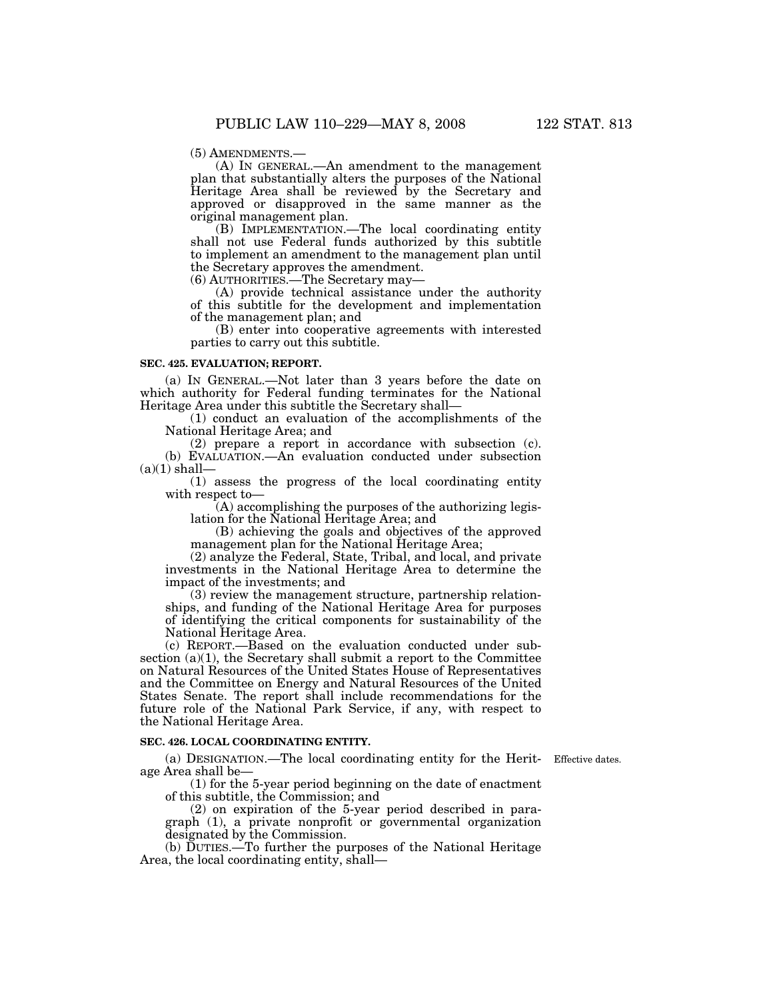(5) AMENDMENTS.— (A) IN GENERAL.—An amendment to the management plan that substantially alters the purposes of the National Heritage Area shall be reviewed by the Secretary and approved or disapproved in the same manner as the original management plan.

(B) IMPLEMENTATION.—The local coordinating entity shall not use Federal funds authorized by this subtitle to implement an amendment to the management plan until the Secretary approves the amendment.

(6) AUTHORITIES.—The Secretary may—

(A) provide technical assistance under the authority of this subtitle for the development and implementation of the management plan; and

(B) enter into cooperative agreements with interested parties to carry out this subtitle.

#### **SEC. 425. EVALUATION; REPORT.**

(a) IN GENERAL.—Not later than 3 years before the date on which authority for Federal funding terminates for the National Heritage Area under this subtitle the Secretary shall—

(1) conduct an evaluation of the accomplishments of the National Heritage Area; and

(2) prepare a report in accordance with subsection (c). (b) EVALUATION.—An evaluation conducted under subsection  $(a)(1)$  shall-

(1) assess the progress of the local coordinating entity with respect to—

(A) accomplishing the purposes of the authorizing legislation for the National Heritage Area; and

(B) achieving the goals and objectives of the approved management plan for the National Heritage Area;

(2) analyze the Federal, State, Tribal, and local, and private investments in the National Heritage Area to determine the impact of the investments; and

(3) review the management structure, partnership relationships, and funding of the National Heritage Area for purposes of identifying the critical components for sustainability of the National Heritage Area.

(c) REPORT.—Based on the evaluation conducted under subsection (a)(1), the Secretary shall submit a report to the Committee on Natural Resources of the United States House of Representatives and the Committee on Energy and Natural Resources of the United States Senate. The report shall include recommendations for the future role of the National Park Service, if any, with respect to the National Heritage Area.

#### **SEC. 426. LOCAL COORDINATING ENTITY.**

(a) DESIGNATION.—The local coordinating entity for the Herit-Effective dates. age Area shall be—

(1) for the 5-year period beginning on the date of enactment of this subtitle, the Commission; and

(2) on expiration of the 5-year period described in paragraph (1), a private nonprofit or governmental organization designated by the Commission.

(b) DUTIES.—To further the purposes of the National Heritage Area, the local coordinating entity, shall—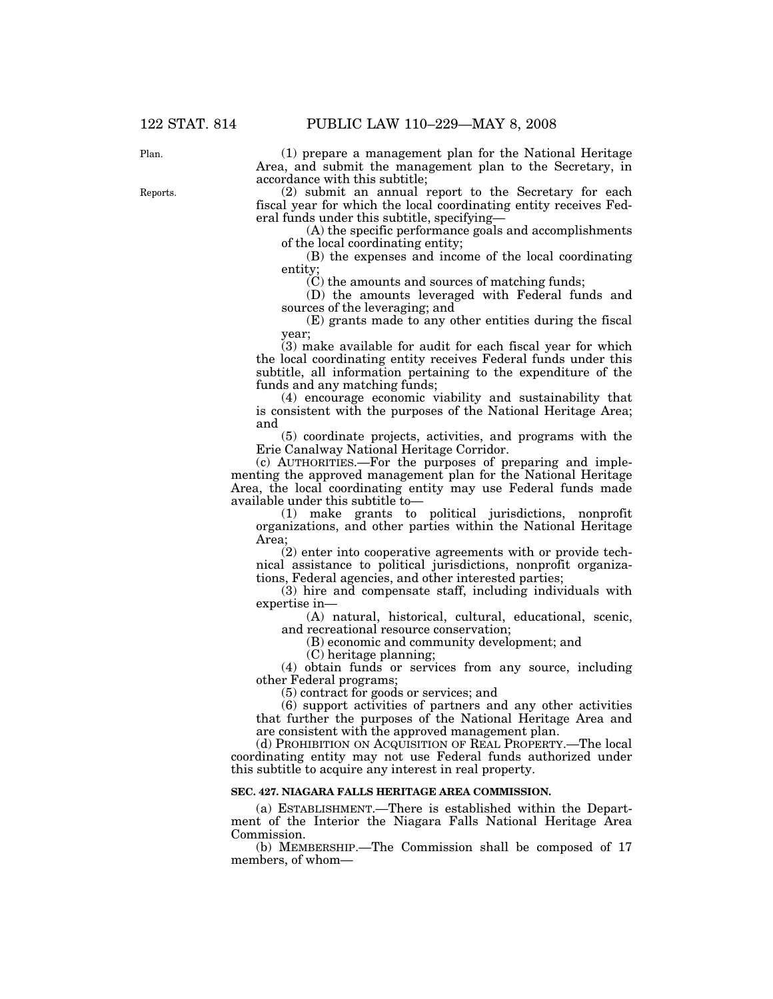(1) prepare a management plan for the National Heritage Area, and submit the management plan to the Secretary, in accordance with this subtitle;

(2) submit an annual report to the Secretary for each fiscal year for which the local coordinating entity receives Federal funds under this subtitle, specifying—

(A) the specific performance goals and accomplishments of the local coordinating entity;

(B) the expenses and income of the local coordinating entity;

(C) the amounts and sources of matching funds;

(D) the amounts leveraged with Federal funds and sources of the leveraging; and

(E) grants made to any other entities during the fiscal year;

(3) make available for audit for each fiscal year for which the local coordinating entity receives Federal funds under this subtitle, all information pertaining to the expenditure of the funds and any matching funds;

(4) encourage economic viability and sustainability that is consistent with the purposes of the National Heritage Area; and

(5) coordinate projects, activities, and programs with the Erie Canalway National Heritage Corridor.

(c) AUTHORITIES.—For the purposes of preparing and implementing the approved management plan for the National Heritage Area, the local coordinating entity may use Federal funds made available under this subtitle to—

(1) make grants to political jurisdictions, nonprofit organizations, and other parties within the National Heritage Area;

(2) enter into cooperative agreements with or provide technical assistance to political jurisdictions, nonprofit organizations, Federal agencies, and other interested parties;

(3) hire and compensate staff, including individuals with expertise in—

(A) natural, historical, cultural, educational, scenic, and recreational resource conservation;

(B) economic and community development; and

(C) heritage planning;

(4) obtain funds or services from any source, including other Federal programs;

(5) contract for goods or services; and

(6) support activities of partners and any other activities that further the purposes of the National Heritage Area and are consistent with the approved management plan.

(d) PROHIBITION ON ACQUISITION OF REAL PROPERTY.—The local coordinating entity may not use Federal funds authorized under this subtitle to acquire any interest in real property.

#### **SEC. 427. NIAGARA FALLS HERITAGE AREA COMMISSION.**

(a) ESTABLISHMENT.—There is established within the Department of the Interior the Niagara Falls National Heritage Area Commission.

(b) MEMBERSHIP.—The Commission shall be composed of 17 members, of whom—

Plan.

Reports.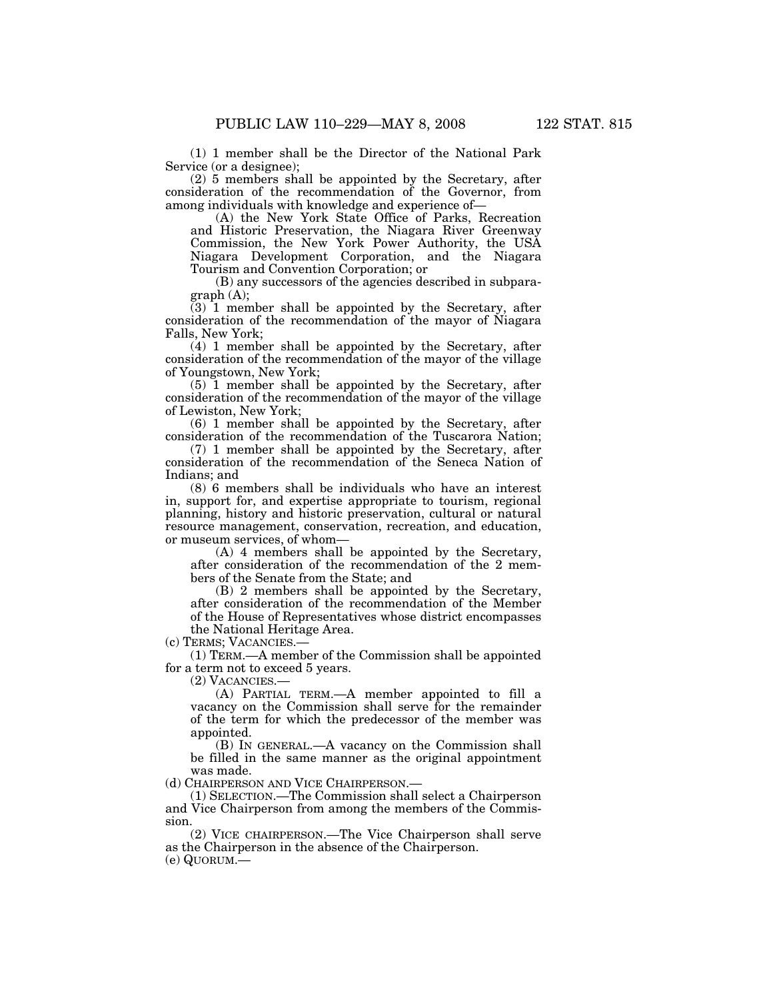(1) 1 member shall be the Director of the National Park Service (or a designee);

(2) 5 members shall be appointed by the Secretary, after consideration of the recommendation of the Governor, from among individuals with knowledge and experience of—

(A) the New York State Office of Parks, Recreation and Historic Preservation, the Niagara River Greenway Commission, the New York Power Authority, the USA Niagara Development Corporation, and the Niagara Tourism and Convention Corporation; or

(B) any successors of the agencies described in subparagraph (A);

 $(3)$  1 member shall be appointed by the Secretary, after consideration of the recommendation of the mayor of Niagara Falls, New York;

(4) 1 member shall be appointed by the Secretary, after consideration of the recommendation of the mayor of the village of Youngstown, New York;

(5) 1 member shall be appointed by the Secretary, after consideration of the recommendation of the mayor of the village of Lewiston, New York;

(6) 1 member shall be appointed by the Secretary, after consideration of the recommendation of the Tuscarora Nation;

(7) 1 member shall be appointed by the Secretary, after consideration of the recommendation of the Seneca Nation of Indians; and

(8) 6 members shall be individuals who have an interest in, support for, and expertise appropriate to tourism, regional planning, history and historic preservation, cultural or natural resource management, conservation, recreation, and education, or museum services, of whom—

(A) 4 members shall be appointed by the Secretary, after consideration of the recommendation of the 2 members of the Senate from the State; and

(B) 2 members shall be appointed by the Secretary, after consideration of the recommendation of the Member of the House of Representatives whose district encompasses the National Heritage Area.

(c) TERMS; VACANCIES.—

(1) TERM.—A member of the Commission shall be appointed for a term not to exceed 5 years.

(2) VACANCIES.—

(A) PARTIAL TERM.—A member appointed to fill a vacancy on the Commission shall serve for the remainder of the term for which the predecessor of the member was appointed.

(B) IN GENERAL.—A vacancy on the Commission shall be filled in the same manner as the original appointment was made.

(d) CHAIRPERSON AND VICE CHAIRPERSON.—

(1) SELECTION.—The Commission shall select a Chairperson and Vice Chairperson from among the members of the Commission.

(2) VICE CHAIRPERSON.—The Vice Chairperson shall serve as the Chairperson in the absence of the Chairperson. (e) QUORUM.—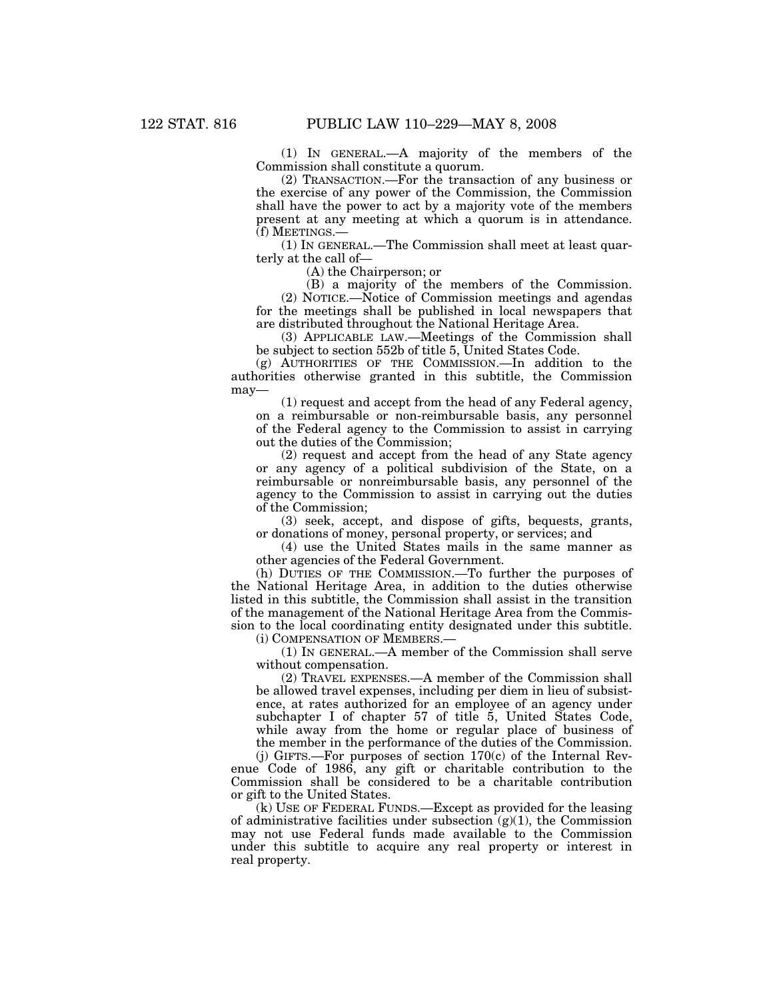(1) IN GENERAL.—A majority of the members of the Commission shall constitute a quorum.

(2) TRANSACTION.—For the transaction of any business or the exercise of any power of the Commission, the Commission shall have the power to act by a majority vote of the members present at any meeting at which a quorum is in attendance. (f) MEETINGS.—

(1) IN GENERAL.—The Commission shall meet at least quarterly at the call of—

(A) the Chairperson; or

(B) a majority of the members of the Commission. (2) NOTICE.—Notice of Commission meetings and agendas

for the meetings shall be published in local newspapers that are distributed throughout the National Heritage Area.

(3) APPLICABLE LAW.—Meetings of the Commission shall be subject to section 552b of title 5, United States Code.

(g) AUTHORITIES OF THE COMMISSION.—In addition to the authorities otherwise granted in this subtitle, the Commission may—

(1) request and accept from the head of any Federal agency, on a reimbursable or non-reimbursable basis, any personnel of the Federal agency to the Commission to assist in carrying out the duties of the Commission;

(2) request and accept from the head of any State agency or any agency of a political subdivision of the State, on a reimbursable or nonreimbursable basis, any personnel of the agency to the Commission to assist in carrying out the duties of the Commission;

(3) seek, accept, and dispose of gifts, bequests, grants, or donations of money, personal property, or services; and

(4) use the United States mails in the same manner as other agencies of the Federal Government.

(h) DUTIES OF THE COMMISSION.—To further the purposes of the National Heritage Area, in addition to the duties otherwise listed in this subtitle, the Commission shall assist in the transition of the management of the National Heritage Area from the Commission to the local coordinating entity designated under this subtitle. (i) COMPENSATION OF MEMBERS.—

(1) IN GENERAL.—A member of the Commission shall serve

without compensation.

(2) TRAVEL EXPENSES.—A member of the Commission shall be allowed travel expenses, including per diem in lieu of subsistence, at rates authorized for an employee of an agency under subchapter I of chapter 57 of title 5, United States Code, while away from the home or regular place of business of the member in the performance of the duties of the Commission.

(j) GIFTS.—For purposes of section 170(c) of the Internal Revenue Code of 1986, any gift or charitable contribution to the Commission shall be considered to be a charitable contribution or gift to the United States.

(k) USE OF FEDERAL FUNDS.—Except as provided for the leasing of administrative facilities under subsection  $(g)(1)$ , the Commission may not use Federal funds made available to the Commission under this subtitle to acquire any real property or interest in real property.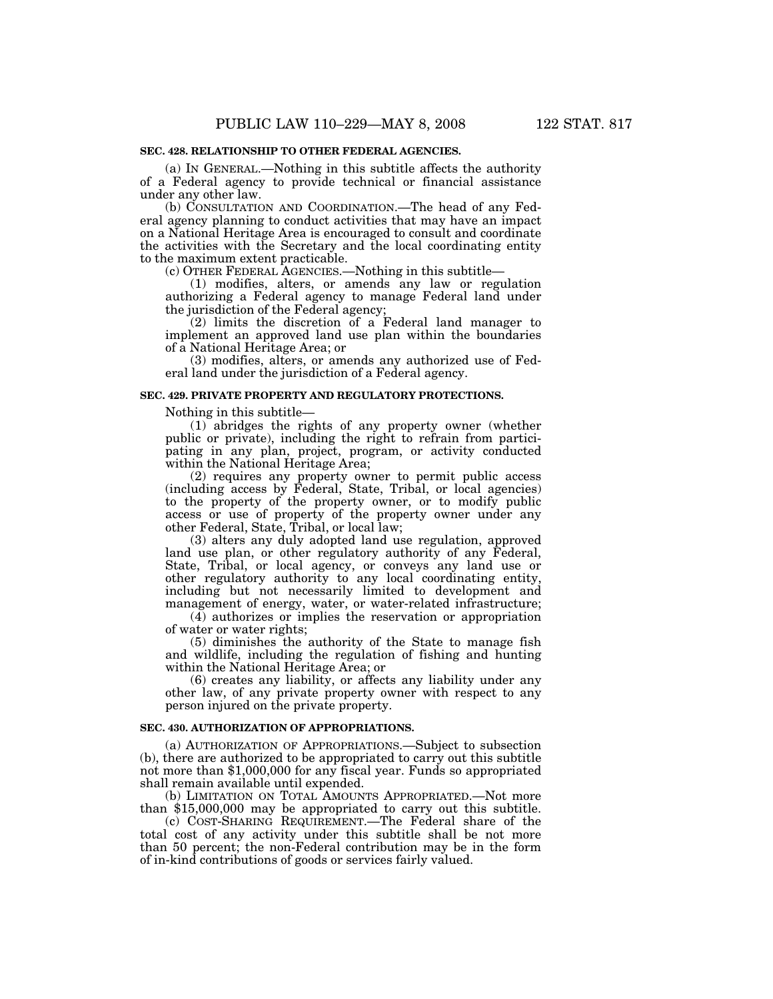(a) IN GENERAL.—Nothing in this subtitle affects the authority of a Federal agency to provide technical or financial assistance under any other law.

(b) CONSULTATION AND COORDINATION.—The head of any Federal agency planning to conduct activities that may have an impact on a National Heritage Area is encouraged to consult and coordinate the activities with the Secretary and the local coordinating entity to the maximum extent practicable.

(c) OTHER FEDERAL AGENCIES.—Nothing in this subtitle—

(1) modifies, alters, or amends any law or regulation authorizing a Federal agency to manage Federal land under the jurisdiction of the Federal agency;

(2) limits the discretion of a Federal land manager to implement an approved land use plan within the boundaries of a National Heritage Area; or

(3) modifies, alters, or amends any authorized use of Federal land under the jurisdiction of a Federal agency.

#### **SEC. 429. PRIVATE PROPERTY AND REGULATORY PROTECTIONS.**

Nothing in this subtitle—

(1) abridges the rights of any property owner (whether public or private), including the right to refrain from participating in any plan, project, program, or activity conducted within the National Heritage Area;

(2) requires any property owner to permit public access (including access by Federal, State, Tribal, or local agencies) to the property of the property owner, or to modify public access or use of property of the property owner under any other Federal, State, Tribal, or local law;

(3) alters any duly adopted land use regulation, approved land use plan, or other regulatory authority of any Federal, State, Tribal, or local agency, or conveys any land use or other regulatory authority to any local coordinating entity, including but not necessarily limited to development and management of energy, water, or water-related infrastructure;

(4) authorizes or implies the reservation or appropriation of water or water rights;

(5) diminishes the authority of the State to manage fish and wildlife, including the regulation of fishing and hunting within the National Heritage Area; or

(6) creates any liability, or affects any liability under any other law, of any private property owner with respect to any person injured on the private property.

#### **SEC. 430. AUTHORIZATION OF APPROPRIATIONS.**

(a) AUTHORIZATION OF APPROPRIATIONS.—Subject to subsection (b), there are authorized to be appropriated to carry out this subtitle not more than \$1,000,000 for any fiscal year. Funds so appropriated shall remain available until expended.

(b) LIMITATION ON TOTAL AMOUNTS APPROPRIATED.—Not more than \$15,000,000 may be appropriated to carry out this subtitle.

(c) COST-SHARING REQUIREMENT.—The Federal share of the total cost of any activity under this subtitle shall be not more than 50 percent; the non-Federal contribution may be in the form of in-kind contributions of goods or services fairly valued.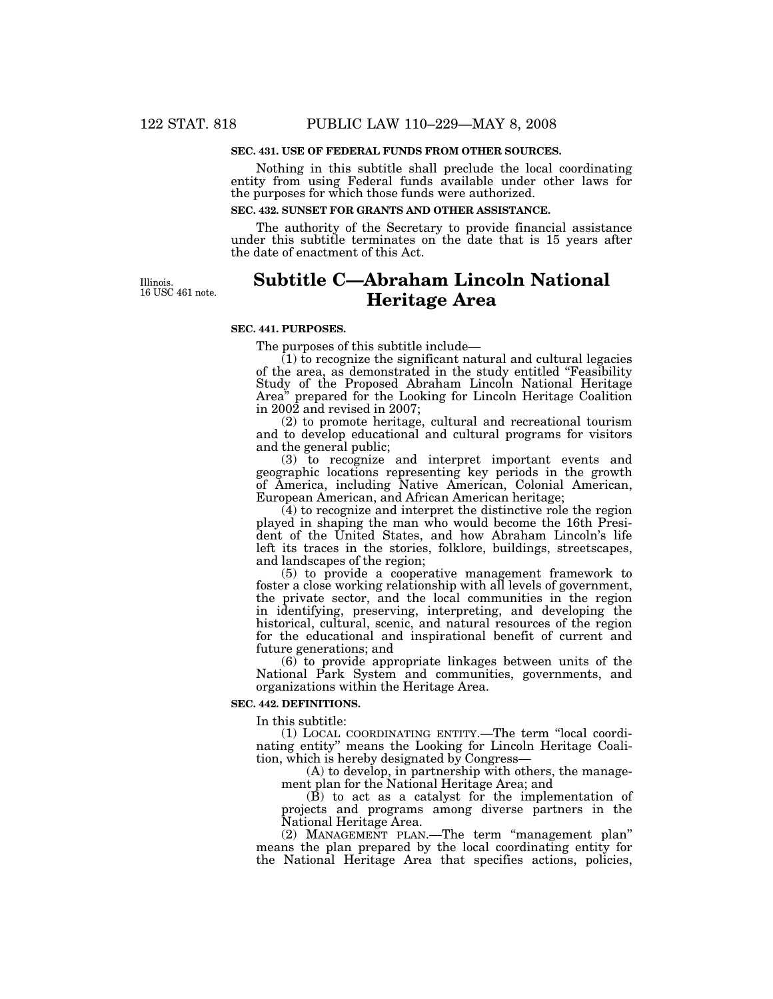#### **SEC. 431. USE OF FEDERAL FUNDS FROM OTHER SOURCES.**

Nothing in this subtitle shall preclude the local coordinating entity from using Federal funds available under other laws for the purposes for which those funds were authorized.

### **SEC. 432. SUNSET FOR GRANTS AND OTHER ASSISTANCE.**

The authority of the Secretary to provide financial assistance under this subtitle terminates on the date that is 15 years after the date of enactment of this Act.

Illinois. 16 USC 461 note.

# **Subtitle C—Abraham Lincoln National Heritage Area**

#### **SEC. 441. PURPOSES.**

The purposes of this subtitle include—

 $(1)$  to recognize the significant natural and cultural legacies of the area, as demonstrated in the study entitled ''Feasibility Study of the Proposed Abraham Lincoln National Heritage Area'' prepared for the Looking for Lincoln Heritage Coalition in 2002 and revised in 2007;

(2) to promote heritage, cultural and recreational tourism and to develop educational and cultural programs for visitors and the general public;

(3) to recognize and interpret important events and geographic locations representing key periods in the growth of America, including Native American, Colonial American, European American, and African American heritage;

(4) to recognize and interpret the distinctive role the region played in shaping the man who would become the 16th President of the United States, and how Abraham Lincoln's life left its traces in the stories, folklore, buildings, streetscapes, and landscapes of the region;

(5) to provide a cooperative management framework to foster a close working relationship with all levels of government, the private sector, and the local communities in the region in identifying, preserving, interpreting, and developing the historical, cultural, scenic, and natural resources of the region for the educational and inspirational benefit of current and future generations; and

(6) to provide appropriate linkages between units of the National Park System and communities, governments, and organizations within the Heritage Area.

#### **SEC. 442. DEFINITIONS.**

In this subtitle:

(1) LOCAL COORDINATING ENTITY.—The term ''local coordinating entity'' means the Looking for Lincoln Heritage Coalition, which is hereby designated by Congress—

(A) to develop, in partnership with others, the management plan for the National Heritage Area; and

(B) to act as a catalyst for the implementation of projects and programs among diverse partners in the National Heritage Area.

(2) MANAGEMENT PLAN.—The term ''management plan'' means the plan prepared by the local coordinating entity for the National Heritage Area that specifies actions, policies,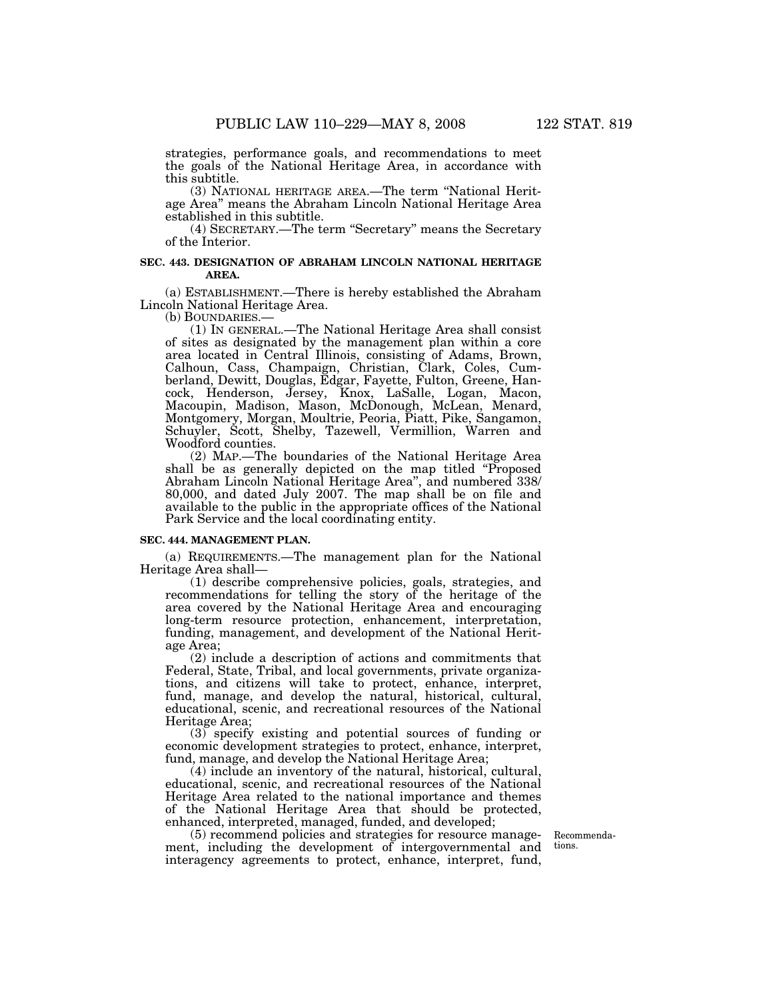strategies, performance goals, and recommendations to meet the goals of the National Heritage Area, in accordance with this subtitle.

(3) NATIONAL HERITAGE AREA.—The term ''National Heritage Area'' means the Abraham Lincoln National Heritage Area established in this subtitle.

(4) SECRETARY.—The term ''Secretary'' means the Secretary of the Interior.

### **SEC. 443. DESIGNATION OF ABRAHAM LINCOLN NATIONAL HERITAGE AREA.**

(a) ESTABLISHMENT.—There is hereby established the Abraham Lincoln National Heritage Area.

 $(1)$  In GENERAL.—The National Heritage Area shall consist of sites as designated by the management plan within a core area located in Central Illinois, consisting of Adams, Brown, Calhoun, Cass, Champaign, Christian, Clark, Coles, Cumberland, Dewitt, Douglas, Edgar, Fayette, Fulton, Greene, Hancock, Henderson, Jersey, Knox, LaSalle, Logan, Macon, Macoupin, Madison, Mason, McDonough, McLean, Menard, Montgomery, Morgan, Moultrie, Peoria, Piatt, Pike, Sangamon, Schuyler, Scott, Shelby, Tazewell, Vermillion, Warren and Woodford counties.

(2) MAP.—The boundaries of the National Heritage Area shall be as generally depicted on the map titled ''Proposed Abraham Lincoln National Heritage Area'', and numbered 338/ 80,000, and dated July 2007. The map shall be on file and available to the public in the appropriate offices of the National Park Service and the local coordinating entity.

#### **SEC. 444. MANAGEMENT PLAN.**

(a) REQUIREMENTS.—The management plan for the National Heritage Area shall—

(1) describe comprehensive policies, goals, strategies, and recommendations for telling the story of the heritage of the area covered by the National Heritage Area and encouraging long-term resource protection, enhancement, interpretation, funding, management, and development of the National Heritage Area;

(2) include a description of actions and commitments that Federal, State, Tribal, and local governments, private organizations, and citizens will take to protect, enhance, interpret, fund, manage, and develop the natural, historical, cultural, educational, scenic, and recreational resources of the National Heritage Area;

(3) specify existing and potential sources of funding or economic development strategies to protect, enhance, interpret, fund, manage, and develop the National Heritage Area;

(4) include an inventory of the natural, historical, cultural, educational, scenic, and recreational resources of the National Heritage Area related to the national importance and themes of the National Heritage Area that should be protected, enhanced, interpreted, managed, funded, and developed;

(5) recommend policies and strategies for resource management, including the development of intergovernmental and interagency agreements to protect, enhance, interpret, fund,

Recommendations.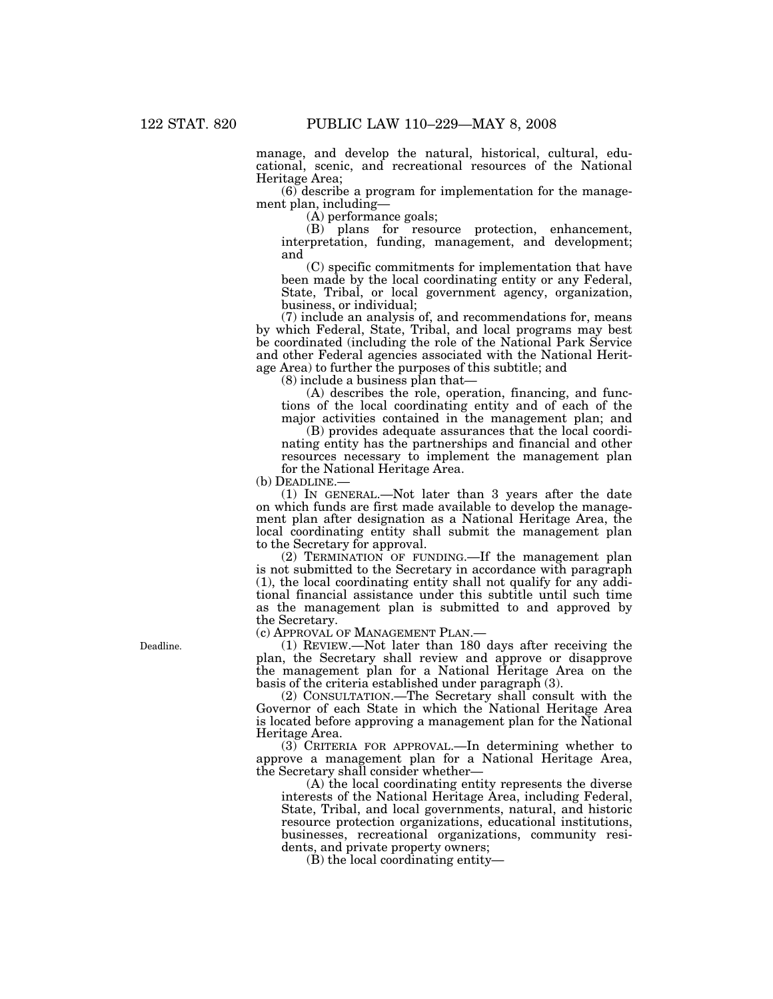manage, and develop the natural, historical, cultural, educational, scenic, and recreational resources of the National Heritage Area;

(6) describe a program for implementation for the management plan, including—

(A) performance goals;

(B) plans for resource protection, enhancement, interpretation, funding, management, and development; and

(C) specific commitments for implementation that have been made by the local coordinating entity or any Federal, State, Tribal, or local government agency, organization, business, or individual;

(7) include an analysis of, and recommendations for, means by which Federal, State, Tribal, and local programs may best be coordinated (including the role of the National Park Service and other Federal agencies associated with the National Heritage Area) to further the purposes of this subtitle; and

(8) include a business plan that—

(A) describes the role, operation, financing, and functions of the local coordinating entity and of each of the major activities contained in the management plan; and

(B) provides adequate assurances that the local coordinating entity has the partnerships and financial and other resources necessary to implement the management plan for the National Heritage Area.

(b) DEADLINE.—

(1) IN GENERAL.—Not later than 3 years after the date on which funds are first made available to develop the management plan after designation as a National Heritage Area, the local coordinating entity shall submit the management plan to the Secretary for approval.

(2) TERMINATION OF FUNDING.—If the management plan is not submitted to the Secretary in accordance with paragraph (1), the local coordinating entity shall not qualify for any additional financial assistance under this subtitle until such time as the management plan is submitted to and approved by the Secretary.

(c) APPROVAL OF MANAGEMENT PLAN.—

(1) REVIEW.—Not later than 180 days after receiving the plan, the Secretary shall review and approve or disapprove the management plan for a National Heritage Area on the basis of the criteria established under paragraph (3).

(2) CONSULTATION.—The Secretary shall consult with the Governor of each State in which the National Heritage Area is located before approving a management plan for the National Heritage Area.

(3) CRITERIA FOR APPROVAL.—In determining whether to approve a management plan for a National Heritage Area, the Secretary shall consider whether—

(A) the local coordinating entity represents the diverse interests of the National Heritage Area, including Federal, State, Tribal, and local governments, natural, and historic resource protection organizations, educational institutions, businesses, recreational organizations, community residents, and private property owners;

(B) the local coordinating entity—

Deadline.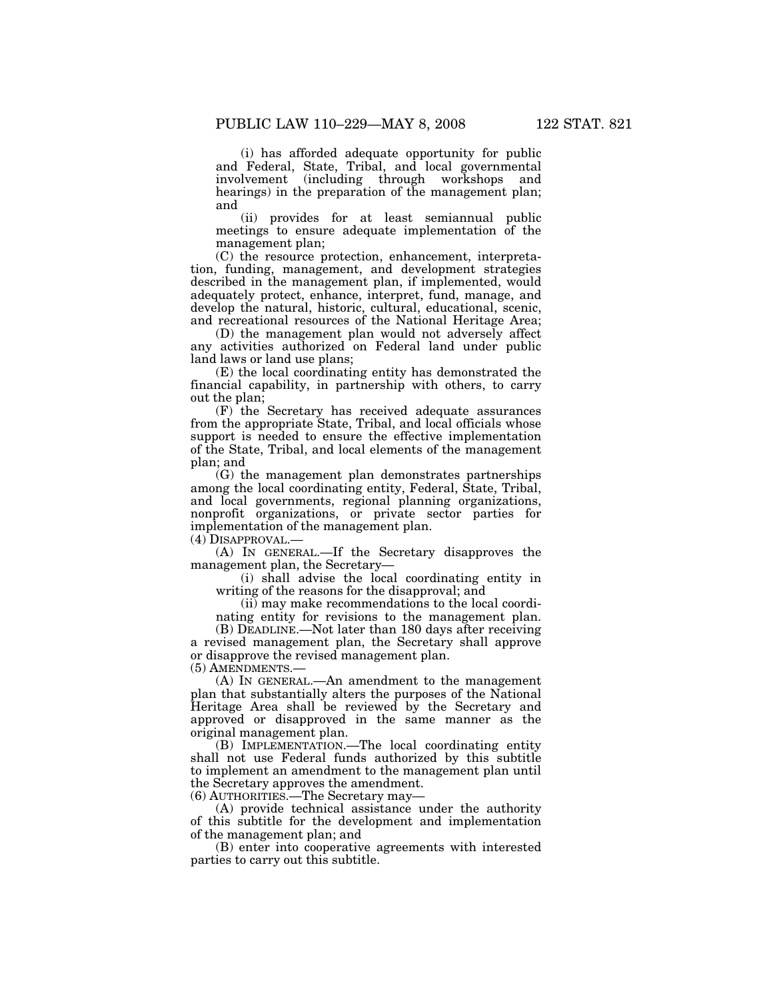(i) has afforded adequate opportunity for public and Federal, State, Tribal, and local governmental involvement (including through workshops and hearings) in the preparation of the management plan; and

(ii) provides for at least semiannual public meetings to ensure adequate implementation of the management plan;

(C) the resource protection, enhancement, interpretation, funding, management, and development strategies described in the management plan, if implemented, would adequately protect, enhance, interpret, fund, manage, and develop the natural, historic, cultural, educational, scenic, and recreational resources of the National Heritage Area;

(D) the management plan would not adversely affect any activities authorized on Federal land under public land laws or land use plans;

(E) the local coordinating entity has demonstrated the financial capability, in partnership with others, to carry out the plan;

(F) the Secretary has received adequate assurances from the appropriate State, Tribal, and local officials whose support is needed to ensure the effective implementation of the State, Tribal, and local elements of the management plan; and

(G) the management plan demonstrates partnerships among the local coordinating entity, Federal, State, Tribal, and local governments, regional planning organizations, nonprofit organizations, or private sector parties for implementation of the management plan.

(4) DISAPPROVAL.—

(A) IN GENERAL.—If the Secretary disapproves the management plan, the Secretary—

(i) shall advise the local coordinating entity in writing of the reasons for the disapproval; and

(ii) may make recommendations to the local coordinating entity for revisions to the management plan.

(B) DEADLINE.—Not later than 180 days after receiving a revised management plan, the Secretary shall approve or disapprove the revised management plan. (5) AMENDMENTS.—

(A) IN GENERAL.—An amendment to the management plan that substantially alters the purposes of the National Heritage Area shall be reviewed by the Secretary and approved or disapproved in the same manner as the original management plan.

(B) IMPLEMENTATION.—The local coordinating entity shall not use Federal funds authorized by this subtitle to implement an amendment to the management plan until the Secretary approves the amendment.

(6) AUTHORITIES.—The Secretary may—

(A) provide technical assistance under the authority of this subtitle for the development and implementation of the management plan; and

(B) enter into cooperative agreements with interested parties to carry out this subtitle.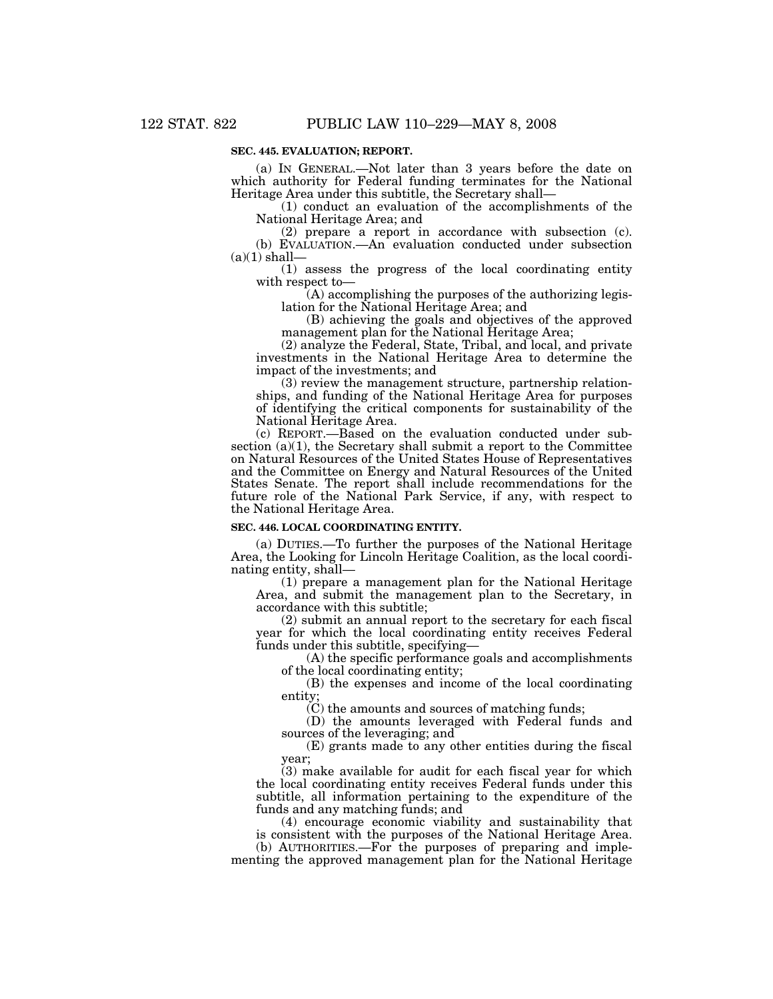## **SEC. 445. EVALUATION; REPORT.**

(a) IN GENERAL.—Not later than 3 years before the date on which authority for Federal funding terminates for the National Heritage Area under this subtitle, the Secretary shall—

(1) conduct an evaluation of the accomplishments of the National Heritage Area; and

(2) prepare a report in accordance with subsection (c). (b) EVALUATION.—An evaluation conducted under subsection  $(a)(1)$  shall-

(1) assess the progress of the local coordinating entity with respect to—

(A) accomplishing the purposes of the authorizing legislation for the National Heritage Area; and

(B) achieving the goals and objectives of the approved management plan for the National Heritage Area;

(2) analyze the Federal, State, Tribal, and local, and private investments in the National Heritage Area to determine the impact of the investments; and

(3) review the management structure, partnership relationships, and funding of the National Heritage Area for purposes of identifying the critical components for sustainability of the National Heritage Area.

(c) REPORT.—Based on the evaluation conducted under subsection (a)(1), the Secretary shall submit a report to the Committee on Natural Resources of the United States House of Representatives and the Committee on Energy and Natural Resources of the United States Senate. The report shall include recommendations for the future role of the National Park Service, if any, with respect to the National Heritage Area.

#### **SEC. 446. LOCAL COORDINATING ENTITY.**

(a) DUTIES.—To further the purposes of the National Heritage Area, the Looking for Lincoln Heritage Coalition, as the local coordinating entity, shall—

(1) prepare a management plan for the National Heritage Area, and submit the management plan to the Secretary, in accordance with this subtitle;

(2) submit an annual report to the secretary for each fiscal year for which the local coordinating entity receives Federal funds under this subtitle, specifying—

(A) the specific performance goals and accomplishments of the local coordinating entity;

(B) the expenses and income of the local coordinating entity;

 $(C)$  the amounts and sources of matching funds;

(D) the amounts leveraged with Federal funds and sources of the leveraging; and

(E) grants made to any other entities during the fiscal year;

(3) make available for audit for each fiscal year for which the local coordinating entity receives Federal funds under this subtitle, all information pertaining to the expenditure of the funds and any matching funds; and

(4) encourage economic viability and sustainability that is consistent with the purposes of the National Heritage Area.

(b) AUTHORITIES.—For the purposes of preparing and implementing the approved management plan for the National Heritage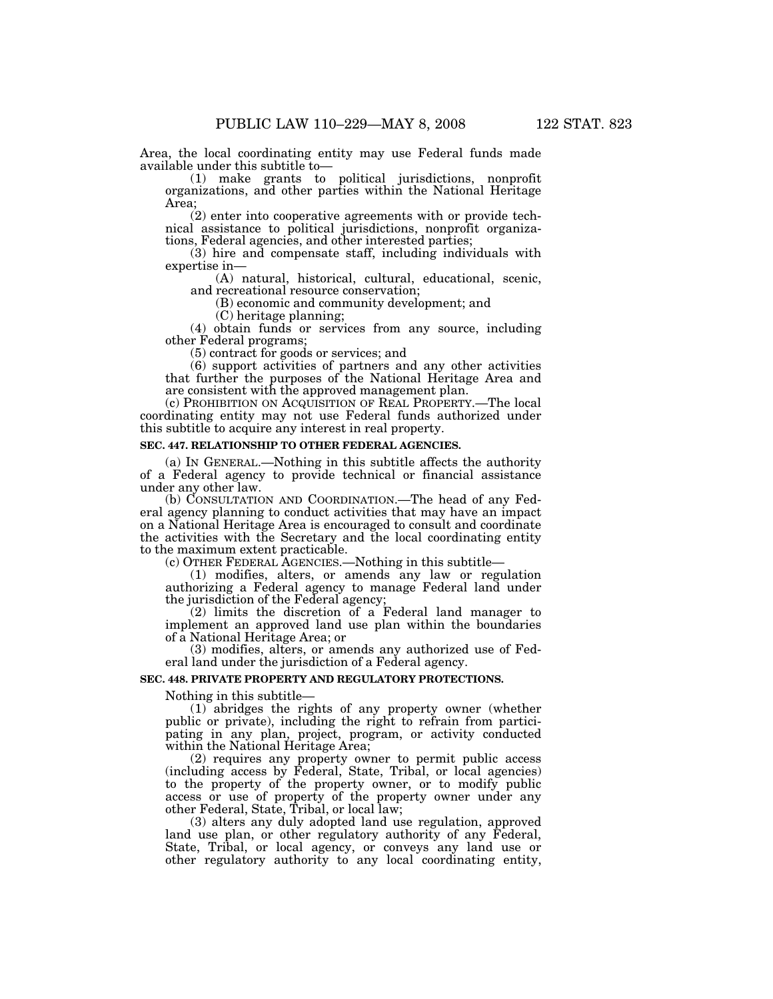Area, the local coordinating entity may use Federal funds made available under this subtitle to—

(1) make grants to political jurisdictions, nonprofit organizations, and other parties within the National Heritage Area;

(2) enter into cooperative agreements with or provide technical assistance to political jurisdictions, nonprofit organizations, Federal agencies, and other interested parties;

(3) hire and compensate staff, including individuals with expertise in—

(A) natural, historical, cultural, educational, scenic, and recreational resource conservation;

(B) economic and community development; and

(C) heritage planning;

(4) obtain funds or services from any source, including other Federal programs;

(5) contract for goods or services; and

(6) support activities of partners and any other activities that further the purposes of the National Heritage Area and are consistent with the approved management plan.

(c) PROHIBITION ON ACQUISITION OF REAL PROPERTY.—The local coordinating entity may not use Federal funds authorized under this subtitle to acquire any interest in real property.

### **SEC. 447. RELATIONSHIP TO OTHER FEDERAL AGENCIES.**

(a) IN GENERAL.—Nothing in this subtitle affects the authority of a Federal agency to provide technical or financial assistance under any other law.

(b) CONSULTATION AND COORDINATION.—The head of any Federal agency planning to conduct activities that may have an impact on a National Heritage Area is encouraged to consult and coordinate the activities with the Secretary and the local coordinating entity to the maximum extent practicable.

(c) OTHER FEDERAL AGENCIES.—Nothing in this subtitle—

(1) modifies, alters, or amends any law or regulation authorizing a Federal agency to manage Federal land under the jurisdiction of the Federal agency;

(2) limits the discretion of a Federal land manager to implement an approved land use plan within the boundaries of a National Heritage Area; or

(3) modifies, alters, or amends any authorized use of Federal land under the jurisdiction of a Federal agency.

### **SEC. 448. PRIVATE PROPERTY AND REGULATORY PROTECTIONS.**

Nothing in this subtitle—

(1) abridges the rights of any property owner (whether public or private), including the right to refrain from participating in any plan, project, program, or activity conducted within the National Heritage Area;

(2) requires any property owner to permit public access (including access by Federal, State, Tribal, or local agencies) to the property of the property owner, or to modify public access or use of property of the property owner under any other Federal, State, Tribal, or local law;

(3) alters any duly adopted land use regulation, approved land use plan, or other regulatory authority of any Federal, State, Tribal, or local agency, or conveys any land use or other regulatory authority to any local coordinating entity,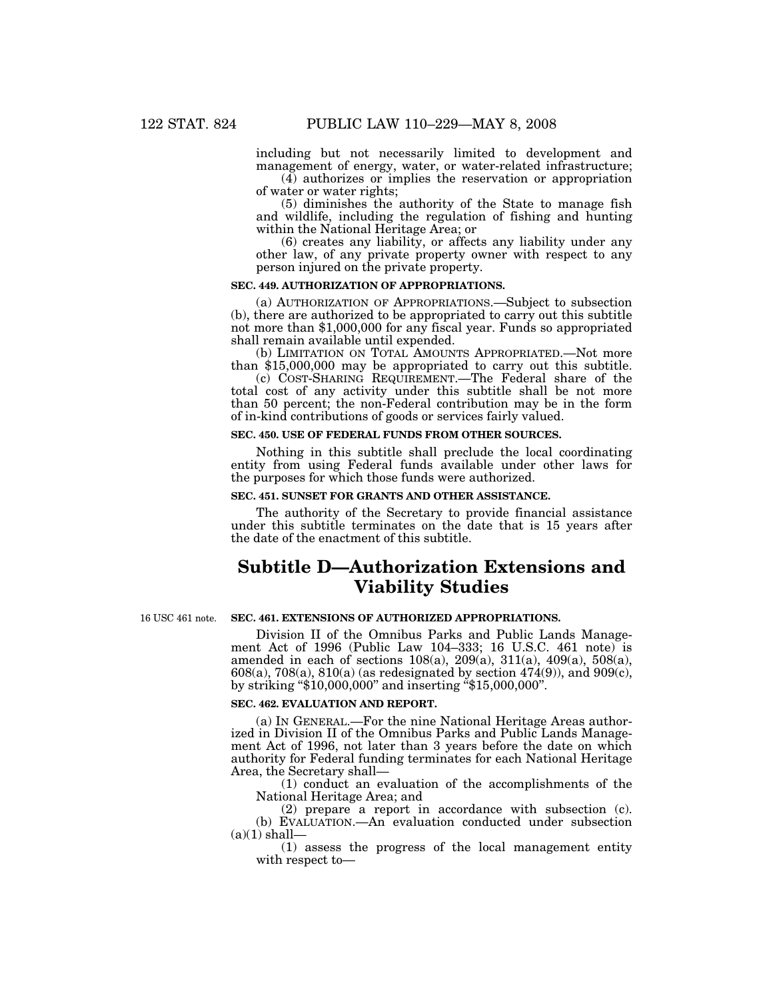including but not necessarily limited to development and management of energy, water, or water-related infrastructure;

(4) authorizes or implies the reservation or appropriation of water or water rights;

(5) diminishes the authority of the State to manage fish and wildlife, including the regulation of fishing and hunting within the National Heritage Area; or

(6) creates any liability, or affects any liability under any other law, of any private property owner with respect to any person injured on the private property.

#### **SEC. 449. AUTHORIZATION OF APPROPRIATIONS.**

(a) AUTHORIZATION OF APPROPRIATIONS.—Subject to subsection (b), there are authorized to be appropriated to carry out this subtitle not more than \$1,000,000 for any fiscal year. Funds so appropriated shall remain available until expended.

(b) LIMITATION ON TOTAL AMOUNTS APPROPRIATED.—Not more than \$15,000,000 may be appropriated to carry out this subtitle.

(c) COST-SHARING REQUIREMENT.—The Federal share of the total cost of any activity under this subtitle shall be not more than 50 percent; the non-Federal contribution may be in the form of in-kind contributions of goods or services fairly valued.

#### **SEC. 450. USE OF FEDERAL FUNDS FROM OTHER SOURCES.**

Nothing in this subtitle shall preclude the local coordinating entity from using Federal funds available under other laws for the purposes for which those funds were authorized.

#### **SEC. 451. SUNSET FOR GRANTS AND OTHER ASSISTANCE.**

The authority of the Secretary to provide financial assistance under this subtitle terminates on the date that is 15 years after the date of the enactment of this subtitle.

# **Subtitle D—Authorization Extensions and Viability Studies**

16 USC 461 note.

## **SEC. 461. EXTENSIONS OF AUTHORIZED APPROPRIATIONS.**

Division II of the Omnibus Parks and Public Lands Management Act of 1996 (Public Law 104–333; 16 U.S.C. 461 note) is amended in each of sections  $108(a)$ ,  $209(a)$ ,  $311(a)$ ,  $409(a)$ ,  $508(a)$ , 608(a), 708(a), 810(a) (as redesignated by section 474(9)), and 909(c), by striking ''\$10,000,000'' and inserting ''\$15,000,000''.

#### **SEC. 462. EVALUATION AND REPORT.**

(a) IN GENERAL.—For the nine National Heritage Areas authorized in Division II of the Omnibus Parks and Public Lands Management Act of 1996, not later than 3 years before the date on which authority for Federal funding terminates for each National Heritage Area, the Secretary shall—

(1) conduct an evaluation of the accomplishments of the National Heritage Area; and

(2) prepare a report in accordance with subsection (c). (b) EVALUATION.—An evaluation conducted under subsection  $(a)(1)$  shall-

(1) assess the progress of the local management entity with respect to—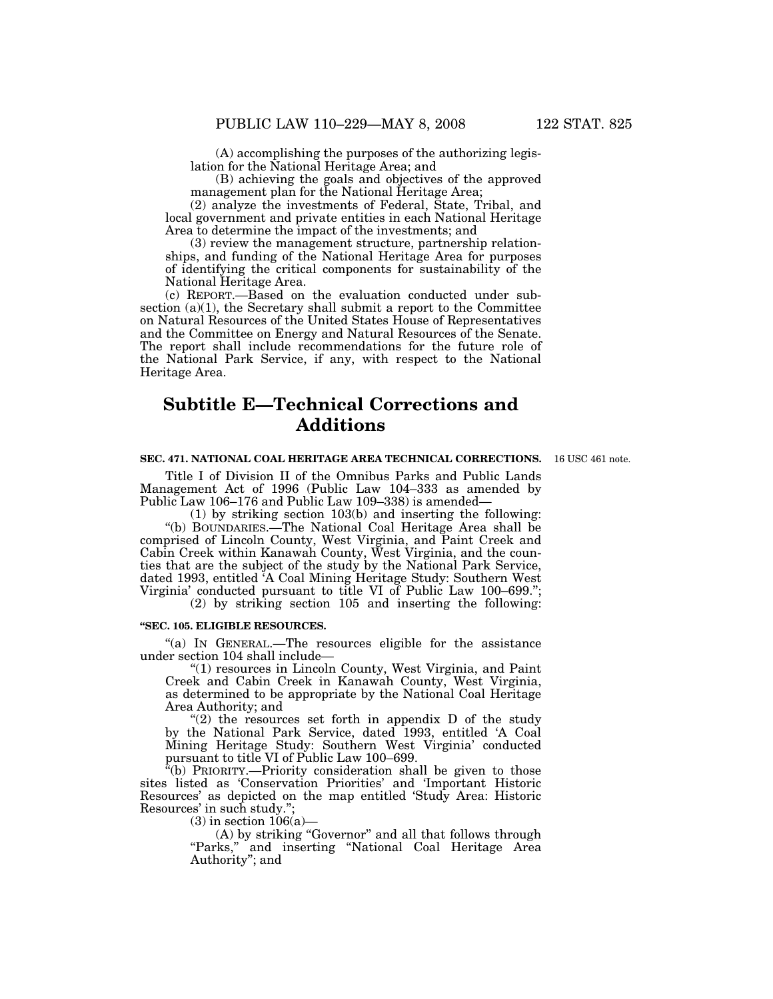(A) accomplishing the purposes of the authorizing legislation for the National Heritage Area; and

(B) achieving the goals and objectives of the approved management plan for the National Heritage Area;

(2) analyze the investments of Federal, State, Tribal, and local government and private entities in each National Heritage Area to determine the impact of the investments; and

(3) review the management structure, partnership relationships, and funding of the National Heritage Area for purposes of identifying the critical components for sustainability of the National Heritage Area.

(c) REPORT.—Based on the evaluation conducted under subsection (a)(1), the Secretary shall submit a report to the Committee on Natural Resources of the United States House of Representatives and the Committee on Energy and Natural Resources of the Senate. The report shall include recommendations for the future role of the National Park Service, if any, with respect to the National Heritage Area.

# **Subtitle E—Technical Corrections and Additions**

#### **SEC. 471. NATIONAL COAL HERITAGE AREA TECHNICAL CORRECTIONS.**  16 USC 461 note.

Title I of Division II of the Omnibus Parks and Public Lands Management Act of 1996 (Public Law 104–333 as amended by Public Law 106–176 and Public Law 109–338) is amended—

(1) by striking section 103(b) and inserting the following: ''(b) BOUNDARIES.—The National Coal Heritage Area shall be comprised of Lincoln County, West Virginia, and Paint Creek and Cabin Creek within Kanawah County, West Virginia, and the counties that are the subject of the study by the National Park Service, dated 1993, entitled 'A Coal Mining Heritage Study: Southern West Virginia' conducted pursuant to title VI of Public Law 100–699.'';

(2) by striking section 105 and inserting the following:

## **''SEC. 105. ELIGIBLE RESOURCES.**

''(a) IN GENERAL.—The resources eligible for the assistance under section 104 shall include—

''(1) resources in Lincoln County, West Virginia, and Paint Creek and Cabin Creek in Kanawah County, West Virginia, as determined to be appropriate by the National Coal Heritage Area Authority; and

"(2) the resources set forth in appendix D of the study by the National Park Service, dated 1993, entitled 'A Coal Mining Heritage Study: Southern West Virginia' conducted pursuant to title VI of Public Law 100–699.

''(b) PRIORITY.—Priority consideration shall be given to those sites listed as 'Conservation Priorities' and 'Important Historic Resources' as depicted on the map entitled 'Study Area: Historic Resources' in such study.'';

 $(3)$  in section  $106(a)$ —

(A) by striking ''Governor'' and all that follows through "Parks," and inserting "National Coal Heritage Area Authority''; and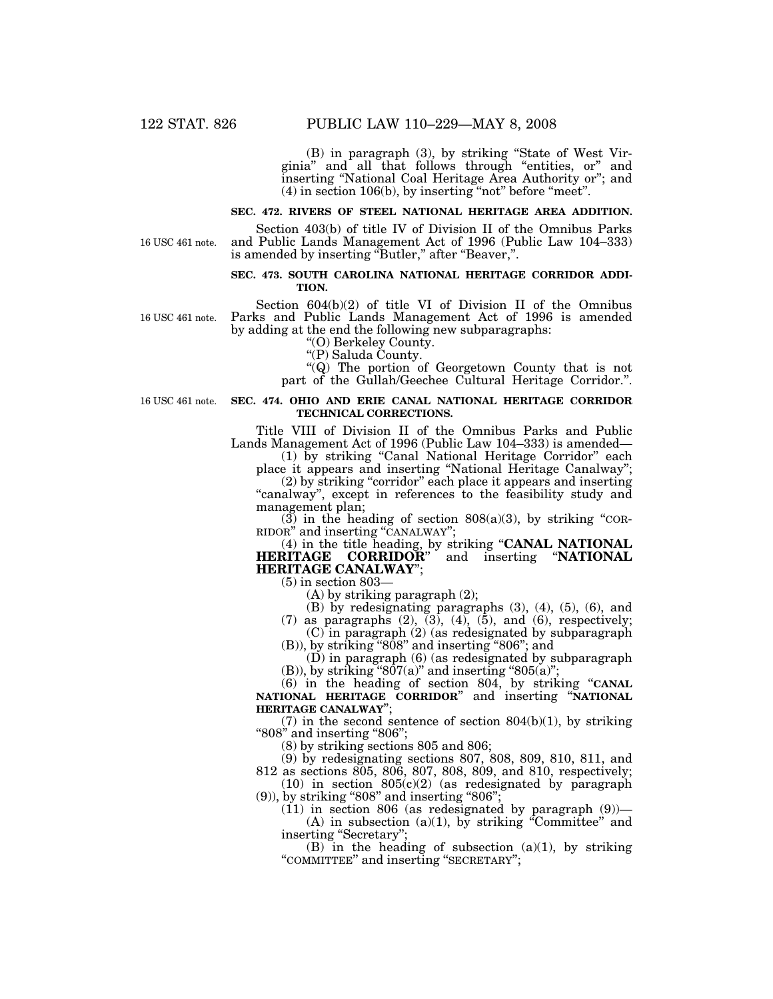(B) in paragraph (3), by striking ''State of West Virginia'' and all that follows through ''entities, or'' and inserting ''National Coal Heritage Area Authority or''; and  $(4)$  in section 106(b), by inserting "not" before "meet".

## **SEC. 472. RIVERS OF STEEL NATIONAL HERITAGE AREA ADDITION.**

16 USC 461 note.

Section 403(b) of title IV of Division II of the Omnibus Parks and Public Lands Management Act of 1996 (Public Law 104–333) is amended by inserting ''Butler,'' after ''Beaver,''.

## **SEC. 473. SOUTH CAROLINA NATIONAL HERITAGE CORRIDOR ADDI-TION.**

16 USC 461 note.

Section 604(b)(2) of title VI of Division II of the Omnibus Parks and Public Lands Management Act of 1996 is amended by adding at the end the following new subparagraphs:

''(O) Berkeley County.

''(P) Saluda County.

"(Q) The portion of Georgetown County that is not part of the Gullah/Geechee Cultural Heritage Corridor.".

16 USC 461 note.

## **SEC. 474. OHIO AND ERIE CANAL NATIONAL HERITAGE CORRIDOR TECHNICAL CORRECTIONS.**

Title VIII of Division II of the Omnibus Parks and Public Lands Management Act of 1996 (Public Law 104–333) is amended—

(1) by striking ''Canal National Heritage Corridor'' each place it appears and inserting "National Heritage Canalway";

(2) by striking "corridor" each place it appears and inserting "canalway", except in references to the feasibility study and management plan;

 $(3)$  in the heading of section 808 $(a)(3)$ , by striking "COR-RIDOR'' and inserting ''CANALWAY'';

(4) in the title heading, by striking ''**CANAL NATIONAL HERITAGE CORRIDOR**'' and inserting ''**NATIONAL HERITAGE CANALWAY**'';

(5) in section 803—

(A) by striking paragraph (2);

(B) by redesignating paragraphs (3), (4), (5), (6), and

 $(7)$  as paragraphs  $(2)$ ,  $(3)$ ,  $(4)$ ,  $(5)$ , and  $(6)$ , respectively; (C) in paragraph (2) (as redesignated by subparagraph

(B)), by striking ''808'' and inserting ''806''; and

(D) in paragraph (6) (as redesignated by subparagraph (B)), by striking " $807(a)$ " and inserting " $805(a)$ ";

(6) in the heading of section 804, by striking ''**CANAL NATIONAL HERITAGE CORRIDOR**'' and inserting ''**NATIONAL HERITAGE CANALWAY**'';

 $(7)$  in the second sentence of section  $804(b)(1)$ , by striking "808" and inserting "806";

(8) by striking sections 805 and 806;

(9) by redesignating sections 807, 808, 809, 810, 811, and

812 as sections 805, 806, 807, 808, 809, and 810, respectively;  $(10)$  in section  $805(c)(2)$  (as redesignated by paragraph

(9)), by striking "808" and inserting "806";  $(11)$  in section 806 (as redesignated by paragraph  $(9)$ )—

 $(A)$  in subsection  $(a)(1)$ , by striking "Committee" and inserting "Secretary";

 $(B)$  in the heading of subsection (a)(1), by striking ''COMMITTEE'' and inserting ''SECRETARY'';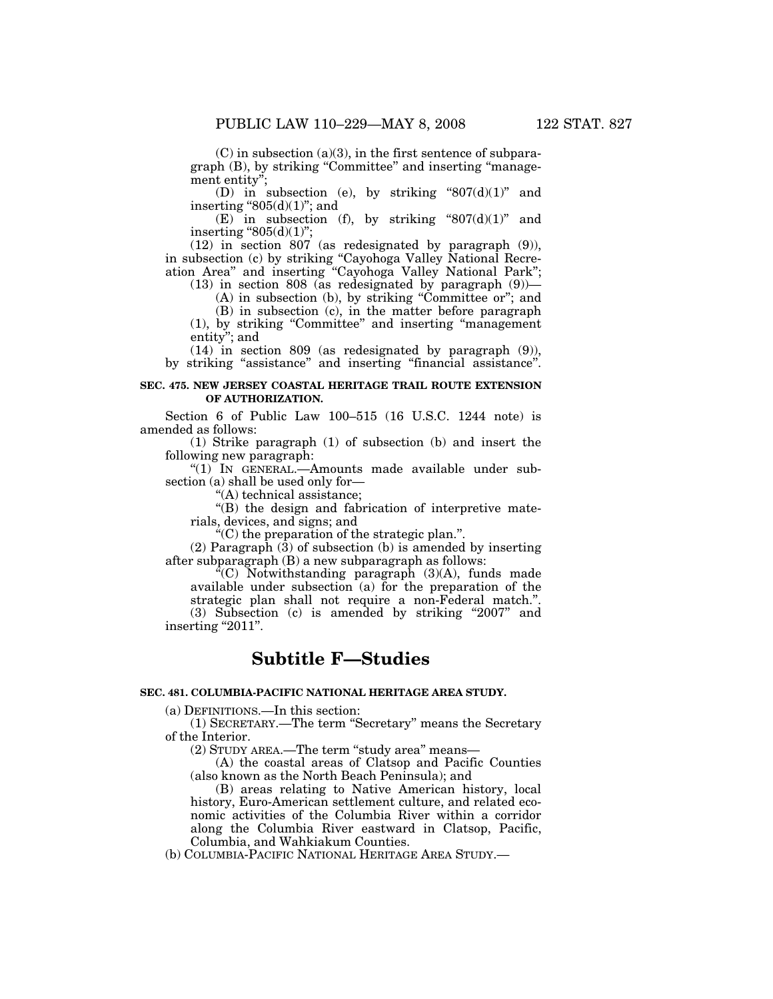$(C)$  in subsection (a)(3), in the first sentence of subparagraph (B), by striking "Committee" and inserting "management entity'

(D) in subsection (e), by striking " $807(d)(1)$ " and inserting " $805(d)(1)$ "; and

 $(E)$  in subsection (f), by striking "807(d)(1)" and inserting " $805(d)(1)$ ";

(12) in section 807 (as redesignated by paragraph (9)), in subsection (c) by striking ''Cayohoga Valley National Recreation Area'' and inserting ''Cayohoga Valley National Park'';

 $(13)$  in section 808 (as redesignated by paragraph  $(9)$ )—

 $(A)$  in subsection  $(b)$ , by striking "Committee or"; and

(B) in subsection (c), in the matter before paragraph (1), by striking ''Committee'' and inserting ''management

entity''; and

(14) in section 809 (as redesignated by paragraph (9)), by striking "assistance" and inserting "financial assistance".

## **SEC. 475. NEW JERSEY COASTAL HERITAGE TRAIL ROUTE EXTENSION OF AUTHORIZATION.**

Section 6 of Public Law 100–515 (16 U.S.C. 1244 note) is amended as follows:

(1) Strike paragraph (1) of subsection (b) and insert the following new paragraph:

''(1) IN GENERAL.—Amounts made available under subsection (a) shall be used only for—

''(A) technical assistance;

''(B) the design and fabrication of interpretive materials, devices, and signs; and

 $C^{\prime\prime}(C)$  the preparation of the strategic plan.".

 $(2)$  Paragraph  $(\hat{3})$  of subsection  $(b)$  is amended by inserting after subparagraph (B) a new subparagraph as follows:

''(C) Notwithstanding paragraph (3)(A), funds made available under subsection (a) for the preparation of the strategic plan shall not require a non-Federal match.''.

(3) Subsection (c) is amended by striking ''2007'' and inserting "2011".

## **Subtitle F—Studies**

## **SEC. 481. COLUMBIA-PACIFIC NATIONAL HERITAGE AREA STUDY.**

(a) DEFINITIONS.—In this section:

(1) SECRETARY.—The term ''Secretary'' means the Secretary of the Interior.

(2) STUDY AREA.—The term ''study area'' means—

(A) the coastal areas of Clatsop and Pacific Counties (also known as the North Beach Peninsula); and

(B) areas relating to Native American history, local history, Euro-American settlement culture, and related economic activities of the Columbia River within a corridor along the Columbia River eastward in Clatsop, Pacific, Columbia, and Wahkiakum Counties.

(b) COLUMBIA-PACIFIC NATIONAL HERITAGE AREA STUDY.—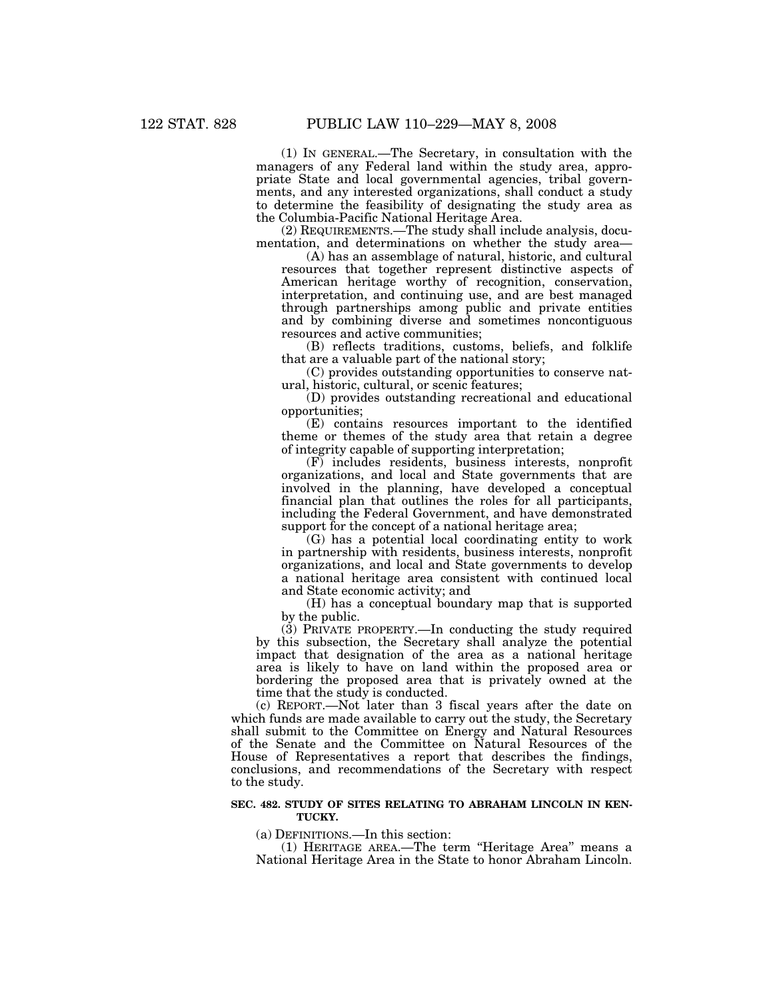(1) IN GENERAL.—The Secretary, in consultation with the managers of any Federal land within the study area, appropriate State and local governmental agencies, tribal governments, and any interested organizations, shall conduct a study to determine the feasibility of designating the study area as the Columbia-Pacific National Heritage Area.

(2) REQUIREMENTS.—The study shall include analysis, documentation, and determinations on whether the study area—

(A) has an assemblage of natural, historic, and cultural resources that together represent distinctive aspects of American heritage worthy of recognition, conservation, interpretation, and continuing use, and are best managed through partnerships among public and private entities and by combining diverse and sometimes noncontiguous resources and active communities;

(B) reflects traditions, customs, beliefs, and folklife that are a valuable part of the national story;

(C) provides outstanding opportunities to conserve natural, historic, cultural, or scenic features;

(D) provides outstanding recreational and educational opportunities;

(E) contains resources important to the identified theme or themes of the study area that retain a degree of integrity capable of supporting interpretation;

(F) includes residents, business interests, nonprofit organizations, and local and State governments that are involved in the planning, have developed a conceptual financial plan that outlines the roles for all participants, including the Federal Government, and have demonstrated support for the concept of a national heritage area;

(G) has a potential local coordinating entity to work in partnership with residents, business interests, nonprofit organizations, and local and State governments to develop a national heritage area consistent with continued local and State economic activity; and

(H) has a conceptual boundary map that is supported by the public.

(3) PRIVATE PROPERTY.—In conducting the study required by this subsection, the Secretary shall analyze the potential impact that designation of the area as a national heritage area is likely to have on land within the proposed area or bordering the proposed area that is privately owned at the time that the study is conducted.

(c) REPORT.—Not later than 3 fiscal years after the date on which funds are made available to carry out the study, the Secretary shall submit to the Committee on Energy and Natural Resources of the Senate and the Committee on Natural Resources of the House of Representatives a report that describes the findings, conclusions, and recommendations of the Secretary with respect to the study.

## **SEC. 482. STUDY OF SITES RELATING TO ABRAHAM LINCOLN IN KEN-TUCKY.**

## (a) DEFINITIONS.—In this section:

(1) HERITAGE AREA.—The term ''Heritage Area'' means a National Heritage Area in the State to honor Abraham Lincoln.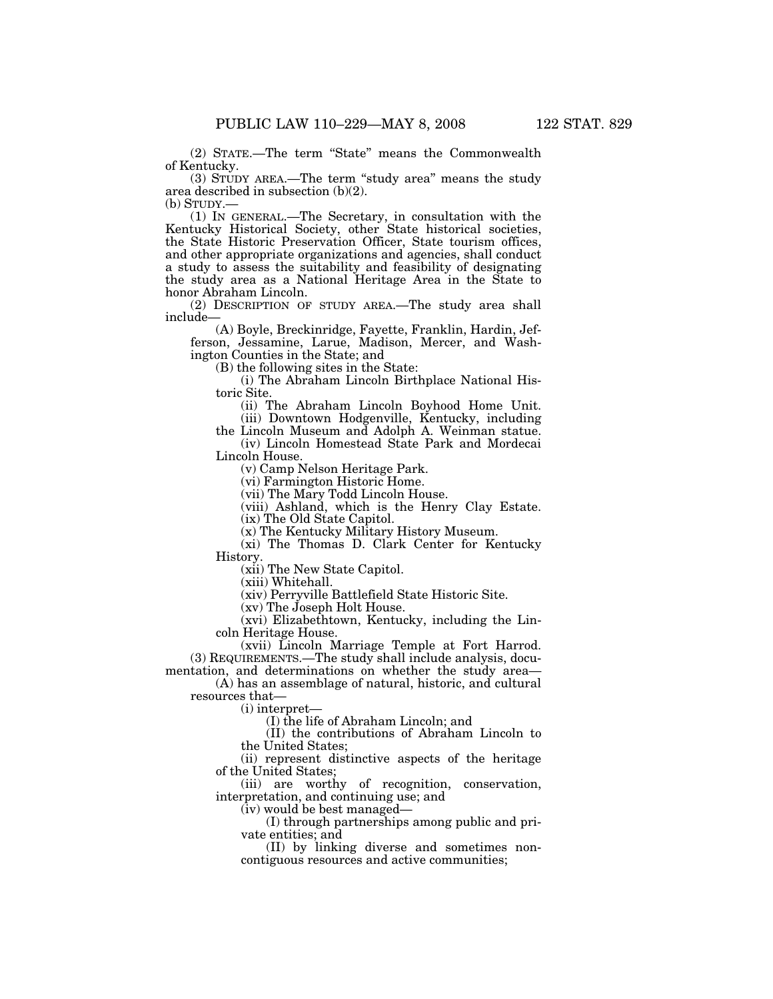(2) STATE.—The term ''State'' means the Commonwealth of Kentucky.

(3) STUDY AREA.—The term ''study area'' means the study area described in subsection (b)(2).

(b) STUDY.— (1) IN GENERAL.—The Secretary, in consultation with the Kentucky Historical Society, other State historical societies, the State Historic Preservation Officer, State tourism offices, and other appropriate organizations and agencies, shall conduct a study to assess the suitability and feasibility of designating the study area as a National Heritage Area in the State to honor Abraham Lincoln.

(2) DESCRIPTION OF STUDY AREA.—The study area shall include—

(A) Boyle, Breckinridge, Fayette, Franklin, Hardin, Jefferson, Jessamine, Larue, Madison, Mercer, and Washington Counties in the State; and

(B) the following sites in the State:

(i) The Abraham Lincoln Birthplace National Historic Site.

(ii) The Abraham Lincoln Boyhood Home Unit. (iii) Downtown Hodgenville, Kentucky, including

the Lincoln Museum and Adolph A. Weinman statue. (iv) Lincoln Homestead State Park and Mordecai

Lincoln House.

(v) Camp Nelson Heritage Park.

(vi) Farmington Historic Home.

(vii) The Mary Todd Lincoln House.

(viii) Ashland, which is the Henry Clay Estate. (ix) The Old State Capitol.

(x) The Kentucky Military History Museum.

(xi) The Thomas D. Clark Center for Kentucky History.

(xii) The New State Capitol.

(xiii) Whitehall.

(xiv) Perryville Battlefield State Historic Site.

(xv) The Joseph Holt House.

(xvi) Elizabethtown, Kentucky, including the Lincoln Heritage House.

(xvii) Lincoln Marriage Temple at Fort Harrod. (3) REQUIREMENTS.—The study shall include analysis, documentation, and determinations on whether the study area—

(A) has an assemblage of natural, historic, and cultural resources that—

(i) interpret—

(I) the life of Abraham Lincoln; and

(II) the contributions of Abraham Lincoln to the United States;

(ii) represent distinctive aspects of the heritage of the United States;

(iii) are worthy of recognition, conservation, interpretation, and continuing use; and

(iv) would be best managed—

(I) through partnerships among public and private entities; and

(II) by linking diverse and sometimes noncontiguous resources and active communities;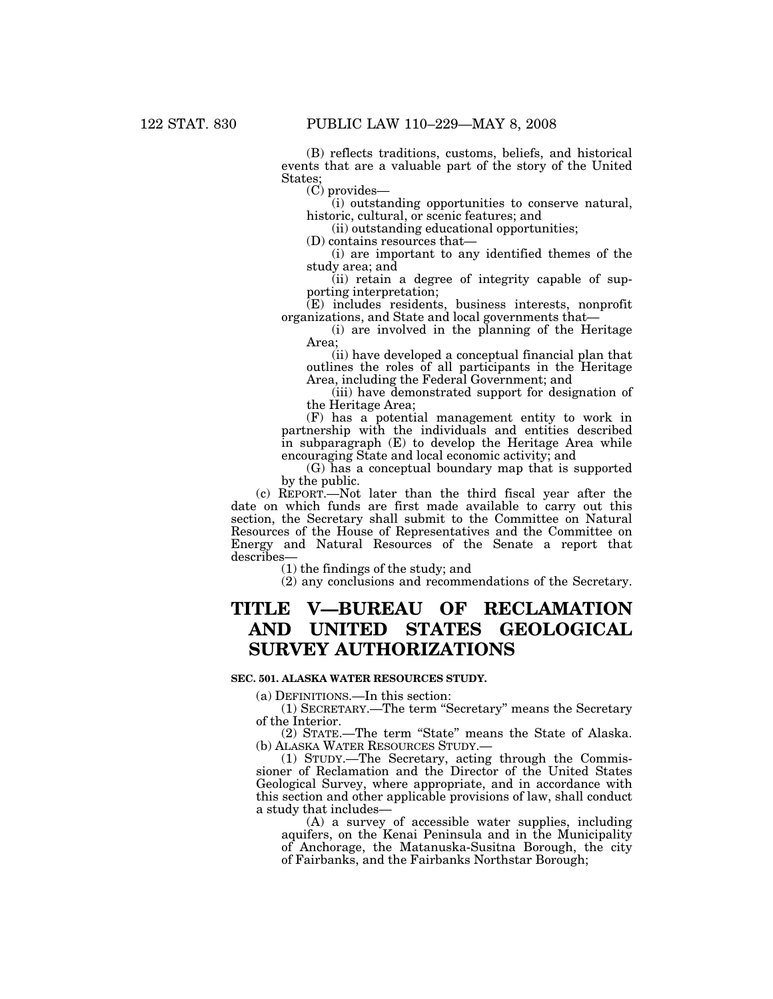(B) reflects traditions, customs, beliefs, and historical events that are a valuable part of the story of the United States;

(C) provides—

(i) outstanding opportunities to conserve natural, historic, cultural, or scenic features; and

(ii) outstanding educational opportunities;

(D) contains resources that—

(i) are important to any identified themes of the study area; and

(ii) retain a degree of integrity capable of supporting interpretation;

(E) includes residents, business interests, nonprofit organizations, and State and local governments that—

(i) are involved in the planning of the Heritage Area;

(ii) have developed a conceptual financial plan that outlines the roles of all participants in the Heritage Area, including the Federal Government; and

(iii) have demonstrated support for designation of the Heritage Area;

(F) has a potential management entity to work in partnership with the individuals and entities described in subparagraph (E) to develop the Heritage Area while encouraging State and local economic activity; and

(G) has a conceptual boundary map that is supported by the public.

(c) REPORT.—Not later than the third fiscal year after the date on which funds are first made available to carry out this section, the Secretary shall submit to the Committee on Natural Resources of the House of Representatives and the Committee on Energy and Natural Resources of the Senate a report that describes—

(1) the findings of the study; and

(2) any conclusions and recommendations of the Secretary.

# **TITLE V—BUREAU OF RECLAMATION AND UNITED STATES GEOLOGICAL SURVEY AUTHORIZATIONS**

## **SEC. 501. ALASKA WATER RESOURCES STUDY.**

(a) DEFINITIONS.—In this section:

(1) SECRETARY.—The term ''Secretary'' means the Secretary of the Interior.

(2) STATE.—The term ''State'' means the State of Alaska. (b) ALASKA WATER RESOURCES STUDY.—

(1) STUDY.—The Secretary, acting through the Commissioner of Reclamation and the Director of the United States Geological Survey, where appropriate, and in accordance with this section and other applicable provisions of law, shall conduct a study that includes—

(A) a survey of accessible water supplies, including aquifers, on the Kenai Peninsula and in the Municipality of Anchorage, the Matanuska-Susitna Borough, the city of Fairbanks, and the Fairbanks Northstar Borough;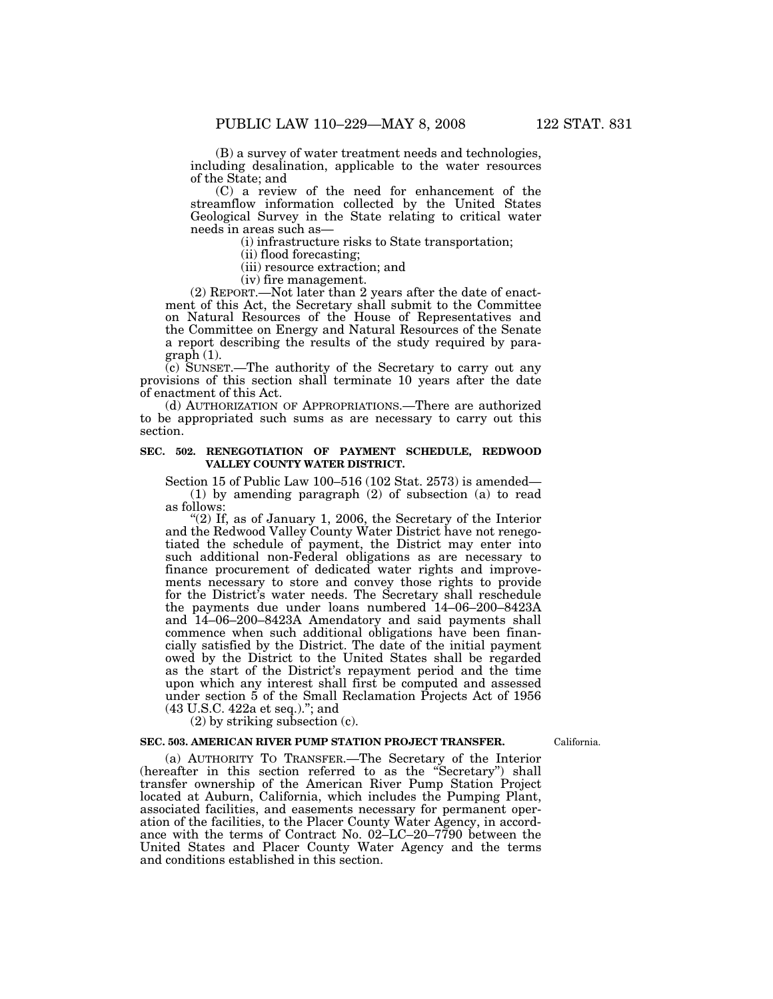(B) a survey of water treatment needs and technologies, including desalination, applicable to the water resources of the State; and

(C) a review of the need for enhancement of the streamflow information collected by the United States Geological Survey in the State relating to critical water needs in areas such as—

(i) infrastructure risks to State transportation;

(ii) flood forecasting;

(iii) resource extraction; and

(iv) fire management.

(2) REPORT.—Not later than 2 years after the date of enactment of this Act, the Secretary shall submit to the Committee on Natural Resources of the House of Representatives and the Committee on Energy and Natural Resources of the Senate a report describing the results of the study required by paragraph (1).

 $\overline{c}$ ) SUNSET.—The authority of the Secretary to carry out any provisions of this section shall terminate 10 years after the date of enactment of this Act.

(d) AUTHORIZATION OF APPROPRIATIONS.—There are authorized to be appropriated such sums as are necessary to carry out this section.

## **SEC. 502. RENEGOTIATION OF PAYMENT SCHEDULE, REDWOOD VALLEY COUNTY WATER DISTRICT.**

Section 15 of Public Law 100–516 (102 Stat. 2573) is amended— (1) by amending paragraph (2) of subsection (a) to read as follows:

" $(2)$  If, as of January 1, 2006, the Secretary of the Interior and the Redwood Valley County Water District have not renegotiated the schedule of payment, the District may enter into such additional non-Federal obligations as are necessary to finance procurement of dedicated water rights and improvements necessary to store and convey those rights to provide for the District's water needs. The Secretary shall reschedule the payments due under loans numbered 14–06–200–8423A and 14–06–200–8423A Amendatory and said payments shall commence when such additional obligations have been financially satisfied by the District. The date of the initial payment owed by the District to the United States shall be regarded as the start of the District's repayment period and the time upon which any interest shall first be computed and assessed under section 5 of the Small Reclamation Projects Act of 1956 (43 U.S.C. 422a et seq.).''; and

(2) by striking subsection (c).

#### **SEC. 503. AMERICAN RIVER PUMP STATION PROJECT TRANSFER.**

California.

(a) AUTHORITY TO TRANSFER.—The Secretary of the Interior (hereafter in this section referred to as the ''Secretary'') shall transfer ownership of the American River Pump Station Project located at Auburn, California, which includes the Pumping Plant, associated facilities, and easements necessary for permanent operation of the facilities, to the Placer County Water Agency, in accordance with the terms of Contract No. 02–LC–20–7790 between the United States and Placer County Water Agency and the terms and conditions established in this section.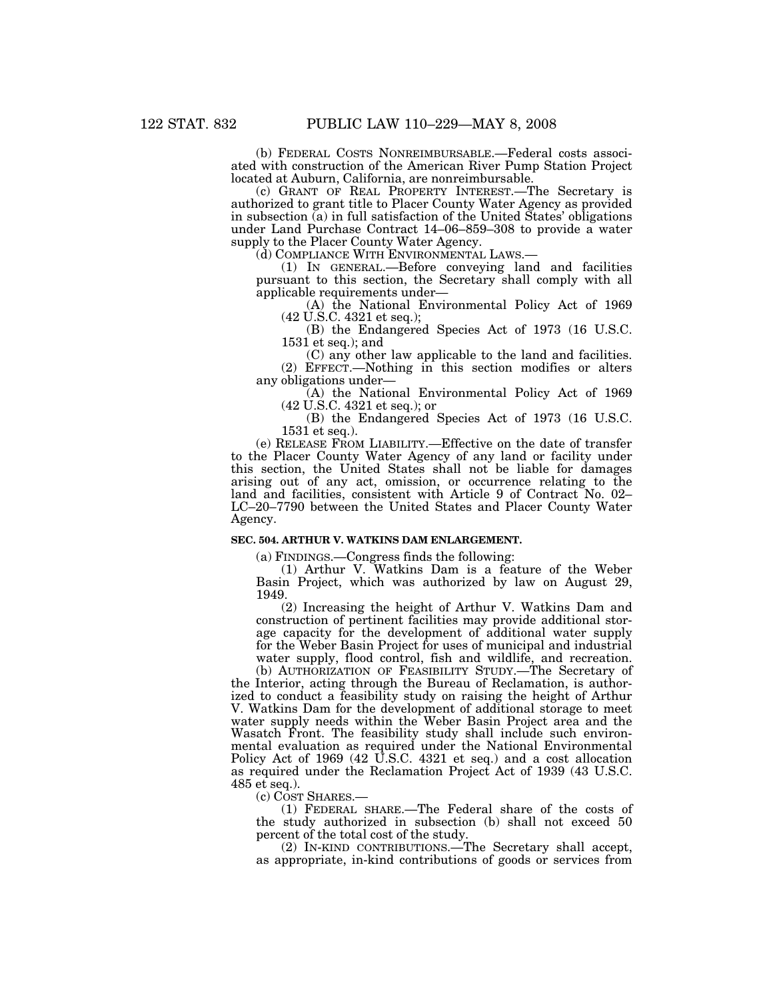(b) FEDERAL COSTS NONREIMBURSABLE.—Federal costs associated with construction of the American River Pump Station Project located at Auburn, California, are nonreimbursable.

(c) GRANT OF REAL PROPERTY INTEREST.—The Secretary is authorized to grant title to Placer County Water Agency as provided in subsection (a) in full satisfaction of the United States' obligations under Land Purchase Contract 14–06–859–308 to provide a water supply to the Placer County Water Agency.<br>(d) COMPLIANCE WITH ENVIRONMENTAL LAWS.

 $(1)$  IN GENERAL.—Before conveying land and facilities pursuant to this section, the Secretary shall comply with all applicable requirements under—

(A) the National Environmental Policy Act of 1969 (42 U.S.C. 4321 et seq.);

(B) the Endangered Species Act of 1973 (16 U.S.C. 1531 et seq.); and

(C) any other law applicable to the land and facilities. (2) EFFECT.—Nothing in this section modifies or alters any obligations under—

(A) the National Environmental Policy Act of 1969 (42 U.S.C. 4321 et seq.); or

(B) the Endangered Species Act of 1973 (16 U.S.C. 1531 et seq.).

(e) RELEASE FROM LIABILITY.—Effective on the date of transfer to the Placer County Water Agency of any land or facility under this section, the United States shall not be liable for damages arising out of any act, omission, or occurrence relating to the land and facilities, consistent with Article 9 of Contract No. 02– LC–20–7790 between the United States and Placer County Water Agency.

## **SEC. 504. ARTHUR V. WATKINS DAM ENLARGEMENT.**

(a) FINDINGS.—Congress finds the following:

(1) Arthur V. Watkins Dam is a feature of the Weber Basin Project, which was authorized by law on August 29, 1949.

(2) Increasing the height of Arthur V. Watkins Dam and construction of pertinent facilities may provide additional storage capacity for the development of additional water supply for the Weber Basin Project for uses of municipal and industrial water supply, flood control, fish and wildlife, and recreation.

(b) AUTHORIZATION OF FEASIBILITY STUDY.—The Secretary of the Interior, acting through the Bureau of Reclamation, is authorized to conduct a feasibility study on raising the height of Arthur V. Watkins Dam for the development of additional storage to meet water supply needs within the Weber Basin Project area and the Wasatch Front. The feasibility study shall include such environmental evaluation as required under the National Environmental Policy Act of 1969 (42 U.S.C. 4321 et seq.) and a cost allocation as required under the Reclamation Project Act of 1939 (43 U.S.C. 485 et seq.).

(c) COST SHARES.—

(1) FEDERAL SHARE.—The Federal share of the costs of the study authorized in subsection (b) shall not exceed 50 percent of the total cost of the study.

(2) IN-KIND CONTRIBUTIONS.—The Secretary shall accept, as appropriate, in-kind contributions of goods or services from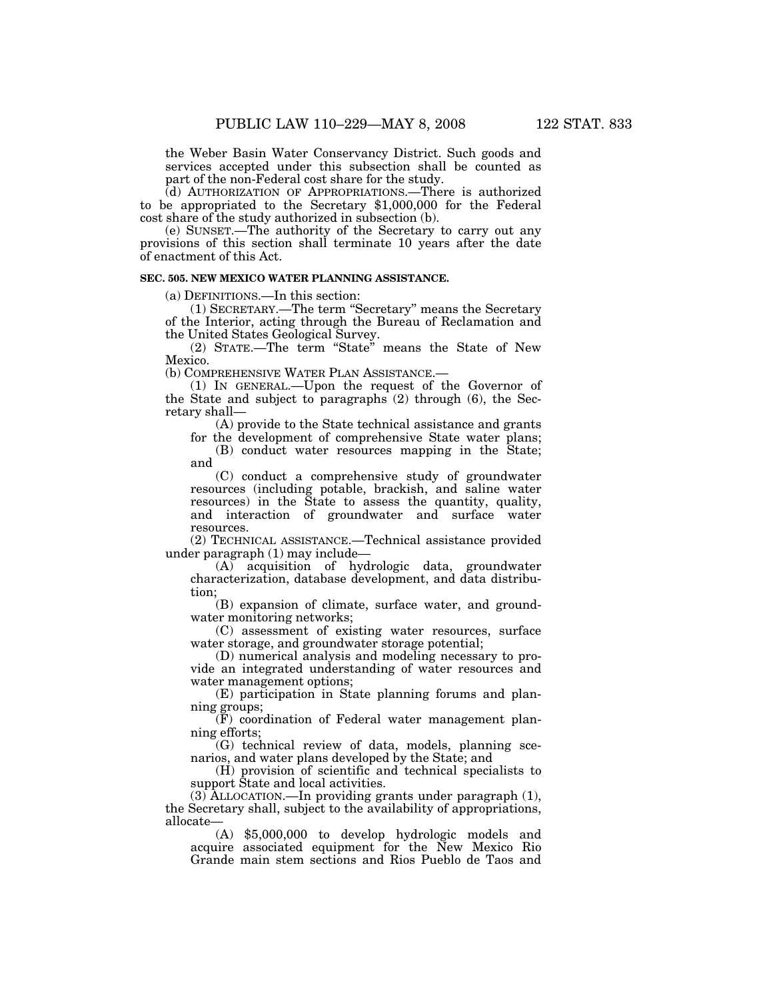the Weber Basin Water Conservancy District. Such goods and services accepted under this subsection shall be counted as part of the non-Federal cost share for the study.

(d) AUTHORIZATION OF APPROPRIATIONS.—There is authorized to be appropriated to the Secretary \$1,000,000 for the Federal cost share of the study authorized in subsection (b).

(e) SUNSET.—The authority of the Secretary to carry out any provisions of this section shall terminate 10 years after the date of enactment of this Act.

## **SEC. 505. NEW MEXICO WATER PLANNING ASSISTANCE.**

(a) DEFINITIONS.—In this section:

(1) SECRETARY.—The term ''Secretary'' means the Secretary of the Interior, acting through the Bureau of Reclamation and the United States Geological Survey.

(2) STATE.—The term ''State'' means the State of New Mexico.

(b) COMPREHENSIVE WATER PLAN ASSISTANCE.—

(1) IN GENERAL.—Upon the request of the Governor of the State and subject to paragraphs (2) through (6), the Secretary shall—

(A) provide to the State technical assistance and grants

for the development of comprehensive State water plans; (B) conduct water resources mapping in the State; and

(C) conduct a comprehensive study of groundwater resources (including potable, brackish, and saline water resources) in the State to assess the quantity, quality, and interaction of groundwater and surface water resources.

(2) TECHNICAL ASSISTANCE.—Technical assistance provided under paragraph (1) may include—

(A) acquisition of hydrologic data, groundwater characterization, database development, and data distribution;

(B) expansion of climate, surface water, and groundwater monitoring networks;

(C) assessment of existing water resources, surface water storage, and groundwater storage potential;

(D) numerical analysis and modeling necessary to provide an integrated understanding of water resources and water management options;

(E) participation in State planning forums and planning groups;

(F) coordination of Federal water management planning efforts;

(G) technical review of data, models, planning scenarios, and water plans developed by the State; and

(H) provision of scientific and technical specialists to support State and local activities.

(3) ALLOCATION.—In providing grants under paragraph (1), the Secretary shall, subject to the availability of appropriations, allocate—

(A) \$5,000,000 to develop hydrologic models and acquire associated equipment for the New Mexico Rio Grande main stem sections and Rios Pueblo de Taos and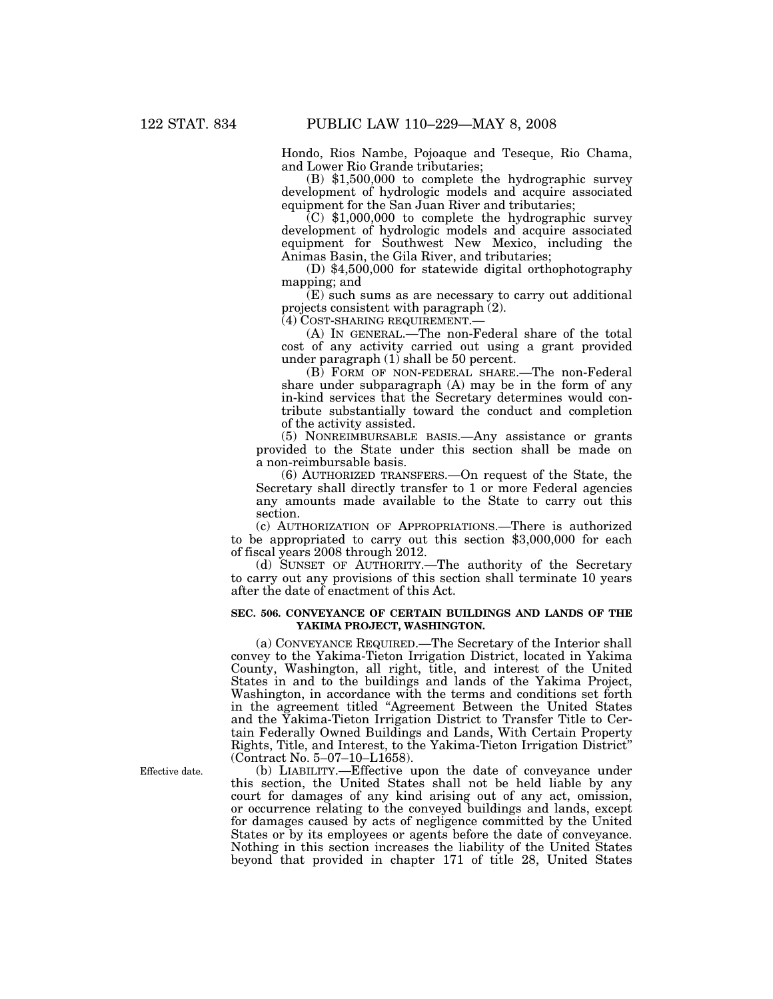Hondo, Rios Nambe, Pojoaque and Teseque, Rio Chama, and Lower Rio Grande tributaries;

(B) \$1,500,000 to complete the hydrographic survey development of hydrologic models and acquire associated equipment for the San Juan River and tributaries;

 $(C)$  \$1,000,000 to complete the hydrographic survey development of hydrologic models and acquire associated equipment for Southwest New Mexico, including the Animas Basin, the Gila River, and tributaries;

(D) \$4,500,000 for statewide digital orthophotography mapping; and

(E) such sums as are necessary to carry out additional projects consistent with paragraph (2).

(4) COST-SHARING REQUIREMENT.—

(A) IN GENERAL.—The non-Federal share of the total cost of any activity carried out using a grant provided under paragraph (1) shall be 50 percent.

(B) FORM OF NON-FEDERAL SHARE.—The non-Federal share under subparagraph (A) may be in the form of any in-kind services that the Secretary determines would contribute substantially toward the conduct and completion of the activity assisted.

(5) NONREIMBURSABLE BASIS.—Any assistance or grants provided to the State under this section shall be made on a non-reimbursable basis.

(6) AUTHORIZED TRANSFERS.—On request of the State, the Secretary shall directly transfer to 1 or more Federal agencies any amounts made available to the State to carry out this section.

(c) AUTHORIZATION OF APPROPRIATIONS.—There is authorized to be appropriated to carry out this section \$3,000,000 for each of fiscal years 2008 through 2012.

(d) SUNSET OF AUTHORITY.—The authority of the Secretary to carry out any provisions of this section shall terminate 10 years after the date of enactment of this Act.

## **SEC. 506. CONVEYANCE OF CERTAIN BUILDINGS AND LANDS OF THE YAKIMA PROJECT, WASHINGTON.**

(a) CONVEYANCE REQUIRED.—The Secretary of the Interior shall convey to the Yakima-Tieton Irrigation District, located in Yakima County, Washington, all right, title, and interest of the United States in and to the buildings and lands of the Yakima Project, Washington, in accordance with the terms and conditions set forth in the agreement titled ''Agreement Between the United States and the Yakima-Tieton Irrigation District to Transfer Title to Certain Federally Owned Buildings and Lands, With Certain Property Rights, Title, and Interest, to the Yakima-Tieton Irrigation District'' (Contract No. 5–07–10–L1658).

(b) LIABILITY.—Effective upon the date of conveyance under this section, the United States shall not be held liable by any court for damages of any kind arising out of any act, omission, or occurrence relating to the conveyed buildings and lands, except for damages caused by acts of negligence committed by the United States or by its employees or agents before the date of conveyance. Nothing in this section increases the liability of the United States beyond that provided in chapter 171 of title 28, United States

Effective date.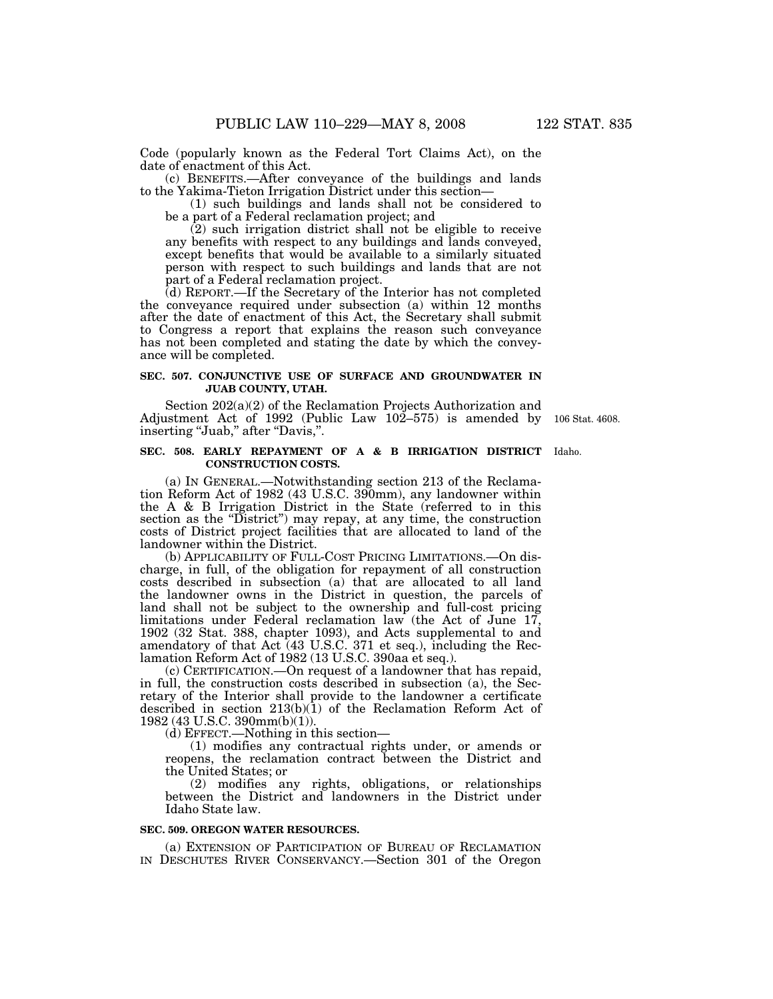Code (popularly known as the Federal Tort Claims Act), on the date of enactment of this Act.

(c) BENEFITS.—After conveyance of the buildings and lands to the Yakima-Tieton Irrigation District under this section—

(1) such buildings and lands shall not be considered to be a part of a Federal reclamation project; and

(2) such irrigation district shall not be eligible to receive any benefits with respect to any buildings and lands conveyed, except benefits that would be available to a similarly situated person with respect to such buildings and lands that are not part of a Federal reclamation project.

(d) REPORT.—If the Secretary of the Interior has not completed the conveyance required under subsection (a) within 12 months after the date of enactment of this Act, the Secretary shall submit to Congress a report that explains the reason such conveyance has not been completed and stating the date by which the conveyance will be completed.

## **SEC. 507. CONJUNCTIVE USE OF SURFACE AND GROUNDWATER IN JUAB COUNTY, UTAH.**

Section 202(a)(2) of the Reclamation Projects Authorization and Adjustment Act of 1992 (Public Law 102–575) is amended by inserting ''Juab,'' after ''Davis,''.

106 Stat. 4608.

#### **SEC. 508. EARLY REPAYMENT OF A & B IRRIGATION DISTRICT**  Idaho. **CONSTRUCTION COSTS.**

(a) IN GENERAL.—Notwithstanding section 213 of the Reclamation Reform Act of 1982 (43 U.S.C. 390mm), any landowner within the A & B Irrigation District in the State (referred to in this section as the "District") may repay, at any time, the construction costs of District project facilities that are allocated to land of the landowner within the District.

(b) APPLICABILITY OF FULL-COST PRICING LIMITATIONS.—On discharge, in full, of the obligation for repayment of all construction costs described in subsection (a) that are allocated to all land the landowner owns in the District in question, the parcels of land shall not be subject to the ownership and full-cost pricing limitations under Federal reclamation law (the Act of June 17, 1902 (32 Stat. 388, chapter 1093), and Acts supplemental to and amendatory of that Act (43 U.S.C. 371 et seq.), including the Reclamation Reform Act of 1982 (13 U.S.C. 390aa et seq.).

(c) CERTIFICATION.—On request of a landowner that has repaid, in full, the construction costs described in subsection (a), the Secretary of the Interior shall provide to the landowner a certificate described in section 213(b)(1) of the Reclamation Reform Act of 1982 (43 U.S.C. 390mm(b)(1)).

(d) EFFECT.—Nothing in this section—

(1) modifies any contractual rights under, or amends or reopens, the reclamation contract between the District and the United States; or

(2) modifies any rights, obligations, or relationships between the District and landowners in the District under Idaho State law.

## **SEC. 509. OREGON WATER RESOURCES.**

(a) EXTENSION OF PARTICIPATION OF BUREAU OF RECLAMATION IN DESCHUTES RIVER CONSERVANCY.—Section 301 of the Oregon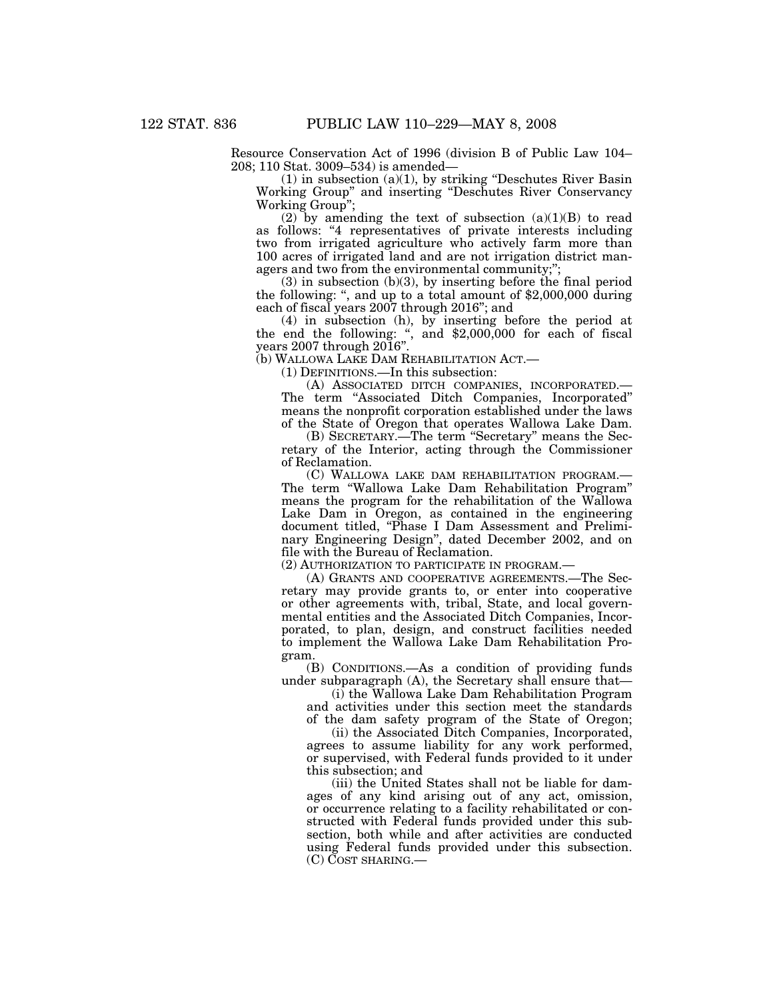Resource Conservation Act of 1996 (division B of Public Law 104– 208; 110 Stat. 3009–534) is amended—

 $(1)$  in subsection  $(a)(1)$ , by striking "Deschutes River Basin Working Group" and inserting "Deschutes River Conservancy"<br>Working Group": Working Group"

(2) by amending the text of subsection  $(a)(1)(B)$  to read as follows: "4 representatives of private interests including two from irrigated agriculture who actively farm more than 100 acres of irrigated land and are not irrigation district managers and two from the environmental community;'';

(3) in subsection (b)(3), by inserting before the final period the following: '', and up to a total amount of \$2,000,000 during each of fiscal years 2007 through 2016''; and

(4) in subsection (h), by inserting before the period at the end the following: ", and \$2,000,000 for each of fiscal years 2007 through 2016''.

(b) WALLOWA LAKE DAM REHABILITATION ACT.—

(1) DEFINITIONS.—In this subsection:

(A) ASSOCIATED DITCH COMPANIES, INCORPORATED.— The term "Associated Ditch Companies, Incorporated" means the nonprofit corporation established under the laws of the State of Oregon that operates Wallowa Lake Dam.

(B) SECRETARY.—The term ''Secretary'' means the Secretary of the Interior, acting through the Commissioner of Reclamation.

(C) WALLOWA LAKE DAM REHABILITATION PROGRAM.— The term ''Wallowa Lake Dam Rehabilitation Program'' means the program for the rehabilitation of the Wallowa Lake Dam in Oregon, as contained in the engineering document titled, ''Phase I Dam Assessment and Preliminary Engineering Design'', dated December 2002, and on file with the Bureau of Reclamation.

(2) AUTHORIZATION TO PARTICIPATE IN PROGRAM.—

(A) GRANTS AND COOPERATIVE AGREEMENTS.—The Secretary may provide grants to, or enter into cooperative or other agreements with, tribal, State, and local governmental entities and the Associated Ditch Companies, Incorporated, to plan, design, and construct facilities needed to implement the Wallowa Lake Dam Rehabilitation Program.

(B) CONDITIONS.—As a condition of providing funds under subparagraph (A), the Secretary shall ensure that—

(i) the Wallowa Lake Dam Rehabilitation Program and activities under this section meet the standards of the dam safety program of the State of Oregon;

(ii) the Associated Ditch Companies, Incorporated, agrees to assume liability for any work performed, or supervised, with Federal funds provided to it under this subsection; and

(iii) the United States shall not be liable for damages of any kind arising out of any act, omission, or occurrence relating to a facility rehabilitated or constructed with Federal funds provided under this subsection, both while and after activities are conducted using Federal funds provided under this subsection.  $(C)$  COST SHARING.—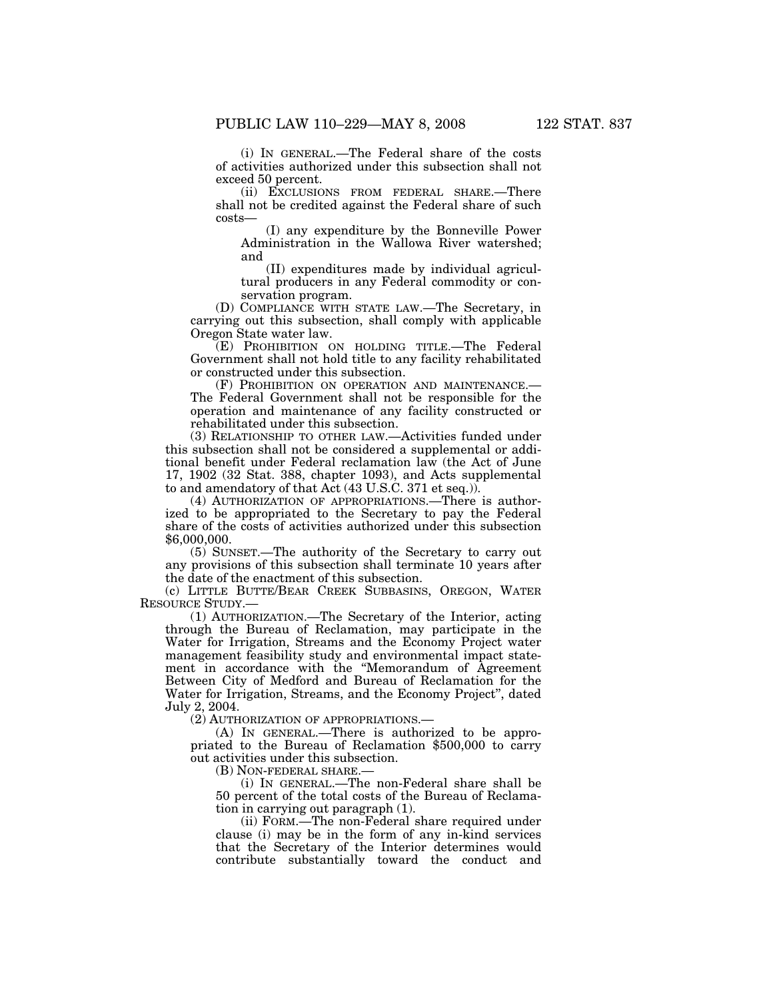(i) IN GENERAL.—The Federal share of the costs of activities authorized under this subsection shall not exceed 50 percent.

(ii) EXCLUSIONS FROM FEDERAL SHARE.—There shall not be credited against the Federal share of such costs—

(I) any expenditure by the Bonneville Power Administration in the Wallowa River watershed; and

(II) expenditures made by individual agricultural producers in any Federal commodity or conservation program.

(D) COMPLIANCE WITH STATE LAW.—The Secretary, in carrying out this subsection, shall comply with applicable Oregon State water law.

(E) PROHIBITION ON HOLDING TITLE.—The Federal Government shall not hold title to any facility rehabilitated or constructed under this subsection.

(F) PROHIBITION ON OPERATION AND MAINTENANCE.— The Federal Government shall not be responsible for the operation and maintenance of any facility constructed or rehabilitated under this subsection.

(3) RELATIONSHIP TO OTHER LAW.—Activities funded under this subsection shall not be considered a supplemental or additional benefit under Federal reclamation law (the Act of June 17, 1902 (32 Stat. 388, chapter 1093), and Acts supplemental to and amendatory of that Act (43 U.S.C. 371 et seq.)).

(4) AUTHORIZATION OF APPROPRIATIONS.—There is authorized to be appropriated to the Secretary to pay the Federal share of the costs of activities authorized under this subsection \$6,000,000.

(5) SUNSET.—The authority of the Secretary to carry out any provisions of this subsection shall terminate 10 years after the date of the enactment of this subsection.

(c) LITTLE BUTTE/BEAR CREEK SUBBASINS, OREGON, WATER RESOURCE STUDY.—

(1) AUTHORIZATION.—The Secretary of the Interior, acting through the Bureau of Reclamation, may participate in the Water for Irrigation, Streams and the Economy Project water management feasibility study and environmental impact statement in accordance with the ''Memorandum of Agreement Between City of Medford and Bureau of Reclamation for the Water for Irrigation, Streams, and the Economy Project'', dated July 2, 2004.

(2) AUTHORIZATION OF APPROPRIATIONS.—

(A) IN GENERAL.—There is authorized to be appropriated to the Bureau of Reclamation \$500,000 to carry out activities under this subsection.

(B) NON-FEDERAL SHARE.

(i) IN GENERAL.—The non-Federal share shall be 50 percent of the total costs of the Bureau of Reclamation in carrying out paragraph (1).

(ii) FORM.—The non-Federal share required under clause (i) may be in the form of any in-kind services that the Secretary of the Interior determines would contribute substantially toward the conduct and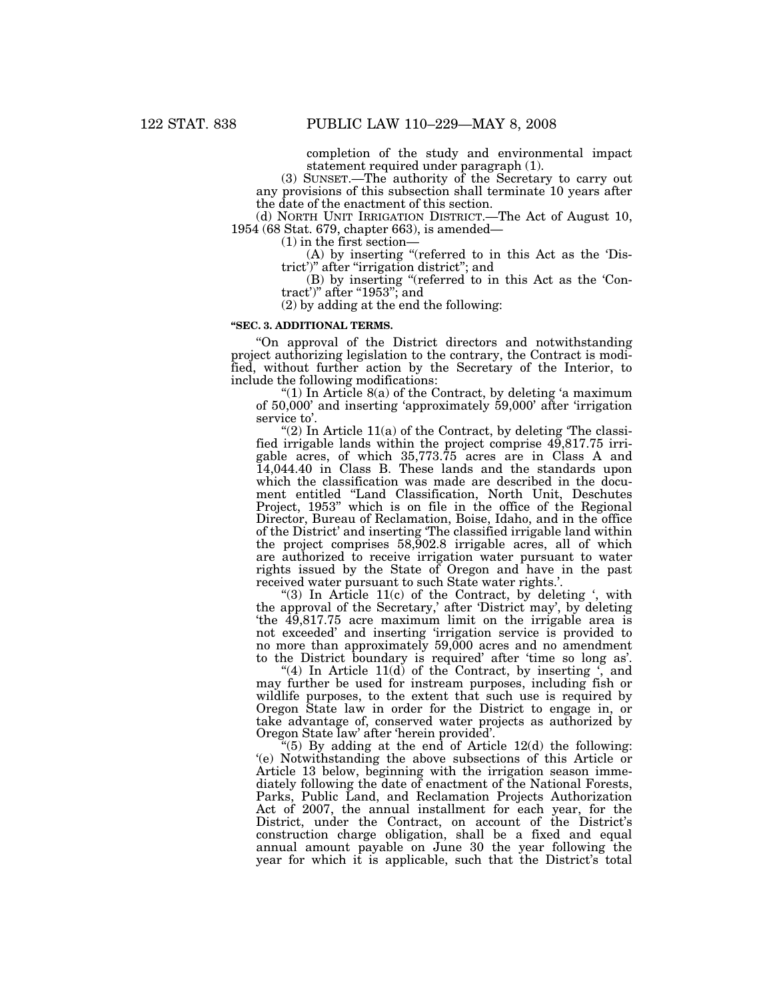completion of the study and environmental impact statement required under paragraph (1).

(3) SUNSET.—The authority of the Secretary to carry out any provisions of this subsection shall terminate 10 years after the date of the enactment of this section.

(d) NORTH UNIT IRRIGATION DISTRICT.—The Act of August 10, 1954 (68 Stat. 679, chapter 663), is amended—

(1) in the first section—

(A) by inserting "(referred to in this Act as the 'District')'' after ''irrigation district''; and

(B) by inserting ''(referred to in this Act as the 'Contract')" after "1953"; and

(2) by adding at the end the following:

## **''SEC. 3. ADDITIONAL TERMS.**

''On approval of the District directors and notwithstanding project authorizing legislation to the contrary, the Contract is modified, without further action by the Secretary of the Interior, to include the following modifications:

"(1) In Article 8(a) of the Contract, by deleting 'a maximum of 50,000' and inserting 'approximately 59,000' after 'irrigation service to'.

"(2) In Article  $11(a)$  of the Contract, by deleting The classified irrigable lands within the project comprise 49,817.75 irrigable acres, of which 35,773.75 acres are in Class A and 14,044.40 in Class B. These lands and the standards upon which the classification was made are described in the document entitled ''Land Classification, North Unit, Deschutes Project, 1953'' which is on file in the office of the Regional Director, Bureau of Reclamation, Boise, Idaho, and in the office of the District' and inserting 'The classified irrigable land within the project comprises 58,902.8 irrigable acres, all of which are authorized to receive irrigation water pursuant to water rights issued by the State of Oregon and have in the past received water pursuant to such State water rights.'.

"(3) In Article  $11(c)$  of the Contract, by deleting ', with the approval of the Secretary,' after 'District may', by deleting 'the 49,817.75 acre maximum limit on the irrigable area is not exceeded' and inserting 'irrigation service is provided to no more than approximately 59,000 acres and no amendment to the District boundary is required' after 'time so long as'.

"(4) In Article  $11(d)$  of the Contract, by inserting  $\zeta$  and may further be used for instream purposes, including fish or wildlife purposes, to the extent that such use is required by Oregon State law in order for the District to engage in, or take advantage of, conserved water projects as authorized by Oregon State law' after 'herein provided'.

 $(5)$  By adding at the end of Article 12(d) the following: '(e) Notwithstanding the above subsections of this Article or Article 13 below, beginning with the irrigation season immediately following the date of enactment of the National Forests, Parks, Public Land, and Reclamation Projects Authorization Act of 2007, the annual installment for each year, for the District, under the Contract, on account of the District's construction charge obligation, shall be a fixed and equal annual amount payable on June 30 the year following the year for which it is applicable, such that the District's total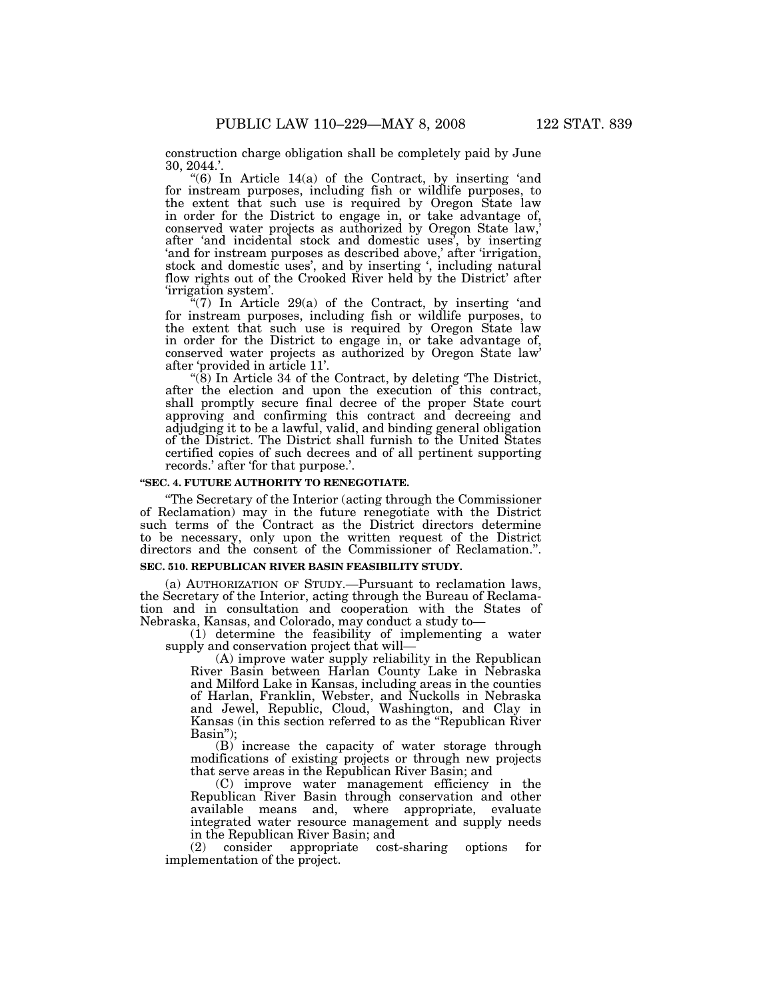construction charge obligation shall be completely paid by June 30, 2044.'.

"(6) In Article 14(a) of the Contract, by inserting 'and for instream purposes, including fish or wildlife purposes, to the extent that such use is required by Oregon State law in order for the District to engage in, or take advantage of, conserved water projects as authorized by Oregon State law,' after 'and incidental stock and domestic uses', by inserting 'and for instream purposes as described above,' after 'irrigation, stock and domestic uses', and by inserting ', including natural flow rights out of the Crooked River held by the District' after 'irrigation system'.

 $(7)$  In Article 29(a) of the Contract, by inserting 'and for instream purposes, including fish or wildlife purposes, to the extent that such use is required by Oregon State law in order for the District to engage in, or take advantage of, conserved water projects as authorized by Oregon State law' after 'provided in article 11'.

''(8) In Article 34 of the Contract, by deleting 'The District, after the election and upon the execution of this contract, shall promptly secure final decree of the proper State court approving and confirming this contract and decreeing and adjudging it to be a lawful, valid, and binding general obligation of the District. The District shall furnish to the United States certified copies of such decrees and of all pertinent supporting records.' after 'for that purpose.'.

#### **''SEC. 4. FUTURE AUTHORITY TO RENEGOTIATE.**

''The Secretary of the Interior (acting through the Commissioner of Reclamation) may in the future renegotiate with the District such terms of the Contract as the District directors determine to be necessary, only upon the written request of the District directors and the consent of the Commissioner of Reclamation.''.

## **SEC. 510. REPUBLICAN RIVER BASIN FEASIBILITY STUDY.**

(a) AUTHORIZATION OF STUDY.—Pursuant to reclamation laws, the Secretary of the Interior, acting through the Bureau of Reclamation and in consultation and cooperation with the States of Nebraska, Kansas, and Colorado, may conduct a study to—

(1) determine the feasibility of implementing a water supply and conservation project that will—

(A) improve water supply reliability in the Republican River Basin between Harlan County Lake in Nebraska and Milford Lake in Kansas, including areas in the counties of Harlan, Franklin, Webster, and Nuckolls in Nebraska and Jewel, Republic, Cloud, Washington, and Clay in Kansas (in this section referred to as the ''Republican River Basin'');

(B) increase the capacity of water storage through modifications of existing projects or through new projects that serve areas in the Republican River Basin; and

(C) improve water management efficiency in the Republican River Basin through conservation and other available means and, where appropriate, evaluate integrated water resource management and supply needs in the Republican River Basin; and

(2) consider appropriate cost-sharing options for implementation of the project.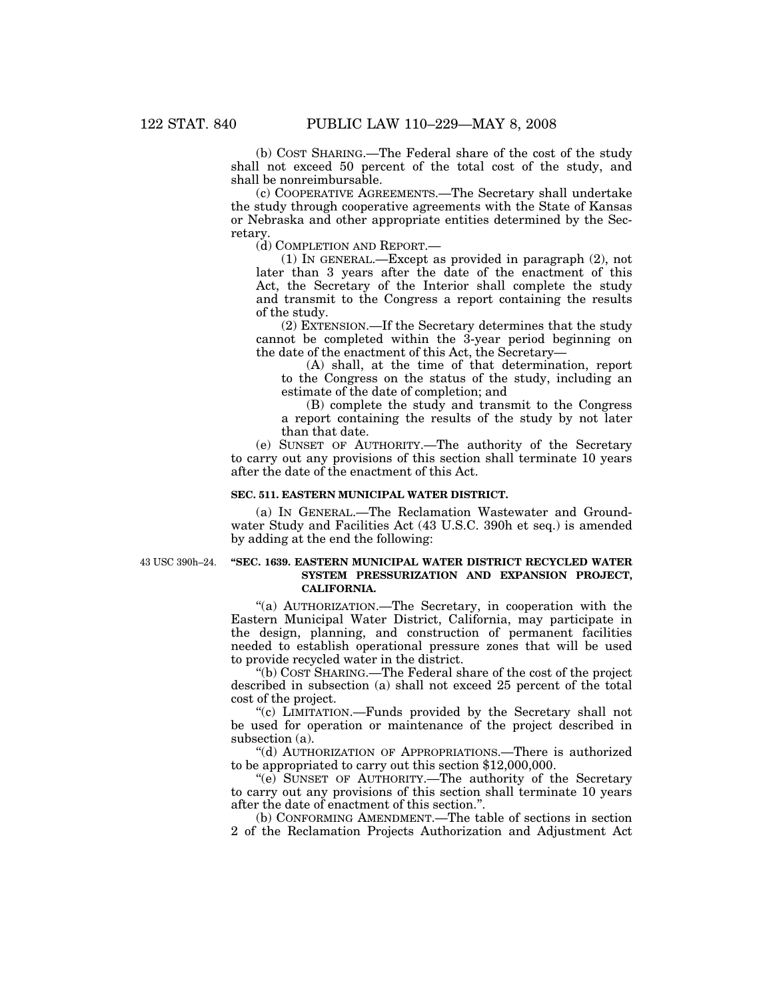(b) COST SHARING.—The Federal share of the cost of the study shall not exceed 50 percent of the total cost of the study, and shall be nonreimbursable.

(c) COOPERATIVE AGREEMENTS.—The Secretary shall undertake the study through cooperative agreements with the State of Kansas or Nebraska and other appropriate entities determined by the Secretary.

(d) COMPLETION AND REPORT.—

(1) IN GENERAL.—Except as provided in paragraph (2), not later than 3 years after the date of the enactment of this Act, the Secretary of the Interior shall complete the study and transmit to the Congress a report containing the results of the study.

(2) EXTENSION.—If the Secretary determines that the study cannot be completed within the 3-year period beginning on the date of the enactment of this Act, the Secretary—

(A) shall, at the time of that determination, report to the Congress on the status of the study, including an estimate of the date of completion; and

(B) complete the study and transmit to the Congress a report containing the results of the study by not later than that date.

(e) SUNSET OF AUTHORITY.—The authority of the Secretary to carry out any provisions of this section shall terminate 10 years after the date of the enactment of this Act.

## **SEC. 511. EASTERN MUNICIPAL WATER DISTRICT.**

(a) IN GENERAL.—The Reclamation Wastewater and Groundwater Study and Facilities Act (43 U.S.C. 390h et seq.) is amended by adding at the end the following:

43 USC 390h–24.

## **''SEC. 1639. EASTERN MUNICIPAL WATER DISTRICT RECYCLED WATER SYSTEM PRESSURIZATION AND EXPANSION PROJECT, CALIFORNIA.**

''(a) AUTHORIZATION.—The Secretary, in cooperation with the Eastern Municipal Water District, California, may participate in the design, planning, and construction of permanent facilities needed to establish operational pressure zones that will be used to provide recycled water in the district.

''(b) COST SHARING.—The Federal share of the cost of the project described in subsection (a) shall not exceed 25 percent of the total cost of the project.

''(c) LIMITATION.—Funds provided by the Secretary shall not be used for operation or maintenance of the project described in subsection (a).

''(d) AUTHORIZATION OF APPROPRIATIONS.—There is authorized to be appropriated to carry out this section \$12,000,000.

''(e) SUNSET OF AUTHORITY.—The authority of the Secretary to carry out any provisions of this section shall terminate 10 years after the date of enactment of this section."

(b) CONFORMING AMENDMENT.—The table of sections in section 2 of the Reclamation Projects Authorization and Adjustment Act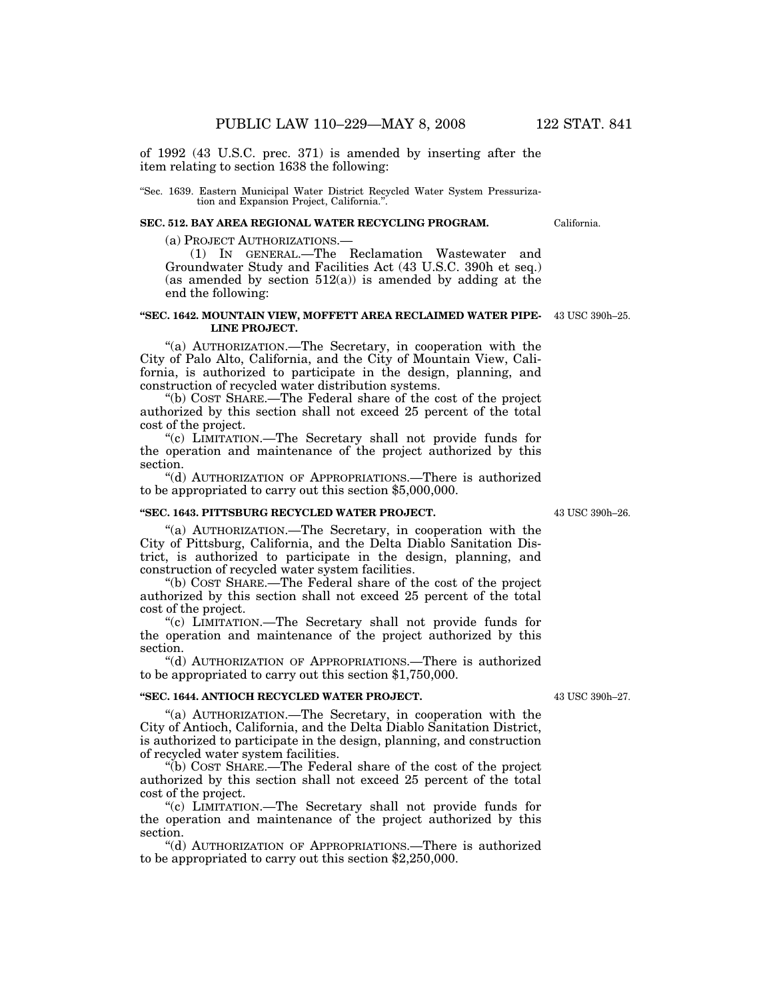of 1992 (43 U.S.C. prec. 371) is amended by inserting after the item relating to section 1638 the following:

#### ''Sec. 1639. Eastern Municipal Water District Recycled Water System Pressurization and Expansion Project, California.''.

## **SEC. 512. BAY AREA REGIONAL WATER RECYCLING PROGRAM.**

(a) PROJECT AUTHORIZATIONS.—

(1) IN GENERAL.—The Reclamation Wastewater and Groundwater Study and Facilities Act (43 U.S.C. 390h et seq.) (as amended by section  $512(a)$ ) is amended by adding at the end the following:

#### **''SEC. 1642. MOUNTAIN VIEW, MOFFETT AREA RECLAIMED WATER PIPE-**43 USC 390h–25. **LINE PROJECT.**

''(a) AUTHORIZATION.—The Secretary, in cooperation with the City of Palo Alto, California, and the City of Mountain View, California, is authorized to participate in the design, planning, and construction of recycled water distribution systems.

''(b) COST SHARE.—The Federal share of the cost of the project authorized by this section shall not exceed 25 percent of the total cost of the project.

''(c) LIMITATION.—The Secretary shall not provide funds for the operation and maintenance of the project authorized by this section.

''(d) AUTHORIZATION OF APPROPRIATIONS.—There is authorized to be appropriated to carry out this section \$5,000,000.

## **''SEC. 1643. PITTSBURG RECYCLED WATER PROJECT.**

''(a) AUTHORIZATION.—The Secretary, in cooperation with the City of Pittsburg, California, and the Delta Diablo Sanitation District, is authorized to participate in the design, planning, and construction of recycled water system facilities.

''(b) COST SHARE.—The Federal share of the cost of the project authorized by this section shall not exceed 25 percent of the total cost of the project.

''(c) LIMITATION.—The Secretary shall not provide funds for the operation and maintenance of the project authorized by this section.

''(d) AUTHORIZATION OF APPROPRIATIONS.—There is authorized to be appropriated to carry out this section \$1,750,000.

## **''SEC. 1644. ANTIOCH RECYCLED WATER PROJECT.**

''(a) AUTHORIZATION.—The Secretary, in cooperation with the City of Antioch, California, and the Delta Diablo Sanitation District, is authorized to participate in the design, planning, and construction of recycled water system facilities.

''(b) COST SHARE.—The Federal share of the cost of the project authorized by this section shall not exceed 25 percent of the total cost of the project.

''(c) LIMITATION.—The Secretary shall not provide funds for the operation and maintenance of the project authorized by this section.

''(d) AUTHORIZATION OF APPROPRIATIONS.—There is authorized to be appropriated to carry out this section \$2,250,000.

43 USC 390h–27.

43 USC 390h–26.

California.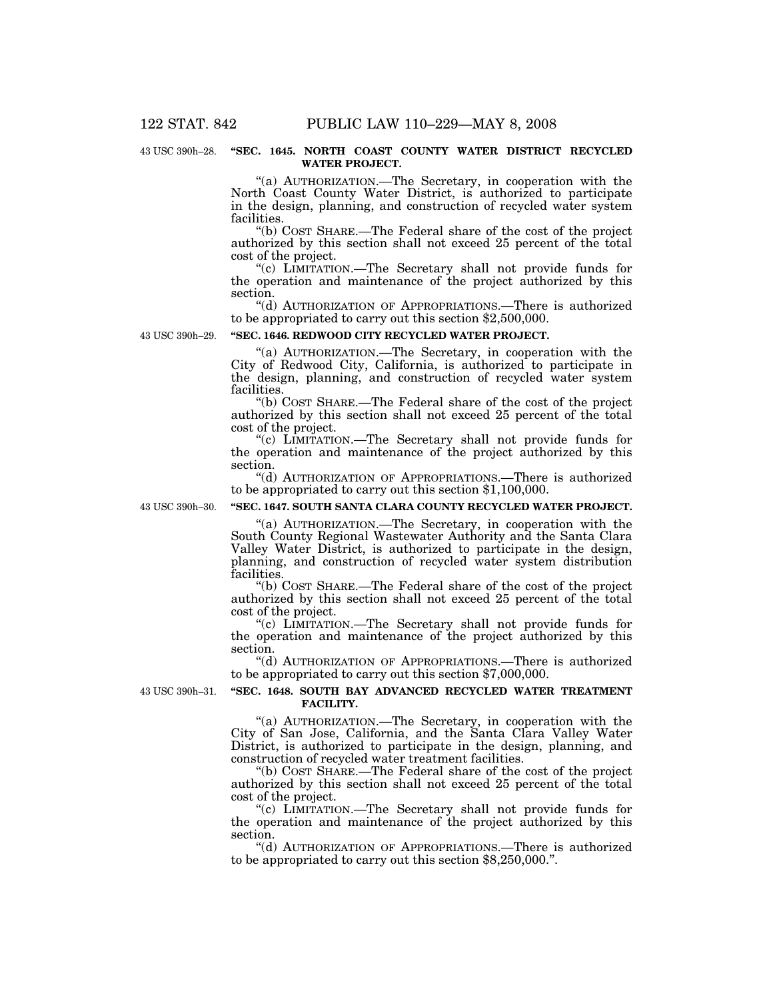#### 43 USC 390h–28. **"SEC. 1645. NORTH COAST COUNTY WATER DISTRICT RECYCLED WATER PROJECT.**

"(a) AUTHORIZATION.—The Secretary, in cooperation with the North Coast County Water District, is authorized to participate in the design, planning, and construction of recycled water system facilities.

''(b) COST SHARE.—The Federal share of the cost of the project authorized by this section shall not exceed 25 percent of the total cost of the project.

''(c) LIMITATION.—The Secretary shall not provide funds for the operation and maintenance of the project authorized by this section.

''(d) AUTHORIZATION OF APPROPRIATIONS.—There is authorized to be appropriated to carry out this section \$2,500,000.

43 USC 390h–29.

### **''SEC. 1646. REDWOOD CITY RECYCLED WATER PROJECT.**

''(a) AUTHORIZATION.—The Secretary, in cooperation with the City of Redwood City, California, is authorized to participate in the design, planning, and construction of recycled water system facilities.

''(b) COST SHARE.—The Federal share of the cost of the project authorized by this section shall not exceed 25 percent of the total cost of the project.

''(c) LIMITATION.—The Secretary shall not provide funds for the operation and maintenance of the project authorized by this section.

''(d) AUTHORIZATION OF APPROPRIATIONS.—There is authorized to be appropriated to carry out this section \$1,100,000.

43 USC 390h–30.

## **''SEC. 1647. SOUTH SANTA CLARA COUNTY RECYCLED WATER PROJECT.**

''(a) AUTHORIZATION.—The Secretary, in cooperation with the South County Regional Wastewater Authority and the Santa Clara Valley Water District, is authorized to participate in the design, planning, and construction of recycled water system distribution facilities.

''(b) COST SHARE.—The Federal share of the cost of the project authorized by this section shall not exceed 25 percent of the total cost of the project.

''(c) LIMITATION.—The Secretary shall not provide funds for the operation and maintenance of the project authorized by this section.

''(d) AUTHORIZATION OF APPROPRIATIONS.—There is authorized to be appropriated to carry out this section \$7,000,000.

43 USC 390h–31.

## **''SEC. 1648. SOUTH BAY ADVANCED RECYCLED WATER TREATMENT FACILITY.**

''(a) AUTHORIZATION.—The Secretary, in cooperation with the City of San Jose, California, and the Santa Clara Valley Water District, is authorized to participate in the design, planning, and construction of recycled water treatment facilities.

''(b) COST SHARE.—The Federal share of the cost of the project authorized by this section shall not exceed 25 percent of the total cost of the project.

''(c) LIMITATION.—The Secretary shall not provide funds for the operation and maintenance of the project authorized by this section.

''(d) AUTHORIZATION OF APPROPRIATIONS.—There is authorized to be appropriated to carry out this section \$8,250,000.''.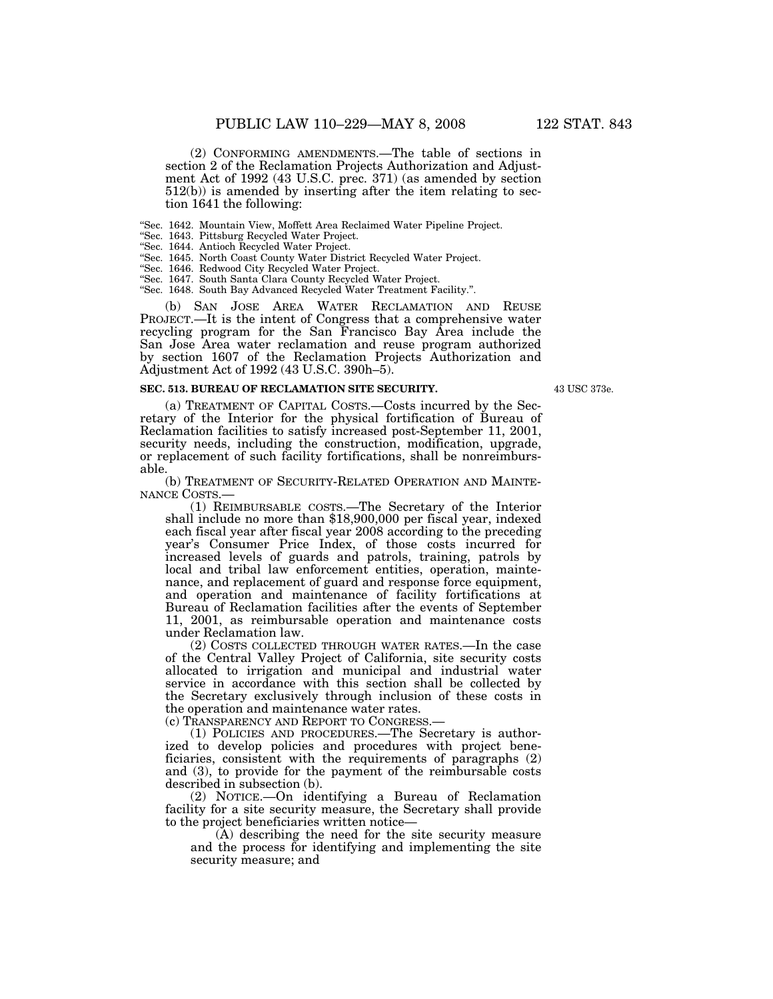(2) CONFORMING AMENDMENTS.—The table of sections in section 2 of the Reclamation Projects Authorization and Adjustment Act of 1992 (43 U.S.C. prec. 371) (as amended by section 512(b)) is amended by inserting after the item relating to sec-

- tion 1641 the following:
- ''Sec. 1642. Mountain View, Moffett Area Reclaimed Water Pipeline Project.
- ''Sec. 1643. Pittsburg Recycled Water Project.
- ''Sec. 1644. Antioch Recycled Water Project.
- ''Sec. 1645. North Coast County Water District Recycled Water Project.
- ''Sec. 1646. Redwood City Recycled Water Project.
- ''Sec. 1647. South Santa Clara County Recycled Water Project.
- ''Sec. 1648. South Bay Advanced Recycled Water Treatment Facility.''.

(b) SAN JOSE AREA WATER RECLAMATION AND REUSE PROJECT.—It is the intent of Congress that a comprehensive water recycling program for the San Francisco Bay Area include the San Jose Area water reclamation and reuse program authorized by section 1607 of the Reclamation Projects Authorization and Adjustment Act of 1992 (43 U.S.C. 390h–5).

#### **SEC. 513. BUREAU OF RECLAMATION SITE SECURITY.**

43 USC 373e.

(a) TREATMENT OF CAPITAL COSTS.—Costs incurred by the Secretary of the Interior for the physical fortification of Bureau of Reclamation facilities to satisfy increased post-September 11, 2001, security needs, including the construction, modification, upgrade, or replacement of such facility fortifications, shall be nonreimbursable.

(b) TREATMENT OF SECURITY-RELATED OPERATION AND MAINTE-NANCE COSTS.—

(1) REIMBURSABLE COSTS.—The Secretary of the Interior shall include no more than \$18,900,000 per fiscal year, indexed each fiscal year after fiscal year 2008 according to the preceding year's Consumer Price Index, of those costs incurred for increased levels of guards and patrols, training, patrols by local and tribal law enforcement entities, operation, maintenance, and replacement of guard and response force equipment, and operation and maintenance of facility fortifications at Bureau of Reclamation facilities after the events of September 11, 2001, as reimbursable operation and maintenance costs under Reclamation law.

(2) COSTS COLLECTED THROUGH WATER RATES.—In the case of the Central Valley Project of California, site security costs allocated to irrigation and municipal and industrial water service in accordance with this section shall be collected by the Secretary exclusively through inclusion of these costs in the operation and maintenance water rates.

(c) TRANSPARENCY AND REPORT TO CONGRESS.—

(1) POLICIES AND PROCEDURES.—The Secretary is authorized to develop policies and procedures with project beneficiaries, consistent with the requirements of paragraphs (2) and (3), to provide for the payment of the reimbursable costs described in subsection (b).

(2) NOTICE.—On identifying a Bureau of Reclamation facility for a site security measure, the Secretary shall provide to the project beneficiaries written notice—

(A) describing the need for the site security measure and the process for identifying and implementing the site security measure; and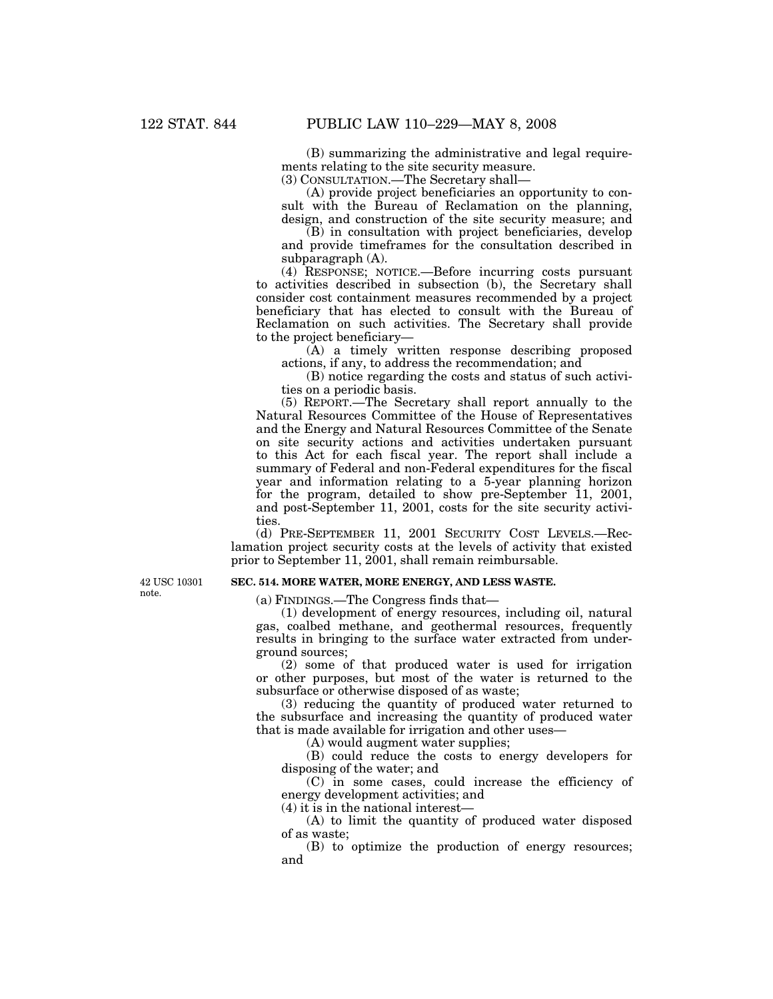(B) summarizing the administrative and legal requirements relating to the site security measure. (3) CONSULTATION.—The Secretary shall—

(A) provide project beneficiaries an opportunity to consult with the Bureau of Reclamation on the planning, design, and construction of the site security measure; and

(B) in consultation with project beneficiaries, develop and provide timeframes for the consultation described in subparagraph (A).

(4) RESPONSE; NOTICE.—Before incurring costs pursuant to activities described in subsection (b), the Secretary shall consider cost containment measures recommended by a project beneficiary that has elected to consult with the Bureau of Reclamation on such activities. The Secretary shall provide to the project beneficiary—

(A) a timely written response describing proposed actions, if any, to address the recommendation; and

(B) notice regarding the costs and status of such activities on a periodic basis.

(5) REPORT.—The Secretary shall report annually to the Natural Resources Committee of the House of Representatives and the Energy and Natural Resources Committee of the Senate on site security actions and activities undertaken pursuant to this Act for each fiscal year. The report shall include a summary of Federal and non-Federal expenditures for the fiscal year and information relating to a 5-year planning horizon for the program, detailed to show pre-September 11, 2001, and post-September 11, 2001, costs for the site security activities.

(d) PRE-SEPTEMBER 11, 2001 SECURITY COST LEVELS.—Reclamation project security costs at the levels of activity that existed prior to September 11, 2001, shall remain reimbursable.

## **SEC. 514. MORE WATER, MORE ENERGY, AND LESS WASTE.**

(a) FINDINGS.—The Congress finds that—

(1) development of energy resources, including oil, natural gas, coalbed methane, and geothermal resources, frequently results in bringing to the surface water extracted from underground sources;

(2) some of that produced water is used for irrigation or other purposes, but most of the water is returned to the subsurface or otherwise disposed of as waste;

(3) reducing the quantity of produced water returned to the subsurface and increasing the quantity of produced water that is made available for irrigation and other uses—

(A) would augment water supplies;

(B) could reduce the costs to energy developers for disposing of the water; and

(C) in some cases, could increase the efficiency of energy development activities; and

(4) it is in the national interest—

(A) to limit the quantity of produced water disposed of as waste;

(B) to optimize the production of energy resources; and

42 USC 10301 note.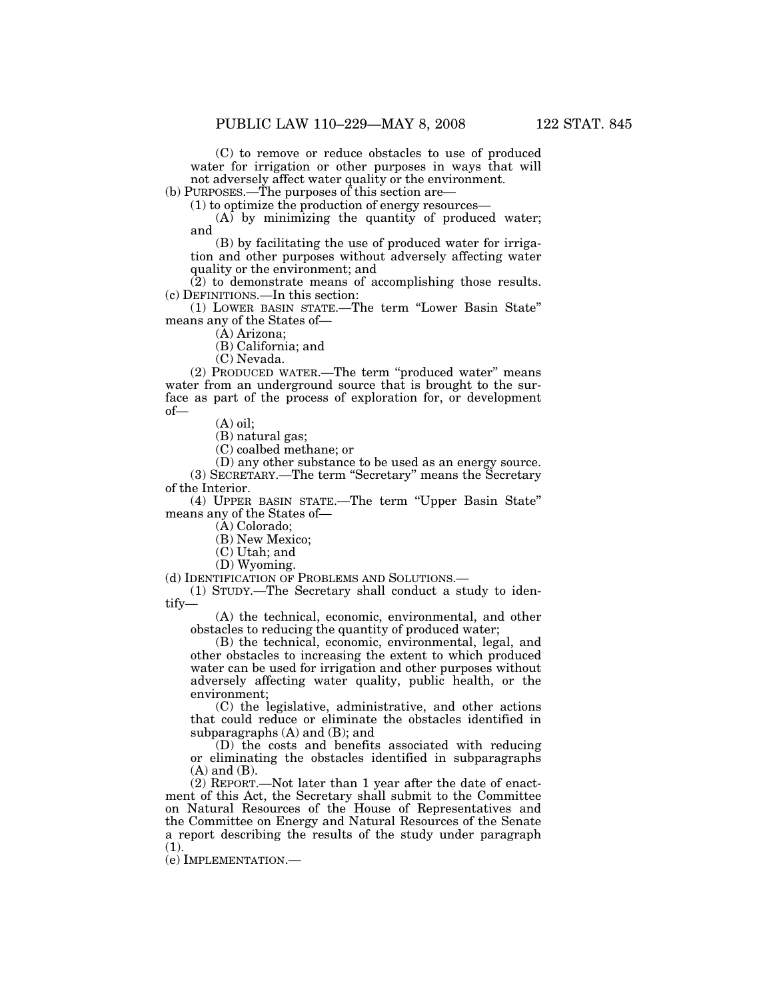(C) to remove or reduce obstacles to use of produced water for irrigation or other purposes in ways that will not adversely affect water quality or the environment.

 $(b)$  PURPOSES.—The purposes of this section are—

(1) to optimize the production of energy resources—

 $(A)$  by minimizing the quantity of produced water; and

(B) by facilitating the use of produced water for irrigation and other purposes without adversely affecting water quality or the environment; and

(2) to demonstrate means of accomplishing those results. (c) DEFINITIONS.—In this section:

(1) LOWER BASIN STATE.—The term ''Lower Basin State'' means any of the States of—

(A) Arizona;

(B) California; and

(C) Nevada.

(2) PRODUCED WATER.—The term ''produced water'' means water from an underground source that is brought to the surface as part of the process of exploration for, or development of—

(A) oil;

(B) natural gas;

(C) coalbed methane; or

(D) any other substance to be used as an energy source. (3) SECRETARY.—The term ''Secretary'' means the Secretary of the Interior.

(4) UPPER BASIN STATE.—The term ''Upper Basin State'' means any of the States of—

(A) Colorado;

(B) New Mexico;

(C) Utah; and

(D) Wyoming.

(d) IDENTIFICATION OF PROBLEMS AND SOLUTIONS.—

(1) STUDY.—The Secretary shall conduct a study to identify—

(A) the technical, economic, environmental, and other obstacles to reducing the quantity of produced water;

(B) the technical, economic, environmental, legal, and other obstacles to increasing the extent to which produced water can be used for irrigation and other purposes without adversely affecting water quality, public health, or the environment;

(C) the legislative, administrative, and other actions that could reduce or eliminate the obstacles identified in subparagraphs (A) and (B); and

(D) the costs and benefits associated with reducing or eliminating the obstacles identified in subparagraphs (A) and (B).

(2) REPORT.—Not later than 1 year after the date of enactment of this Act, the Secretary shall submit to the Committee on Natural Resources of the House of Representatives and the Committee on Energy and Natural Resources of the Senate a report describing the results of the study under paragraph (1).

(e) IMPLEMENTATION.—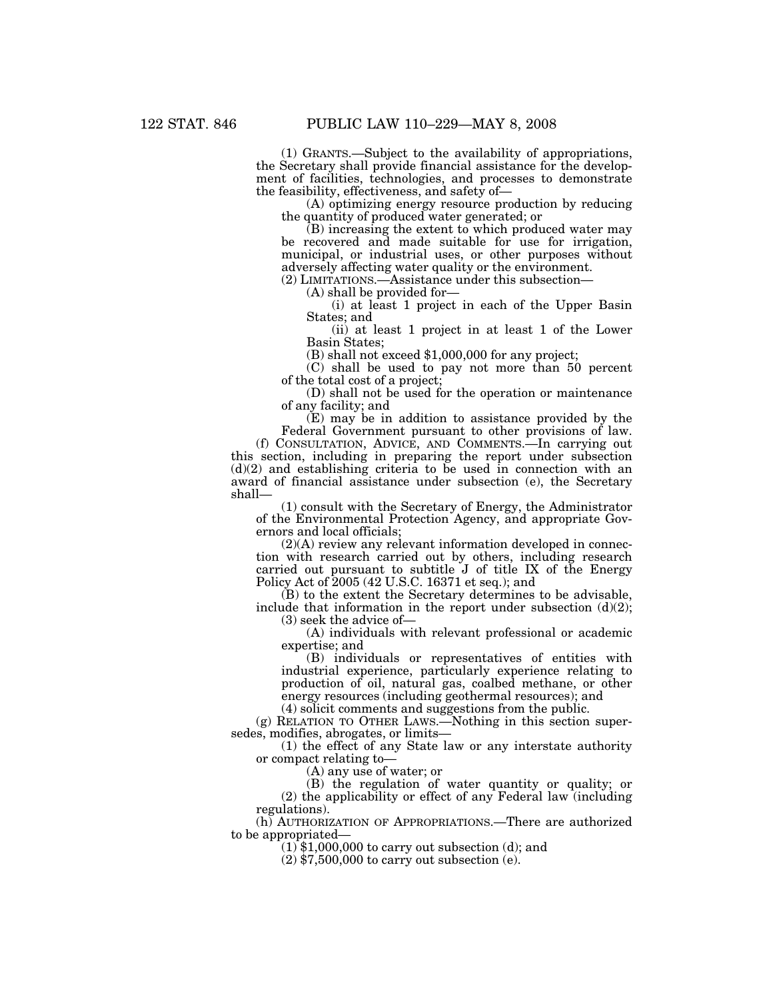(1) GRANTS.—Subject to the availability of appropriations, the Secretary shall provide financial assistance for the development of facilities, technologies, and processes to demonstrate the feasibility, effectiveness, and safety of—

(A) optimizing energy resource production by reducing the quantity of produced water generated; or

(B) increasing the extent to which produced water may be recovered and made suitable for use for irrigation, municipal, or industrial uses, or other purposes without adversely affecting water quality or the environment.

(2) LIMITATIONS.—Assistance under this subsection—

(A) shall be provided for—

(i) at least 1 project in each of the Upper Basin States; and

(ii) at least 1 project in at least 1 of the Lower Basin States;

(B) shall not exceed \$1,000,000 for any project;

(C) shall be used to pay not more than 50 percent of the total cost of a project;

(D) shall not be used for the operation or maintenance of any facility; and

(E) may be in addition to assistance provided by the Federal Government pursuant to other provisions of law.

(f) CONSULTATION, ADVICE, AND COMMENTS.—In carrying out this section, including in preparing the report under subsection  $(d)(2)$  and establishing criteria to be used in connection with an award of financial assistance under subsection (e), the Secretary shall—

(1) consult with the Secretary of Energy, the Administrator of the Environmental Protection Agency, and appropriate Governors and local officials;

(2)(A) review any relevant information developed in connection with research carried out by others, including research carried out pursuant to subtitle J of title IX of the Energy Policy Act of 2005 (42 U.S.C. 16371 et seq.); and

(B) to the extent the Secretary determines to be advisable, include that information in the report under subsection  $(d)(2)$ ; (3) seek the advice of—

(A) individuals with relevant professional or academic expertise; and

(B) individuals or representatives of entities with industrial experience, particularly experience relating to production of oil, natural gas, coalbed methane, or other energy resources (including geothermal resources); and

(4) solicit comments and suggestions from the public.

(g) RELATION TO OTHER LAWS.—Nothing in this section supersedes, modifies, abrogates, or limits—

(1) the effect of any State law or any interstate authority or compact relating to—

(A) any use of water; or

(B) the regulation of water quantity or quality; or

(2) the applicability or effect of any Federal law (including regulations).

(h) AUTHORIZATION OF APPROPRIATIONS.—There are authorized to be appropriated—

 $(1)$ \$1,000,000 to carry out subsection (d); and

 $(2)$  \$7,500,000 to carry out subsection (e).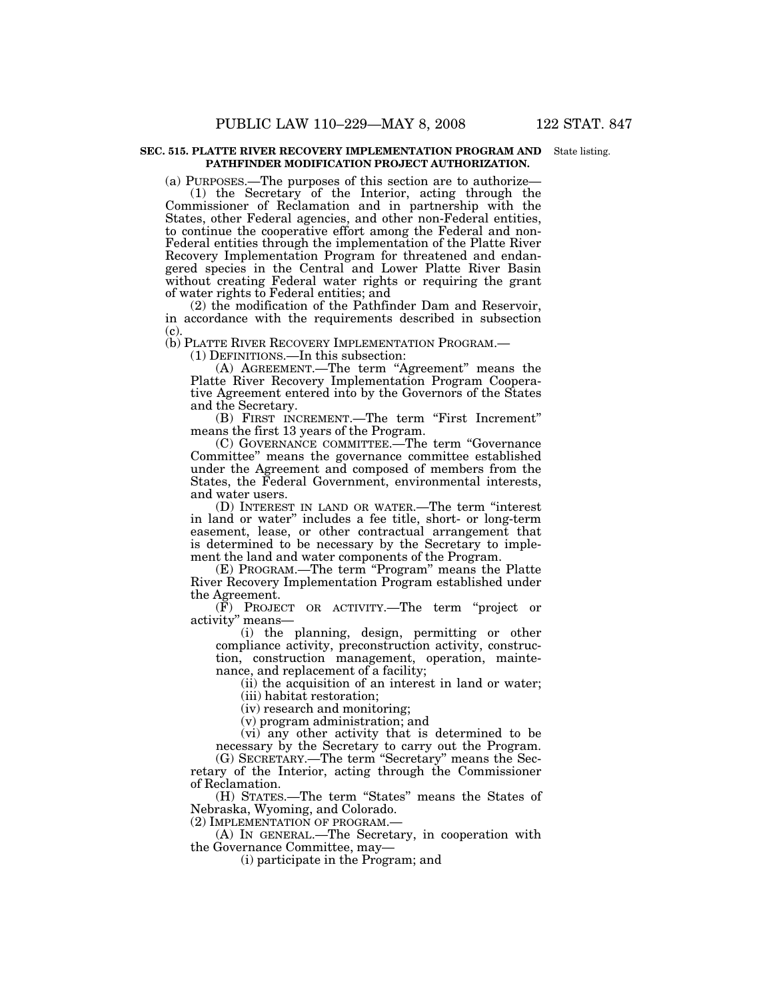#### **SEC. 515. PLATTE RIVER RECOVERY IMPLEMENTATION PROGRAM AND** State listing. **PATHFINDER MODIFICATION PROJECT AUTHORIZATION.**

(a) PURPOSES.—The purposes of this section are to authorize—

(1) the Secretary of the Interior, acting through the Commissioner of Reclamation and in partnership with the States, other Federal agencies, and other non-Federal entities, to continue the cooperative effort among the Federal and non-Federal entities through the implementation of the Platte River Recovery Implementation Program for threatened and endangered species in the Central and Lower Platte River Basin without creating Federal water rights or requiring the grant of water rights to Federal entities; and

(2) the modification of the Pathfinder Dam and Reservoir, in accordance with the requirements described in subsection  $(c)$ .

(b) PLATTE RIVER RECOVERY IMPLEMENTATION PROGRAM.— (1) DEFINITIONS.—In this subsection:

(A) AGREEMENT.—The term "Agreement" means the Platte River Recovery Implementation Program Cooperative Agreement entered into by the Governors of the States and the Secretary.

(B) FIRST INCREMENT.—The term ''First Increment'' means the first 13 years of the Program.

(C) GOVERNANCE COMMITTEE.—The term ''Governance Committee'' means the governance committee established under the Agreement and composed of members from the States, the Federal Government, environmental interests, and water users.

(D) INTEREST IN LAND OR WATER.—The term ''interest in land or water'' includes a fee title, short- or long-term easement, lease, or other contractual arrangement that is determined to be necessary by the Secretary to implement the land and water components of the Program.

(E) PROGRAM.—The term ''Program'' means the Platte River Recovery Implementation Program established under the Agreement.

(F) PROJECT OR ACTIVITY.—The term ''project or activity'' means—

(i) the planning, design, permitting or other compliance activity, preconstruction activity, construction, construction management, operation, maintenance, and replacement of a facility;

(ii) the acquisition of an interest in land or water; (iii) habitat restoration;

(iv) research and monitoring;

(v) program administration; and

(vi) any other activity that is determined to be necessary by the Secretary to carry out the Program.

(G) SECRETARY.—The term ''Secretary'' means the Secretary of the Interior, acting through the Commissioner of Reclamation.

(H) STATES.—The term ''States'' means the States of Nebraska, Wyoming, and Colorado.

(2) IMPLEMENTATION OF PROGRAM.—

(A) IN GENERAL.—The Secretary, in cooperation with the Governance Committee, may—

(i) participate in the Program; and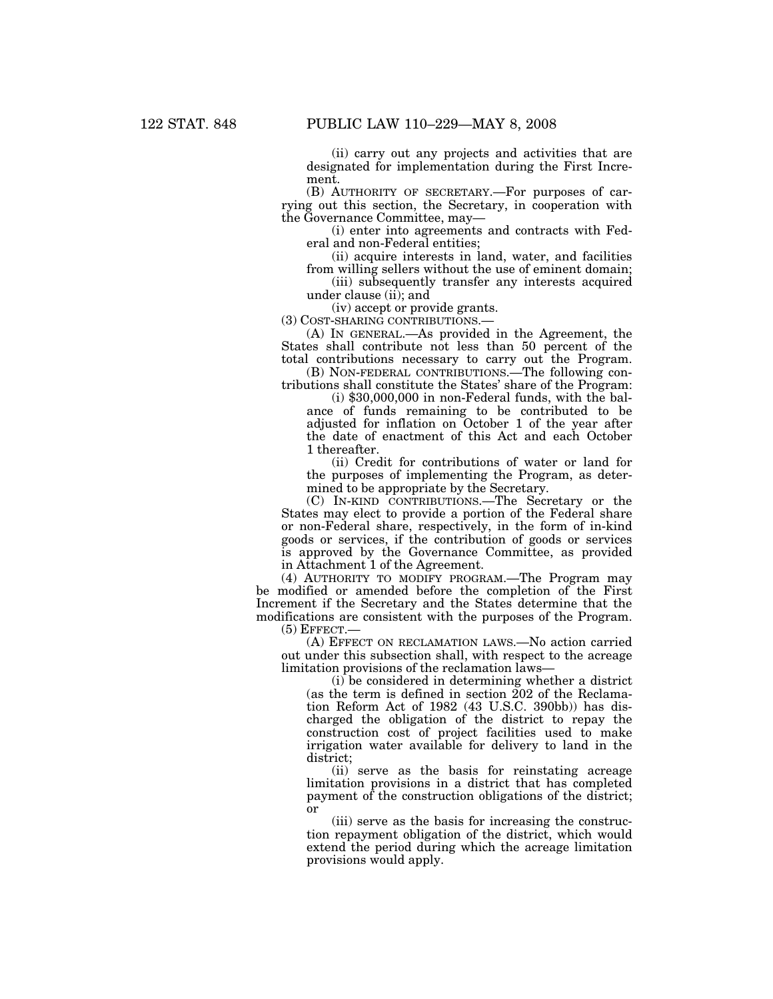(ii) carry out any projects and activities that are designated for implementation during the First Increment.

(B) AUTHORITY OF SECRETARY.—For purposes of carrying out this section, the Secretary, in cooperation with the Governance Committee, may—

(i) enter into agreements and contracts with Federal and non-Federal entities;

(ii) acquire interests in land, water, and facilities from willing sellers without the use of eminent domain; (iii) subsequently transfer any interests acquired

under clause (ii); and

(iv) accept or provide grants.

(3) COST-SHARING CONTRIBUTIONS.—

(A) IN GENERAL.—As provided in the Agreement, the States shall contribute not less than 50 percent of the total contributions necessary to carry out the Program.

(B) NON-FEDERAL CONTRIBUTIONS.—The following contributions shall constitute the States' share of the Program:

(i) \$30,000,000 in non-Federal funds, with the balance of funds remaining to be contributed to be adjusted for inflation on October 1 of the year after the date of enactment of this Act and each October 1 thereafter.

(ii) Credit for contributions of water or land for the purposes of implementing the Program, as determined to be appropriate by the Secretary.

(C) IN-KIND CONTRIBUTIONS.—The Secretary or the States may elect to provide a portion of the Federal share or non-Federal share, respectively, in the form of in-kind goods or services, if the contribution of goods or services is approved by the Governance Committee, as provided in Attachment 1 of the Agreement.

(4) AUTHORITY TO MODIFY PROGRAM.—The Program may be modified or amended before the completion of the First Increment if the Secretary and the States determine that the modifications are consistent with the purposes of the Program.

 $(5)$  EFFECT. $-$ 

(A) EFFECT ON RECLAMATION LAWS.—No action carried out under this subsection shall, with respect to the acreage limitation provisions of the reclamation laws—

(i) be considered in determining whether a district (as the term is defined in section 202 of the Reclamation Reform Act of 1982 (43 U.S.C. 390bb)) has discharged the obligation of the district to repay the construction cost of project facilities used to make irrigation water available for delivery to land in the district;

(ii) serve as the basis for reinstating acreage limitation provisions in a district that has completed payment of the construction obligations of the district; or

(iii) serve as the basis for increasing the construction repayment obligation of the district, which would extend the period during which the acreage limitation provisions would apply.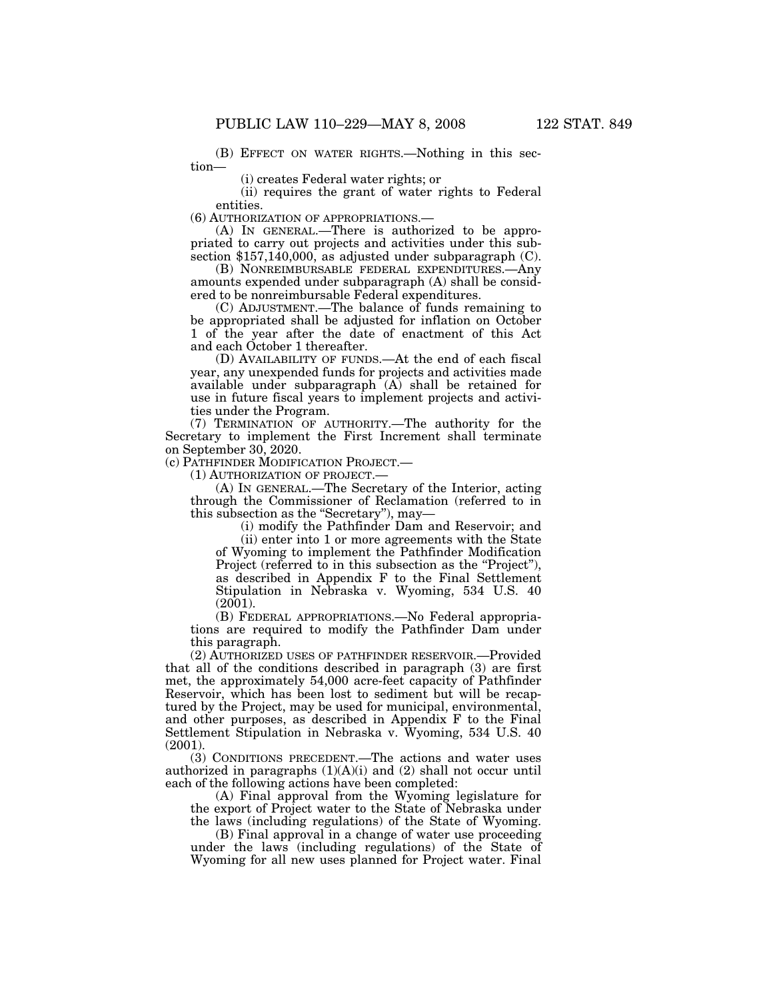(B) EFFECT ON WATER RIGHTS.—Nothing in this section—

(i) creates Federal water rights; or

(ii) requires the grant of water rights to Federal entities.

(6) AUTHORIZATION OF APPROPRIATIONS.—

(A) IN GENERAL.—There is authorized to be appropriated to carry out projects and activities under this subsection \$157,140,000, as adjusted under subparagraph (C).

(B) NONREIMBURSABLE FEDERAL EXPENDITURES.—Any amounts expended under subparagraph (A) shall be considered to be nonreimbursable Federal expenditures.

(C) ADJUSTMENT.—The balance of funds remaining to be appropriated shall be adjusted for inflation on October 1 of the year after the date of enactment of this Act and each October 1 thereafter.

(D) AVAILABILITY OF FUNDS.—At the end of each fiscal year, any unexpended funds for projects and activities made available under subparagraph (A) shall be retained for use in future fiscal years to implement projects and activities under the Program.

(7) TERMINATION OF AUTHORITY.—The authority for the Secretary to implement the First Increment shall terminate on September 30, 2020.

(c) PATHFINDER MODIFICATION PROJECT.—

(1) AUTHORIZATION OF PROJECT.—

(A) IN GENERAL.—The Secretary of the Interior, acting through the Commissioner of Reclamation (referred to in this subsection as the "Secretary"), may—

(i) modify the Pathfinder Dam and Reservoir; and

(ii) enter into 1 or more agreements with the State of Wyoming to implement the Pathfinder Modification Project (referred to in this subsection as the "Project"), as described in Appendix F to the Final Settlement Stipulation in Nebraska v. Wyoming, 534 U.S. 40 (2001).

(B) FEDERAL APPROPRIATIONS.—No Federal appropriations are required to modify the Pathfinder Dam under this paragraph.

(2) AUTHORIZED USES OF PATHFINDER RESERVOIR.—Provided that all of the conditions described in paragraph (3) are first met, the approximately 54,000 acre-feet capacity of Pathfinder Reservoir, which has been lost to sediment but will be recaptured by the Project, may be used for municipal, environmental, and other purposes, as described in Appendix F to the Final Settlement Stipulation in Nebraska v. Wyoming, 534 U.S. 40 (2001).

(3) CONDITIONS PRECEDENT.—The actions and water uses authorized in paragraphs (1)(A)(i) and (2) shall not occur until each of the following actions have been completed:

(A) Final approval from the Wyoming legislature for the export of Project water to the State of Nebraska under the laws (including regulations) of the State of Wyoming.

(B) Final approval in a change of water use proceeding under the laws (including regulations) of the State of Wyoming for all new uses planned for Project water. Final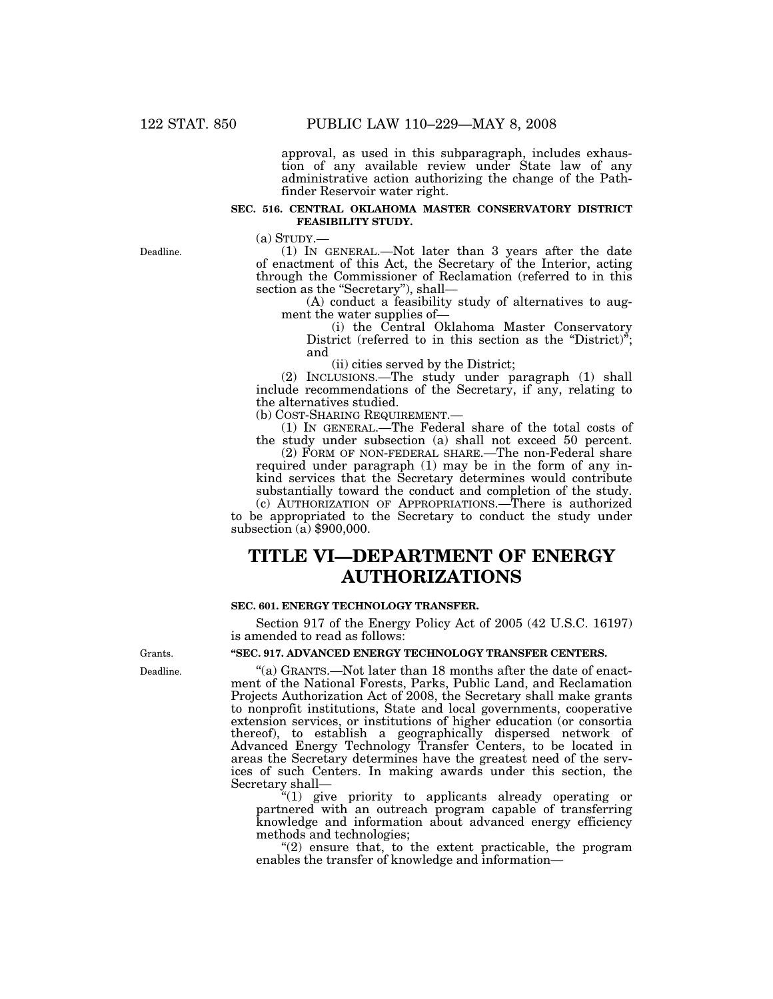Deadline.

approval, as used in this subparagraph, includes exhaustion of any available review under State law of any administrative action authorizing the change of the Pathfinder Reservoir water right.

#### **SEC. 516. CENTRAL OKLAHOMA MASTER CONSERVATORY DISTRICT FEASIBILITY STUDY.**

(a) STUDY.— (1) IN GENERAL.—Not later than 3 years after the date of enactment of this Act, the Secretary of the Interior, acting through the Commissioner of Reclamation (referred to in this section as the "Secretary"), shall-

(A) conduct a feasibility study of alternatives to augment the water supplies of—

(i) the Central Oklahoma Master Conservatory District (referred to in this section as the "District)"; and

(ii) cities served by the District;

(2) INCLUSIONS.—The study under paragraph (1) shall include recommendations of the Secretary, if any, relating to the alternatives studied.

(b) COST-SHARING REQUIREMENT.—

(1) IN GENERAL.—The Federal share of the total costs of the study under subsection (a) shall not exceed 50 percent.

(2) FORM OF NON-FEDERAL SHARE.—The non-Federal share required under paragraph (1) may be in the form of any inkind services that the Secretary determines would contribute substantially toward the conduct and completion of the study.

(c) AUTHORIZATION OF APPROPRIATIONS.—There is authorized to be appropriated to the Secretary to conduct the study under subsection (a) \$900,000.

## **TITLE VI—DEPARTMENT OF ENERGY AUTHORIZATIONS**

## **SEC. 601. ENERGY TECHNOLOGY TRANSFER.**

Section 917 of the Energy Policy Act of 2005 (42 U.S.C. 16197) is amended to read as follows:

## **''SEC. 917. ADVANCED ENERGY TECHNOLOGY TRANSFER CENTERS.**

''(a) GRANTS.—Not later than 18 months after the date of enactment of the National Forests, Parks, Public Land, and Reclamation Projects Authorization Act of 2008, the Secretary shall make grants to nonprofit institutions, State and local governments, cooperative extension services, or institutions of higher education (or consortia thereof), to establish a geographically dispersed network of Advanced Energy Technology Transfer Centers, to be located in areas the Secretary determines have the greatest need of the services of such Centers. In making awards under this section, the Secretary shall—

''(1) give priority to applicants already operating or partnered with an outreach program capable of transferring knowledge and information about advanced energy efficiency methods and technologies;

 $''(2)$  ensure that, to the extent practicable, the program enables the transfer of knowledge and information—

Grants.

Deadline.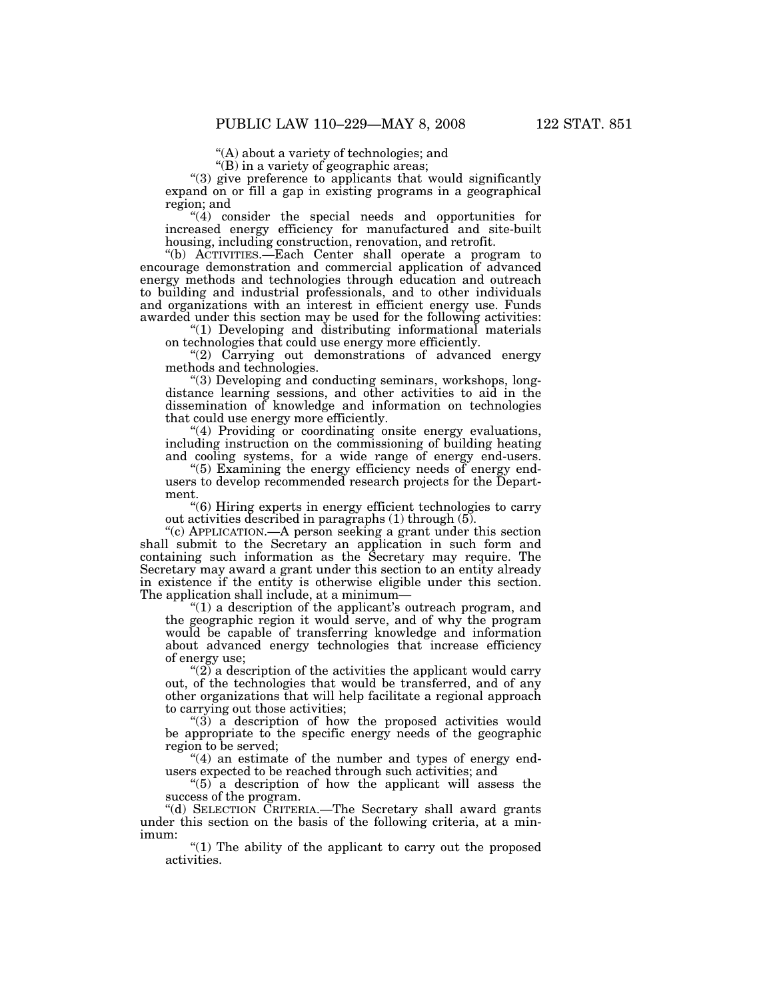''(A) about a variety of technologies; and

''(B) in a variety of geographic areas;

 $(3)$  give preference to applicants that would significantly expand on or fill a gap in existing programs in a geographical region; and

 $(4)$  consider the special needs and opportunities for increased energy efficiency for manufactured and site-built housing, including construction, renovation, and retrofit.

''(b) ACTIVITIES.—Each Center shall operate a program to encourage demonstration and commercial application of advanced energy methods and technologies through education and outreach to building and industrial professionals, and to other individuals and organizations with an interest in efficient energy use. Funds awarded under this section may be used for the following activities:

''(1) Developing and distributing informational materials on technologies that could use energy more efficiently.

"(2) Carrying out demonstrations of advanced energy methods and technologies.

''(3) Developing and conducting seminars, workshops, longdistance learning sessions, and other activities to aid in the dissemination of knowledge and information on technologies that could use energy more efficiently.

"(4) Providing or coordinating onsite energy evaluations, including instruction on the commissioning of building heating and cooling systems, for a wide range of energy end-users.

''(5) Examining the energy efficiency needs of energy endusers to develop recommended research projects for the Department.

''(6) Hiring experts in energy efficient technologies to carry out activities described in paragraphs  $(1)$  through  $(5)$ .

"(c) APPLICATION.—A person seeking a grant under this section shall submit to the Secretary an application in such form and containing such information as the Secretary may require. The Secretary may award a grant under this section to an entity already in existence if the entity is otherwise eligible under this section. The application shall include, at a minimum—

''(1) a description of the applicant's outreach program, and the geographic region it would serve, and of why the program would be capable of transferring knowledge and information about advanced energy technologies that increase efficiency of energy use;

" $(2)$  a description of the activities the applicant would carry out, of the technologies that would be transferred, and of any other organizations that will help facilitate a regional approach to carrying out those activities;

"(3) a description of how the proposed activities would be appropriate to the specific energy needs of the geographic region to be served;

"(4) an estimate of the number and types of energy endusers expected to be reached through such activities; and

" $(5)$ <sup>t</sup> a description of how the applicant will assess the success of the program.

''(d) SELECTION CRITERIA.—The Secretary shall award grants under this section on the basis of the following criteria, at a minimum:

"(1) The ability of the applicant to carry out the proposed activities.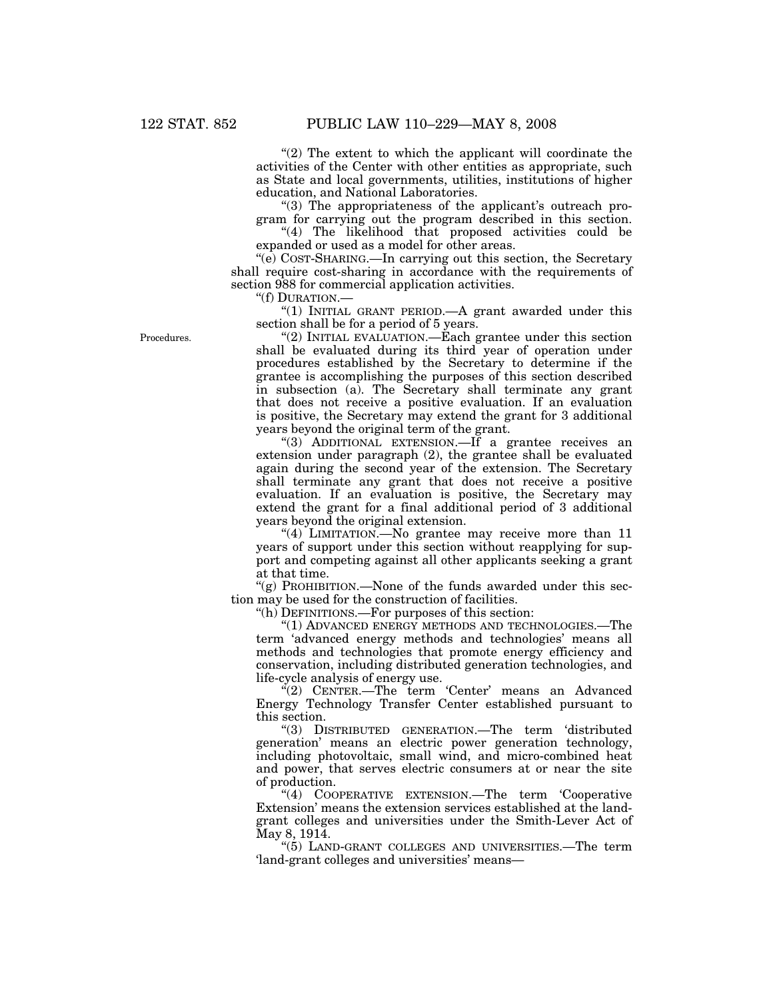" $(2)$  The extent to which the applicant will coordinate the activities of the Center with other entities as appropriate, such as State and local governments, utilities, institutions of higher education, and National Laboratories.

" $(3)$  The appropriateness of the applicant's outreach program for carrying out the program described in this section.

"(4) The likelihood that proposed activities could be expanded or used as a model for other areas.

''(e) COST-SHARING.—In carrying out this section, the Secretary shall require cost-sharing in accordance with the requirements of section 988 for commercial application activities.

''(f) DURATION.—

"(1) INITIAL GRANT PERIOD.—A grant awarded under this section shall be for a period of 5 years.

"(2) INITIAL EVALUATION.—Each grantee under this section shall be evaluated during its third year of operation under procedures established by the Secretary to determine if the grantee is accomplishing the purposes of this section described in subsection (a). The Secretary shall terminate any grant that does not receive a positive evaluation. If an evaluation is positive, the Secretary may extend the grant for 3 additional years beyond the original term of the grant.

"(3) ADDITIONAL EXTENSION.—If a grantee receives an extension under paragraph (2), the grantee shall be evaluated again during the second year of the extension. The Secretary shall terminate any grant that does not receive a positive evaluation. If an evaluation is positive, the Secretary may extend the grant for a final additional period of 3 additional years beyond the original extension.

"(4) LIMITATION.—No grantee may receive more than 11 years of support under this section without reapplying for support and competing against all other applicants seeking a grant at that time.

"(g) PROHIBITION.—None of the funds awarded under this section may be used for the construction of facilities.

''(h) DEFINITIONS.—For purposes of this section:

''(1) ADVANCED ENERGY METHODS AND TECHNOLOGIES.—The term 'advanced energy methods and technologies' means all methods and technologies that promote energy efficiency and conservation, including distributed generation technologies, and life-cycle analysis of energy use.

 $\sqrt{\text{C}}(2)$  CENTER.—The term 'Center' means an Advanced Energy Technology Transfer Center established pursuant to this section.

''(3) DISTRIBUTED GENERATION.—The term 'distributed generation' means an electric power generation technology, including photovoltaic, small wind, and micro-combined heat and power, that serves electric consumers at or near the site of production.

"(4) COOPERATIVE EXTENSION.—The term Cooperative Extension' means the extension services established at the landgrant colleges and universities under the Smith-Lever Act of May 8, 1914.

''(5) LAND-GRANT COLLEGES AND UNIVERSITIES.—The term 'land-grant colleges and universities' means—

Procedures.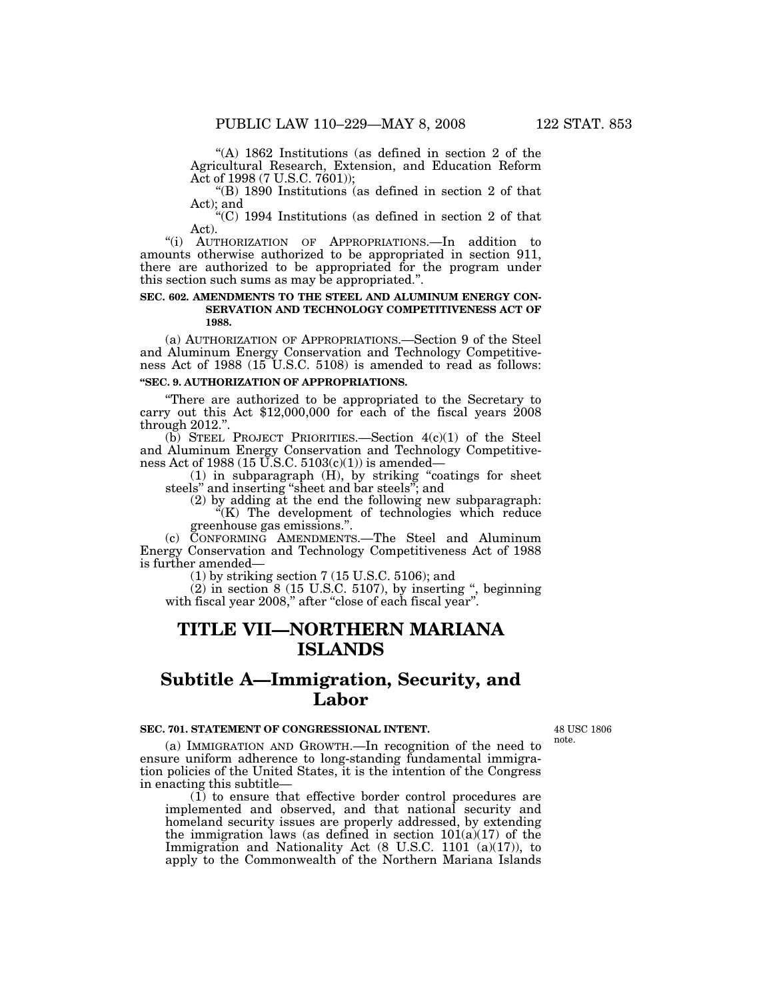''(A) 1862 Institutions (as defined in section 2 of the Agricultural Research, Extension, and Education Reform Act of 1998 (7 U.S.C. 7601));

''(B) 1890 Institutions (as defined in section 2 of that Act); and

''(C) 1994 Institutions (as defined in section 2 of that Act).

''(i) AUTHORIZATION OF APPROPRIATIONS.—In addition to amounts otherwise authorized to be appropriated in section 911, there are authorized to be appropriated for the program under this section such sums as may be appropriated.''.

## **SEC. 602. AMENDMENTS TO THE STEEL AND ALUMINUM ENERGY CON-SERVATION AND TECHNOLOGY COMPETITIVENESS ACT OF 1988.**

(a) AUTHORIZATION OF APPROPRIATIONS.—Section 9 of the Steel and Aluminum Energy Conservation and Technology Competitiveness Act of 1988 (15 U.S.C. 5108) is amended to read as follows:

## **''SEC. 9. AUTHORIZATION OF APPROPRIATIONS.**

''There are authorized to be appropriated to the Secretary to carry out this Act \$12,000,000 for each of the fiscal years 2008 through 2012.'

(b) STEEL PROJECT PRIORITIES.—Section  $4(c)(1)$  of the Steel and Aluminum Energy Conservation and Technology Competitiveness Act of 1988 (15 U.S.C. 5103(c)(1)) is amended—

(1) in subparagraph (H), by striking ''coatings for sheet steels'' and inserting ''sheet and bar steels''; and

(2) by adding at the end the following new subparagraph:  $K(K)$  The development of technologies which reduce

greenhouse gas emissions.''.

(c) CONFORMING AMENDMENTS.—The Steel and Aluminum Energy Conservation and Technology Competitiveness Act of 1988 is further amended—

 $(1)$  by striking section 7 (15 U.S.C. 5106); and

 $(2)$  in section  $8$  (15 U.S.C. 5107), by inserting ", beginning with fiscal year 2008," after "close of each fiscal year".

## **TITLE VII—NORTHERN MARIANA ISLANDS**

## **Subtitle A—Immigration, Security, and Labor**

## **SEC. 701. STATEMENT OF CONGRESSIONAL INTENT.**

48 USC 1806 note.

(a) IMMIGRATION AND GROWTH.—In recognition of the need to ensure uniform adherence to long-standing fundamental immigration policies of the United States, it is the intention of the Congress in enacting this subtitle—

(1) to ensure that effective border control procedures are implemented and observed, and that national security and homeland security issues are properly addressed, by extending the immigration laws (as defined in section  $101(a)(17)$  of the Immigration and Nationality Act  $(8 \text{ U.S.C. } 1101 \text{ (a)}(17))$ , to apply to the Commonwealth of the Northern Mariana Islands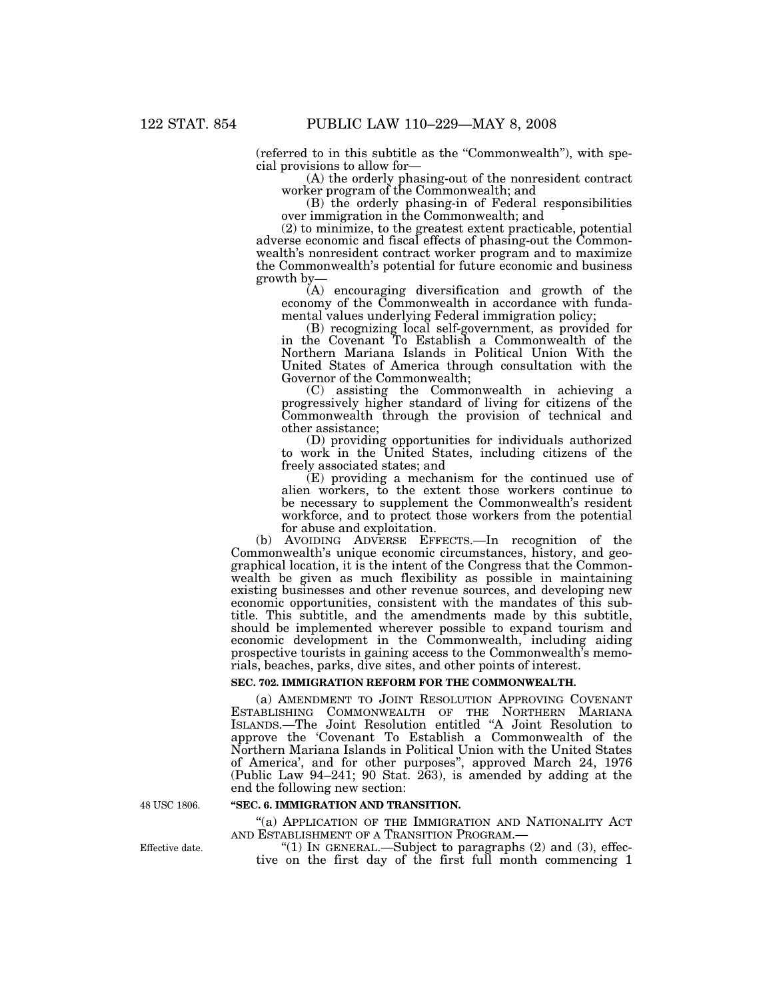(referred to in this subtitle as the ''Commonwealth''), with special provisions to allow for—

(A) the orderly phasing-out of the nonresident contract worker program of the Commonwealth; and

(B) the orderly phasing-in of Federal responsibilities over immigration in the Commonwealth; and

(2) to minimize, to the greatest extent practicable, potential adverse economic and fiscal effects of phasing-out the Commonwealth's nonresident contract worker program and to maximize the Commonwealth's potential for future economic and business growth by—

(A) encouraging diversification and growth of the economy of the Commonwealth in accordance with fundamental values underlying Federal immigration policy;

(B) recognizing local self-government, as provided for in the Covenant To Establish a Commonwealth of the Northern Mariana Islands in Political Union With the United States of America through consultation with the Governor of the Commonwealth;

(C) assisting the Commonwealth in achieving a progressively higher standard of living for citizens of the Commonwealth through the provision of technical and other assistance;

(D) providing opportunities for individuals authorized to work in the United States, including citizens of the freely associated states; and

(E) providing a mechanism for the continued use of alien workers, to the extent those workers continue to be necessary to supplement the Commonwealth's resident workforce, and to protect those workers from the potential for abuse and exploitation.

(b) AVOIDING ADVERSE EFFECTS.—In recognition of the Commonwealth's unique economic circumstances, history, and geographical location, it is the intent of the Congress that the Commonwealth be given as much flexibility as possible in maintaining existing businesses and other revenue sources, and developing new economic opportunities, consistent with the mandates of this subtitle. This subtitle, and the amendments made by this subtitle, should be implemented wherever possible to expand tourism and economic development in the Commonwealth, including aiding prospective tourists in gaining access to the Commonwealth's memorials, beaches, parks, dive sites, and other points of interest.

## **SEC. 702. IMMIGRATION REFORM FOR THE COMMONWEALTH.**

(a) AMENDMENT TO JOINT RESOLUTION APPROVING COVENANT ESTABLISHING COMMONWEALTH OF THE NORTHERN MARIANA ISLANDS.—The Joint Resolution entitled ''A Joint Resolution to approve the 'Covenant To Establish a Commonwealth of the Northern Mariana Islands in Political Union with the United States of America', and for other purposes'', approved March 24, 1976 (Public Law 94–241; 90 Stat. 263), is amended by adding at the end the following new section:

48 USC 1806.

## **''SEC. 6. IMMIGRATION AND TRANSITION.**

"(a) APPLICATION OF THE IMMIGRATION AND NATIONALITY ACT AND ESTABLISHMENT OF A TRANSITION PROGRAM.—

" $(1)$  In GENERAL.—Subject to paragraphs  $(2)$  and  $(3)$ , effective on the first day of the first full month commencing 1

Effective date.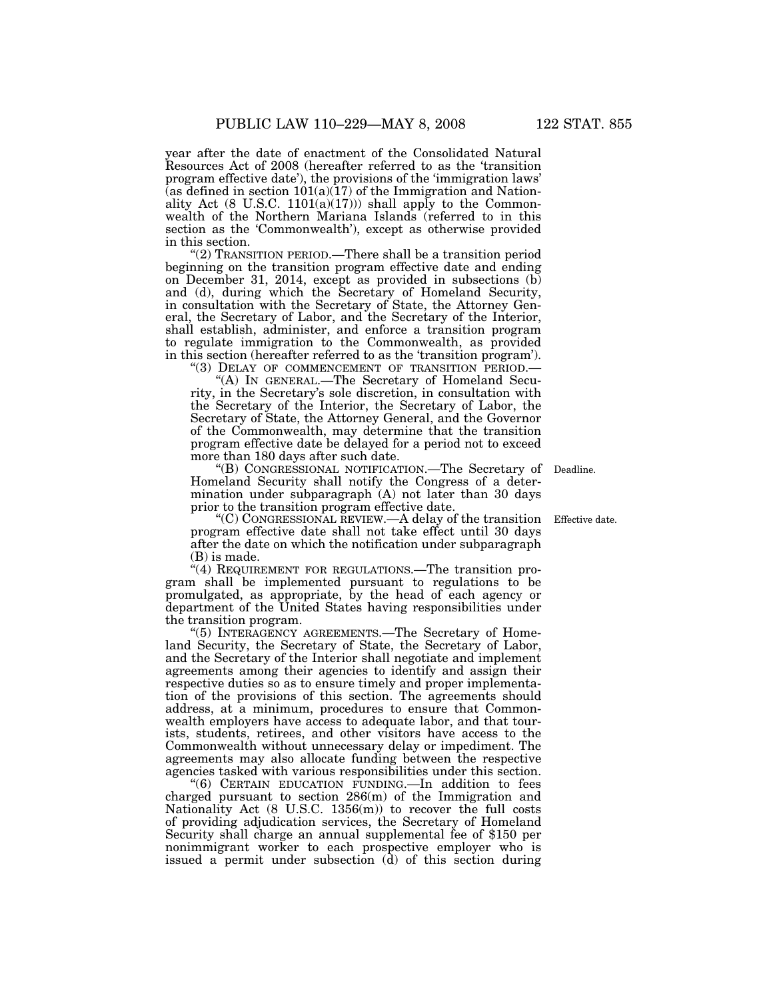year after the date of enactment of the Consolidated Natural Resources Act of 2008 (hereafter referred to as the 'transition program effective date'), the provisions of the 'immigration laws' (as defined in section  $101(a)(17)$  of the Immigration and Nationality Act  $(8 \text{ U.S.C. } 1101(a)(17))$  shall apply to the Commonwealth of the Northern Mariana Islands (referred to in this section as the 'Commonwealth'), except as otherwise provided in this section.

''(2) TRANSITION PERIOD.—There shall be a transition period beginning on the transition program effective date and ending on December 31, 2014, except as provided in subsections (b) and (d), during which the Secretary of Homeland Security, in consultation with the Secretary of State, the Attorney General, the Secretary of Labor, and the Secretary of the Interior, shall establish, administer, and enforce a transition program to regulate immigration to the Commonwealth, as provided in this section (hereafter referred to as the 'transition program').

"(3) DELAY OF COMMENCEMENT OF TRANSITION PERIOD.-

''(A) IN GENERAL.—The Secretary of Homeland Security, in the Secretary's sole discretion, in consultation with the Secretary of the Interior, the Secretary of Labor, the Secretary of State, the Attorney General, and the Governor of the Commonwealth, may determine that the transition program effective date be delayed for a period not to exceed more than 180 days after such date.

''(B) CONGRESSIONAL NOTIFICATION.—The Secretary of Deadline. Homeland Security shall notify the Congress of a determination under subparagraph (A) not later than 30 days prior to the transition program effective date.

''(C) CONGRESSIONAL REVIEW.—A delay of the transition program effective date shall not take effect until 30 days after the date on which the notification under subparagraph (B) is made.

"(4) REQUIREMENT FOR REGULATIONS.—The transition program shall be implemented pursuant to regulations to be promulgated, as appropriate, by the head of each agency or department of the United States having responsibilities under the transition program.

(5) INTERAGENCY AGREEMENTS.—The Secretary of Homeland Security, the Secretary of State, the Secretary of Labor, and the Secretary of the Interior shall negotiate and implement agreements among their agencies to identify and assign their respective duties so as to ensure timely and proper implementation of the provisions of this section. The agreements should address, at a minimum, procedures to ensure that Commonwealth employers have access to adequate labor, and that tourists, students, retirees, and other visitors have access to the Commonwealth without unnecessary delay or impediment. The agreements may also allocate funding between the respective agencies tasked with various responsibilities under this section.

''(6) CERTAIN EDUCATION FUNDING.—In addition to fees charged pursuant to section 286(m) of the Immigration and Nationality Act (8 U.S.C. 1356(m)) to recover the full costs of providing adjudication services, the Secretary of Homeland Security shall charge an annual supplemental fee of \$150 per nonimmigrant worker to each prospective employer who is issued a permit under subsection (d) of this section during

Effective date.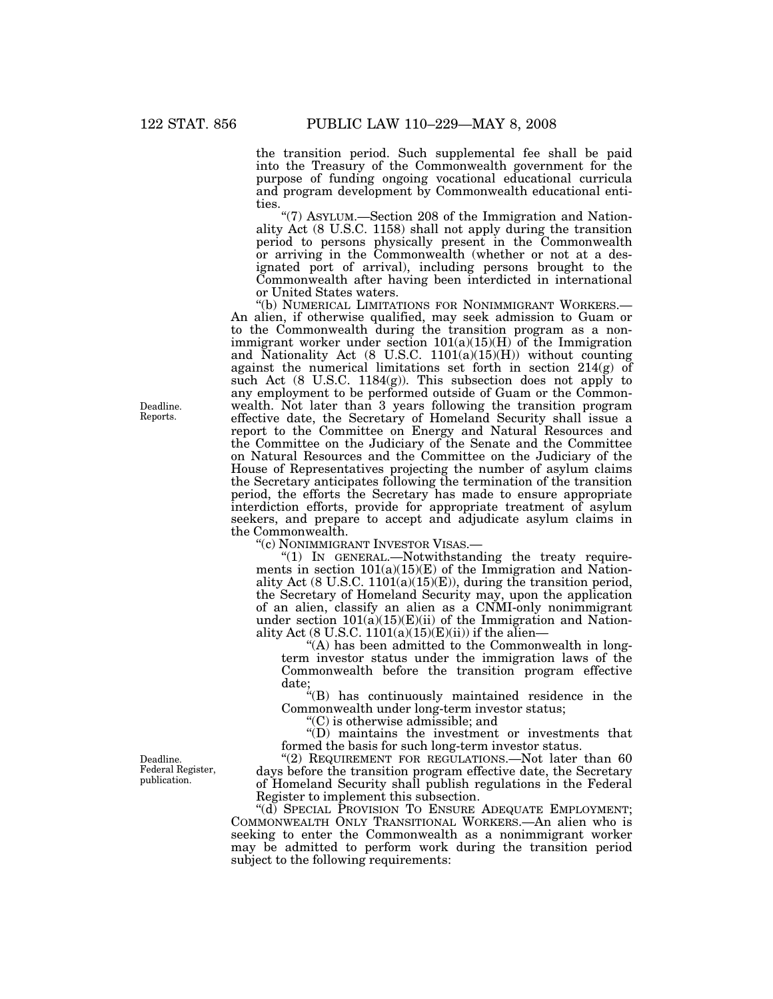the transition period. Such supplemental fee shall be paid into the Treasury of the Commonwealth government for the purpose of funding ongoing vocational educational curricula and program development by Commonwealth educational entities.

''(7) ASYLUM.—Section 208 of the Immigration and Nationality Act (8 U.S.C. 1158) shall not apply during the transition period to persons physically present in the Commonwealth or arriving in the Commonwealth (whether or not at a designated port of arrival), including persons brought to the Commonwealth after having been interdicted in international

or United States waters.<br>"(b) NUMERICAL LIMITATIONS FOR NONIMMIGRANT WORKERS.-An alien, if otherwise qualified, may seek admission to Guam or to the Commonwealth during the transition program as a nonimmigrant worker under section  $101(a)(15)(H)$  of the Immigration and Nationality Act  $(8 \text{ U.S.C. } 1101(a)(15)(H))$  without counting against the numerical limitations set forth in section 214(g) of such Act (8 U.S.C. 1184(g)). This subsection does not apply to any employment to be performed outside of Guam or the Commonwealth. Not later than 3 years following the transition program effective date, the Secretary of Homeland Security shall issue a report to the Committee on Energy and Natural Resources and the Committee on the Judiciary of the Senate and the Committee on Natural Resources and the Committee on the Judiciary of the House of Representatives projecting the number of asylum claims the Secretary anticipates following the termination of the transition period, the efforts the Secretary has made to ensure appropriate interdiction efforts, provide for appropriate treatment of asylum seekers, and prepare to accept and adjudicate asylum claims in the Commonwealth.

''(c) NONIMMIGRANT INVESTOR VISAS.—

"(1) IN GENERAL.—Notwithstanding the treaty requirements in section  $101(a)(15)(E)$  of the Immigration and Nationality Act (8 U.S.C. 1101(a)(15)(E)), during the transition period, the Secretary of Homeland Security may, upon the application of an alien, classify an alien as a CNMI-only nonimmigrant under section  $101(a)(15)(E)(ii)$  of the Immigration and Nationality Act (8 U.S.C.  $1101(a)(15)(E)(ii)$ ) if the alien—

''(A) has been admitted to the Commonwealth in longterm investor status under the immigration laws of the Commonwealth before the transition program effective date;

 $E^2(B)$  has continuously maintained residence in the Commonwealth under long-term investor status;

''(C) is otherwise admissible; and

''(D) maintains the investment or investments that formed the basis for such long-term investor status.

"(2) REQUIREMENT FOR REGULATIONS.—Not later than 60 days before the transition program effective date, the Secretary of Homeland Security shall publish regulations in the Federal Register to implement this subsection.

"(d) SPECIAL PROVISION TO ENSURE ADEQUATE EMPLOYMENT; COMMONWEALTH ONLY TRANSITIONAL WORKERS.—An alien who is seeking to enter the Commonwealth as a nonimmigrant worker may be admitted to perform work during the transition period subject to the following requirements:

Deadline. Reports.

Deadline. Federal Register, publication.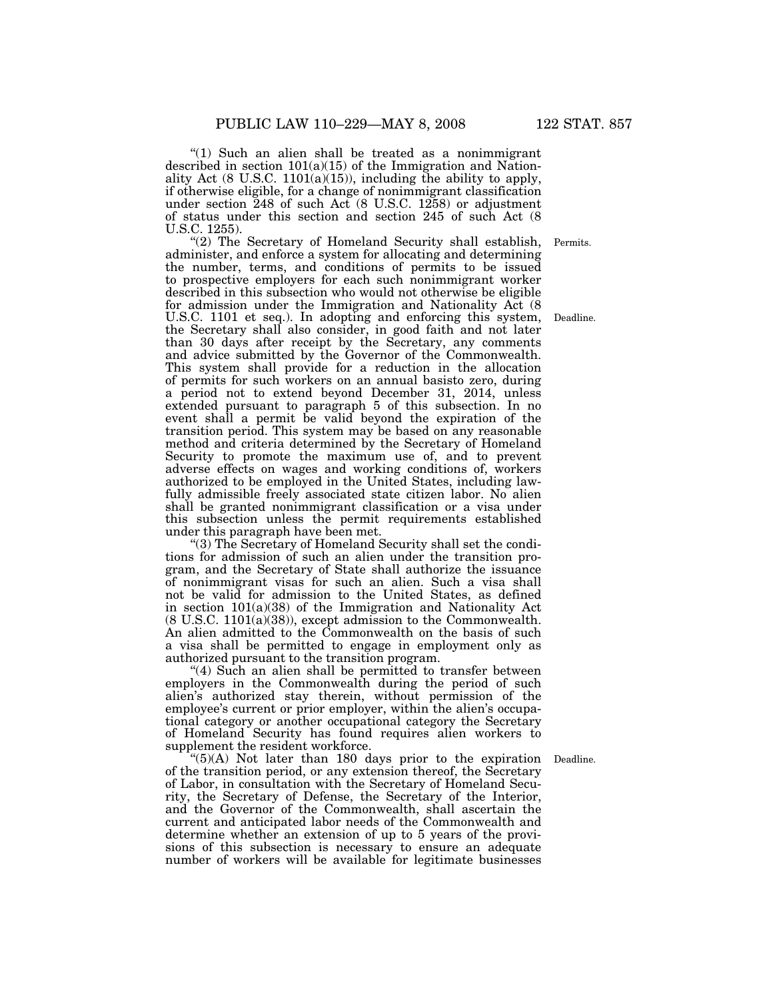"(1) Such an alien shall be treated as a nonimmigrant described in section  $101(a)(15)$  of the Immigration and Nationality Act  $(8 \text{ U.S.C. } 1101(a)(15))$ , including the ability to apply, if otherwise eligible, for a change of nonimmigrant classification under section 248 of such Act (8 U.S.C. 1258) or adjustment of status under this section and section 245 of such Act (8 U.S.C. 1255).

"(2) The Secretary of Homeland Security shall establish, administer, and enforce a system for allocating and determining the number, terms, and conditions of permits to be issued to prospective employers for each such nonimmigrant worker described in this subsection who would not otherwise be eligible for admission under the Immigration and Nationality Act (8 U.S.C. 1101 et seq.). In adopting and enforcing this system, the Secretary shall also consider, in good faith and not later than 30 days after receipt by the Secretary, any comments and advice submitted by the Governor of the Commonwealth. This system shall provide for a reduction in the allocation of permits for such workers on an annual basisto zero, during a period not to extend beyond December 31, 2014, unless extended pursuant to paragraph 5 of this subsection. In no event shall a permit be valid beyond the expiration of the transition period. This system may be based on any reasonable method and criteria determined by the Secretary of Homeland Security to promote the maximum use of, and to prevent adverse effects on wages and working conditions of, workers authorized to be employed in the United States, including lawfully admissible freely associated state citizen labor. No alien shall be granted nonimmigrant classification or a visa under this subsection unless the permit requirements established under this paragraph have been met. Permits.

''(3) The Secretary of Homeland Security shall set the conditions for admission of such an alien under the transition program, and the Secretary of State shall authorize the issuance of nonimmigrant visas for such an alien. Such a visa shall not be valid for admission to the United States, as defined in section 101(a)(38) of the Immigration and Nationality Act (8 U.S.C. 1101(a)(38)), except admission to the Commonwealth. An alien admitted to the Commonwealth on the basis of such a visa shall be permitted to engage in employment only as authorized pursuant to the transition program.

"(4) Such an alien shall be permitted to transfer between employers in the Commonwealth during the period of such alien's authorized stay therein, without permission of the employee's current or prior employer, within the alien's occupational category or another occupational category the Secretary of Homeland Security has found requires alien workers to supplement the resident workforce.

"(5)(A) Not later than 180 days prior to the expiration Deadline. of the transition period, or any extension thereof, the Secretary of Labor, in consultation with the Secretary of Homeland Security, the Secretary of Defense, the Secretary of the Interior, and the Governor of the Commonwealth, shall ascertain the current and anticipated labor needs of the Commonwealth and determine whether an extension of up to 5 years of the provisions of this subsection is necessary to ensure an adequate number of workers will be available for legitimate businesses

Deadline.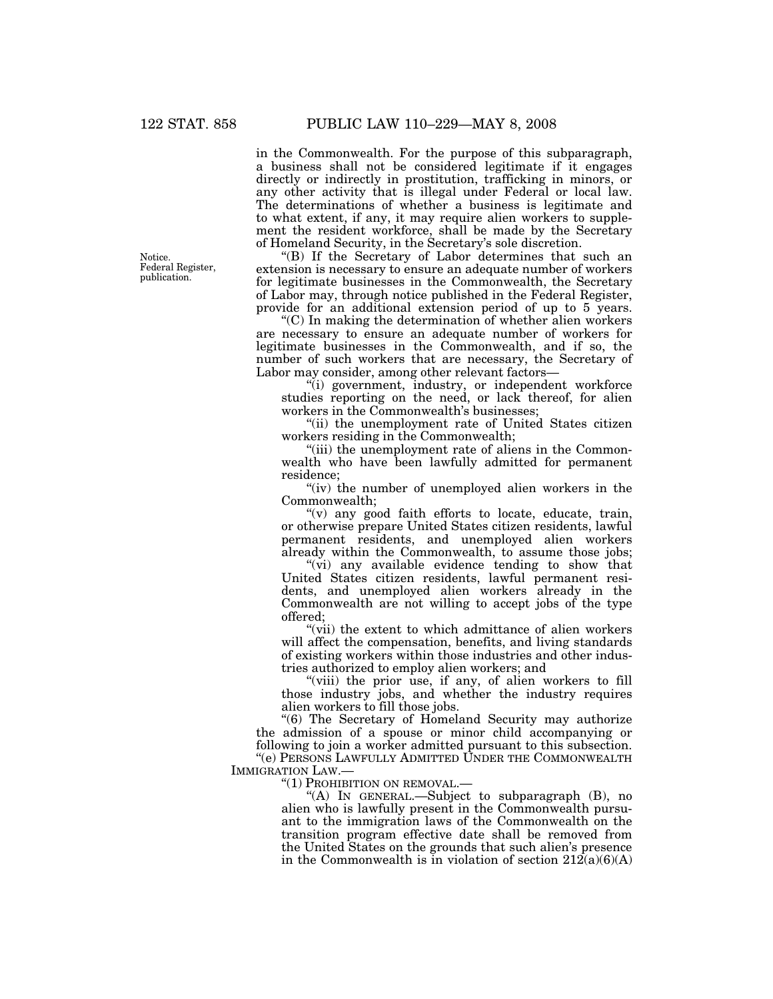in the Commonwealth. For the purpose of this subparagraph, a business shall not be considered legitimate if it engages directly or indirectly in prostitution, trafficking in minors, or any other activity that is illegal under Federal or local law. The determinations of whether a business is legitimate and to what extent, if any, it may require alien workers to supplement the resident workforce, shall be made by the Secretary of Homeland Security, in the Secretary's sole discretion.

''(B) If the Secretary of Labor determines that such an extension is necessary to ensure an adequate number of workers for legitimate businesses in the Commonwealth, the Secretary of Labor may, through notice published in the Federal Register, provide for an additional extension period of up to 5 years.

''(C) In making the determination of whether alien workers are necessary to ensure an adequate number of workers for legitimate businesses in the Commonwealth, and if so, the number of such workers that are necessary, the Secretary of Labor may consider, among other relevant factors—

"(i) government, industry, or independent workforce studies reporting on the need, or lack thereof, for alien workers in the Commonwealth's businesses;

"(ii) the unemployment rate of United States citizen workers residing in the Commonwealth;

"(iii) the unemployment rate of aliens in the Commonwealth who have been lawfully admitted for permanent residence;

"(iv) the number of unemployed alien workers in the Commonwealth;

 $''(v)$  any good faith efforts to locate, educate, train, or otherwise prepare United States citizen residents, lawful permanent residents, and unemployed alien workers already within the Commonwealth, to assume those jobs;

"(vi) any available evidence tending to show that United States citizen residents, lawful permanent residents, and unemployed alien workers already in the Commonwealth are not willing to accept jobs of the type offered;

"(vii) the extent to which admittance of alien workers will affect the compensation, benefits, and living standards of existing workers within those industries and other industries authorized to employ alien workers; and

"(viii) the prior use, if any, of alien workers to fill those industry jobs, and whether the industry requires alien workers to fill those jobs.

"(6) The Secretary of Homeland Security may authorize the admission of a spouse or minor child accompanying or following to join a worker admitted pursuant to this subsection. ''(e) PERSONS LAWFULLY ADMITTED UNDER THE COMMONWEALTH IMMIGRATION LAW.—

''(1) PROHIBITION ON REMOVAL.—

''(A) IN GENERAL.—Subject to subparagraph (B), no alien who is lawfully present in the Commonwealth pursuant to the immigration laws of the Commonwealth on the transition program effective date shall be removed from

the United States on the grounds that such alien's presence in the Commonwealth is in violation of section  $212(a)(6)(A)$ 

Notice. Federal Register, publication.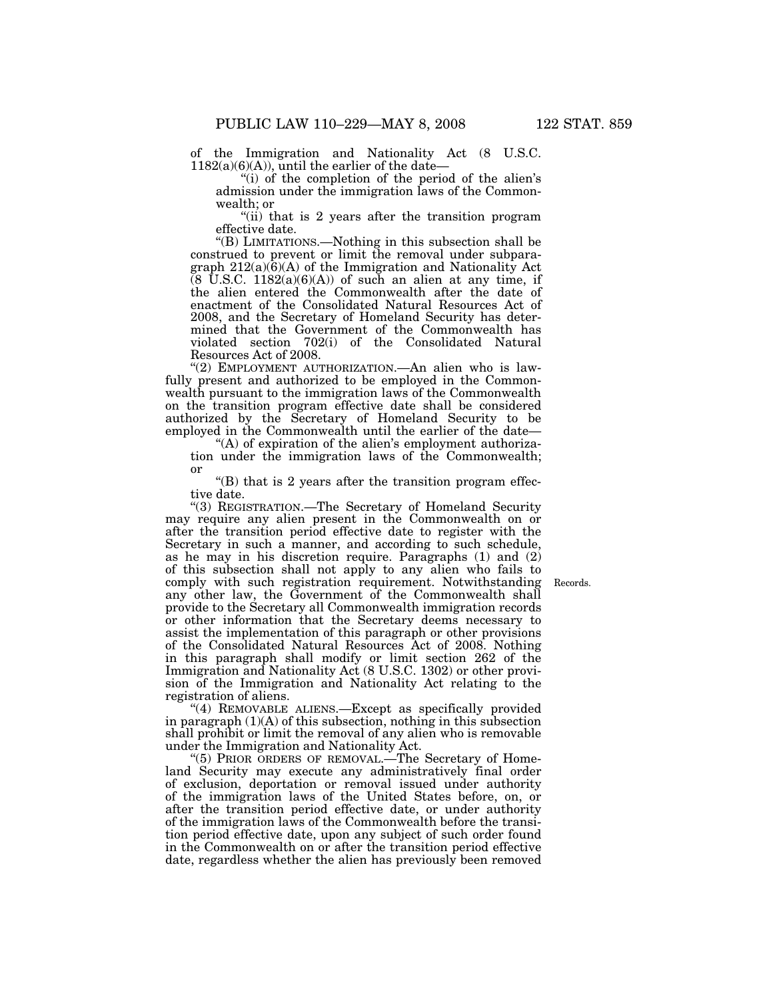of the Immigration and Nationality Act (8 U.S.C. 1182(a)(6)(A)), until the earlier of the date—

''(i) of the completion of the period of the alien's admission under the immigration laws of the Commonwealth; or

''(ii) that is 2 years after the transition program effective date.

''(B) LIMITATIONS.—Nothing in this subsection shall be construed to prevent or limit the removal under subparagraph 212(a)(6)(A) of the Immigration and Nationality Act  $(8 \text{ U.S.C. } 1182(a)(6)(A))$  of such an alien at any time, if the alien entered the Commonwealth after the date of enactment of the Consolidated Natural Resources Act of 2008, and the Secretary of Homeland Security has determined that the Government of the Commonwealth has violated section 702(i) of the Consolidated Natural Resources Act of 2008.

''(2) EMPLOYMENT AUTHORIZATION.—An alien who is lawfully present and authorized to be employed in the Commonwealth pursuant to the immigration laws of the Commonwealth on the transition program effective date shall be considered authorized by the Secretary of Homeland Security to be employed in the Commonwealth until the earlier of the date—

"(A) of expiration of the alien's employment authorization under the immigration laws of the Commonwealth; or

 $($  $B)$  that is 2 years after the transition program effective date.

''(3) REGISTRATION.—The Secretary of Homeland Security may require any alien present in the Commonwealth on or after the transition period effective date to register with the Secretary in such a manner, and according to such schedule, as he may in his discretion require. Paragraphs (1) and (2) of this subsection shall not apply to any alien who fails to comply with such registration requirement. Notwithstanding any other law, the Government of the Commonwealth shall provide to the Secretary all Commonwealth immigration records or other information that the Secretary deems necessary to assist the implementation of this paragraph or other provisions of the Consolidated Natural Resources Act of 2008. Nothing in this paragraph shall modify or limit section 262 of the Immigration and Nationality Act (8 U.S.C. 1302) or other provision of the Immigration and Nationality Act relating to the registration of aliens.

"(4) REMOVABLE ALIENS.—Except as specifically provided in paragraph (1)(A) of this subsection, nothing in this subsection shall prohibit or limit the removal of any alien who is removable under the Immigration and Nationality Act.

''(5) PRIOR ORDERS OF REMOVAL.—The Secretary of Homeland Security may execute any administratively final order of exclusion, deportation or removal issued under authority of the immigration laws of the United States before, on, or after the transition period effective date, or under authority of the immigration laws of the Commonwealth before the transition period effective date, upon any subject of such order found in the Commonwealth on or after the transition period effective date, regardless whether the alien has previously been removed

Records.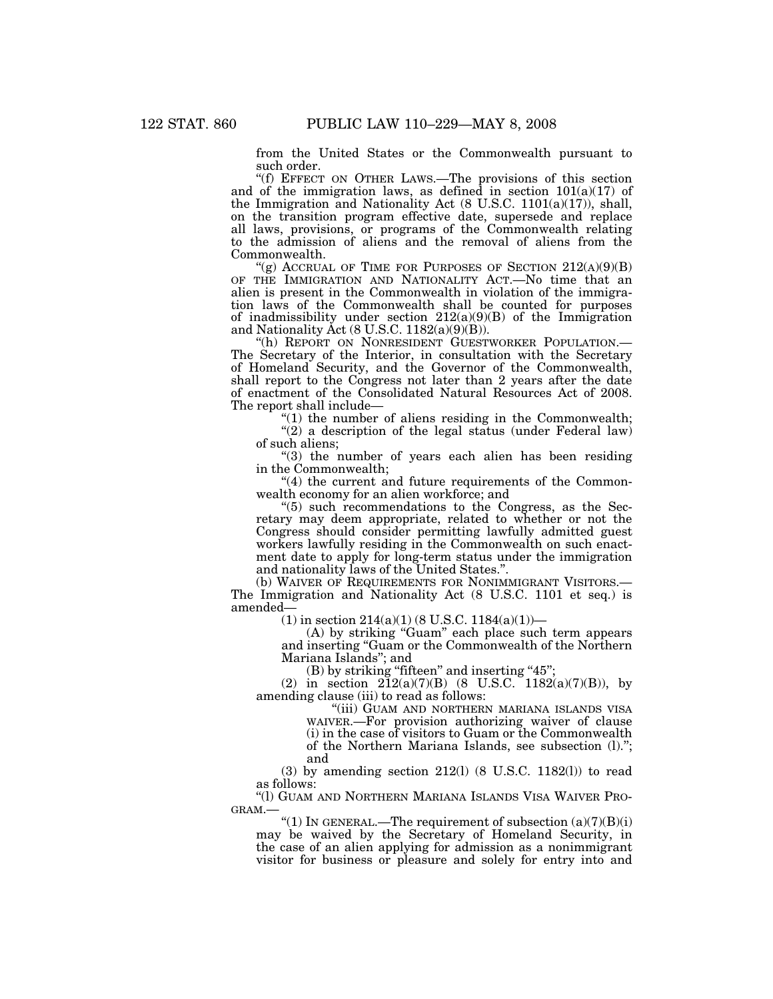from the United States or the Commonwealth pursuant to such order.

''(f) EFFECT ON OTHER LAWS.—The provisions of this section and of the immigration laws, as defined in section  $101(a)(17)$  of the Immigration and Nationality Act (8 U.S.C. 1101(a)(17)), shall, on the transition program effective date, supersede and replace all laws, provisions, or programs of the Commonwealth relating to the admission of aliens and the removal of aliens from the Commonwealth.

"(g) ACCRUAL OF TIME FOR PURPOSES OF SECTION  $212(A)(9)(B)$ OF THE IMMIGRATION AND NATIONALITY ACT.—No time that an alien is present in the Commonwealth in violation of the immigration laws of the Commonwealth shall be counted for purposes of inadmissibility under section 212(a)(9)(B) of the Immigration and Nationality  $\text{Act}$  (8 U.S.C. 1182(a)(9)(B)).

The Secretary of the Interior, in consultation with the Secretary of Homeland Security, and the Governor of the Commonwealth, shall report to the Congress not later than 2 years after the date of enactment of the Consolidated Natural Resources Act of 2008. The report shall include—

 $(1)$  the number of aliens residing in the Commonwealth;  $''(2)$  a description of the legal status (under Federal law)

of such aliens; "(3) the number of years each alien has been residing

in the Commonwealth;

 $''(4)$  the current and future requirements of the Commonwealth economy for an alien workforce; and

''(5) such recommendations to the Congress, as the Secretary may deem appropriate, related to whether or not the Congress should consider permitting lawfully admitted guest workers lawfully residing in the Commonwealth on such enactment date to apply for long-term status under the immigration and nationality laws of the United States.".<br>(b) WAIVER OF REQUIREMENTS FOR NONIMMIGRANT VISITORS.—

The Immigration and Nationality Act (8 U.S.C. 1101 et seq.) is amended—

 $(1)$  in section  $214(a)(1)$  (8 U.S.C. 1184 $(a)(1)$ )—

(A) by striking ''Guam'' each place such term appears and inserting ''Guam or the Commonwealth of the Northern Mariana Islands''; and

 $(B)$  by striking "fifteen" and inserting " $45$ ";

(2) in section  $2\tilde{1}2(a)(7)(B)$  (8 U.S.C. 1182(a)(7)(B)), by amending clause (iii) to read as follows:

''(iii) GUAM AND NORTHERN MARIANA ISLANDS VISA WAIVER.—For provision authorizing waiver of clause (i) in the case of visitors to Guam or the Commonwealth of the Northern Mariana Islands, see subsection (l).'';

and

(3) by amending section 212(l) (8 U.S.C. 1182(l)) to read as follows:

''(l) GUAM AND NORTHERN MARIANA ISLANDS VISA WAIVER PRO-GRAM.—

"(1) IN GENERAL.—The requirement of subsection  $(a)(7)(B)(i)$ may be waived by the Secretary of Homeland Security, in the case of an alien applying for admission as a nonimmigrant visitor for business or pleasure and solely for entry into and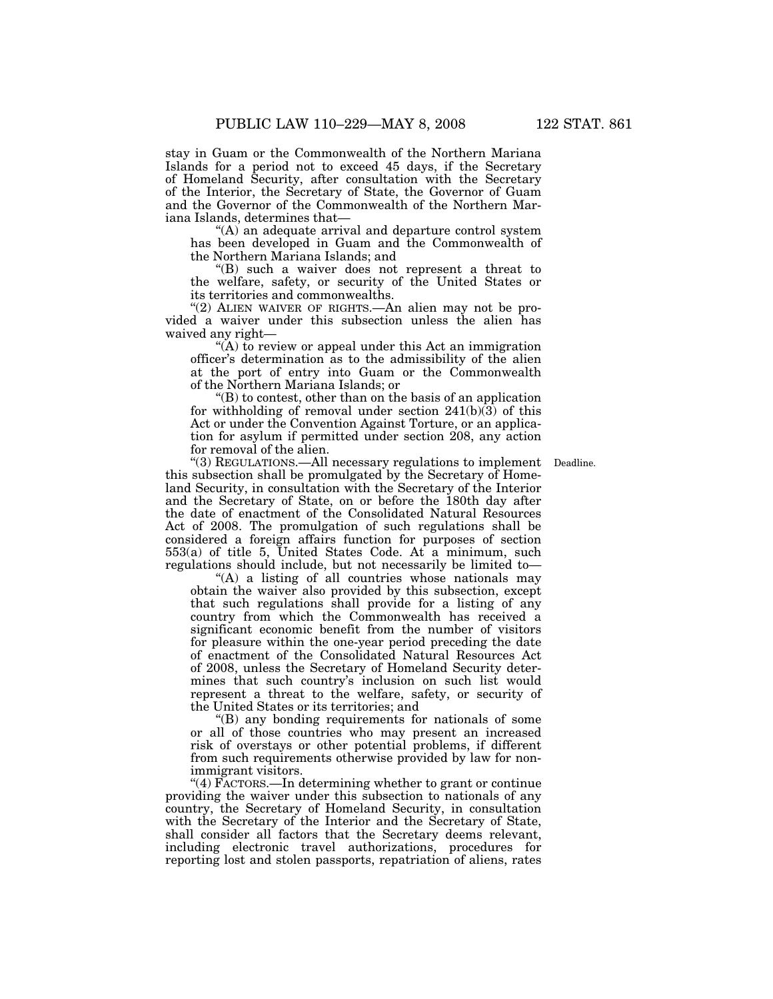stay in Guam or the Commonwealth of the Northern Mariana Islands for a period not to exceed 45 days, if the Secretary of Homeland Security, after consultation with the Secretary of the Interior, the Secretary of State, the Governor of Guam and the Governor of the Commonwealth of the Northern Mariana Islands, determines that—

''(A) an adequate arrival and departure control system has been developed in Guam and the Commonwealth of the Northern Mariana Islands; and

''(B) such a waiver does not represent a threat to the welfare, safety, or security of the United States or its territories and commonwealths.

"(2) ALIEN WAIVER OF RIGHTS.—An alien may not be provided a waiver under this subsection unless the alien has waived any right—

"(A) to review or appeal under this Act an immigration officer's determination as to the admissibility of the alien at the port of entry into Guam or the Commonwealth of the Northern Mariana Islands; or

''(B) to contest, other than on the basis of an application for withholding of removal under section  $241(b)(3)$  of this Act or under the Convention Against Torture, or an application for asylum if permitted under section 208, any action for removal of the alien.

"(3) REGULATIONS.—All necessary regulations to implement Deadline. this subsection shall be promulgated by the Secretary of Homeland Security, in consultation with the Secretary of the Interior and the Secretary of State, on or before the 180th day after the date of enactment of the Consolidated Natural Resources Act of 2008. The promulgation of such regulations shall be considered a foreign affairs function for purposes of section 553(a) of title 5, United States Code. At a minimum, such regulations should include, but not necessarily be limited to—

"(A) a listing of all countries whose nationals may obtain the waiver also provided by this subsection, except that such regulations shall provide for a listing of any country from which the Commonwealth has received a significant economic benefit from the number of visitors for pleasure within the one-year period preceding the date of enactment of the Consolidated Natural Resources Act of 2008, unless the Secretary of Homeland Security determines that such country's inclusion on such list would represent a threat to the welfare, safety, or security of the United States or its territories; and

''(B) any bonding requirements for nationals of some or all of those countries who may present an increased risk of overstays or other potential problems, if different from such requirements otherwise provided by law for nonimmigrant visitors.

''(4) FACTORS.—In determining whether to grant or continue providing the waiver under this subsection to nationals of any country, the Secretary of Homeland Security, in consultation with the Secretary of the Interior and the Secretary of State, shall consider all factors that the Secretary deems relevant, including electronic travel authorizations, procedures for reporting lost and stolen passports, repatriation of aliens, rates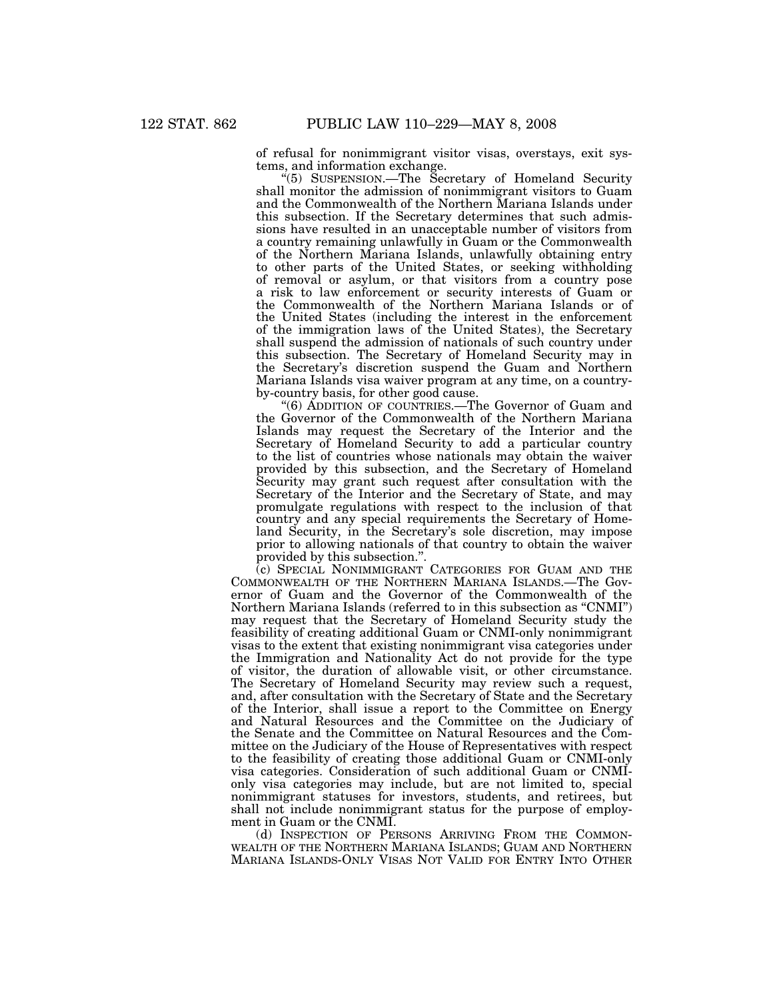of refusal for nonimmigrant visitor visas, overstays, exit systems, and information exchange.

''(5) SUSPENSION.—The Secretary of Homeland Security shall monitor the admission of nonimmigrant visitors to Guam and the Commonwealth of the Northern Mariana Islands under this subsection. If the Secretary determines that such admissions have resulted in an unacceptable number of visitors from a country remaining unlawfully in Guam or the Commonwealth of the Northern Mariana Islands, unlawfully obtaining entry to other parts of the United States, or seeking withholding of removal or asylum, or that visitors from a country pose a risk to law enforcement or security interests of Guam or the Commonwealth of the Northern Mariana Islands or of the United States (including the interest in the enforcement of the immigration laws of the United States), the Secretary shall suspend the admission of nationals of such country under this subsection. The Secretary of Homeland Security may in the Secretary's discretion suspend the Guam and Northern Mariana Islands visa waiver program at any time, on a countryby-country basis, for other good cause.

''(6) ADDITION OF COUNTRIES.—The Governor of Guam and the Governor of the Commonwealth of the Northern Mariana Islands may request the Secretary of the Interior and the Secretary of Homeland Security to add a particular country to the list of countries whose nationals may obtain the waiver provided by this subsection, and the Secretary of Homeland Security may grant such request after consultation with the Secretary of the Interior and the Secretary of State, and may promulgate regulations with respect to the inclusion of that country and any special requirements the Secretary of Homeland Security, in the Secretary's sole discretion, may impose prior to allowing nationals of that country to obtain the waiver provided by this subsection.''.

(c) SPECIAL NONIMMIGRANT CATEGORIES FOR GUAM AND THE COMMONWEALTH OF THE NORTHERN MARIANA ISLANDS.—The Governor of Guam and the Governor of the Commonwealth of the Northern Mariana Islands (referred to in this subsection as ''CNMI'') may request that the Secretary of Homeland Security study the feasibility of creating additional Guam or CNMI-only nonimmigrant visas to the extent that existing nonimmigrant visa categories under the Immigration and Nationality Act do not provide for the type of visitor, the duration of allowable visit, or other circumstance. The Secretary of Homeland Security may review such a request, and, after consultation with the Secretary of State and the Secretary of the Interior, shall issue a report to the Committee on Energy and Natural Resources and the Committee on the Judiciary of the Senate and the Committee on Natural Resources and the Committee on the Judiciary of the House of Representatives with respect to the feasibility of creating those additional Guam or CNMI-only visa categories. Consideration of such additional Guam or CNMIonly visa categories may include, but are not limited to, special nonimmigrant statuses for investors, students, and retirees, but shall not include nonimmigrant status for the purpose of employment in Guam or the CNMI.

(d) INSPECTION OF PERSONS ARRIVING FROM THE COMMON- WEALTH OF THE NORTHERN MARIANA ISLANDS; GUAM AND NORTHERN MARIANA ISLANDS-ONLY VISAS NOT VALID FOR ENTRY INTO OTHER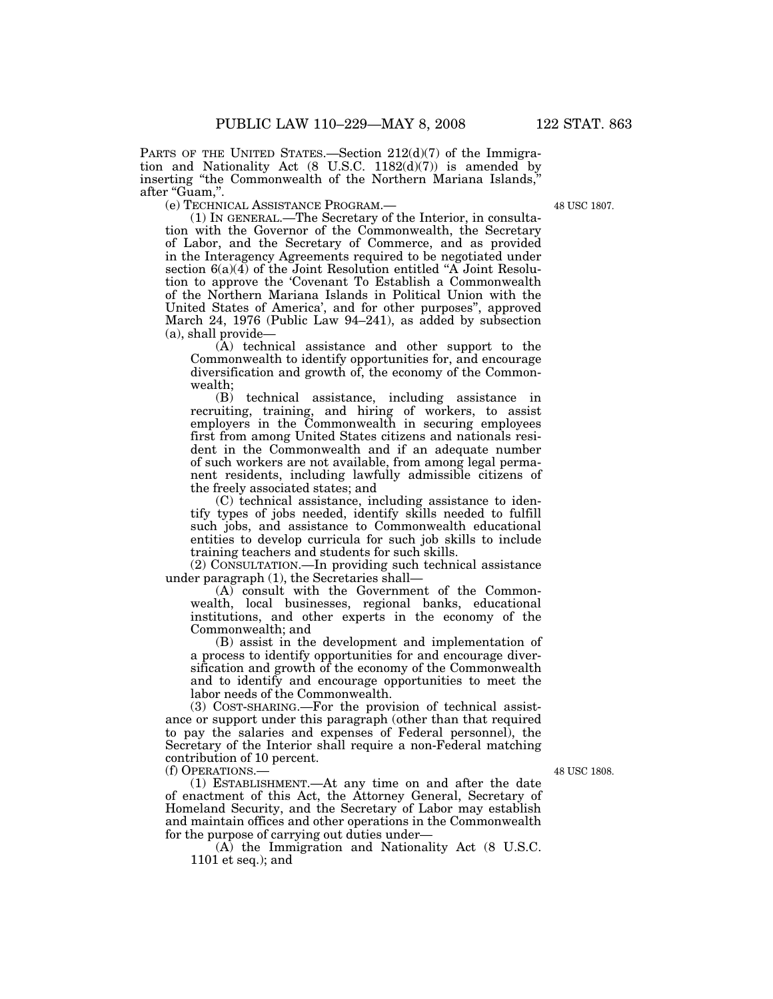tion and Nationality Act  $(8 \text{ U.S.C. } 1182(d)(7))$  is amended by inserting "the Commonwealth of the Northern Mariana Islands, after "Guam,"

(e) TECHNICAL ASSISTANCE PROGRAM.—

(1) IN GENERAL.—The Secretary of the Interior, in consultation with the Governor of the Commonwealth, the Secretary of Labor, and the Secretary of Commerce, and as provided in the Interagency Agreements required to be negotiated under section  $6(a)(4)$  of the Joint Resolution entitled "A Joint Resolution to approve the 'Covenant To Establish a Commonwealth of the Northern Mariana Islands in Political Union with the United States of America', and for other purposes'', approved March 24, 1976 (Public Law 94-241), as added by subsection (a), shall provide—

(A) technical assistance and other support to the Commonwealth to identify opportunities for, and encourage diversification and growth of, the economy of the Commonwealth;

(B) technical assistance, including assistance in recruiting, training, and hiring of workers, to assist employers in the Commonwealth in securing employees first from among United States citizens and nationals resident in the Commonwealth and if an adequate number of such workers are not available, from among legal permanent residents, including lawfully admissible citizens of the freely associated states; and

(C) technical assistance, including assistance to identify types of jobs needed, identify skills needed to fulfill such jobs, and assistance to Commonwealth educational entities to develop curricula for such job skills to include training teachers and students for such skills.

(2) CONSULTATION.—In providing such technical assistance under paragraph (1), the Secretaries shall—

(A) consult with the Government of the Commonwealth, local businesses, regional banks, educational institutions, and other experts in the economy of the Commonwealth; and

(B) assist in the development and implementation of a process to identify opportunities for and encourage diversification and growth of the economy of the Commonwealth and to identify and encourage opportunities to meet the labor needs of the Commonwealth.

(3) COST-SHARING.—For the provision of technical assistance or support under this paragraph (other than that required to pay the salaries and expenses of Federal personnel), the Secretary of the Interior shall require a non-Federal matching contribution of 10 percent.

(f) OPERATIONS.—

(1) ESTABLISHMENT.—At any time on and after the date of enactment of this Act, the Attorney General, Secretary of Homeland Security, and the Secretary of Labor may establish and maintain offices and other operations in the Commonwealth for the purpose of carrying out duties under—

(A) the Immigration and Nationality Act (8 U.S.C. 1101 et seq.); and

48 USC 1808.

48 USC 1807.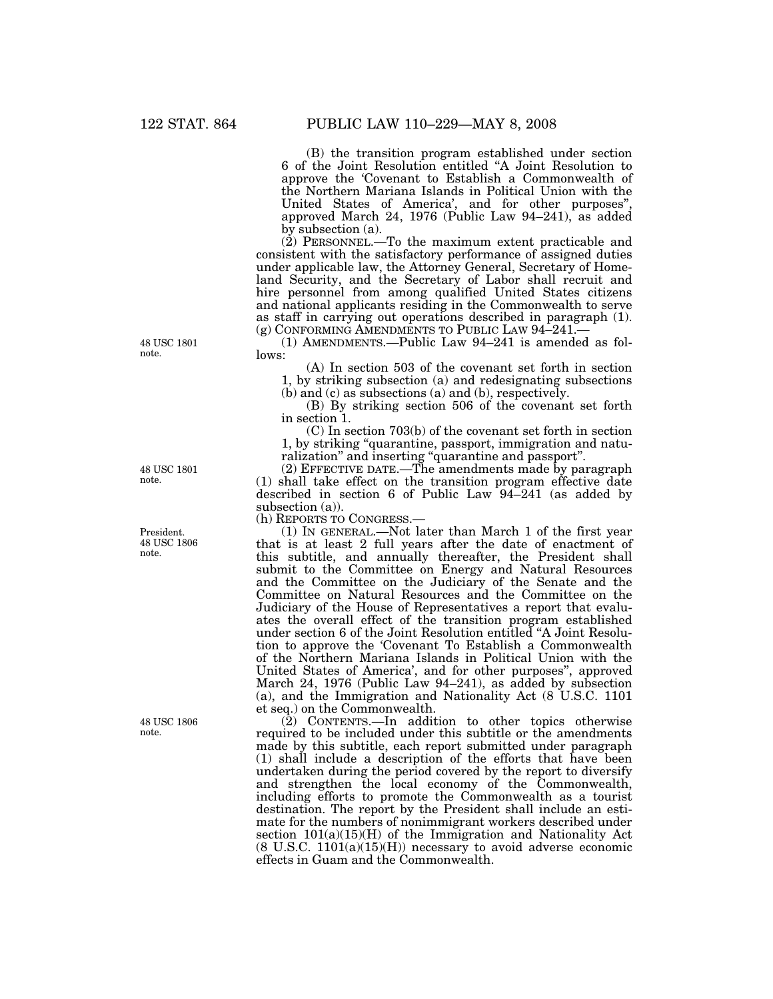(B) the transition program established under section 6 of the Joint Resolution entitled ''A Joint Resolution to approve the 'Covenant to Establish a Commonwealth of the Northern Mariana Islands in Political Union with the United States of America', and for other purposes" approved March 24, 1976 (Public Law 94–241), as added by subsection (a).

 $(2)$  PERSONNEL.—To the maximum extent practicable and consistent with the satisfactory performance of assigned duties under applicable law, the Attorney General, Secretary of Homeland Security, and the Secretary of Labor shall recruit and hire personnel from among qualified United States citizens and national applicants residing in the Commonwealth to serve as staff in carrying out operations described in paragraph (1). (g) CONFORMING AMENDMENTS TO PUBLIC LAW 94–241.—

(1) AMENDMENTS.—Public Law 94–241 is amended as follows:

(A) In section 503 of the covenant set forth in section 1, by striking subsection (a) and redesignating subsections (b) and (c) as subsections (a) and (b), respectively.

(B) By striking section 506 of the covenant set forth in section 1.

(C) In section 703(b) of the covenant set forth in section 1, by striking ''quarantine, passport, immigration and naturalization'' and inserting ''quarantine and passport''.

(2) EFFECTIVE DATE.—The amendments made by paragraph (1) shall take effect on the transition program effective date described in section 6 of Public Law 94–241 (as added by subsection (a)).

(h) REPORTS TO CONGRESS.—

(1) IN GENERAL.—Not later than March 1 of the first year that is at least 2 full years after the date of enactment of this subtitle, and annually thereafter, the President shall submit to the Committee on Energy and Natural Resources and the Committee on the Judiciary of the Senate and the Committee on Natural Resources and the Committee on the Judiciary of the House of Representatives a report that evaluates the overall effect of the transition program established under section 6 of the Joint Resolution entitled ''A Joint Resolution to approve the 'Covenant To Establish a Commonwealth of the Northern Mariana Islands in Political Union with the United States of America', and for other purposes'', approved March 24, 1976 (Public Law 94–241), as added by subsection (a), and the Immigration and Nationality Act (8 U.S.C. 1101 et seq.) on the Commonwealth.

(2) CONTENTS.—In addition to other topics otherwise required to be included under this subtitle or the amendments made by this subtitle, each report submitted under paragraph (1) shall include a description of the efforts that have been undertaken during the period covered by the report to diversify and strengthen the local economy of the Commonwealth, including efforts to promote the Commonwealth as a tourist destination. The report by the President shall include an estimate for the numbers of nonimmigrant workers described under section  $101(a)(15)(H)$  of the Immigration and Nationality Act (8 U.S.C. 1101(a)(15)(H)) necessary to avoid adverse economic effects in Guam and the Commonwealth.

48 USC 1801 note.

48 USC 1801 note.

President. 48 USC 1806 note.

48 USC 1806 note.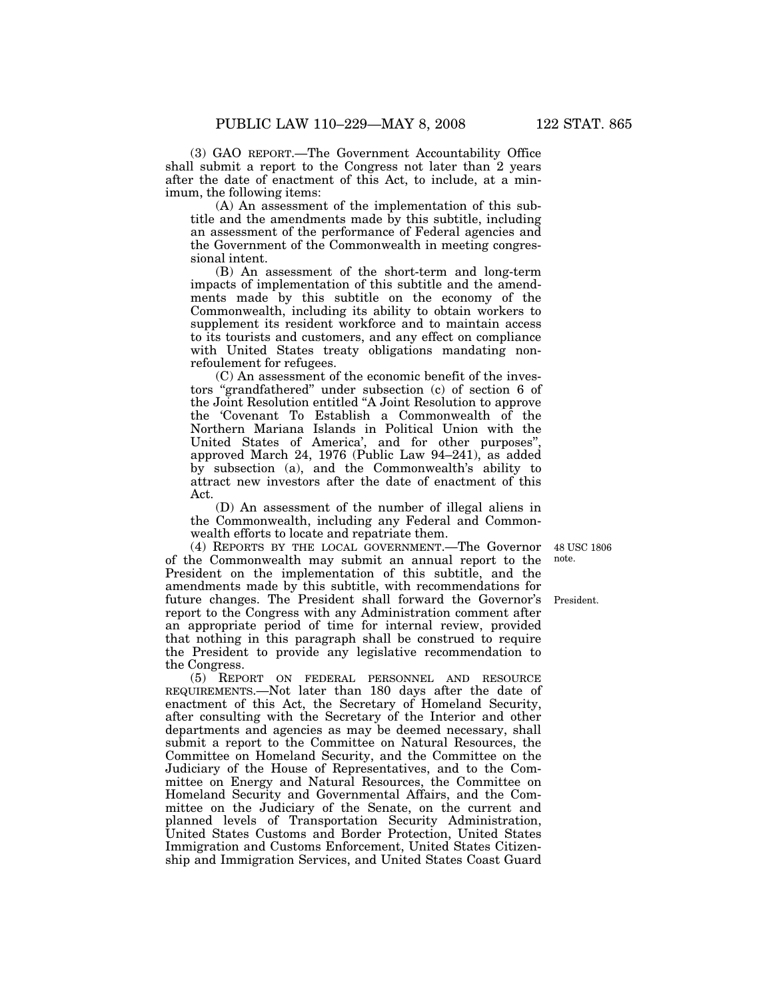(3) GAO REPORT.—The Government Accountability Office shall submit a report to the Congress not later than 2 years after the date of enactment of this Act, to include, at a min-

imum, the following items: (A) An assessment of the implementation of this subtitle and the amendments made by this subtitle, including an assessment of the performance of Federal agencies and the Government of the Commonwealth in meeting congressional intent.

(B) An assessment of the short-term and long-term impacts of implementation of this subtitle and the amendments made by this subtitle on the economy of the Commonwealth, including its ability to obtain workers to supplement its resident workforce and to maintain access to its tourists and customers, and any effect on compliance with United States treaty obligations mandating nonrefoulement for refugees.

(C) An assessment of the economic benefit of the investors ''grandfathered'' under subsection (c) of section 6 of the Joint Resolution entitled ''A Joint Resolution to approve the 'Covenant To Establish a Commonwealth of the Northern Mariana Islands in Political Union with the United States of America', and for other purposes'', approved March 24, 1976 (Public Law 94–241), as added by subsection (a), and the Commonwealth's ability to attract new investors after the date of enactment of this Act.

(D) An assessment of the number of illegal aliens in the Commonwealth, including any Federal and Commonwealth efforts to locate and repatriate them.

> 48 USC 1806 note.

(4) REPORTS BY THE LOCAL GOVERNMENT.—The Governor of the Commonwealth may submit an annual report to the President on the implementation of this subtitle, and the amendments made by this subtitle, with recommendations for future changes. The President shall forward the Governor's report to the Congress with any Administration comment after an appropriate period of time for internal review, provided that nothing in this paragraph shall be construed to require the President to provide any legislative recommendation to the Congress.

(5) REPORT ON FEDERAL PERSONNEL AND RESOURCE REQUIREMENTS.—Not later than 180 days after the date of enactment of this Act, the Secretary of Homeland Security, after consulting with the Secretary of the Interior and other departments and agencies as may be deemed necessary, shall submit a report to the Committee on Natural Resources, the Committee on Homeland Security, and the Committee on the Judiciary of the House of Representatives, and to the Committee on Energy and Natural Resources, the Committee on Homeland Security and Governmental Affairs, and the Committee on the Judiciary of the Senate, on the current and planned levels of Transportation Security Administration, United States Customs and Border Protection, United States Immigration and Customs Enforcement, United States Citizenship and Immigration Services, and United States Coast Guard

President.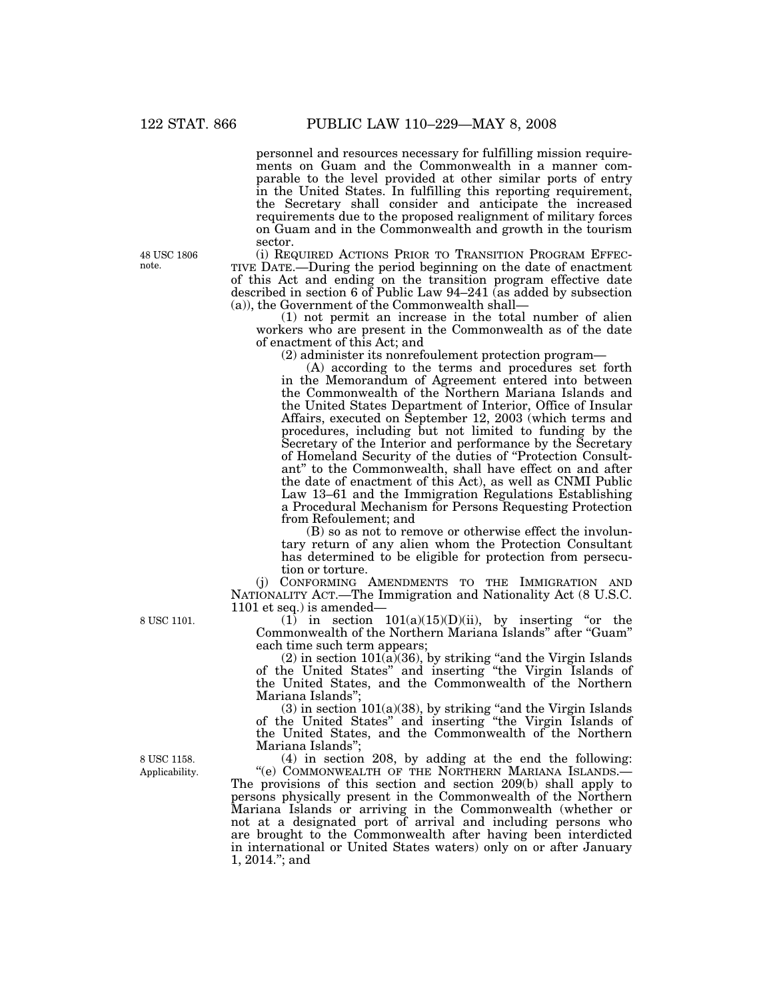personnel and resources necessary for fulfilling mission requirements on Guam and the Commonwealth in a manner comparable to the level provided at other similar ports of entry in the United States. In fulfilling this reporting requirement, the Secretary shall consider and anticipate the increased requirements due to the proposed realignment of military forces on Guam and in the Commonwealth and growth in the tourism sector.

(i) REQUIRED ACTIONS PRIOR TO TRANSITION PROGRAM EFFEC- TIVE DATE.—During the period beginning on the date of enactment of this Act and ending on the transition program effective date described in section 6 of Public Law 94–241 (as added by subsection (a)), the Government of the Commonwealth shall—

(1) not permit an increase in the total number of alien workers who are present in the Commonwealth as of the date of enactment of this Act; and

(2) administer its nonrefoulement protection program—

(A) according to the terms and procedures set forth in the Memorandum of Agreement entered into between the Commonwealth of the Northern Mariana Islands and the United States Department of Interior, Office of Insular Affairs, executed on September 12, 2003 (which terms and procedures, including but not limited to funding by the Secretary of the Interior and performance by the Secretary of Homeland Security of the duties of ''Protection Consultant'' to the Commonwealth, shall have effect on and after the date of enactment of this Act), as well as CNMI Public Law 13–61 and the Immigration Regulations Establishing a Procedural Mechanism for Persons Requesting Protection from Refoulement; and

(B) so as not to remove or otherwise effect the involuntary return of any alien whom the Protection Consultant has determined to be eligible for protection from persecution or torture.

(j) CONFORMING AMENDMENTS TO THE IMMIGRATION AND NATIONALITY ACT.—The Immigration and Nationality Act (8 U.S.C. 1101 et seq.) is amended—

 $(1)$  in section  $101(a)(15)(D)(ii)$ , by inserting "or the Commonwealth of the Northern Mariana Islands'' after ''Guam'' each time such term appears;

 $(2)$  in section  $101(a)(36)$ , by striking "and the Virgin Islands" of the United States'' and inserting ''the Virgin Islands of the United States, and the Commonwealth of the Northern Mariana Islands'';

 $(3)$  in section 101(a)(38), by striking "and the Virgin Islands" of the United States'' and inserting ''the Virgin Islands of the United States, and the Commonwealth of the Northern Mariana Islands'';

(4) in section 208, by adding at the end the following: "(e) COMMONWEALTH OF THE NORTHERN MARIANA ISLANDS.-The provisions of this section and section 209(b) shall apply to persons physically present in the Commonwealth of the Northern Mariana Islands or arriving in the Commonwealth (whether or not at a designated port of arrival and including persons who are brought to the Commonwealth after having been interdicted in international or United States waters) only on or after January 1, 2014.''; and

48 USC 1806 note.

8 USC 1101.

Applicability. 8 USC 1158.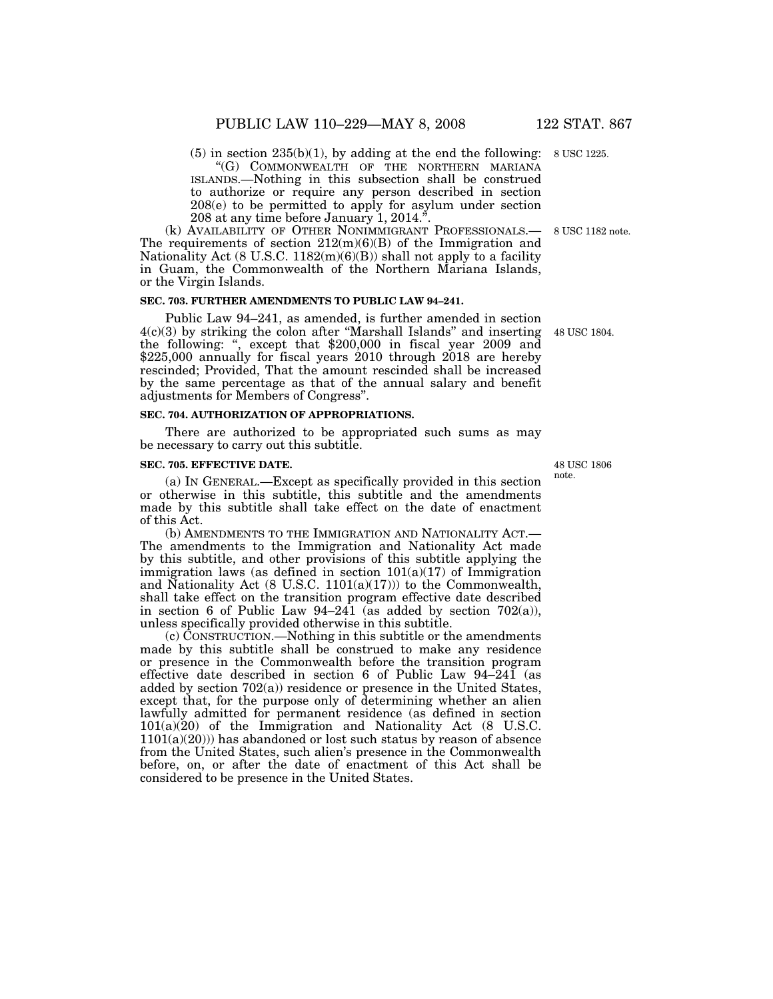$(5)$  in section 235(b)(1), by adding at the end the following: 8 USC 1225.

''(G) COMMONWEALTH OF THE NORTHERN MARIANA ISLANDS.—Nothing in this subsection shall be construed to authorize or require any person described in section 208(e) to be permitted to apply for asylum under section 208 at any time before January 1, 2014."

(k) AVAILABILITY OF OTHER NONIMMIGRANT PROFESSIONALS.— The requirements of section  $212(m)(6)(B)$  of the Immigration and Nationality Act  $(8 \text{ U.S.C. } 1182(m)(6)(B))$  shall not apply to a facility in Guam, the Commonwealth of the Northern Mariana Islands, or the Virgin Islands.

## **SEC. 703. FURTHER AMENDMENTS TO PUBLIC LAW 94–241.**

Public Law 94–241, as amended, is further amended in section 4(c)(3) by striking the colon after ''Marshall Islands'' and inserting the following: '', except that \$200,000 in fiscal year 2009 and \$225,000 annually for fiscal years 2010 through 2018 are hereby rescinded; Provided, That the amount rescinded shall be increased by the same percentage as that of the annual salary and benefit adjustments for Members of Congress''.

### **SEC. 704. AUTHORIZATION OF APPROPRIATIONS.**

There are authorized to be appropriated such sums as may be necessary to carry out this subtitle.

## **SEC. 705. EFFECTIVE DATE.**

(a) IN GENERAL.—Except as specifically provided in this section or otherwise in this subtitle, this subtitle and the amendments made by this subtitle shall take effect on the date of enactment of this Act.

(b) AMENDMENTS TO THE IMMIGRATION AND NATIONALITY ACT.— The amendments to the Immigration and Nationality Act made by this subtitle, and other provisions of this subtitle applying the immigration laws (as defined in section  $101(a)(17)$  of Immigration and Nationality Act (8 U.S.C. 1101(a)(17))) to the Commonwealth, shall take effect on the transition program effective date described in section 6 of Public Law  $94-241$  (as added by section 702(a)), unless specifically provided otherwise in this subtitle.

(c) CONSTRUCTION.—Nothing in this subtitle or the amendments made by this subtitle shall be construed to make any residence or presence in the Commonwealth before the transition program effective date described in section 6 of Public Law 94–241 (as added by section 702(a)) residence or presence in the United States, except that, for the purpose only of determining whether an alien lawfully admitted for permanent residence (as defined in section 101(a)(20) of the Immigration and Nationality Act (8 U.S.C.  $1101(a)(20)$ ) has abandoned or lost such status by reason of absence from the United States, such alien's presence in the Commonwealth before, on, or after the date of enactment of this Act shall be considered to be presence in the United States.

48 USC 1806 note.

8 USC 1182 note.

48 USC 1804.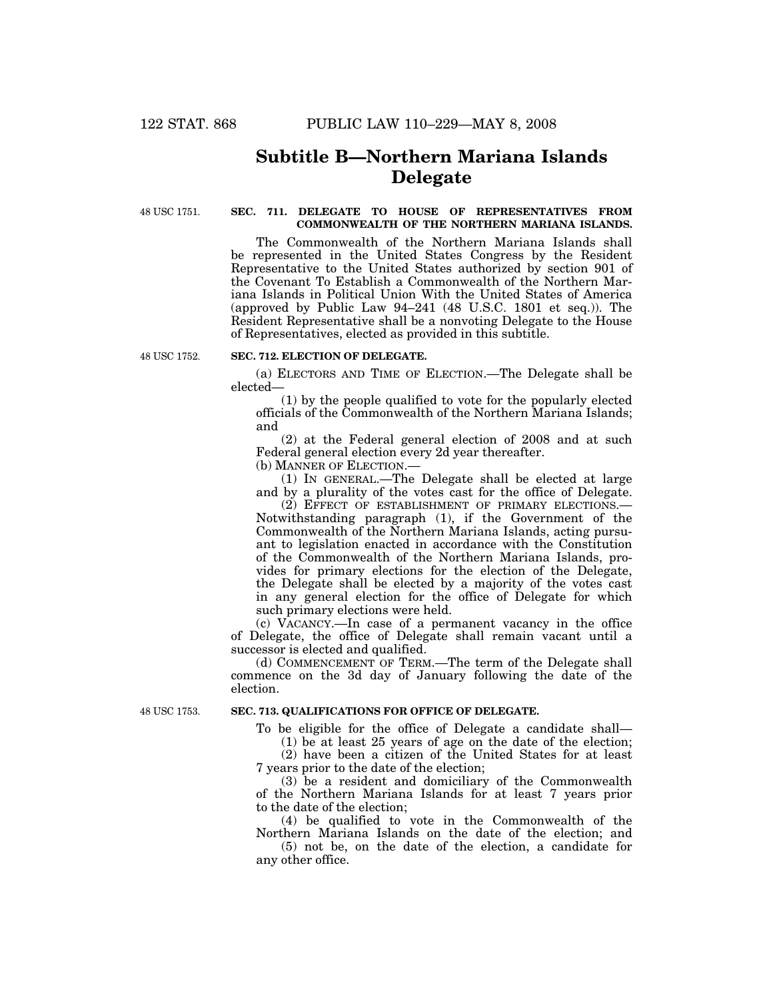# **Subtitle B—Northern Mariana Islands Delegate**

48 USC 1751.

# **SEC. 711. DELEGATE TO HOUSE OF REPRESENTATIVES FROM COMMONWEALTH OF THE NORTHERN MARIANA ISLANDS.**

The Commonwealth of the Northern Mariana Islands shall be represented in the United States Congress by the Resident Representative to the United States authorized by section 901 of the Covenant To Establish a Commonwealth of the Northern Mariana Islands in Political Union With the United States of America (approved by Public Law 94–241 (48 U.S.C. 1801 et seq.)). The Resident Representative shall be a nonvoting Delegate to the House of Representatives, elected as provided in this subtitle.

48 USC 1752.

### **SEC. 712. ELECTION OF DELEGATE.**

(a) ELECTORS AND TIME OF ELECTION.—The Delegate shall be elected—

(1) by the people qualified to vote for the popularly elected officials of the Commonwealth of the Northern Mariana Islands; and

(2) at the Federal general election of 2008 and at such Federal general election every 2d year thereafter.

(b) MANNER OF ELECTION.—

(1) IN GENERAL.—The Delegate shall be elected at large and by a plurality of the votes cast for the office of Delegate.

(2) EFFECT OF ESTABLISHMENT OF PRIMARY ELECTIONS.— Notwithstanding paragraph (1), if the Government of the Commonwealth of the Northern Mariana Islands, acting pursuant to legislation enacted in accordance with the Constitution of the Commonwealth of the Northern Mariana Islands, provides for primary elections for the election of the Delegate, the Delegate shall be elected by a majority of the votes cast in any general election for the office of Delegate for which such primary elections were held.

(c) VACANCY.—In case of a permanent vacancy in the office of Delegate, the office of Delegate shall remain vacant until a successor is elected and qualified.

(d) COMMENCEMENT OF TERM.—The term of the Delegate shall commence on the 3d day of January following the date of the election.

48 USC 1753.

## **SEC. 713. QUALIFICATIONS FOR OFFICE OF DELEGATE.**

To be eligible for the office of Delegate a candidate shall—

(1) be at least 25 years of age on the date of the election; (2) have been a citizen of the United States for at least

7 years prior to the date of the election; (3) be a resident and domiciliary of the Commonwealth

of the Northern Mariana Islands for at least 7 years prior to the date of the election;

(4) be qualified to vote in the Commonwealth of the Northern Mariana Islands on the date of the election; and

(5) not be, on the date of the election, a candidate for any other office.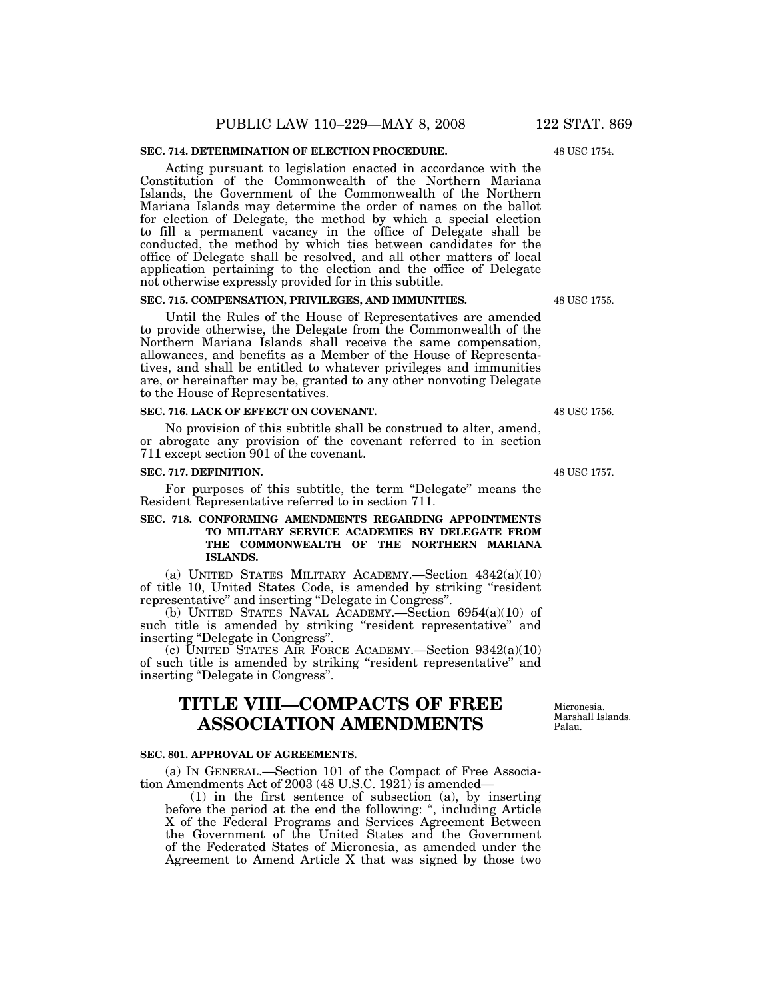### **SEC. 714. DETERMINATION OF ELECTION PROCEDURE.**

Acting pursuant to legislation enacted in accordance with the Constitution of the Commonwealth of the Northern Mariana Islands, the Government of the Commonwealth of the Northern Mariana Islands may determine the order of names on the ballot for election of Delegate, the method by which a special election to fill a permanent vacancy in the office of Delegate shall be conducted, the method by which ties between candidates for the office of Delegate shall be resolved, and all other matters of local application pertaining to the election and the office of Delegate not otherwise expressly provided for in this subtitle.

## **SEC. 715. COMPENSATION, PRIVILEGES, AND IMMUNITIES.**

Until the Rules of the House of Representatives are amended to provide otherwise, the Delegate from the Commonwealth of the Northern Mariana Islands shall receive the same compensation, allowances, and benefits as a Member of the House of Representatives, and shall be entitled to whatever privileges and immunities are, or hereinafter may be, granted to any other nonvoting Delegate to the House of Representatives.

## **SEC. 716. LACK OF EFFECT ON COVENANT.**

No provision of this subtitle shall be construed to alter, amend, or abrogate any provision of the covenant referred to in section 711 except section 901 of the covenant.

### **SEC. 717. DEFINITION.**

For purposes of this subtitle, the term ''Delegate'' means the Resident Representative referred to in section 711.

## **SEC. 718. CONFORMING AMENDMENTS REGARDING APPOINTMENTS TO MILITARY SERVICE ACADEMIES BY DELEGATE FROM THE COMMONWEALTH OF THE NORTHERN MARIANA ISLANDS.**

(a) UNITED STATES MILITARY ACADEMY.—Section 4342(a)(10) of title 10, United States Code, is amended by striking ''resident representative'' and inserting ''Delegate in Congress''.

(b) UNITED STATES NAVAL ACADEMY.—Section 6954(a)(10) of such title is amended by striking "resident representative" and inserting ''Delegate in Congress''.

(c) UNITED STATES AIR FORCE ACADEMY.—Section 9342(a)(10) of such title is amended by striking ''resident representative'' and inserting ''Delegate in Congress''.

# **TITLE VIII—COMPACTS OF FREE ASSOCIATION AMENDMENTS**

### **SEC. 801. APPROVAL OF AGREEMENTS.**

(a) IN GENERAL.—Section 101 of the Compact of Free Association Amendments Act of 2003 (48 U.S.C. 1921) is amended—

(1) in the first sentence of subsection (a), by inserting before the period at the end the following: '', including Article X of the Federal Programs and Services Agreement Between the Government of the United States and the Government of the Federated States of Micronesia, as amended under the Agreement to Amend Article X that was signed by those two

Micronesia. Marshall Islands. Palau.

48 USC 1756.

48 USC 1755.

48 USC 1757.

48 USC 1754.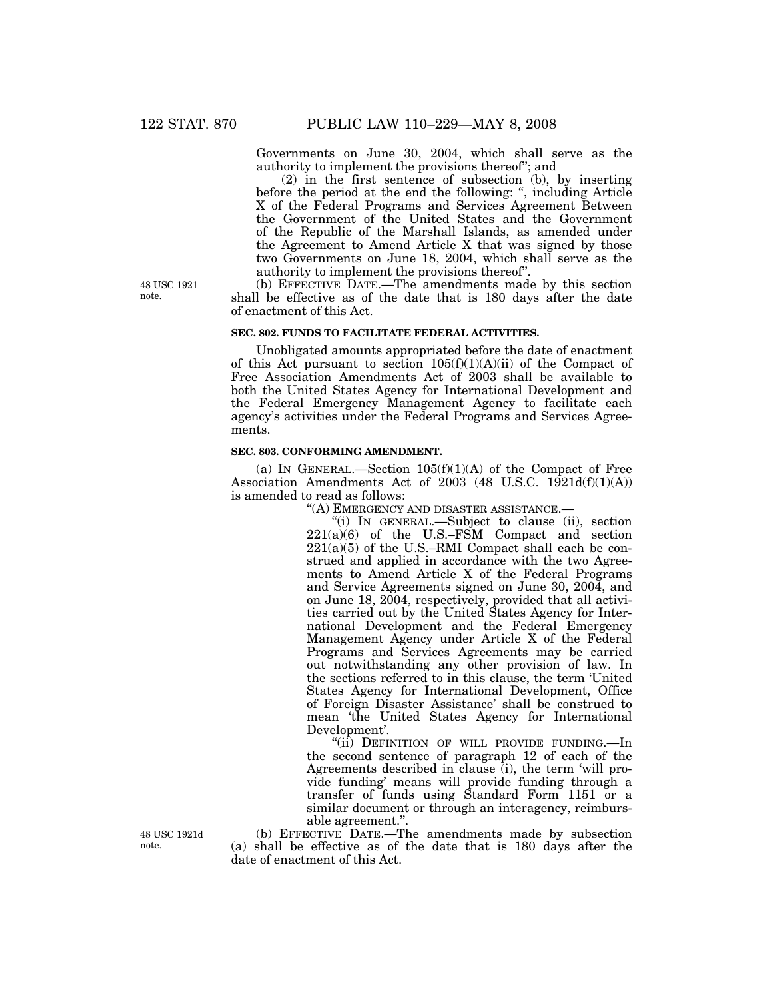Governments on June 30, 2004, which shall serve as the authority to implement the provisions thereof''; and

(2) in the first sentence of subsection (b), by inserting before the period at the end the following: '', including Article X of the Federal Programs and Services Agreement Between the Government of the United States and the Government of the Republic of the Marshall Islands, as amended under the Agreement to Amend Article X that was signed by those two Governments on June 18, 2004, which shall serve as the authority to implement the provisions thereof''.

(b) EFFECTIVE DATE.—The amendments made by this section shall be effective as of the date that is 180 days after the date of enactment of this Act.

## **SEC. 802. FUNDS TO FACILITATE FEDERAL ACTIVITIES.**

Unobligated amounts appropriated before the date of enactment of this Act pursuant to section  $105(f)(1)(A)(ii)$  of the Compact of Free Association Amendments Act of 2003 shall be available to both the United States Agency for International Development and the Federal Emergency Management Agency to facilitate each agency's activities under the Federal Programs and Services Agreements.

### **SEC. 803. CONFORMING AMENDMENT.**

(a) IN GENERAL.—Section  $105(f)(1)(A)$  of the Compact of Free Association Amendments Act of 2003 (48 U.S.C. 1921 $d(f)(1)(A)$ ) is amended to read as follows:

''(A) EMERGENCY AND DISASTER ASSISTANCE.—

''(i) IN GENERAL.—Subject to clause (ii), section  $221(a)(6)$  of the U.S.–FSM Compact and section  $221(a)(5)$  of the U.S.–RMI Compact shall each be construed and applied in accordance with the two Agreements to Amend Article X of the Federal Programs and Service Agreements signed on June 30, 2004, and on June 18, 2004, respectively, provided that all activities carried out by the United States Agency for International Development and the Federal Emergency Management Agency under Article X of the Federal Programs and Services Agreements may be carried out notwithstanding any other provision of law. In the sections referred to in this clause, the term 'United States Agency for International Development, Office of Foreign Disaster Assistance' shall be construed to mean 'the United States Agency for International Development'.

"(ii) DEFINITION OF WILL PROVIDE FUNDING.—In the second sentence of paragraph 12 of each of the Agreements described in clause (i), the term 'will provide funding' means will provide funding through a transfer of funds using Standard Form 1151 or a similar document or through an interagency, reimbursable agreement.''.

(b) EFFECTIVE DATE.—The amendments made by subsection (a) shall be effective as of the date that is 180 days after the date of enactment of this Act.

48 USC 1921 note.

48 USC 1921d note.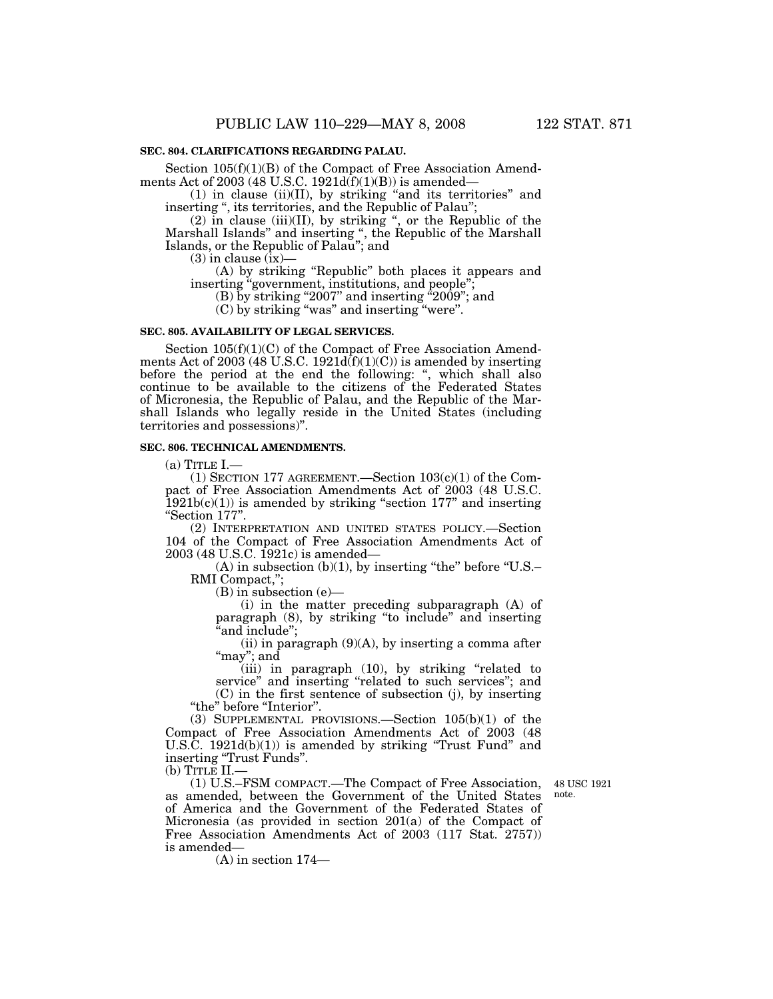## **SEC. 804. CLARIFICATIONS REGARDING PALAU.**

Section  $105(f)(1)(B)$  of the Compact of Free Association Amendments Act of 2003 (48 U.S.C. 1921 $d(f)(1)(B)$ ) is amended—

(1) in clause (ii)(II), by striking ''and its territories'' and inserting ", its territories, and the Republic of Palau";

 $(2)$  in clause  $(iii)(II)$ , by striking ", or the Republic of the Marshall Islands'' and inserting '', the Republic of the Marshall Islands, or the Republic of Palau''; and

 $(3)$  in clause  $(ix)$ —

(A) by striking ''Republic'' both places it appears and inserting "government, institutions, and people";

(B) by striking "2007" and inserting "2009"; and

(C) by striking ''was'' and inserting ''were''.

### **SEC. 805. AVAILABILITY OF LEGAL SERVICES.**

Section  $105(f)(1)(C)$  of the Compact of Free Association Amendments Act of 2003 (48 U.S.C. 1921 $d(f)(1)(C)$ ) is amended by inserting before the period at the end the following: ", which shall also continue to be available to the citizens of the Federated States of Micronesia, the Republic of Palau, and the Republic of the Marshall Islands who legally reside in the United States (including territories and possessions)''.

## **SEC. 806. TECHNICAL AMENDMENTS.**

 $(a)$  TITLE I.

(1) SECTION 177 AGREEMENT.—Section  $103(c)(1)$  of the Compact of Free Association Amendments Act of 2003 (48 U.S.C.  $1921b(c)(1)$  is amended by striking "section 177" and inserting ''Section 177''.

(2) INTERPRETATION AND UNITED STATES POLICY.—Section 104 of the Compact of Free Association Amendments Act of 2003 (48 U.S.C. 1921c) is amended—

 $(A)$  in subsection  $(b)(1)$ , by inserting "the" before "U.S.-RMI Compact,'';

(B) in subsection (e)—

(i) in the matter preceding subparagraph (A) of paragraph (8), by striking ''to include'' and inserting ''and include'';

(ii) in paragraph  $(9)(A)$ , by inserting a comma after ''may''; and

(iii) in paragraph (10), by striking "related to service" and inserting "related to such services"; and (C) in the first sentence of subsection (j), by inserting

''the'' before ''Interior''.

(3) SUPPLEMENTAL PROVISIONS.—Section 105(b)(1) of the Compact of Free Association Amendments Act of 2003 (48 U.S.C. 1921d(b)(1)) is amended by striking ''Trust Fund'' and inserting ''Trust Funds''.

(b) TITLE II.—

48 USC 1921 note.

(1) U.S.–FSM COMPACT.—The Compact of Free Association, as amended, between the Government of the United States of America and the Government of the Federated States of Micronesia (as provided in section 201(a) of the Compact of Free Association Amendments Act of 2003 (117 Stat. 2757)) is amended—

(A) in section 174—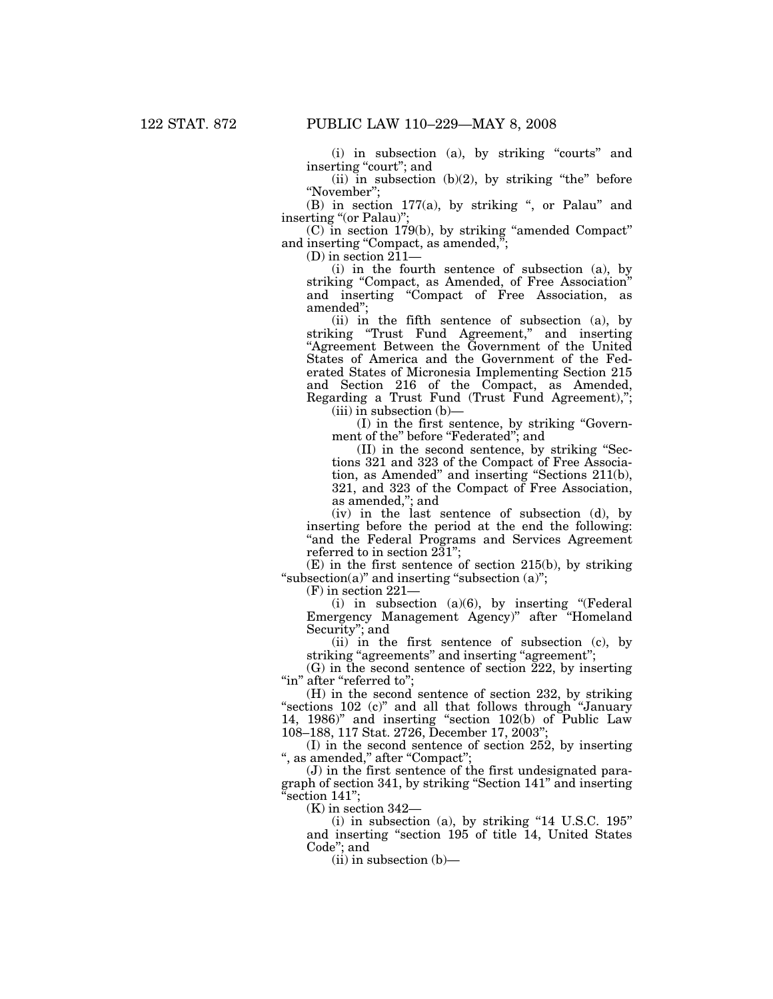(i) in subsection (a), by striking ''courts'' and inserting "court"; and

(ii) in subsection  $(b)(2)$ , by striking "the" before ''November'';

(B) in section 177(a), by striking ", or Palau" and inserting "(or Palau)"

(C) in section 179(b), by striking ''amended Compact'' and inserting "Compact, as amended,";

 $(D)$  in section  $2\overline{1}1$ 

(i) in the fourth sentence of subsection (a), by striking ''Compact, as Amended, of Free Association'' and inserting ''Compact of Free Association, as amended'';

(ii) in the fifth sentence of subsection (a), by striking ''Trust Fund Agreement,'' and inserting ''Agreement Between the Government of the United States of America and the Government of the Federated States of Micronesia Implementing Section 215 and Section 216 of the Compact, as Amended, Regarding a Trust Fund (Trust Fund Agreement),''; (iii) in subsection (b)—

(I) in the first sentence, by striking ''Government of the" before "Federated"; and

(II) in the second sentence, by striking ''Sections 321 and 323 of the Compact of Free Association, as Amended'' and inserting ''Sections 211(b), 321, and 323 of the Compact of Free Association, as amended,''; and

(iv) in the last sentence of subsection (d), by inserting before the period at the end the following: "and the Federal Programs and Services Agreement referred to in section 231'';

(E) in the first sentence of section 215(b), by striking "subsection(a)" and inserting "subsection  $(a)$ ";

(F) in section 221—

(i) in subsection  $(a)(6)$ , by inserting "(Federal Emergency Management Agency)'' after ''Homeland Security''; and

(ii) in the first sentence of subsection (c), by striking "agreements" and inserting "agreement";

(G) in the second sentence of section 222, by inserting "in" after "referred to";

(H) in the second sentence of section 232, by striking "sections 102 (c)" and all that follows through "January" 14, 1986)'' and inserting ''section 102(b) of Public Law 108–188, 117 Stat. 2726, December 17, 2003"

(I) in the second sentence of section 252, by inserting ", as amended," after "Compact"

(J) in the first sentence of the first undesignated paragraph of section 341, by striking ''Section 141'' and inserting section 141";

(K) in section 342—

 $(i)$  in subsection (a), by striking "14 U.S.C. 195" and inserting ''section 195 of title 14, United States Code''; and

(ii) in subsection (b)—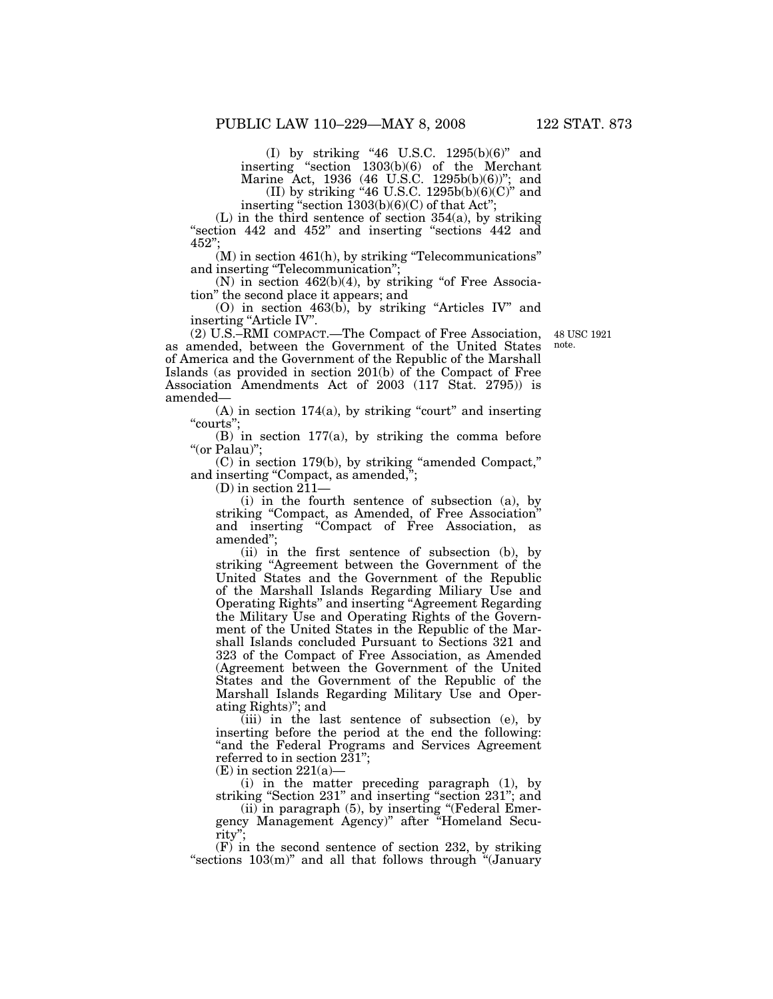(I) by striking ''46 U.S.C. 1295(b)(6)'' and inserting ''section 1303(b)(6) of the Merchant Marine Act, 1936 (46 U.S.C. 1295b(b)(6))"; and (II) by striking "46 U.S.C.  $1295b(b)(6)(C)$ " and

inserting "section  $\overline{1303(b)(6)(C)}$  of that Act";

 $(L)$  in the third sentence of section 354(a), by striking "section 442 and 452" and inserting "sections 442 and 452'';

 $(M)$  in section 461(h), by striking "Telecommunications" and inserting ''Telecommunication'';

(N) in section  $462(b)(4)$ , by striking "of Free Association'' the second place it appears; and

(O) in section 463(b), by striking ''Articles IV'' and inserting "Article IV".

> 48 USC 1921 note.

(2) U.S.–RMI COMPACT.—The Compact of Free Association, as amended, between the Government of the United States of America and the Government of the Republic of the Marshall Islands (as provided in section 201(b) of the Compact of Free Association Amendments Act of 2003 (117 Stat. 2795)) is amended—

 $(A)$  in section 174(a), by striking "court" and inserting "courts";

(B) in section 177(a), by striking the comma before "(or Palau)";

(C) in section 179(b), by striking ''amended Compact,'' and inserting "Compact, as amended,";

 $(D)$  in section  $2\overline{1}1$ —

(i) in the fourth sentence of subsection (a), by striking "Compact, as Amended, of Free Association" and inserting ''Compact of Free Association, as amended'';

(ii) in the first sentence of subsection (b), by striking ''Agreement between the Government of the United States and the Government of the Republic of the Marshall Islands Regarding Miliary Use and Operating Rights'' and inserting ''Agreement Regarding the Military Use and Operating Rights of the Government of the United States in the Republic of the Marshall Islands concluded Pursuant to Sections 321 and 323 of the Compact of Free Association, as Amended (Agreement between the Government of the United States and the Government of the Republic of the Marshall Islands Regarding Military Use and Operating Rights)''; and

(iii) in the last sentence of subsection (e), by inserting before the period at the end the following: "and the Federal Programs and Services Agreement referred to in section 231'';

 $(E)$  in section 221(a)-

(i) in the matter preceding paragraph (1), by striking "Section 231" and inserting "section 231"; and

(ii) in paragraph (5), by inserting ''(Federal Emergency Management Agency)'' after ''Homeland Security'';

(F) in the second sentence of section 232, by striking "sections  $103(m)$ " and all that follows through "(January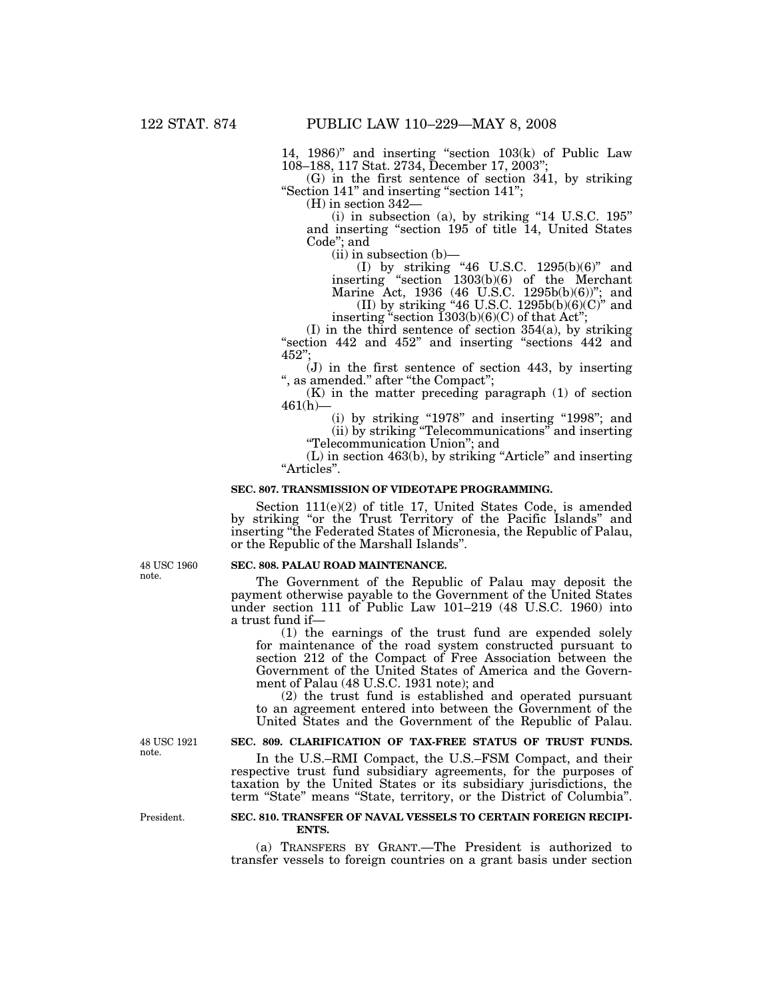14, 1986)" and inserting "section  $103(k)$  of Public Law 108–188, 117 Stat. 2734, December 17, 2003'';

(G) in the first sentence of section 341, by striking ''Section 141'' and inserting ''section 141'';

(H) in section 342—

 $(i)$  in subsection (a), by striking "14 U.S.C. 195" and inserting ''section 195 of title 14, United States Code''; and

 $(ii)$  in subsection  $(b)$ —

(I) by striking ''46 U.S.C. 1295(b)(6)'' and inserting ''section 1303(b)(6) of the Merchant Marine Act, 1936 (46 U.S.C. 1295b(b)(6))"; and (II) by striking "46 U.S.C.  $1295b(b)(6)(C)$ " and

inserting "section  $1303(b)(6)(C)$  of that Act";

(I) in the third sentence of section 354(a), by striking "section 442 and 452" and inserting "sections 442 and 452'';

(J) in the first sentence of section 443, by inserting ", as amended." after "the Compact";

(K) in the matter preceding paragraph (1) of section  $461(h)$ 

(i) by striking "1978" and inserting "1998"; and (ii) by striking ''Telecommunications'' and inserting ''Telecommunication Union''; and

(L) in section 463(b), by striking ''Article'' and inserting "Articles".

#### **SEC. 807. TRANSMISSION OF VIDEOTAPE PROGRAMMING.**

Section 111(e)(2) of title 17, United States Code, is amended by striking ''or the Trust Territory of the Pacific Islands'' and inserting ''the Federated States of Micronesia, the Republic of Palau, or the Republic of the Marshall Islands''.

48 USC 1960 note.

#### **SEC. 808. PALAU ROAD MAINTENANCE.**

The Government of the Republic of Palau may deposit the payment otherwise payable to the Government of the United States under section 111 of Public Law 101–219 (48 U.S.C. 1960) into a trust fund if—

(1) the earnings of the trust fund are expended solely for maintenance of the road system constructed pursuant to section 212 of the Compact of Free Association between the Government of the United States of America and the Government of Palau (48 U.S.C. 1931 note); and

(2) the trust fund is established and operated pursuant to an agreement entered into between the Government of the United States and the Government of the Republic of Palau.

## **SEC. 809. CLARIFICATION OF TAX-FREE STATUS OF TRUST FUNDS.**

In the U.S.–RMI Compact, the U.S.–FSM Compact, and their respective trust fund subsidiary agreements, for the purposes of taxation by the United States or its subsidiary jurisdictions, the term "State" means "State, territory, or the District of Columbia".

### **SEC. 810. TRANSFER OF NAVAL VESSELS TO CERTAIN FOREIGN RECIPI-ENTS.**

(a) TRANSFERS BY GRANT.—The President is authorized to transfer vessels to foreign countries on a grant basis under section

48 USC 1921 note.

President.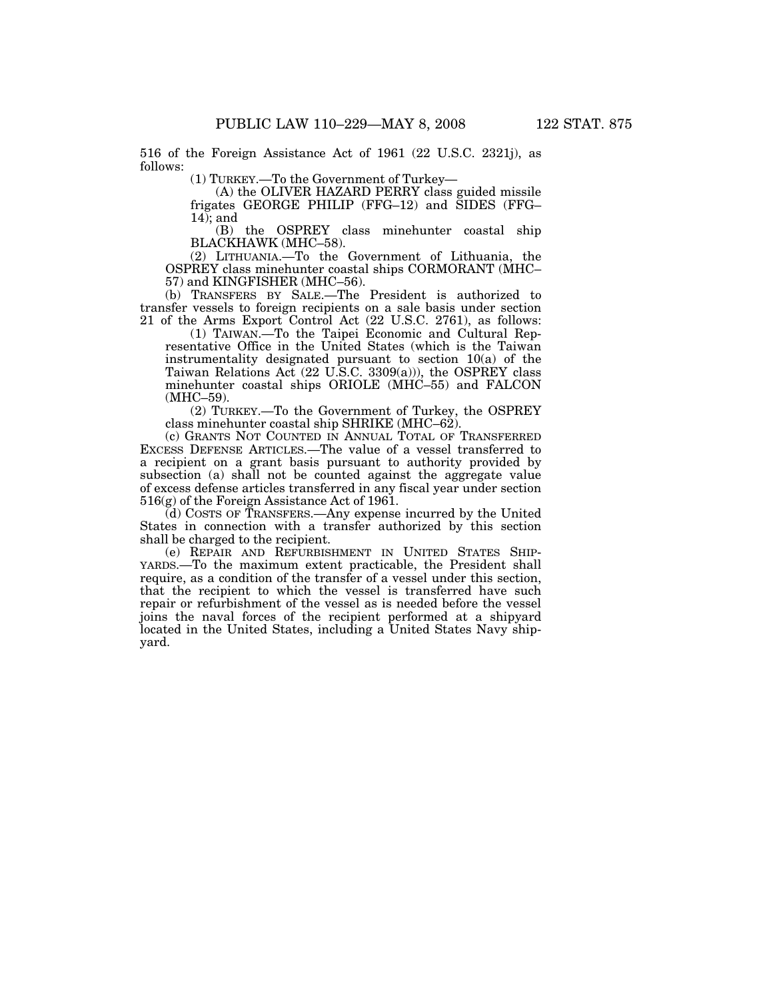516 of the Foreign Assistance Act of 1961 (22 U.S.C. 2321j), as follows:

(1) TURKEY.—To the Government of Turkey—

(A) the OLIVER HAZARD PERRY class guided missile frigates GEORGE PHILIP (FFG–12) and SIDES (FFG– 14); and

(B) the OSPREY class minehunter coastal ship BLACKHAWK (MHC–58).

(2) LITHUANIA.—To the Government of Lithuania, the OSPREY class minehunter coastal ships CORMORANT (MHC– 57) and KINGFISHER (MHC–56).

(b) TRANSFERS BY SALE.—The President is authorized to transfer vessels to foreign recipients on a sale basis under section 21 of the Arms Export Control Act (22 U.S.C. 2761), as follows:

(1) TAIWAN.—To the Taipei Economic and Cultural Representative Office in the United States (which is the Taiwan instrumentality designated pursuant to section 10(a) of the Taiwan Relations Act (22 U.S.C. 3309(a))), the OSPREY class minehunter coastal ships ORIOLE (MHC–55) and FALCON (MHC–59).

(2) TURKEY.—To the Government of Turkey, the OSPREY class minehunter coastal ship SHRIKE (MHC–62).

(c) GRANTS NOT COUNTED IN ANNUAL TOTAL OF TRANSFERRED EXCESS DEFENSE ARTICLES.—The value of a vessel transferred to a recipient on a grant basis pursuant to authority provided by subsection (a) shall not be counted against the aggregate value of excess defense articles transferred in any fiscal year under section 516(g) of the Foreign Assistance Act of 1961.

(d) COSTS OF TRANSFERS.—Any expense incurred by the United States in connection with a transfer authorized by this section shall be charged to the recipient.

(e) REPAIR AND REFURBISHMENT IN UNITED STATES SHIP-YARDS.—To the maximum extent practicable, the President shall require, as a condition of the transfer of a vessel under this section, that the recipient to which the vessel is transferred have such repair or refurbishment of the vessel as is needed before the vessel joins the naval forces of the recipient performed at a shipyard located in the United States, including a United States Navy shipyard.